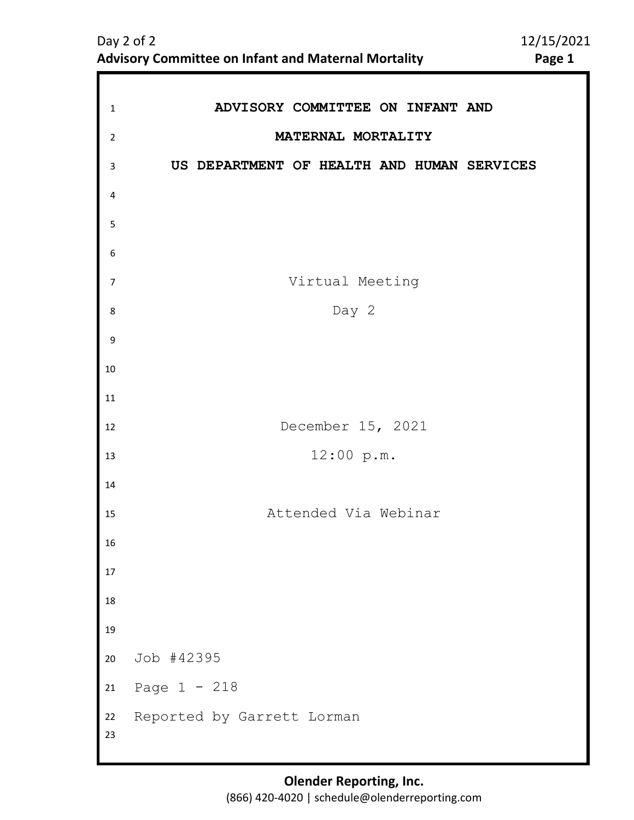| $\mathbf 1$    | ADVISORY COMMITTEE ON INFANT AND           |
|----------------|--------------------------------------------|
| $\overline{2}$ | MATERNAL MORTALITY                         |
| 3              | US DEPARTMENT OF HEALTH AND HUMAN SERVICES |
| 4              |                                            |
| 5              |                                            |
| 6              |                                            |
| $\overline{7}$ | Virtual Meeting                            |
| 8              | Day 2                                      |
| 9              |                                            |
| 10             |                                            |
| 11             |                                            |
| 12             | December 15, 2021                          |
| 13             | 12:00 p.m.                                 |
| 14             |                                            |
| 15             | Attended Via Webinar                       |
| 16             |                                            |
| 17             |                                            |
| 18             |                                            |
| 19             |                                            |
| 20             | Job #42395                                 |
| $21\,$         | Page $1 - 218$                             |
| 22<br>23       | Reported by Garrett Lorman                 |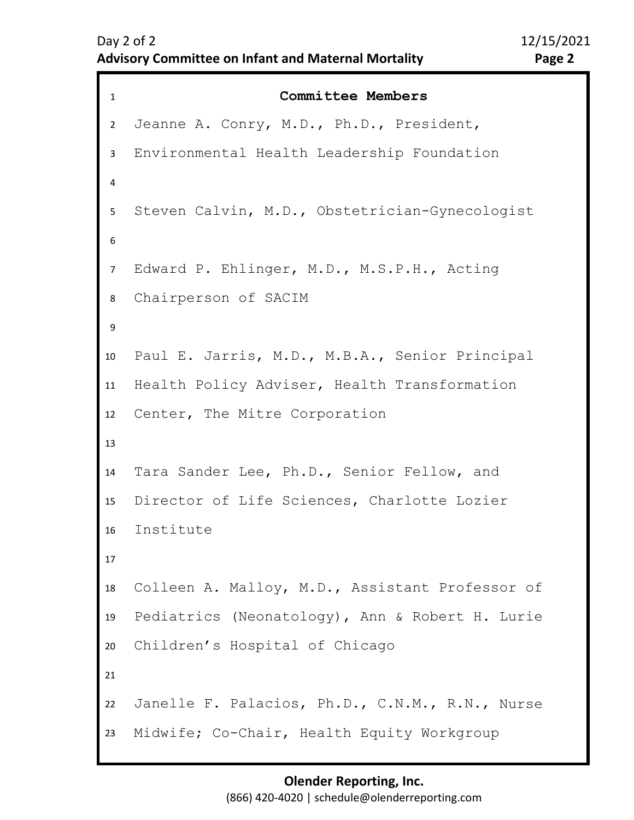```
1 Committee Members
2 
3 
4 
5 
9 
10
11
12
13
14
15
16
17
18
19
20
21
22
23
6 
8 
7 
   Jeanne A. Conry, M.D., Ph.D., President, 
   Environmental Health Leadership Foundation 
   Steven Calvin, M.D., Obstetrician-Gynecologist 
   Edward P. Ehlinger, M.D., M.S.P.H., Acting 
   Chairperson of SACIM
   Paul E. Jarris, M.D., M.B.A., Senior Principal
   Health Policy Adviser, Health Transformation 
   Center, The Mitre Corporation 
   Tara Sander Lee, Ph.D., Senior Fellow, and 
   Director of Life Sciences, Charlotte Lozier 
   Institute
   Colleen A. Malloy, M.D., Assistant Professor of 
   Pediatrics (Neonatology), Ann & Robert H. Lurie 
   Children's Hospital of Chicago 
   Janelle F. Palacios, Ph.D., C.N.M., R.N., Nurse 
   Midwife; Co-Chair, Health Equity Workgroup
```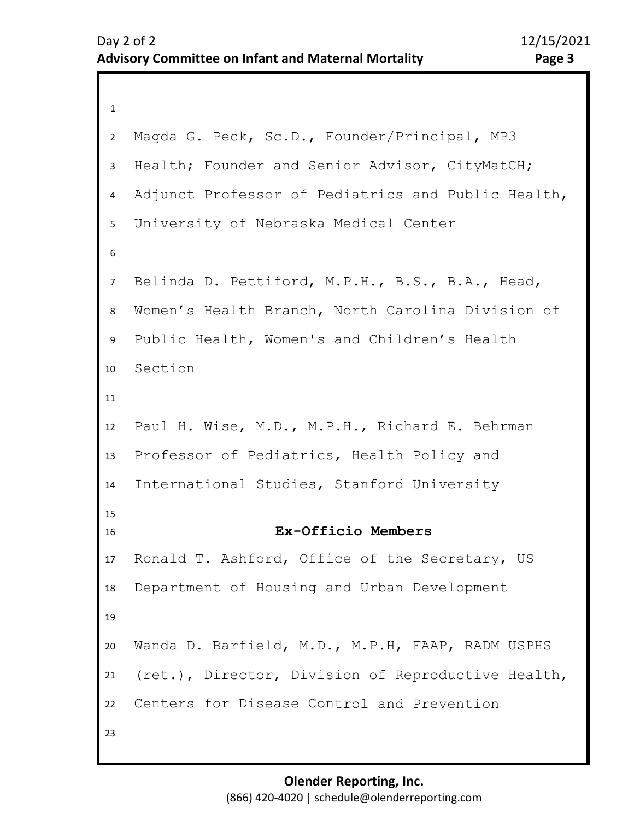```
1 
2 
3 
4 
8 
9 
10
11
12
13
14
15
16
17
18
19
20
21
22
23
5 
7 
6 
   Magda G. Peck, Sc.D., Founder/Principal, MP3 
   Health; Founder and Senior Advisor, CityMatCH; 
   Adjunct Professor of Pediatrics and Public Health, 
   University of Nebraska Medical Center 
   Belinda D. Pettiford, M.P.H., B.S., B.A., Head, 
   Women's Health Branch, North Carolina Division of 
   Public Health, Women's and Children's Health 
   Section
   Paul H. Wise, M.D., M.P.H., Richard E. Behrman 
   Professor of Pediatrics, Health Policy and 
   International Studies, Stanford University 
                     Ex-Officio Members
   Ronald T. Ashford, Office of the Secretary, US 
   Department of Housing and Urban Development 
   Wanda D. Barfield, M.D., M.P.H, FAAP, RADM USPHS 
    (ret.), Director, Division of Reproductive Health, 
   Centers for Disease Control and Prevention
```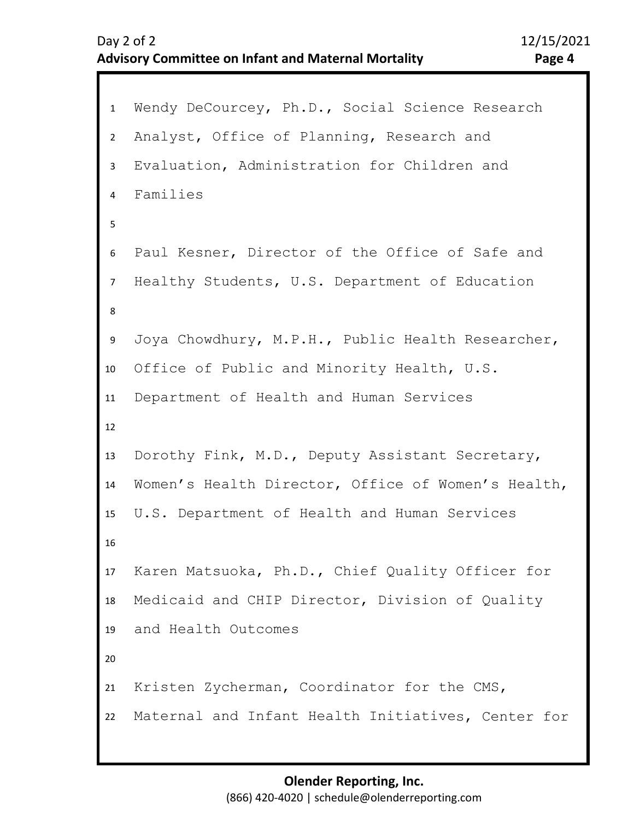```
1 Wendy DeCourcey, Ph.D., Social Science Research 
2 
6 
7 
8 
9 
10
11
12
13
14
15
16
17
18
19
20
21
22
3 
5
4 
   Analyst, Office of Planning, Research and 
   Evaluation, Administration for Children and 
   Families 
   Paul Kesner, Director of the Office of Safe and 
   Healthy Students, U.S. Department of Education 
   Joya Chowdhury, M.P.H., Public Health Researcher, 
   Office of Public and Minority Health, U.S. 
   Department of Health and Human Services 
   Dorothy Fink, M.D., Deputy Assistant Secretary, 
   Women's Health Director, Office of Women's Health, 
   U.S. Department of Health and Human Services 
   Karen Matsuoka, Ph.D., Chief Quality Officer for 
   Medicaid and CHIP Director, Division of Quality 
   and Health Outcomes 
   Kristen Zycherman, Coordinator for the CMS,
   Maternal and Infant Health Initiatives, Center for
```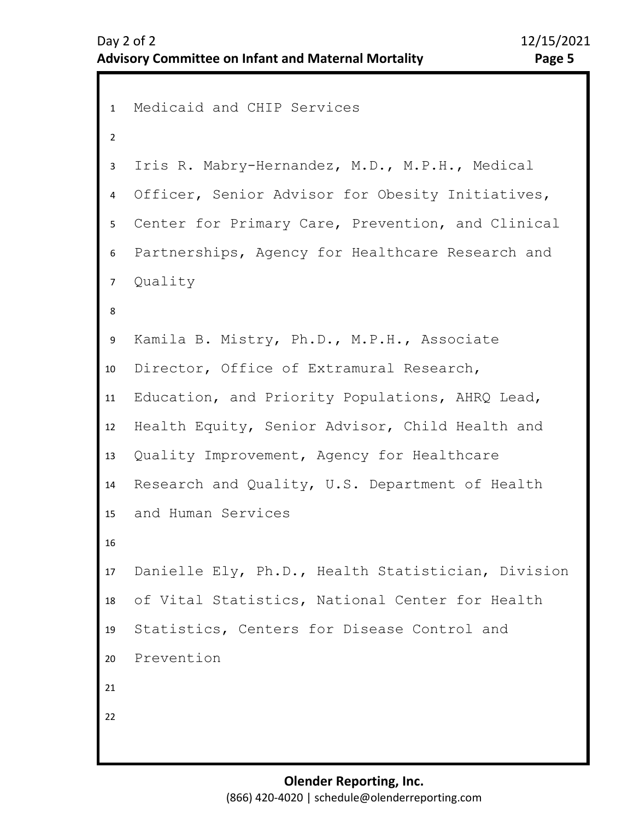```
1 Medicaid and CHIP Services 
2 
3 
4 
5 
6 
7 
8 
12
13
14
15
16
17
18
19
20
21
22
9 
11
10
   Iris R. Mabry-Hernandez, M.D., M.P.H., Medical 
   Officer, Senior Advisor for Obesity Initiatives, 
   Center for Primary Care, Prevention, and Clinical 
   Partnerships, Agency for Healthcare Research and 
   Quality 
   Kamila B. Mistry, Ph.D., M.P.H., Associate 
   Director, Office of Extramural Research, 
   Education, and Priority Populations, AHRQ Lead, 
   Health Equity, Senior Advisor, Child Health and 
   Quality Improvement, Agency for Healthcare 
   Research and Quality, U.S. Department of Health 
   and Human Services 
   Danielle Ely, Ph.D., Health Statistician, Division 
   of Vital Statistics, National Center for Health 
   Statistics, Centers for Disease Control and 
   Prevention
```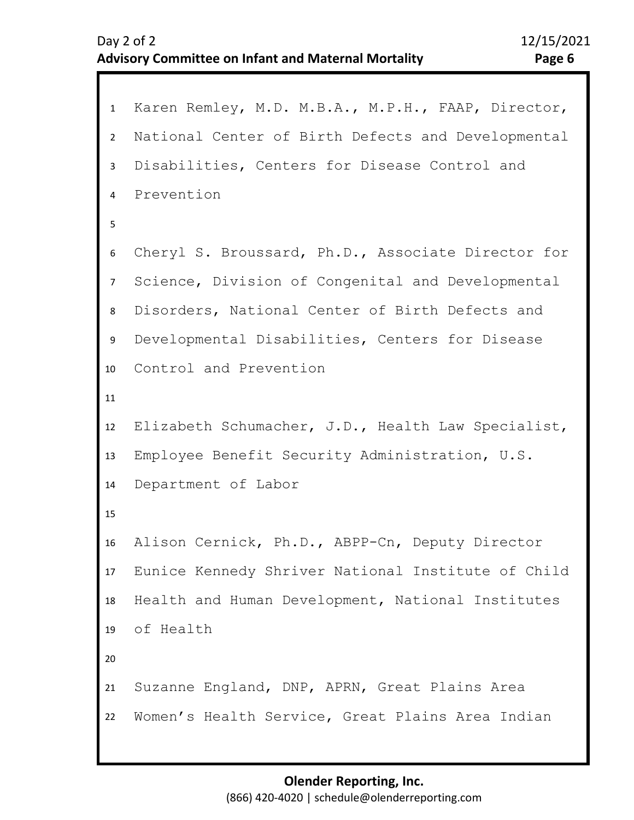```
1 Karen Remley, M.D. M.B.A., M.P.H., FAAP, Director, 
2 
3 
4 
8 
9 
10
11
12
13
14
15
16
17
18
19
20
21
22
5 
7 
6 
   National Center of Birth Defects and Developmental 
   Disabilities, Centers for Disease Control and 
   Prevention 
   Cheryl S. Broussard, Ph.D., Associate Director for 
   Science, Division of Congenital and Developmental 
   Disorders, National Center of Birth Defects and 
   Developmental Disabilities, Centers for Disease 
   Control and Prevention 
   Elizabeth Schumacher, J.D., Health Law Specialist, 
   Employee Benefit Security Administration, U.S. 
   Department of Labor 
   Alison Cernick, Ph.D., ABPP-Cn, Deputy Director 
   Eunice Kennedy Shriver National Institute of Child 
   Health and Human Development, National Institutes
   of Health 
   Suzanne England, DNP, APRN, Great Plains Area 
   Women's Health Service, Great Plains Area Indian
```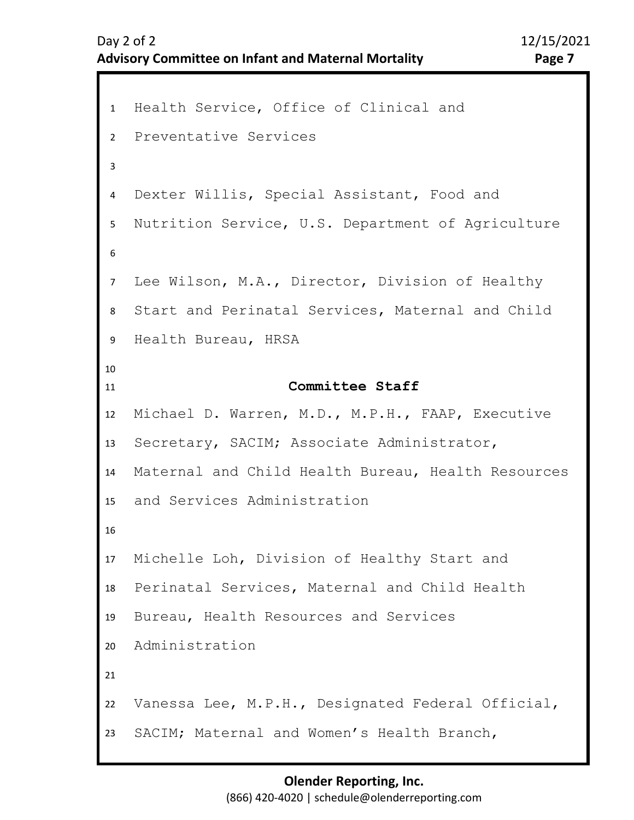```
1 Health Service, Office of Clinical and 
2 
3 
4 
8 
9 
10
11
12
13
14
15
16
17
18
19
20
21
22
23
5 
7 
6 
   Preventative Services 
   Dexter Willis, Special Assistant, Food and 
   Nutrition Service, U.S. Department of Agriculture 
   Lee Wilson, M.A., Director, Division of Healthy 
   Start and Perinatal Services, Maternal and Child 
   Health Bureau, HRSA 
                       Committee Staff
   Michael D. Warren, M.D., M.P.H., FAAP, Executive 
   Secretary, SACIM; Associate Administrator, 
   Maternal and Child Health Bureau, Health Resources 
   and Services Administration
   Michelle Loh, Division of Healthy Start and 
   Perinatal Services, Maternal and Child Health 
   Bureau, Health Resources and Services 
   Administration 
   Vanessa Lee, M.P.H., Designated Federal Official, 
   SACIM; Maternal and Women's Health Branch,
```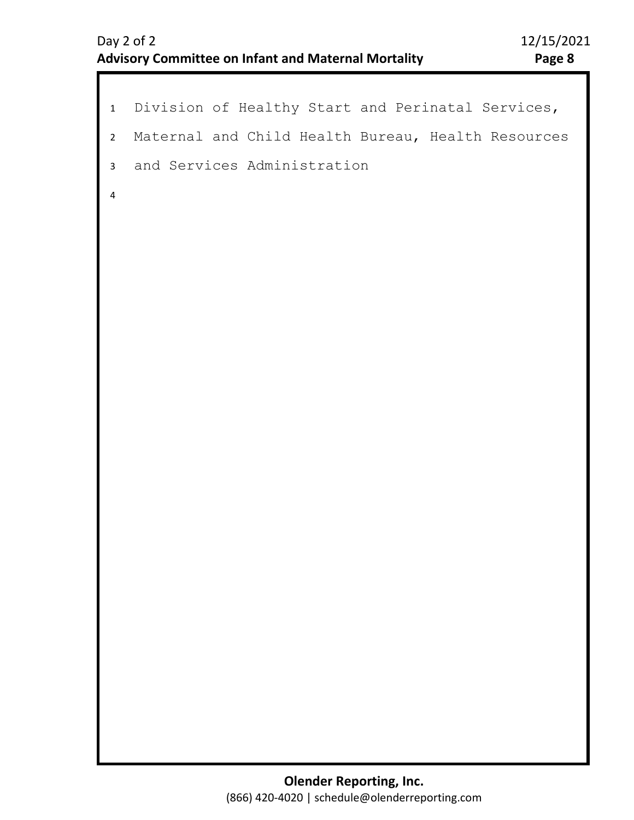```
Division of Healthy Start and Perinatal Services, 
  Maternal and Child Health Bureau, Health Resources 
  and Services Administration
1 
2 
4 
3
```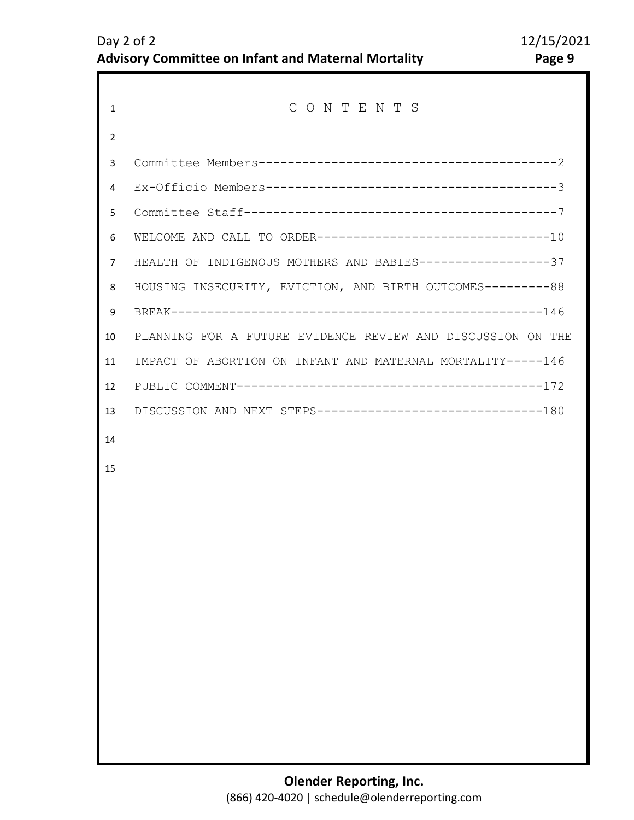| $\mathbf{1}$ | CONTENTS                                                     |
|--------------|--------------------------------------------------------------|
| 2            |                                                              |
| 3            |                                                              |
| 4            |                                                              |
| 5            |                                                              |
| 6            | WELCOME AND CALL TO ORDER---------------------------------10 |
| 7            | HEALTH OF INDIGENOUS MOTHERS AND BABIES------------------37  |
| 8            | HOUSING INSECURITY, EVICTION, AND BIRTH OUTCOMES---------88  |
| 9            |                                                              |
| 10           | PLANNING FOR A FUTURE EVIDENCE REVIEW AND DISCUSSION ON THE  |
| 11           | IMPACT OF ABORTION ON INFANT AND MATERNAL MORTALITY-----146  |
| 12           |                                                              |
| 13           | DISCUSSION AND NEXT STEPS--------------------------------180 |
| 14           |                                                              |
| 15           |                                                              |
|              |                                                              |
|              |                                                              |
|              |                                                              |
|              |                                                              |
|              |                                                              |
|              |                                                              |
|              |                                                              |
|              |                                                              |
|              |                                                              |
|              |                                                              |
|              |                                                              |
|              |                                                              |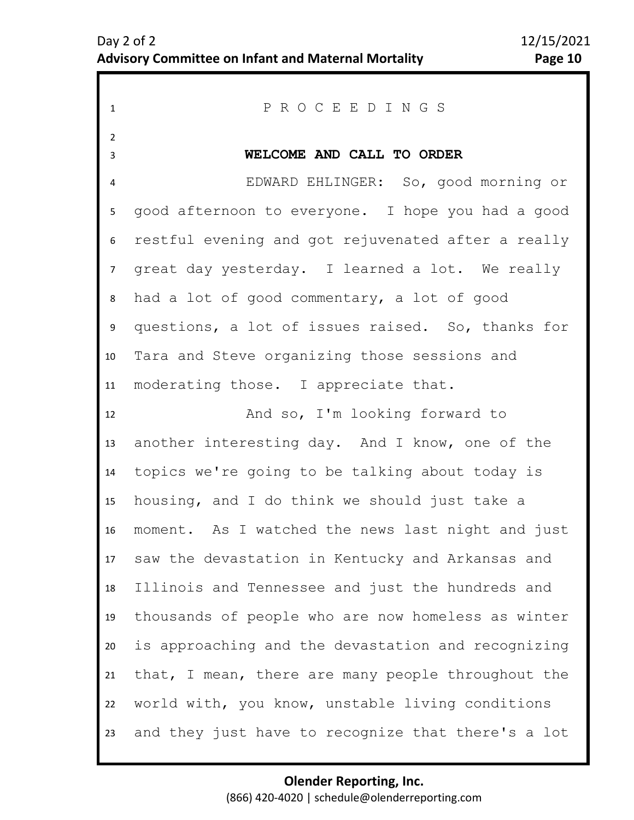<span id="page-9-0"></span>

| $\mathbf{1}$        | PROCEEDINGS                                        |
|---------------------|----------------------------------------------------|
| $\overline{2}$<br>3 | WELCOME AND CALL TO ORDER                          |
| 4                   | EDWARD EHLINGER: So, good morning or               |
| 5                   | good afternoon to everyone. I hope you had a good  |
| 6                   | restful evening and got rejuvenated after a really |
| 7 <sup>7</sup>      | great day yesterday. I learned a lot. We really    |
| 8                   | had a lot of good commentary, a lot of good        |
| 9                   | questions, a lot of issues raised. So, thanks for  |
| 10                  | Tara and Steve organizing those sessions and       |
| 11                  | moderating those. I appreciate that.               |
| 12                  | And so, I'm looking forward to                     |
| 13                  | another interesting day. And I know, one of the    |
| 14                  | topics we're going to be talking about today is    |
| 15                  | housing, and I do think we should just take a      |
| 16                  | moment. As I watched the news last night and just  |
| 17                  | saw the devastation in Kentucky and Arkansas and   |
| 18                  | Illinois and Tennessee and just the hundreds and   |
| 19                  | thousands of people who are now homeless as winter |
| 20                  | is approaching and the devastation and recognizing |
| 21                  | that, I mean, there are many people throughout the |
| 22                  | world with, you know, unstable living conditions   |
| 23                  | and they just have to recognize that there's a lot |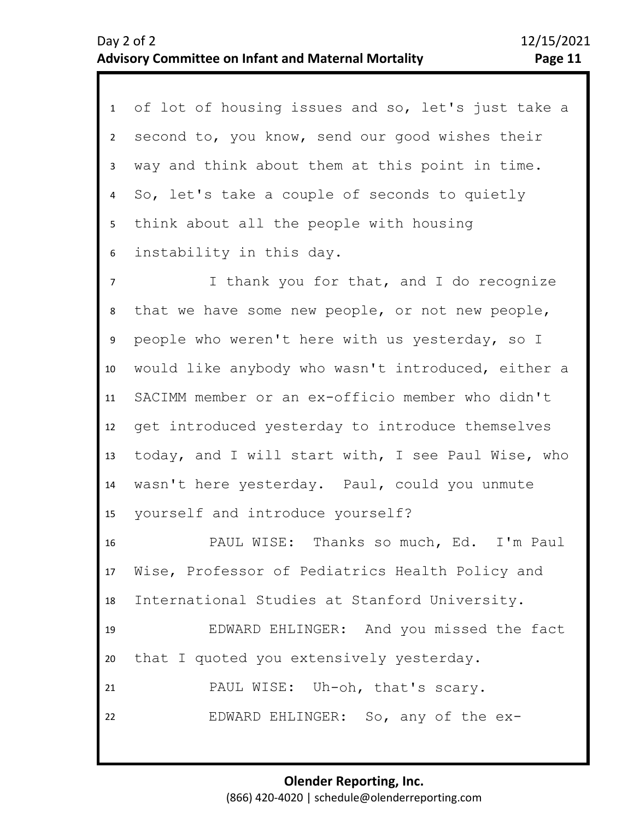| 1               | of lot of housing issues and so, let's just take a |
|-----------------|----------------------------------------------------|
| $2^{\circ}$     | second to, you know, send our good wishes their    |
| $\mathbf{3}$    | way and think about them at this point in time.    |
| 4               | So, let's take a couple of seconds to quietly      |
| 5 <sub>1</sub>  | think about all the people with housing            |
| 6               | instability in this day.                           |
| $\overline{7}$  | I thank you for that, and I do recognize           |
| 8               | that we have some new people, or not new people,   |
| 9               | people who weren't here with us yesterday, so I    |
| 10              | would like anybody who wasn't introduced, either a |
| 11              | SACIMM member or an ex-officio member who didn't   |
| 12              | get introduced yesterday to introduce themselves   |
| 13              | today, and I will start with, I see Paul Wise, who |
| 14              | wasn't here yesterday. Paul, could you unmute      |
| 15              | yourself and introduce yourself?                   |
| 16              | PAUL WISE: Thanks so much, Ed. I'm Paul            |
| 17 <sup>7</sup> | Wise, Professor of Pediatrics Health Policy and    |
| 18              | International Studies at Stanford University.      |
| 19              | EDWARD EHLINGER: And you missed the fact           |
| 20              | that I quoted you extensively yesterday.           |
| 21              | PAUL WISE: Uh-oh, that's scary.                    |
| 22              | EDWARD EHLINGER: So, any of the ex-                |
|                 |                                                    |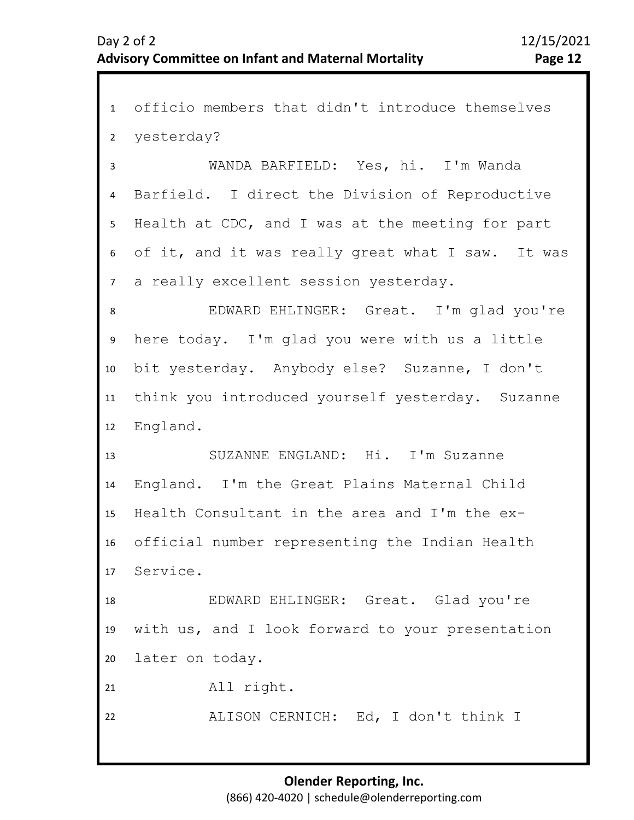1 officio members that didn't introduce themselves 2 6 7 8 9 10 11 12 13 14 15 16 17 18 19 20 21 3 5 4 yesterday? WANDA BARFIELD: Yes, hi. I'm Wanda Barfield. I direct the Division of Reproductive Health at CDC, and I was at the meeting for part of it, and it was really great what I saw. It was a really excellent session yesterday. EDWARD EHLINGER: Great. I'm glad you're here today. I'm glad you were with us a little bit yesterday. Anybody else? Suzanne, I don't think you introduced yourself yesterday. Suzanne England. SUZANNE ENGLAND: Hi. I'm Suzanne England. I'm the Great Plains Maternal Child Health Consultant in the area and I'm the exofficial number representing the Indian Health Service. EDWARD EHLINGER: Great. Glad you're with us, and I look forward to your presentation later on today. All right.

ALISON CERNICH: Ed, I don't think I

22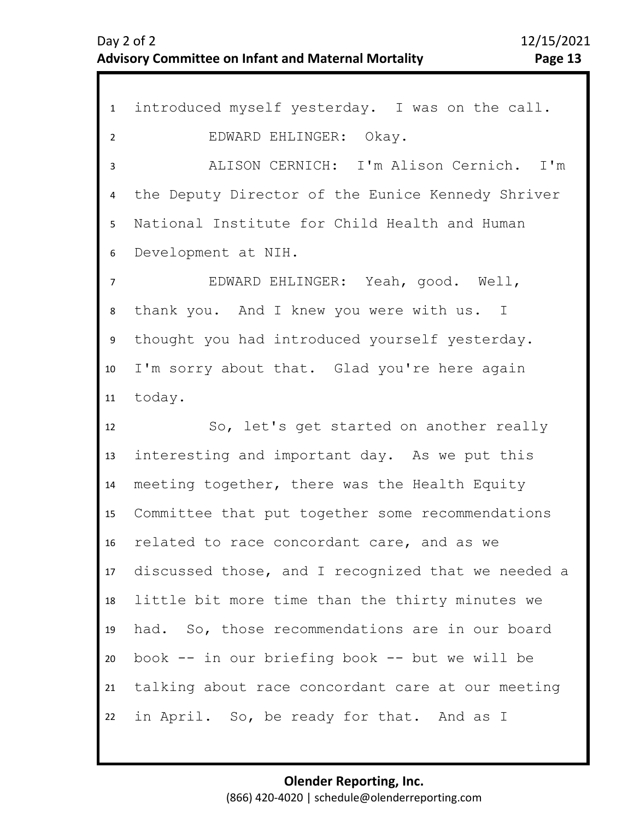1 introduced myself yesterday. I was on the call. 2 3 4 9 10 11 12 13 14 15 16 17 18 19 20 21 22 5 7 8 6 EDWARD EHLINGER: Okay. ALISON CERNICH: I'm Alison Cernich. I'm the Deputy Director of the Eunice Kennedy Shriver National Institute for Child Health and Human Development at NIH. EDWARD EHLINGER: Yeah, good. Well, thank you. And I knew you were with us. I thought you had introduced yourself yesterday. I'm sorry about that. Glad you're here again today. So, let's get started on another really interesting and important day. As we put this meeting together, there was the Health Equity Committee that put together some recommendations related to race concordant care, and as we discussed those, and I recognized that we needed a little bit more time than the thirty minutes we had. So, those recommendations are in our board book -- in our briefing book -- but we will be talking about race concordant care at our meeting in April. So, be ready for that. And as I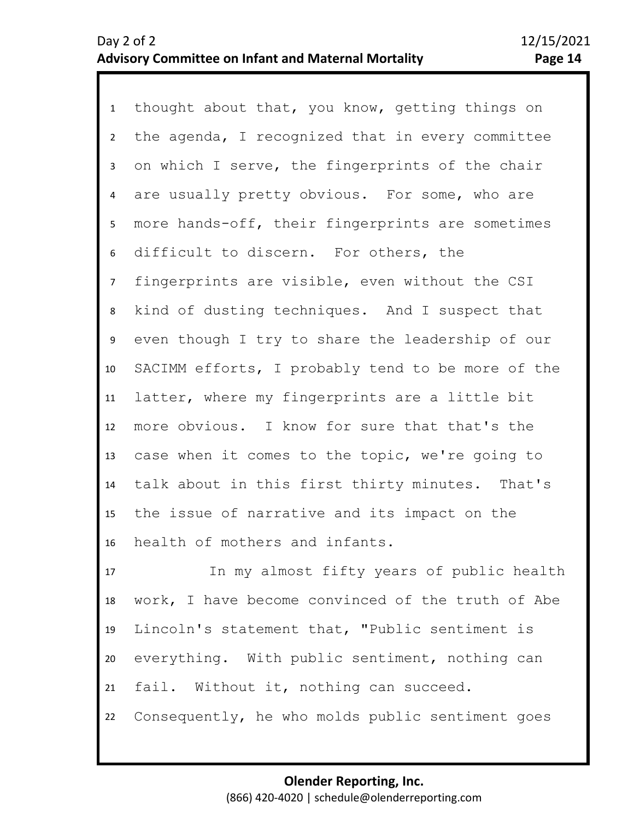1 thought about that, you know, getting things on 2 3 7 8 9 10 11 12 13 14 15 16 4 6 5 the agenda, I recognized that in every committee on which I serve, the fingerprints of the chair are usually pretty obvious. For some, who are more hands-off, their fingerprints are sometimes difficult to discern. For others, the fingerprints are visible, even without the CSI kind of dusting techniques. And I suspect that even though I try to share the leadership of our SACIMM efforts, I probably tend to be more of the latter, where my fingerprints are a little bit more obvious. I know for sure that that's the case when it comes to the topic, we're going to talk about in this first thirty minutes. That's the issue of narrative and its impact on the health of mothers and infants.

17 18 19 20 21 22 In my almost fifty years of public health work, I have become convinced of the truth of Abe Lincoln's statement that, "Public sentiment is everything. With public sentiment, nothing can fail. Without it, nothing can succeed. Consequently, he who molds public sentiment goes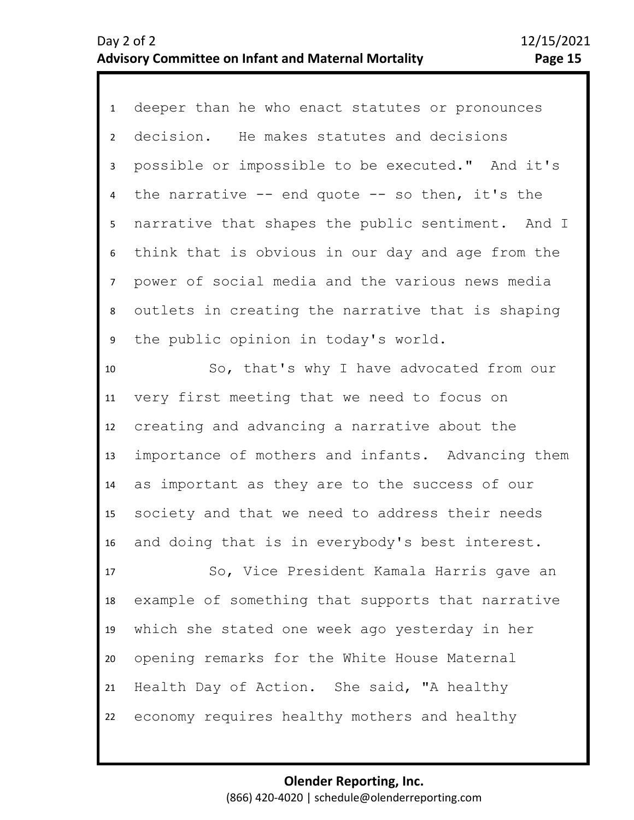1 deeper than he who enact statutes or pronounces 2 3 7 8 9 10 11 12 13 4 6 5 decision. He makes statutes and decisions possible or impossible to be executed." And it's the narrative  $-$ - end quote  $-$ - so then, it's the narrative that shapes the public sentiment. And I think that is obvious in our day and age from the power of social media and the various news media outlets in creating the narrative that is shaping the public opinion in today's world. So, that's why I have advocated from our very first meeting that we need to focus on creating and advancing a narrative about the importance of mothers and infants. Advancing them

14 15 16 as important as they are to the success of our society and that we need to address their needs and doing that is in everybody's best interest.

17 18 19 20 21 22 So, Vice President Kamala Harris gave an example of something that supports that narrative which she stated one week ago yesterday in her opening remarks for the White House Maternal Health Day of Action. She said, "A healthy economy requires healthy mothers and healthy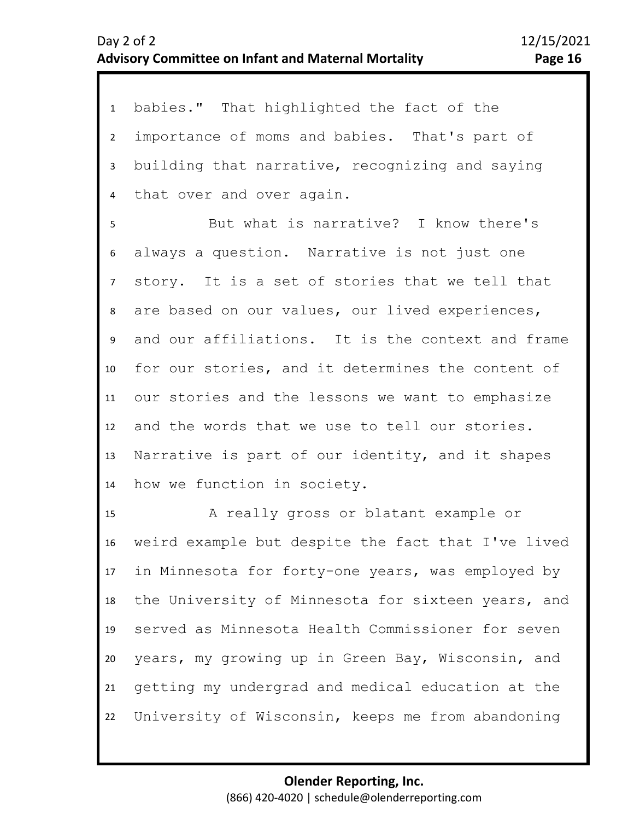1 babies." That highlighted the fact of the 2 3 4 importance of moms and babies. That's part of building that narrative, recognizing and saying that over and over again.

8 9 10 11 12 13 14 5 7 6 But what is narrative? I know there's always a question. Narrative is not just one story. It is a set of stories that we tell that are based on our values, our lived experiences, and our affiliations. It is the context and frame for our stories, and it determines the content of our stories and the lessons we want to emphasize and the words that we use to tell our stories. Narrative is part of our identity, and it shapes how we function in society.

15 16 17 18 19 20 21 22 A really gross or blatant example or weird example but despite the fact that I've lived in Minnesota for forty-one years, was employed by the University of Minnesota for sixteen years, and served as Minnesota Health Commissioner for seven years, my growing up in Green Bay, Wisconsin, and getting my undergrad and medical education at the University of Wisconsin, keeps me from abandoning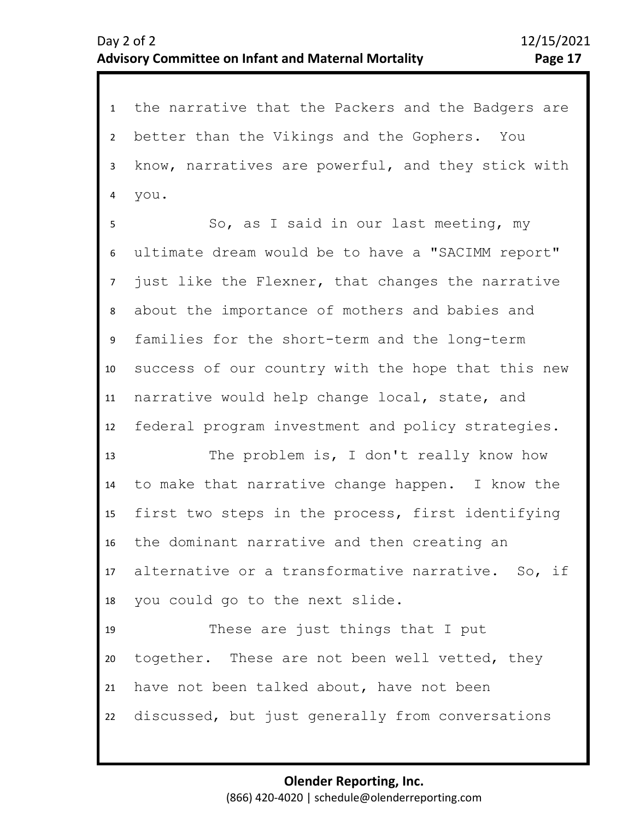1 the narrative that the Packers and the Badgers are 2 3 4 better than the Vikings and the Gophers. You know, narratives are powerful, and they stick with you.

7 8 9 10 11 12 6 5 So, as I said in our last meeting, my ultimate dream would be to have a "SACIMM report" just like the Flexner, that changes the narrative about the importance of mothers and babies and families for the short-term and the long-term success of our country with the hope that this new narrative would help change local, state, and federal program investment and policy strategies.

13 14 15 16 17 18 The problem is, I don't really know how to make that narrative change happen. I know the first two steps in the process, first identifying the dominant narrative and then creating an alternative or a transformative narrative. So, if you could go to the next slide.

19 20 21 22 These are just things that I put together. These are not been well vetted, they have not been talked about, have not been discussed, but just generally from conversations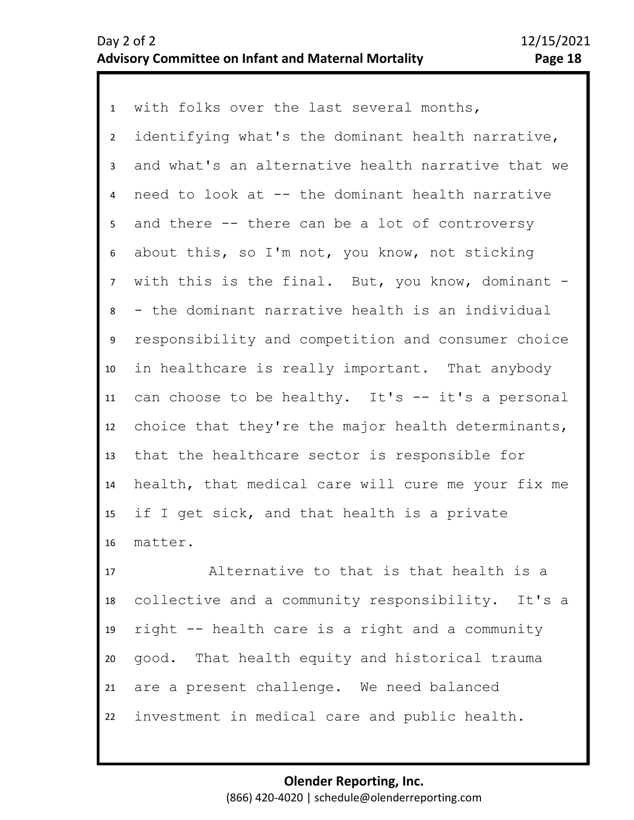1 with folks over the last several months, 2 5 6 7 8 9 10 11 12 13 14 15 16 3 4 identifying what's the dominant health narrative, and what's an alternative health narrative that we need to look at -- the dominant health narrative and there -- there can be a lot of controversy about this, so I'm not, you know, not sticking with this is the final. But, you know, dominant - - the dominant narrative health is an individual responsibility and competition and consumer choice in healthcare is really important. That anybody can choose to be healthy. It's -- it's a personal choice that they're the major health determinants, that the healthcare sector is responsible for health, that medical care will cure me your fix me if I get sick, and that health is a private matter.

17 18 19 20 21 22 Alternative to that is that health is a collective and a community responsibility. It's a right -- health care is a right and a community good. That health equity and historical trauma are a present challenge. We need balanced investment in medical care and public health.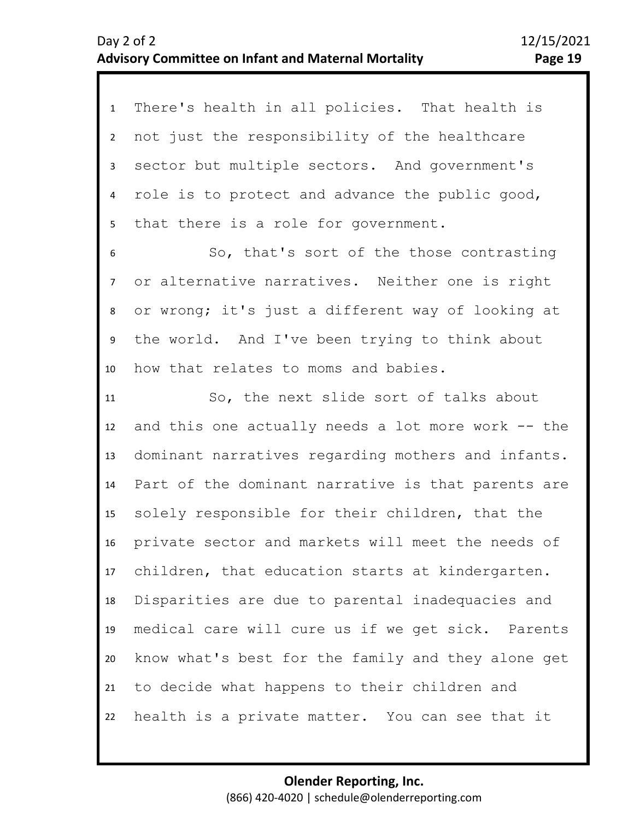1 There's health in all policies. That health is 2 3 4 5 not just the responsibility of the healthcare sector but multiple sectors. And government's role is to protect and advance the public good, that there is a role for government.

8 9 10 7 6 So, that's sort of the those contrasting or alternative narratives. Neither one is right or wrong; it's just a different way of looking at the world. And I've been trying to think about how that relates to moms and babies.

11 12 13 14 15 16 17 18 19 20 21 22 So, the next slide sort of talks about and this one actually needs a lot more work -- the dominant narratives regarding mothers and infants. Part of the dominant narrative is that parents are solely responsible for their children, that the private sector and markets will meet the needs of children, that education starts at kindergarten. Disparities are due to parental inadequacies and medical care will cure us if we get sick. Parents know what's best for the family and they alone get to decide what happens to their children and health is a private matter. You can see that it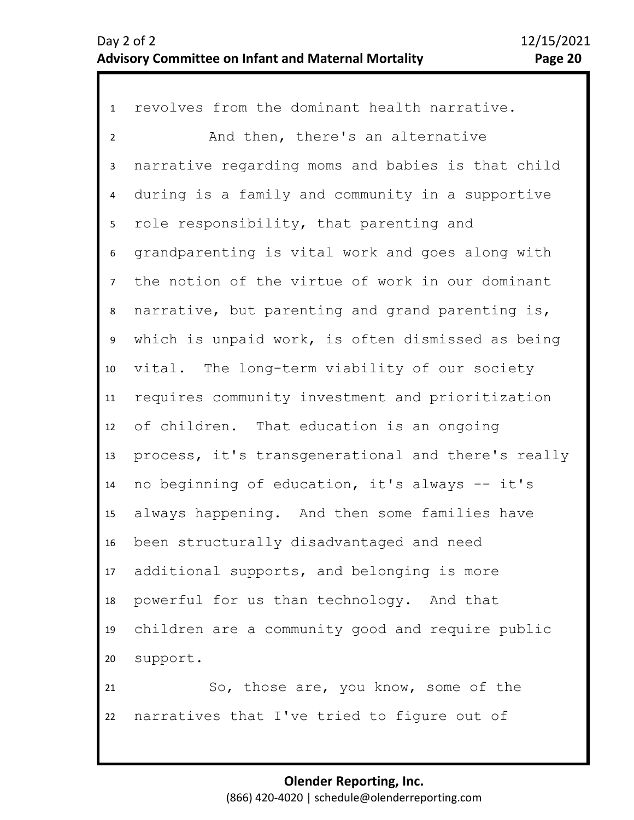1 revolves from the dominant health narrative. 2 3 4 8 9 10 11 12 13 14 15 16 17 18 19 20 21 22 5 7 6 And then, there's an alternative narrative regarding moms and babies is that child during is a family and community in a supportive role responsibility, that parenting and grandparenting is vital work and goes along with the notion of the virtue of work in our dominant narrative, but parenting and grand parenting is, which is unpaid work, is often dismissed as being vital. The long-term viability of our society requires community investment and prioritization of children. That education is an ongoing process, it's transgenerational and there's really no beginning of education, it's always -- it's always happening. And then some families have been structurally disadvantaged and need additional supports, and belonging is more powerful for us than technology. And that children are a community good and require public support. So, those are, you know, some of the narratives that I've tried to figure out of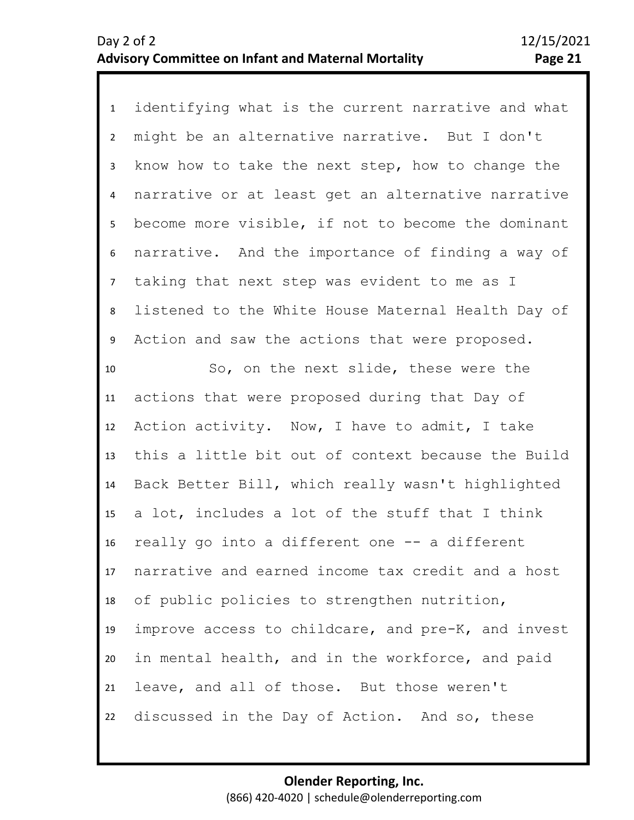1 identifying what is the current narrative and what 2 3 4 8 9 10 11 12 13 14 15 16 17 18 19 20 21 22 5 7 6 might be an alternative narrative. But I don't know how to take the next step, how to change the narrative or at least get an alternative narrative become more visible, if not to become the dominant narrative. And the importance of finding a way of taking that next step was evident to me as I listened to the White House Maternal Health Day of Action and saw the actions that were proposed. So, on the next slide, these were the actions that were proposed during that Day of Action activity. Now, I have to admit, I take this a little bit out of context because the Build Back Better Bill, which really wasn't highlighted a lot, includes a lot of the stuff that I think really go into a different one -- a different narrative and earned income tax credit and a host of public policies to strengthen nutrition, improve access to childcare, and pre-K, and invest in mental health, and in the workforce, and paid leave, and all of those. But those weren't discussed in the Day of Action. And so, these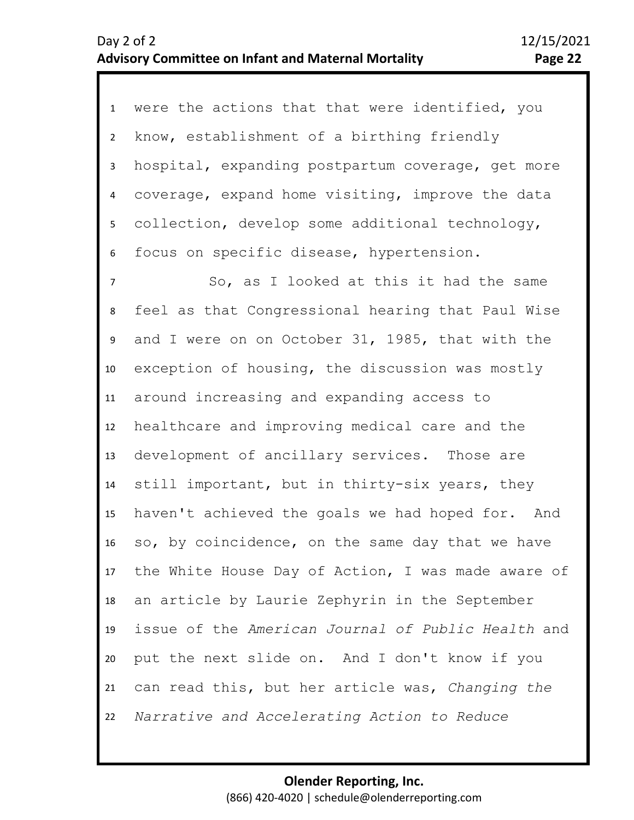1 were the actions that that were identified, you 2 3 4 8 9 10 11 12 13 14 15 16 17 18 19 20 21 5 7 6 know, establishment of a birthing friendly hospital, expanding postpartum coverage, get more coverage, expand home visiting, improve the data collection, develop some additional technology, focus on specific disease, hypertension. So, as I looked at this it had the same feel as that Congressional hearing that Paul Wise and I were on on October 31, 1985, that with the exception of housing, the discussion was mostly around increasing and expanding access to healthcare and improving medical care and the development of ancillary services. Those are still important, but in thirty-six years, they haven't achieved the goals we had hoped for. And so, by coincidence, on the same day that we have the White House Day of Action, I was made aware of an article by Laurie Zephyrin in the September issue of the *American Journal of Public Health* and put the next slide on. And I don't know if you can read this, but her article was, *Changing the* 

22 *Narrative and Accelerating Action to Reduce*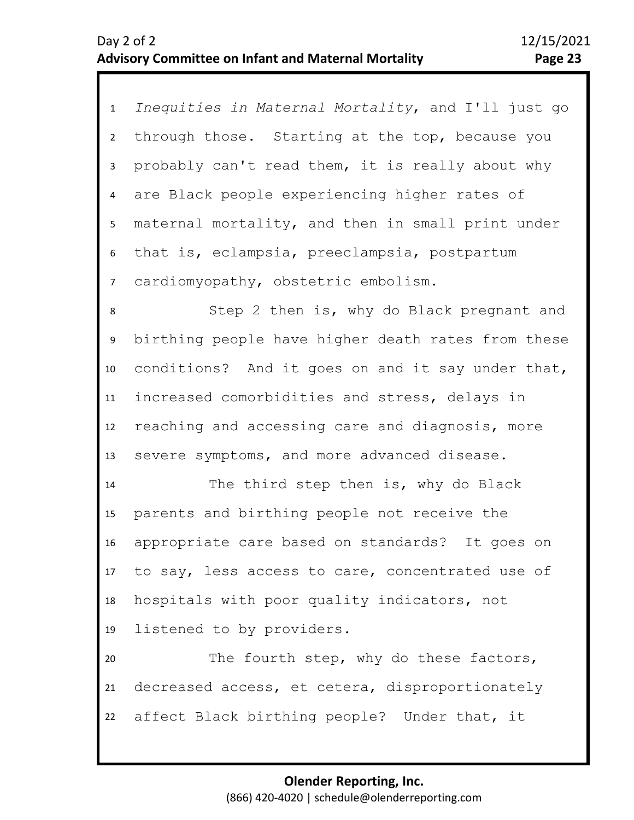<sup>1</sup>*Inequities in Maternal Mortality*, and I'll just go 2 3 7 4 6 5 through those. Starting at the top, because you probably can't read them, it is really about why are Black people experiencing higher rates of maternal mortality, and then in small print under that is, eclampsia, preeclampsia, postpartum cardiomyopathy, obstetric embolism.

8 9 10 11 12 13 Step 2 then is, why do Black pregnant and birthing people have higher death rates from these conditions? And it goes on and it say under that, increased comorbidities and stress, delays in reaching and accessing care and diagnosis, more severe symptoms, and more advanced disease.

14 15 16 17 18 19 The third step then is, why do Black parents and birthing people not receive the appropriate care based on standards? It goes on to say, less access to care, concentrated use of hospitals with poor quality indicators, not listened to by providers.

20 21 22 The fourth step, why do these factors, decreased access, et cetera, disproportionately affect Black birthing people? Under that, it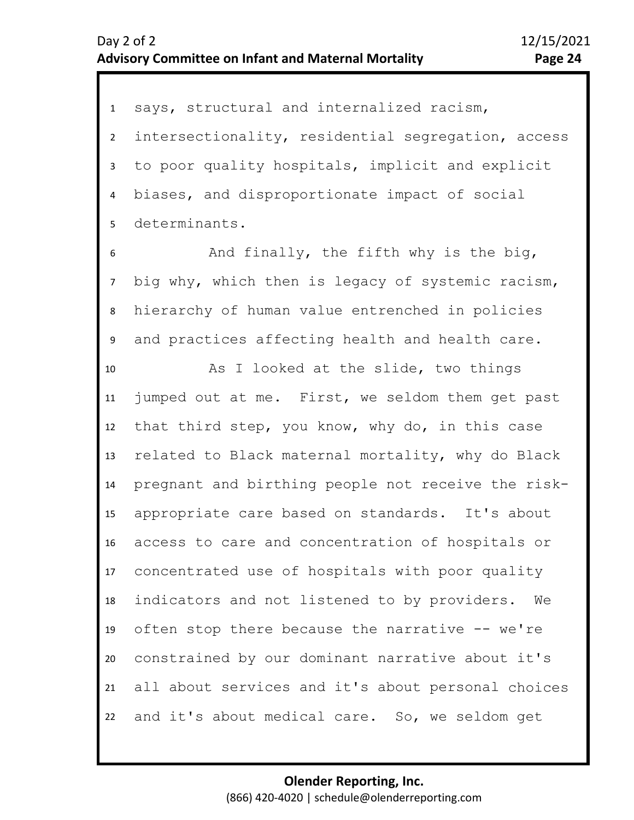1 says, structural and internalized racism, 2 3 4 5 intersectionality, residential segregation, access to poor quality hospitals, implicit and explicit biases, and disproportionate impact of social determinants.

8 9 7 6 And finally, the fifth why is the big, big why, which then is legacy of systemic racism, hierarchy of human value entrenched in policies and practices affecting health and health care.

10 11 12 13 14 15 16 17 18 19 20 21 22 As I looked at the slide, two things jumped out at me. First, we seldom them get past that third step, you know, why do, in this case related to Black maternal mortality, why do Black pregnant and birthing people not receive the riskappropriate care based on standards. It's about access to care and concentration of hospitals or concentrated use of hospitals with poor quality indicators and not listened to by providers. We often stop there because the narrative -- we're constrained by our dominant narrative about it's all about services and it's about personal choices and it's about medical care. So, we seldom get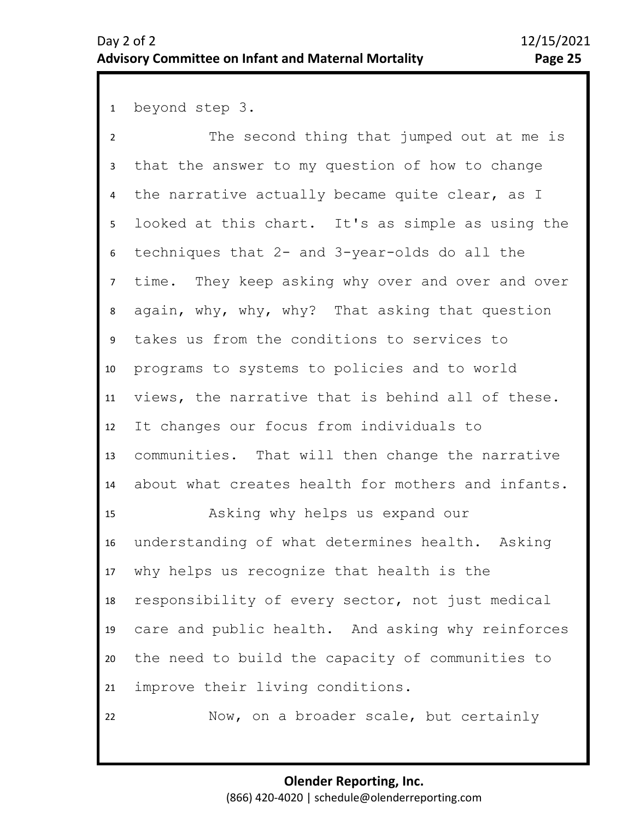1 beyond step 3.

19

22

2 3 4 5 9 10 11 12 13 14 15 16 17 18 6 8 7 The second thing that jumped out at me is that the answer to my question of how to change the narrative actually became quite clear, as I looked at this chart. It's as simple as using the techniques that 2- and 3-year-olds do all the time. They keep asking why over and over and over again, why, why, why? That asking that question takes us from the conditions to services to programs to systems to policies and to world views, the narrative that is behind all of these. It changes our focus from individuals to communities. That will then change the narrative about what creates health for mothers and infants. Asking why helps us expand our understanding of what determines health. Asking why helps us recognize that health is the responsibility of every sector, not just medical

20 21 care and public health. And asking why reinforces the need to build the capacity of communities to improve their living conditions.

Now, on a broader scale, but certainly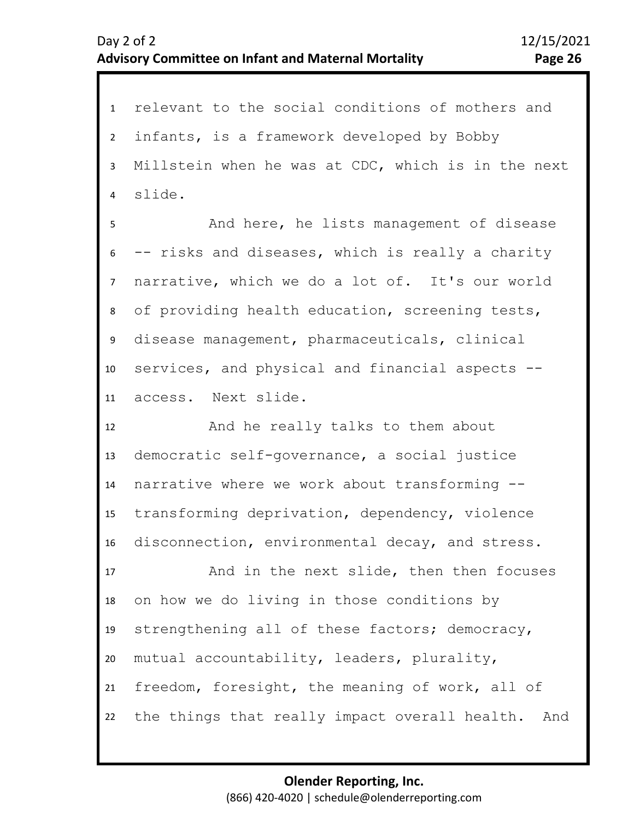1 relevant to the social conditions of mothers and 2 3 4 5 9 10 11 12 13 14 15 16 17 18 19 20 21 22 6 8 7 infants, is a framework developed by Bobby Millstein when he was at CDC, which is in the next slide. And here, he lists management of disease -- risks and diseases, which is really a charity narrative, which we do a lot of. It's our world of providing health education, screening tests, disease management, pharmaceuticals, clinical services, and physical and financial aspects - access. Next slide. And he really talks to them about democratic self-governance, a social justice narrative where we work about transforming - transforming deprivation, dependency, violence disconnection, environmental decay, and stress. And in the next slide, then then focuses on how we do living in those conditions by strengthening all of these factors; democracy, mutual accountability, leaders, plurality, freedom, foresight, the meaning of work, all of the things that really impact overall health. And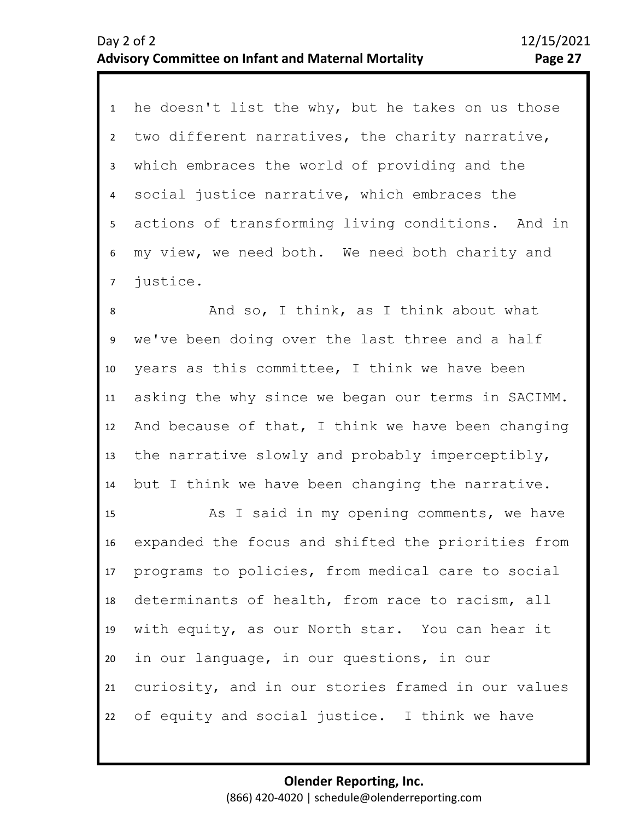1 he doesn't list the why, but he takes on us those 2 3 4 5 6 7 two different narratives, the charity narrative, which embraces the world of providing and the social justice narrative, which embraces the actions of transforming living conditions. And in my view, we need both. We need both charity and justice.

9 10 11 12 13 14 8 And so, I think, as I think about what we've been doing over the last three and a half years as this committee, I think we have been asking the why since we began our terms in SACIMM. And because of that, I think we have been changing the narrative slowly and probably imperceptibly, but I think we have been changing the narrative.

15 16 17 18 19 20 21 22 As I said in my opening comments, we have expanded the focus and shifted the priorities from programs to policies, from medical care to social determinants of health, from race to racism, all with equity, as our North star. You can hear it in our language, in our questions, in our curiosity, and in our stories framed in our values of equity and social justice. I think we have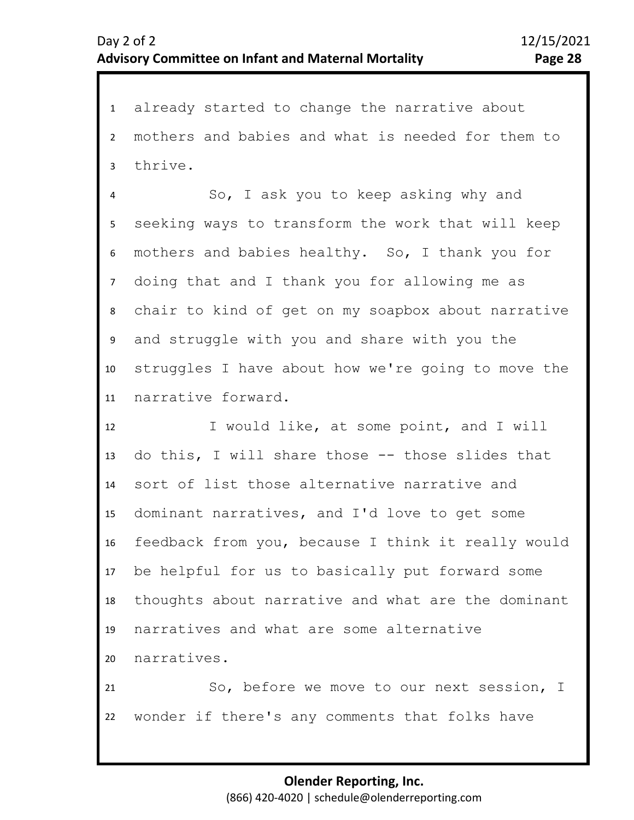1 already started to change the narrative about 2 3 mothers and babies and what is needed for them to thrive.

4 5 9 10 11 6 8 7 So, I ask you to keep asking why and seeking ways to transform the work that will keep mothers and babies healthy. So, I thank you for doing that and I thank you for allowing me as chair to kind of get on my soapbox about narrative and struggle with you and share with you the struggles I have about how we're going to move the narrative forward.

12 13 14 15 16 17 18 19 20 I would like, at some point, and I will do this, I will share those -- those slides that sort of list those alternative narrative and dominant narratives, and I'd love to get some feedback from you, because I think it really would be helpful for us to basically put forward some thoughts about narrative and what are the dominant narratives and what are some alternative narratives.

21 22 So, before we move to our next session, I wonder if there's any comments that folks have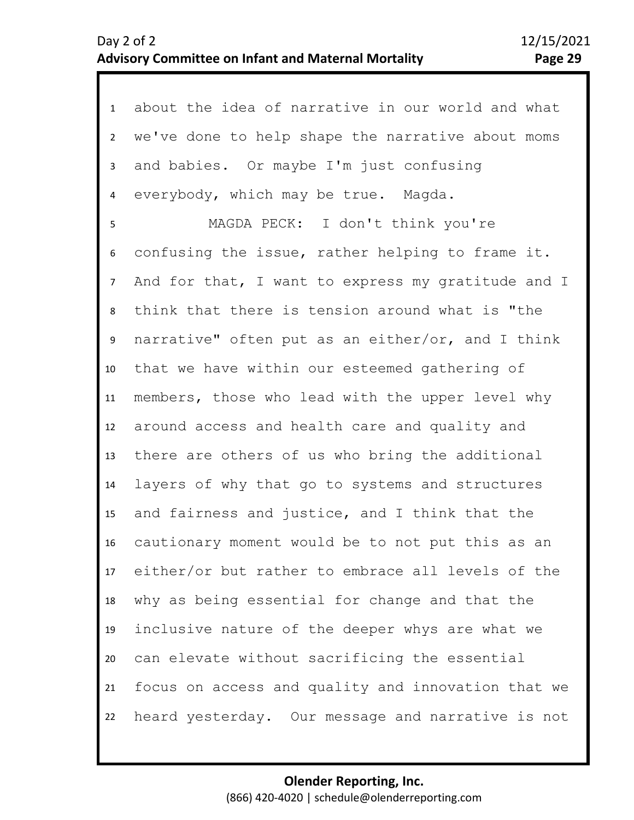| 1              | about the idea of narrative in our world and what    |
|----------------|------------------------------------------------------|
| $\overline{2}$ | we've done to help shape the narrative about moms    |
| 3              | and babies. Or maybe I'm just confusing              |
| $\overline{4}$ | everybody, which may be true. Magda.                 |
| 5              | MAGDA PECK: I don't think you're                     |
| 6              | confusing the issue, rather helping to frame it.     |
| $\overline{7}$ | And for that, I want to express my gratitude and I   |
| 8              | think that there is tension around what is "the      |
| 9              | narrative" often put as an either/or, and I think    |
| 10             | that we have within our esteemed gathering of        |
| 11             | members, those who lead with the upper level why     |
| 12             | around access and health care and quality and        |
| 13             | there are others of us who bring the additional      |
| 14             | layers of why that go to systems and structures      |
| 15             | and fairness and justice, and I think that the       |
| 16             | cautionary moment would be to not put this as an     |
|                | 17 either/or but rather to embrace all levels of the |
| 18             | why as being essential for change and that the       |
| 19             | inclusive nature of the deeper whys are what we      |
| 20             | can elevate without sacrificing the essential        |
| 21             | focus on access and quality and innovation that we   |
| 22             | heard yesterday. Our message and narrative is not    |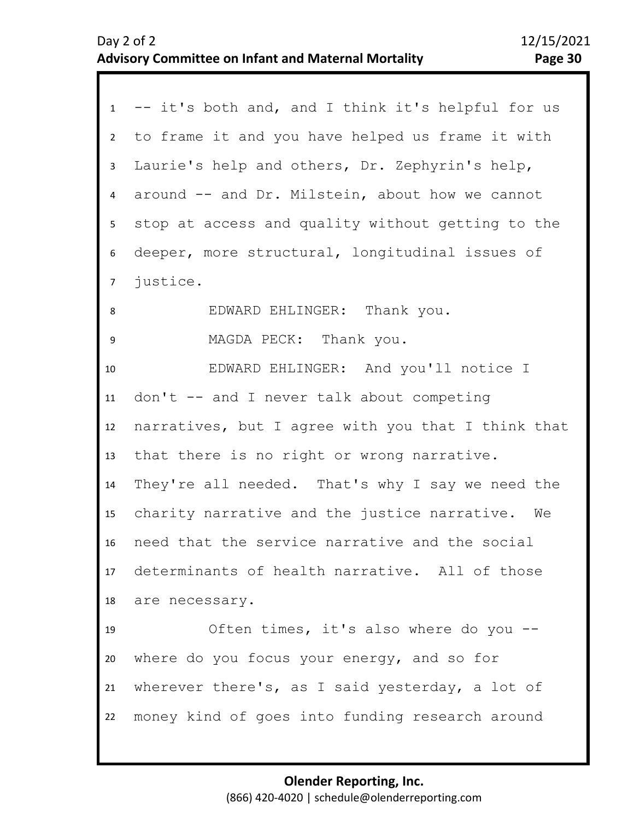|                | 1 -- it's both and, and I think it's helpful for us |
|----------------|-----------------------------------------------------|
| $2^{\circ}$    | to frame it and you have helped us frame it with    |
| $\mathbf{3}$   | Laurie's help and others, Dr. Zephyrin's help,      |
| $\overline{4}$ | around -- and Dr. Milstein, about how we cannot     |
| 5 <sub>1</sub> | stop at access and quality without getting to the   |
| 6              | deeper, more structural, longitudinal issues of     |
| 7 <sup>7</sup> | justice.                                            |
| 8              | EDWARD EHLINGER: Thank you.                         |
| 9              | MAGDA PECK: Thank you.                              |
| 10             | EDWARD EHLINGER: And you'll notice I                |
| 11             | $don't$ -- and I never talk about competing         |
| 12             | narratives, but I agree with you that I think that  |
| 13             | that there is no right or wrong narrative.          |
| 14             | They're all needed. That's why I say we need the    |
| 15             | charity narrative and the justice narrative. We     |
| 16             | need that the service narrative and the social      |
|                | 17 determinants of health narrative. All of those   |
|                | 18 are necessary.                                   |
| 19             | Often times, it's also where do you --              |
| 20             | where do you focus your energy, and so for          |
| 21             | wherever there's, as I said yesterday, a lot of     |
| 22             | money kind of goes into funding research around     |
|                |                                                     |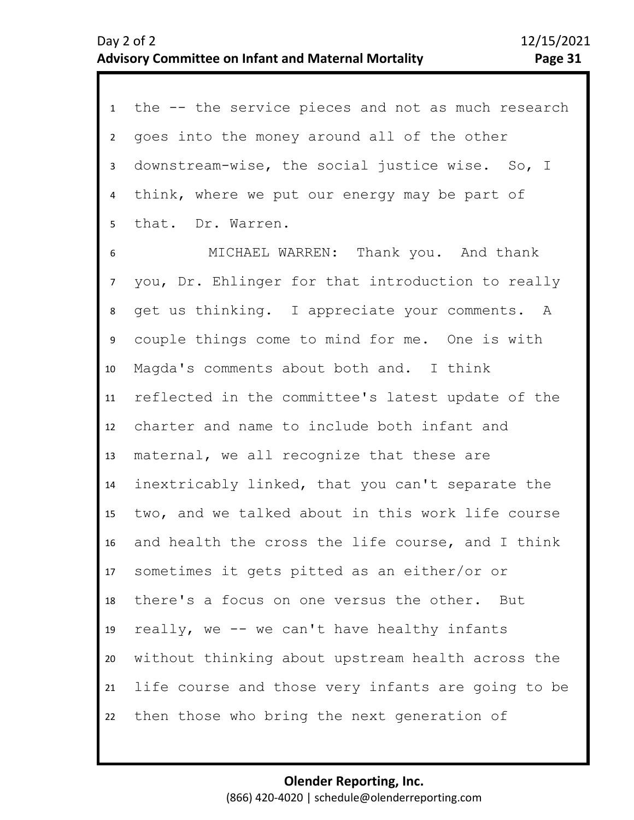| 1               | the -- the service pieces and not as much research |
|-----------------|----------------------------------------------------|
| $2^{\circ}$     | goes into the money around all of the other        |
| $\mathbf{3}$    | downstream-wise, the social justice wise. So, I    |
| $\overline{4}$  | think, where we put our energy may be part of      |
| 5 <sub>1</sub>  | that. Dr. Warren.                                  |
| 6               | MICHAEL WARREN: Thank you. And thank               |
| $7\overline{ }$ | you, Dr. Ehlinger for that introduction to really  |
| 8               | get us thinking. I appreciate your comments. A     |
| 9               | couple things come to mind for me. One is with     |
| 10 <sup>°</sup> | Magda's comments about both and. I think           |
| 11              | reflected in the committee's latest update of the  |
| 12              | charter and name to include both infant and        |
| 13              | maternal, we all recognize that these are          |
| 14              | inextricably linked, that you can't separate the   |
| 15              | two, and we talked about in this work life course  |
| 16              | and health the cross the life course, and I think  |
| 17              | sometimes it gets pitted as an either/or or        |
| 18              | there's a focus on one versus the other. But       |
| 19              | really, we -- we can't have healthy infants        |
| 20              | without thinking about upstream health across the  |
| 21              | life course and those very infants are going to be |
| 22              | then those who bring the next generation of        |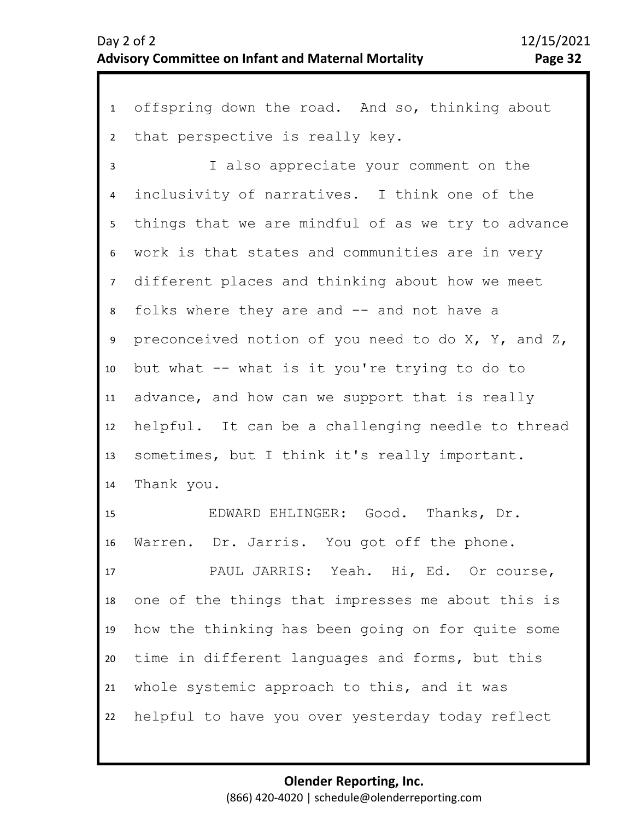1 offspring down the road. And so, thinking about 2 3 4 5 6 10 11 12 13 14 15 16 17 18 19 20 21 22 7 9 8 that perspective is really key. I also appreciate your comment on the inclusivity of narratives. I think one of the things that we are mindful of as we try to advance work is that states and communities are in very different places and thinking about how we meet folks where they are and -- and not have a preconceived notion of you need to do  $X$ ,  $Y$ , and  $Z$ , but what -- what is it you're trying to do to advance, and how can we support that is really helpful. It can be a challenging needle to thread sometimes, but I think it's really important. Thank you. EDWARD EHLINGER: Good. Thanks, Dr. Warren. Dr. Jarris. You got off the phone. PAUL JARRIS: Yeah. Hi, Ed. Or course, one of the things that impresses me about this is how the thinking has been going on for quite some time in different languages and forms, but this whole systemic approach to this, and it was helpful to have you over yesterday today reflect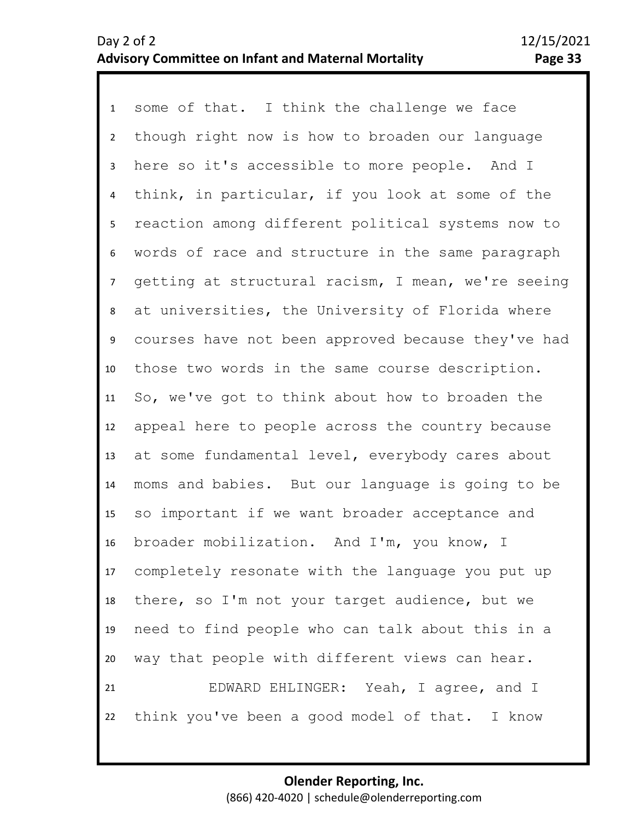1 some of that. I think the challenge we face 2 3 4 5 9 10 11 12 13 14 15 16 17 18 19 20 21 22 6 8 7 though right now is how to broaden our language here so it's accessible to more people. And I think, in particular, if you look at some of the reaction among different political systems now to words of race and structure in the same paragraph getting at structural racism, I mean, we're seeing at universities, the University of Florida where courses have not been approved because they've had those two words in the same course description. So, we've got to think about how to broaden the appeal here to people across the country because at some fundamental level, everybody cares about moms and babies. But our language is going to be so important if we want broader acceptance and broader mobilization. And I'm, you know, I completely resonate with the language you put up there, so I'm not your target audience, but we need to find people who can talk about this in a way that people with different views can hear. EDWARD EHLINGER: Yeah, I agree, and I think you've been a good model of that. I know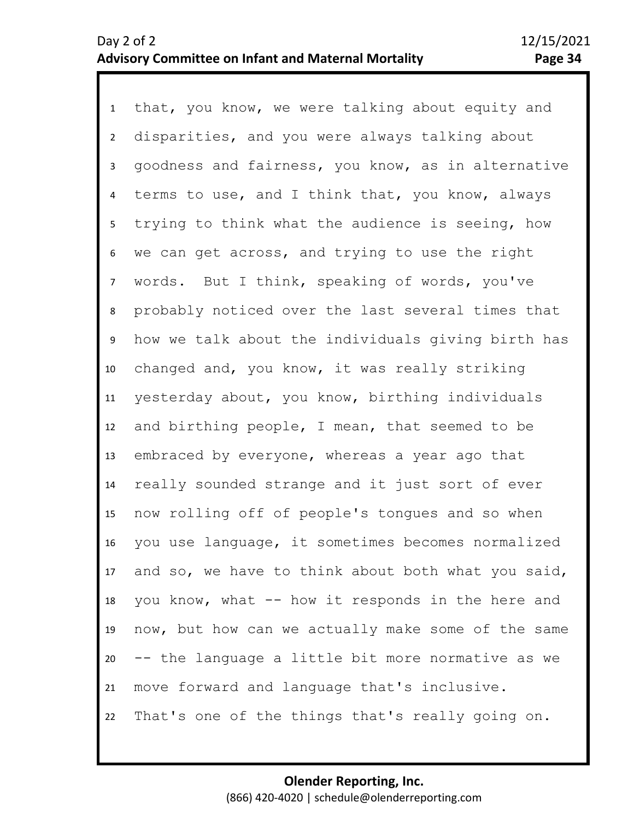1 that, you know, we were talking about equity and 2 3 4 5 9 10 11 12 13 14 15 16 17 18 19 20 21 22 6 8 7 disparities, and you were always talking about goodness and fairness, you know, as in alternative terms to use, and I think that, you know, always trying to think what the audience is seeing, how we can get across, and trying to use the right words. But I think, speaking of words, you've probably noticed over the last several times that how we talk about the individuals giving birth has changed and, you know, it was really striking yesterday about, you know, birthing individuals and birthing people, I mean, that seemed to be embraced by everyone, whereas a year ago that really sounded strange and it just sort of ever now rolling off of people's tongues and so when you use language, it sometimes becomes normalized and so, we have to think about both what you said, you know, what -- how it responds in the here and now, but how can we actually make some of the same -- the language a little bit more normative as we move forward and language that's inclusive. That's one of the things that's really going on.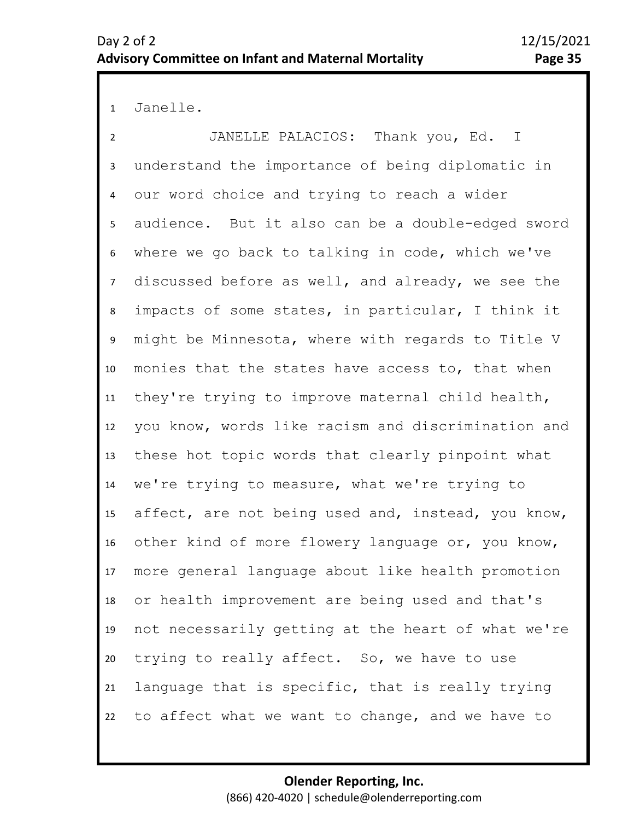1 Janelle.

2 3 4 5 6 10 11 12 13 14 15 16 17 18 19 20 21 22 7 9 8 JANELLE PALACIOS: Thank you, Ed. I understand the importance of being diplomatic in our word choice and trying to reach a wider audience. But it also can be a double-edged sword where we go back to talking in code, which we've discussed before as well, and already, we see the impacts of some states, in particular, I think it might be Minnesota, where with regards to Title V monies that the states have access to, that when they're trying to improve maternal child health, you know, words like racism and discrimination and these hot topic words that clearly pinpoint what we're trying to measure, what we're trying to affect, are not being used and, instead, you know, other kind of more flowery language or, you know, more general language about like health promotion or health improvement are being used and that's not necessarily getting at the heart of what we're trying to really affect. So, we have to use language that is specific, that is really trying to affect what we want to change, and we have to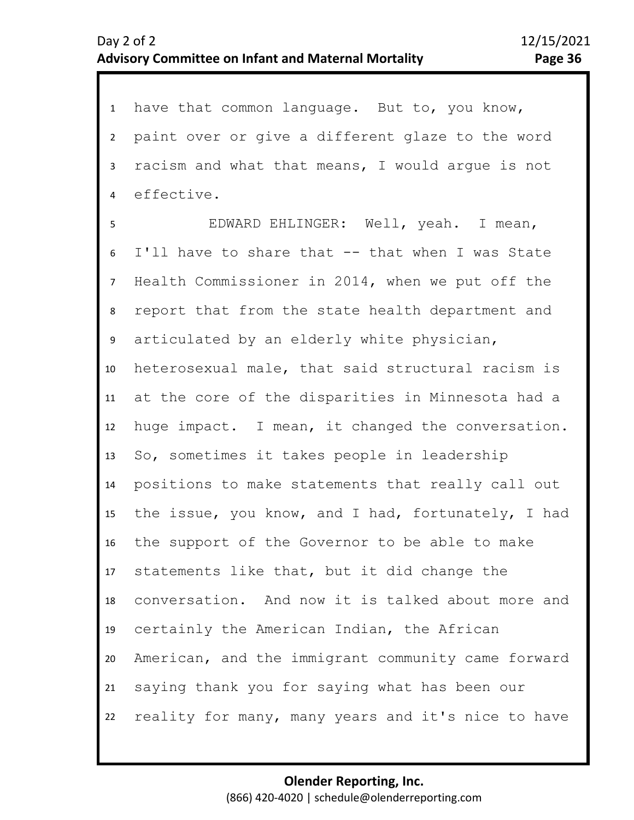| 1              | have that common language. But to, you know,       |
|----------------|----------------------------------------------------|
| $2^{\circ}$    | paint over or give a different glaze to the word   |
| 3              | racism and what that means, I would argue is not   |
| $\overline{4}$ | effective.                                         |
| 5              | EDWARD EHLINGER: Well, yeah. I mean,               |
| 6              | I'll have to share that -- that when I was State   |
| 7 <sup>7</sup> | Health Commissioner in 2014, when we put off the   |
| 8              | report that from the state health department and   |
| 9              | articulated by an elderly white physician,         |
| 10             | heterosexual male, that said structural racism is  |
| 11             | at the core of the disparities in Minnesota had a  |
| 12             | huge impact. I mean, it changed the conversation.  |
| 13             | So, sometimes it takes people in leadership        |
| 14             | positions to make statements that really call out  |
| 15             | the issue, you know, and I had, fortunately, I had |
| 16             | the support of the Governor to be able to make     |
|                | 17 statements like that, but it did change the     |
| 18             | conversation. And now it is talked about more and  |
| 19             | certainly the American Indian, the African         |
| 20             | American, and the immigrant community came forward |
| 21             | saying thank you for saying what has been our      |
| 22             | reality for many, many years and it's nice to have |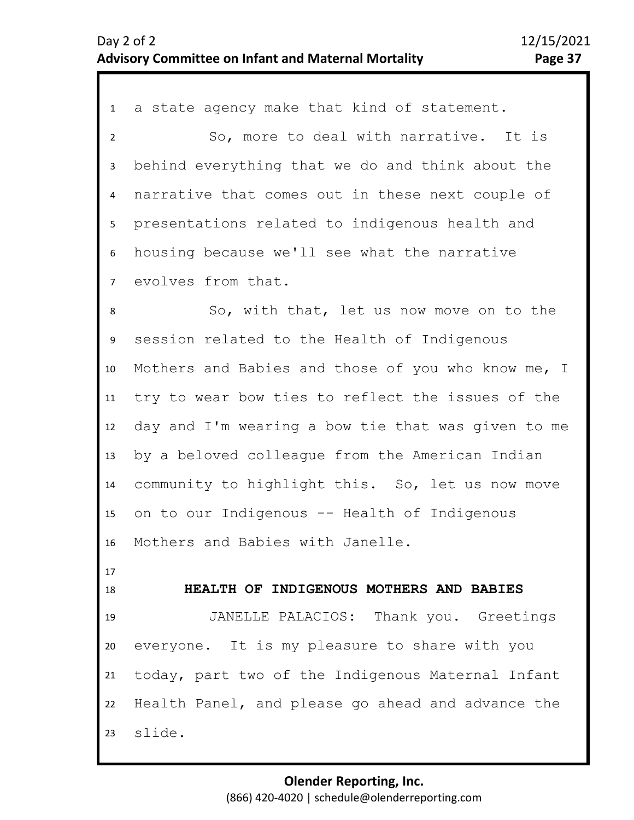1 a state agency make that kind of statement. 2 3 4 5 6 7 11 12 13 14 15 16 17 18 19 20 8 10 9 So, more to deal with narrative. It is behind everything that we do and think about the narrative that comes out in these next couple of presentations related to indigenous health and housing because we'll see what the narrative evolves from that. So, with that, let us now move on to the session related to the Health of Indigenous Mothers and Babies and those of you who know me, I try to wear bow ties to reflect the issues of the day and I'm wearing a bow tie that was given to me by a beloved colleague from the American Indian community to highlight this. So, let us now move on to our Indigenous -- Health of Indigenous Mothers and Babies with Janelle. **HEALTH OF INDIGENOUS MOTHERS AND BABIES** JANELLE PALACIOS: Thank you. Greetings everyone. It is my pleasure to share with you

22 23 Health Panel, and please go ahead and advance the slide.

today, part two of the Indigenous Maternal Infant

21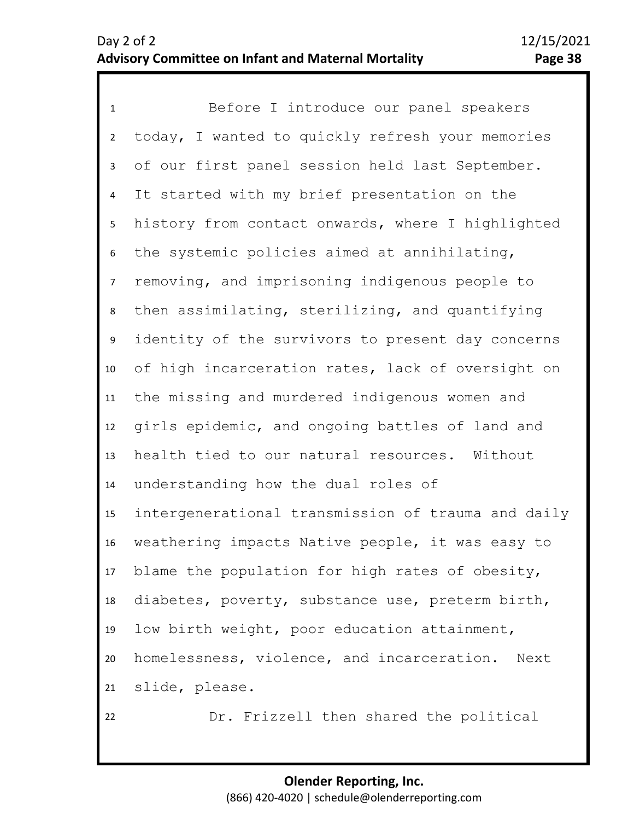1 Before I introduce our panel speakers 2 3 4 5 9 10 11 12 13 14 15 16 17 18 19 20 21 6 8 7 today, I wanted to quickly refresh your memories of our first panel session held last September. It started with my brief presentation on the history from contact onwards, where I highlighted the systemic policies aimed at annihilating, removing, and imprisoning indigenous people to then assimilating, sterilizing, and quantifying identity of the survivors to present day concerns of high incarceration rates, lack of oversight on the missing and murdered indigenous women and girls epidemic, and ongoing battles of land and health tied to our natural resources. Without understanding how the dual roles of intergenerational transmission of trauma and daily weathering impacts Native people, it was easy to blame the population for high rates of obesity, diabetes, poverty, substance use, preterm birth, low birth weight, poor education attainment, homelessness, violence, and incarceration. Next slide, please.

> **Olender Reporting, Inc.** (866) 420-4020 | schedule@olenderreporting.com

Dr. Frizzell then shared the political

22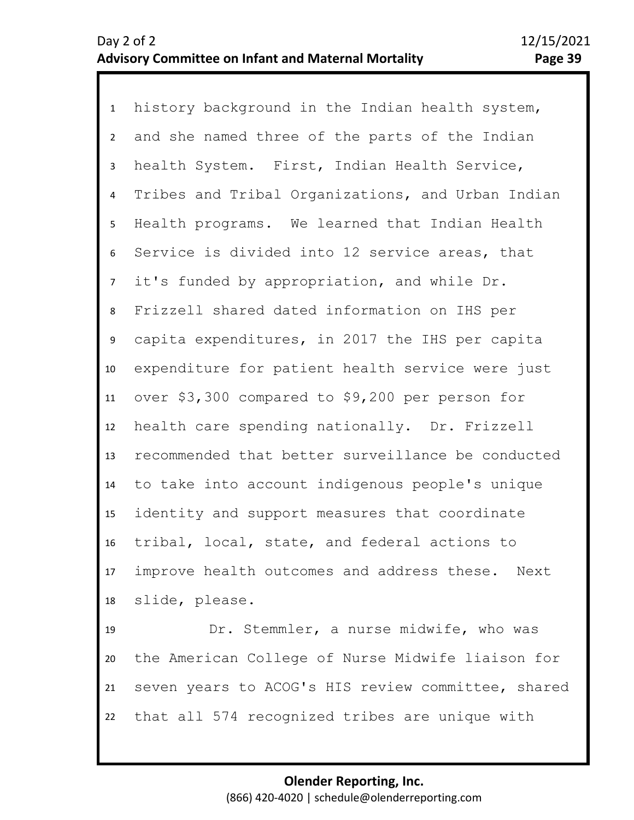1 history background in the Indian health system, 2 3 4 5 9 10 11 12 13 14 15 16 17 18 19 6 8 7 and she named three of the parts of the Indian health System. First, Indian Health Service, Tribes and Tribal Organizations, and Urban Indian Health programs. We learned that Indian Health Service is divided into 12 service areas, that it's funded by appropriation, and while Dr. Frizzell shared dated information on IHS per capita expenditures, in 2017 the IHS per capita expenditure for patient health service were just over \$3,300 compared to \$9,200 per person for health care spending nationally. Dr. Frizzell recommended that better surveillance be conducted to take into account indigenous people's unique identity and support measures that coordinate tribal, local, state, and federal actions to improve health outcomes and address these. Next slide, please. Dr. Stemmler, a nurse midwife, who was

20 21 22 the American College of Nurse Midwife liaison for seven years to ACOG's HIS review committee, shared that all 574 recognized tribes are unique with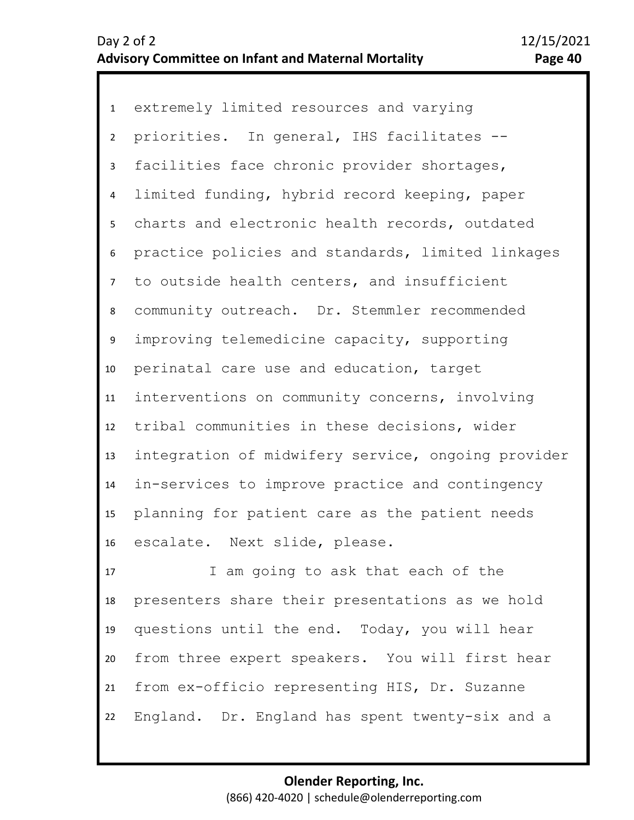1 extremely limited resources and varying 2 3 4 8 9 10 11 12 13 14 15 16 5 7 6 priorities. In general, IHS facilitates - facilities face chronic provider shortages, limited funding, hybrid record keeping, paper charts and electronic health records, outdated practice policies and standards, limited linkages to outside health centers, and insufficient community outreach. Dr. Stemmler recommended improving telemedicine capacity, supporting perinatal care use and education, target interventions on community concerns, involving tribal communities in these decisions, wider integration of midwifery service, ongoing provider in-services to improve practice and contingency planning for patient care as the patient needs escalate. Next slide, please.

17 18 19 20 21 22 I am going to ask that each of the presenters share their presentations as we hold questions until the end. Today, you will hear from three expert speakers. You will first hear from ex-officio representing HIS, Dr. Suzanne England. Dr. England has spent twenty-six and a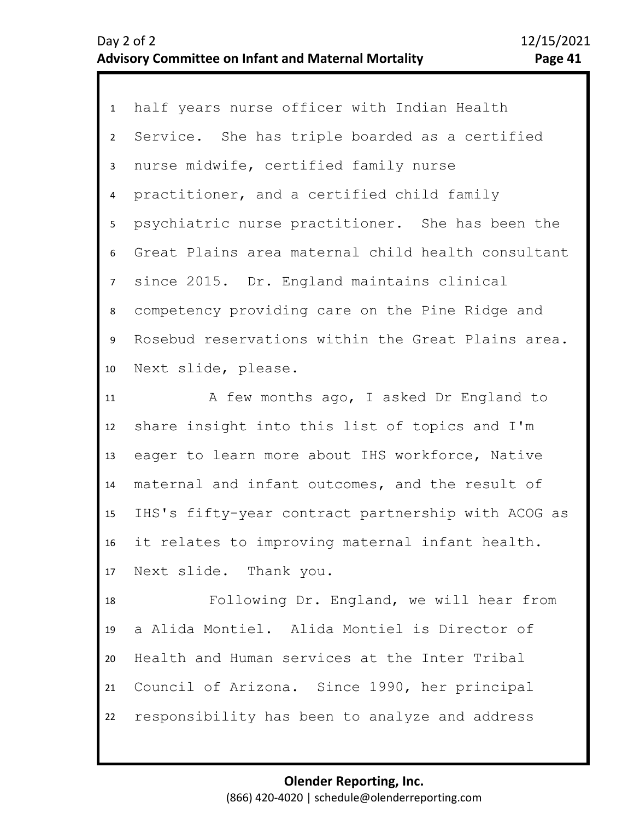| 1              | half years nurse officer with Indian Health        |
|----------------|----------------------------------------------------|
| $2^{\circ}$    | Service. She has triple boarded as a certified     |
| 3              | nurse midwife, certified family nurse              |
| $\overline{4}$ | practitioner, and a certified child family         |
| 5              | psychiatric nurse practitioner. She has been the   |
| 6              | Great Plains area maternal child health consultant |
| 7 <sup>7</sup> | since 2015. Dr. England maintains clinical         |
| 8              | competency providing care on the Pine Ridge and    |
| 9              | Rosebud reservations within the Great Plains area. |
| 10             | Next slide, please.                                |
| 11             | A few months ago, I asked Dr England to            |
| 12             | share insight into this list of topics and I'm     |
| 13             | eager to learn more about IHS workforce, Native    |
| 14             | maternal and infant outcomes, and the result of    |
| 15             | IHS's fifty-year contract partnership with ACOG as |
| 16             | it relates to improving maternal infant health.    |
| 17             | Next slide. Thank you.                             |
| 18             | Following Dr. England, we will hear from           |
| 19             | a Alida Montiel. Alida Montiel is Director of      |
| 20             | Health and Human services at the Inter Tribal      |
| 21             | Council of Arizona. Since 1990, her principal      |
| 22             | responsibility has been to analyze and address     |
|                |                                                    |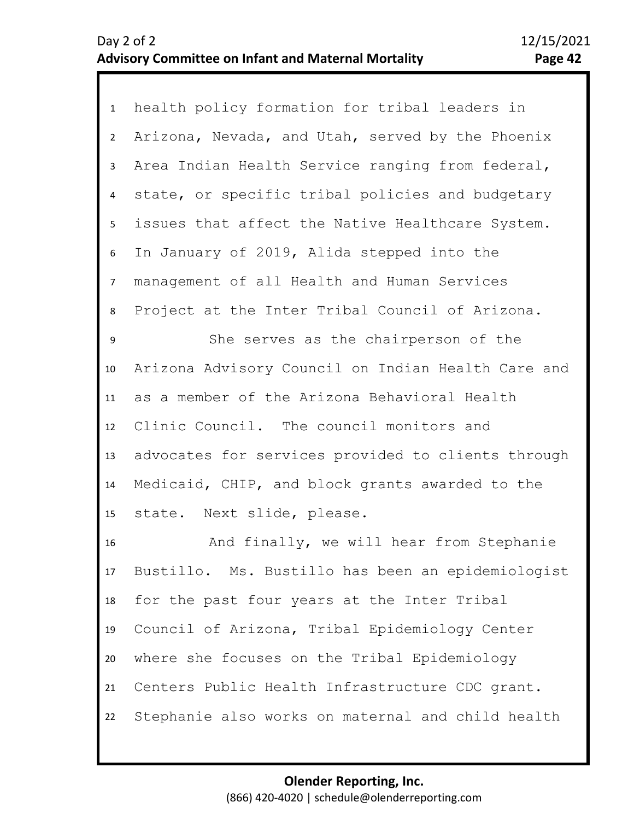1 health policy formation for tribal leaders in 2 3 4 8 9 10 11 12 13 5 7 6 Arizona, Nevada, and Utah, served by the Phoenix Area Indian Health Service ranging from federal, state, or specific tribal policies and budgetary issues that affect the Native Healthcare System. In January of 2019, Alida stepped into the management of all Health and Human Services Project at the Inter Tribal Council of Arizona. She serves as the chairperson of the Arizona Advisory Council on Indian Health Care and as a member of the Arizona Behavioral Health Clinic Council. The council monitors and advocates for services provided to clients through

14 15 Medicaid, CHIP, and block grants awarded to the state. Next slide, please.

16 17 18 19 20 21 22 And finally, we will hear from Stephanie Bustillo. Ms. Bustillo has been an epidemiologist for the past four years at the Inter Tribal Council of Arizona, Tribal Epidemiology Center where she focuses on the Tribal Epidemiology Centers Public Health Infrastructure CDC grant. Stephanie also works on maternal and child health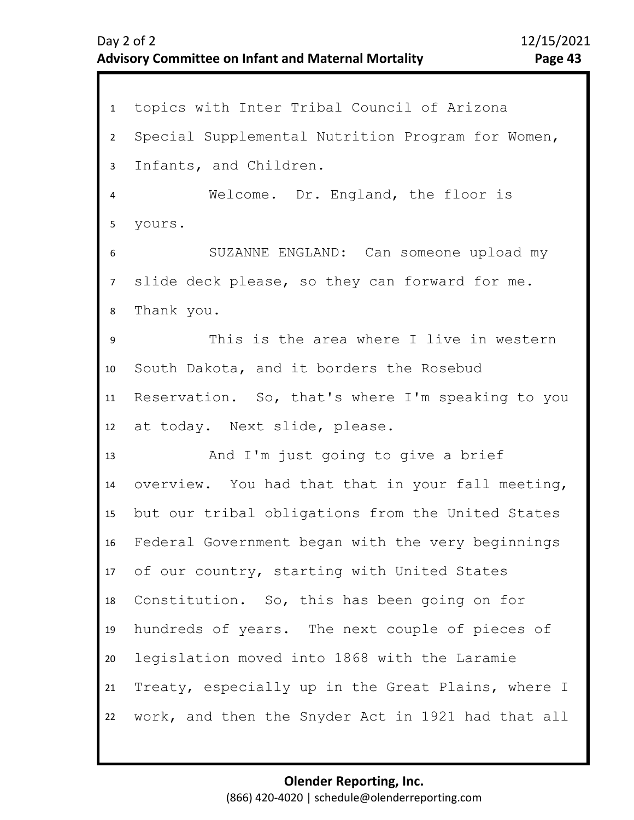1 topics with Inter Tribal Council of Arizona 2 3 4 5 6 7 11 12 13 14 15 16 17 18 19 20 21 22 8 10 9 Special Supplemental Nutrition Program for Women, Infants, and Children. Welcome. Dr. England, the floor is yours. SUZANNE ENGLAND: Can someone upload my slide deck please, so they can forward for me. Thank you. This is the area where I live in western South Dakota, and it borders the Rosebud Reservation. So, that's where I'm speaking to you at today. Next slide, please. And I'm just going to give a brief overview. You had that that in your fall meeting, but our tribal obligations from the United States Federal Government began with the very beginnings of our country, starting with United States Constitution. So, this has been going on for hundreds of years. The next couple of pieces of legislation moved into 1868 with the Laramie Treaty, especially up in the Great Plains, where I work, and then the Snyder Act in 1921 had that all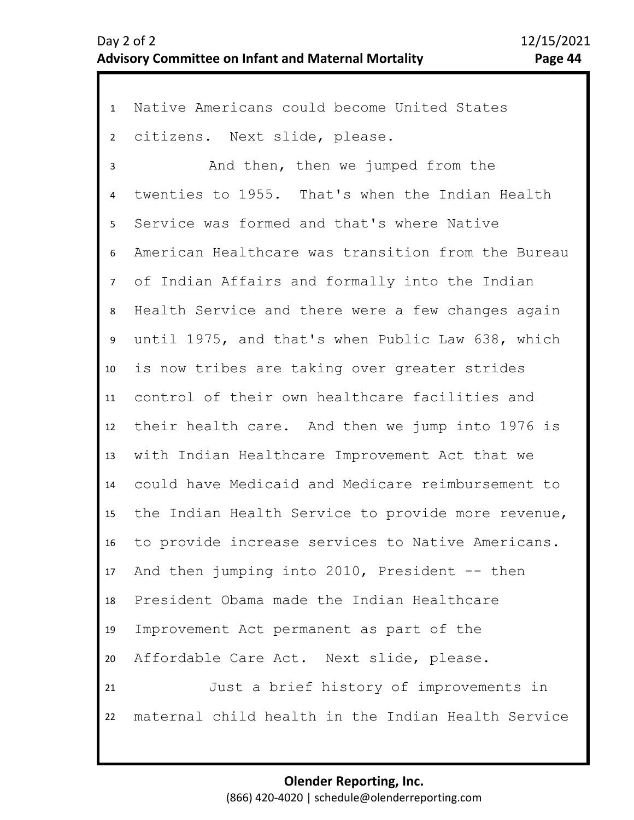1 Native Americans could become United States 2 3 4 8 9 10 11 12 13 14 15 16 17 18 19 20 21 22 5 7 6 citizens. Next slide, please. And then, then we jumped from the twenties to 1955. That's when the Indian Health Service was formed and that's where Native American Healthcare was transition from the Bureau of Indian Affairs and formally into the Indian Health Service and there were a few changes again until 1975, and that's when Public Law 638, which is now tribes are taking over greater strides control of their own healthcare facilities and their health care. And then we jump into 1976 is with Indian Healthcare Improvement Act that we could have Medicaid and Medicare reimbursement to the Indian Health Service to provide more revenue, to provide increase services to Native Americans. And then jumping into 2010, President -- then President Obama made the Indian Healthcare Improvement Act permanent as part of the Affordable Care Act. Next slide, please. Just a brief history of improvements in maternal child health in the Indian Health Service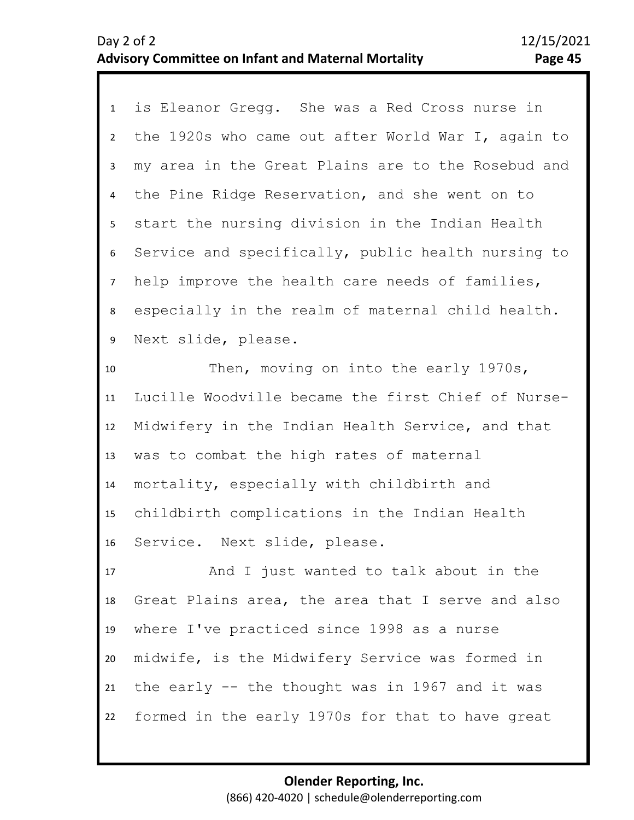| $\mathbf{1}$    | is Eleanor Gregg. She was a Red Cross nurse in     |
|-----------------|----------------------------------------------------|
| $2^{\circ}$     | the 1920s who came out after World War I, again to |
| 3               | my area in the Great Plains are to the Rosebud and |
| $\overline{4}$  | the Pine Ridge Reservation, and she went on to     |
| 5               | start the nursing division in the Indian Health    |
| 6               | Service and specifically, public health nursing to |
| $7\overline{ }$ | help improve the health care needs of families,    |
| 8               | especially in the realm of maternal child health.  |
| 9               | Next slide, please.                                |
| 10              | Then, moving on into the early 1970s,              |
| 11              | Lucille Woodville became the first Chief of Nurse- |
| 12              | Midwifery in the Indian Health Service, and that   |
| 13              | was to combat the high rates of maternal           |
| 14              | mortality, especially with childbirth and          |
| 15              | childbirth complications in the Indian Health      |
| 16              | Service. Next slide, please.                       |
| 17              | And I just wanted to talk about in the             |
| 18              | Great Plains area, the area that I serve and also  |
| 19              | where I've practiced since 1998 as a nurse         |
| 20              | midwife, is the Midwifery Service was formed in    |
| 21              | the early -- the thought was in 1967 and it was    |
| 22              | formed in the early 1970s for that to have great   |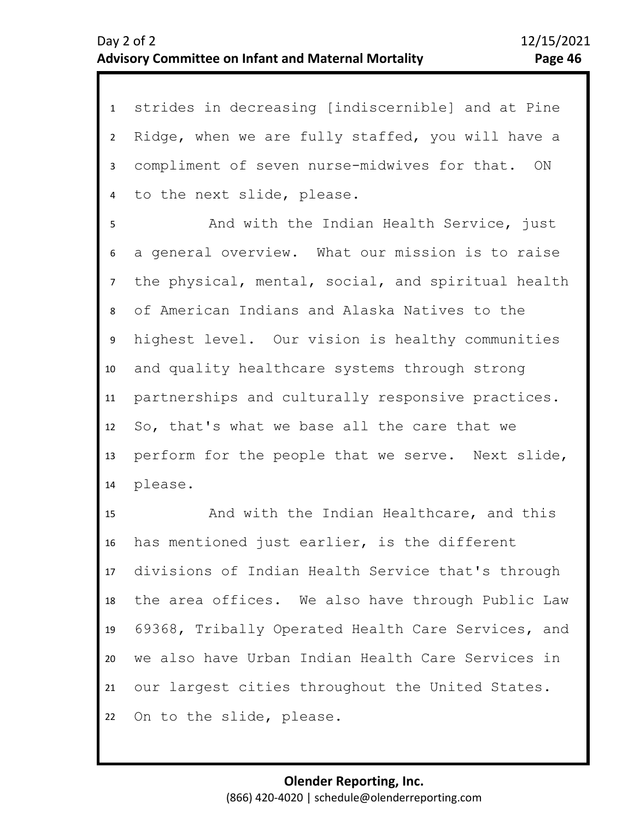1 strides in decreasing [indiscernible] and at Pine 2 3 4 Ridge, when we are fully staffed, you will have a compliment of seven nurse-midwives for that. ON to the next slide, please.

8 9 10 11 12 13 14 5 7 6 And with the Indian Health Service, just a general overview. What our mission is to raise the physical, mental, social, and spiritual health of American Indians and Alaska Natives to the highest level. Our vision is healthy communities and quality healthcare systems through strong partnerships and culturally responsive practices. So, that's what we base all the care that we perform for the people that we serve. Next slide, please.

15 16 17 18 19 20 21 22 And with the Indian Healthcare, and this has mentioned just earlier, is the different divisions of Indian Health Service that's through the area offices. We also have through Public Law 69368, Tribally Operated Health Care Services, and we also have Urban Indian Health Care Services in our largest cities throughout the United States. On to the slide, please.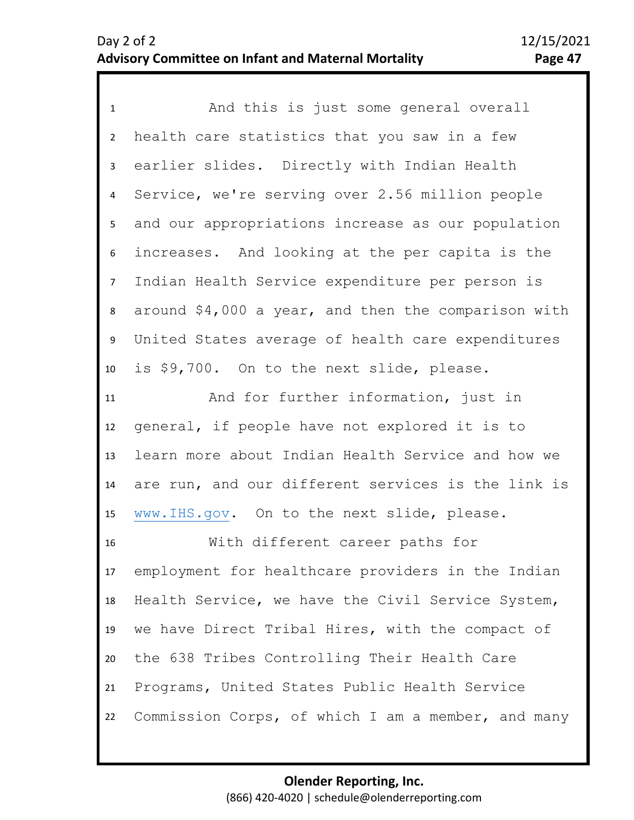1 And this is just some general overall 2 3 4 5 6 10 11 12 13 14 15 16 17 18 19 20 21 22 7 9 8 health care statistics that you saw in a few earlier slides. Directly with Indian Health Service, we're serving over 2.56 million people and our appropriations increase as our population increases. And looking at the per capita is the Indian Health Service expenditure per person is around \$4,000 a year, and then the comparison with United States average of health care expenditures is \$9,700. On to the next slide, please. And for further information, just in general, if people have not explored it is to learn more about Indian Health Service and how we are run, and our different services is the link is [www.IHS.gov.](http://www.ihs.gov/) On to the next slide, please. With different career paths for employment for healthcare providers in the Indian Health Service, we have the Civil Service System, we have Direct Tribal Hires, with the compact of the 638 Tribes Controlling Their Health Care Programs, United States Public Health Service Commission Corps, of which I am a member, and many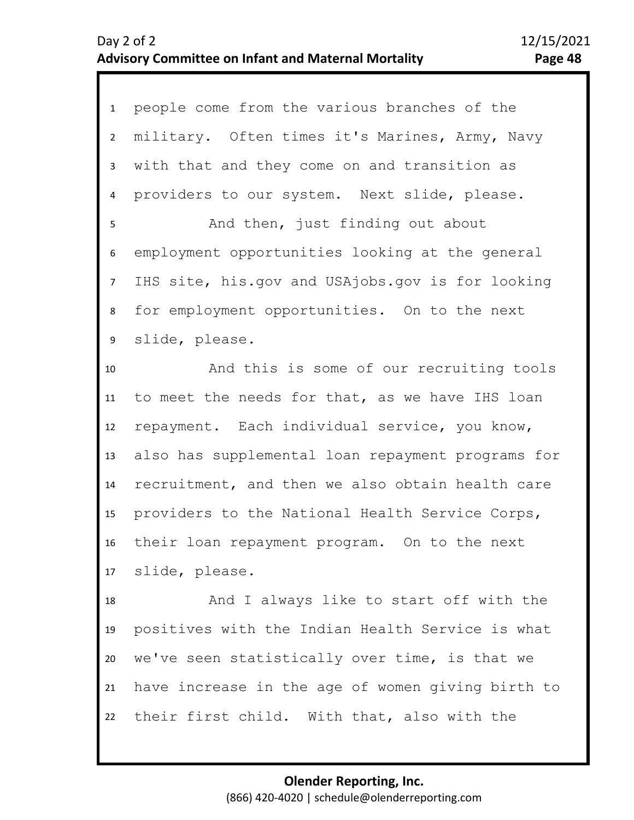| $\mathbf{1}$   | people come from the various branches of the      |
|----------------|---------------------------------------------------|
| $\overline{2}$ | military. Often times it's Marines, Army, Navy    |
| 3              | with that and they come on and transition as      |
| 4              | providers to our system. Next slide, please.      |
| 5              | And then, just finding out about                  |
| 6              | employment opportunities looking at the general   |
| 7 <sup>1</sup> | IHS site, his.gov and USAjobs.gov is for looking  |
| 8              | for employment opportunities. On to the next      |
| 9              | slide, please.                                    |
| 10             | And this is some of our recruiting tools          |
| 11             | to meet the needs for that, as we have IHS loan   |
| 12             | repayment. Each individual service, you know,     |
| 13             | also has supplemental loan repayment programs for |
| 14             | recruitment, and then we also obtain health care  |
| 15             | providers to the National Health Service Corps,   |
| 16             | their loan repayment program. On to the next      |
|                | 17 slide, please.                                 |
| 18             | And I always like to start off with the           |
| 19             | positives with the Indian Health Service is what  |
| 20             | we've seen statistically over time, is that we    |
| 21             | have increase in the age of women giving birth to |
| 22             | their first child. With that, also with the       |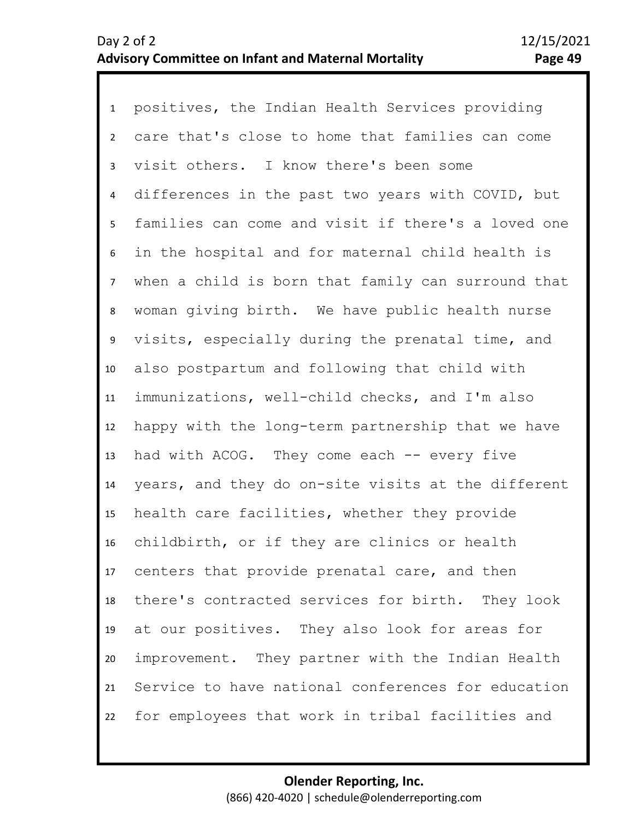1 positives, the Indian Health Services providing 2 3 4 8 9 10 11 12 13 14 15 16 17 18 19 20 21 22 5 7 6 care that's close to home that families can come visit others. I know there's been some differences in the past two years with COVID, but families can come and visit if there's a loved one in the hospital and for maternal child health is when a child is born that family can surround that woman giving birth. We have public health nurse visits, especially during the prenatal time, and also postpartum and following that child with immunizations, well-child checks, and I'm also happy with the long-term partnership that we have had with ACOG. They come each -- every five years, and they do on-site visits at the different health care facilities, whether they provide childbirth, or if they are clinics or health centers that provide prenatal care, and then there's contracted services for birth. They look at our positives. They also look for areas for improvement. They partner with the Indian Health Service to have national conferences for education for employees that work in tribal facilities and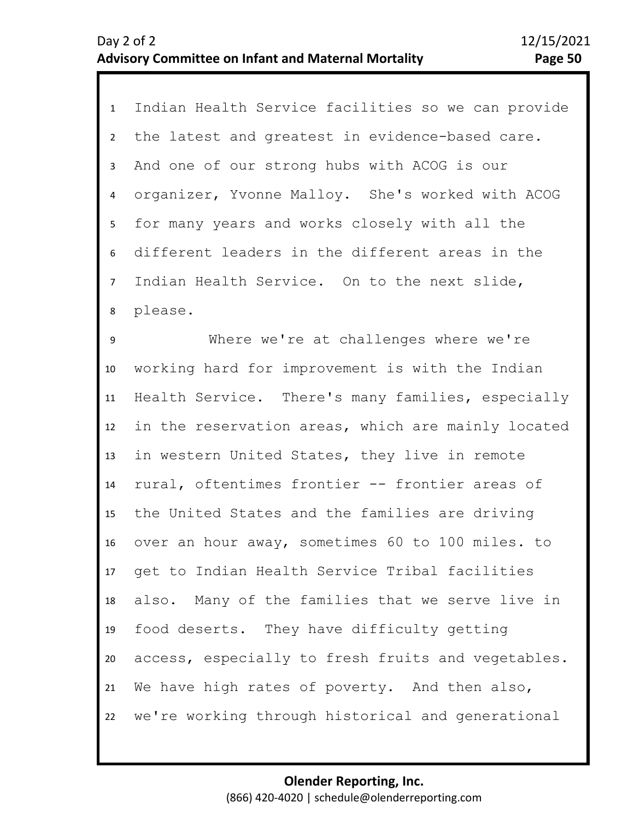| $\mathbf{1}$   | Indian Health Service facilities so we can provide |
|----------------|----------------------------------------------------|
| $\overline{2}$ | the latest and greatest in evidence-based care.    |
| 3              | And one of our strong hubs with ACOG is our        |
| $\overline{4}$ | organizer, Yvonne Malloy. She's worked with ACOG   |
| 5              | for many years and works closely with all the      |
| 6              | different leaders in the different areas in the    |
| $\overline{7}$ | Indian Health Service. On to the next slide,       |
| 8              | please.                                            |
| 9              | Where we're at challenges where we're              |
| 10             | working hard for improvement is with the Indian    |
| 11             | Health Service. There's many families, especially  |
| 12             | in the reservation areas, which are mainly located |
| 13             | in western United States, they live in remote      |
| 14             | rural, oftentimes frontier -- frontier areas of    |
| 15             | the United States and the families are driving     |
| 16             | over an hour away, sometimes 60 to 100 miles. to   |
| 17             | get to Indian Health Service Tribal facilities     |
| 18             | also. Many of the families that we serve live in   |
| 19             | food deserts. They have difficulty getting         |
| 20             | access, especially to fresh fruits and vegetables. |
| 21             | We have high rates of poverty. And then also,      |
| 22             | we're working through historical and generational  |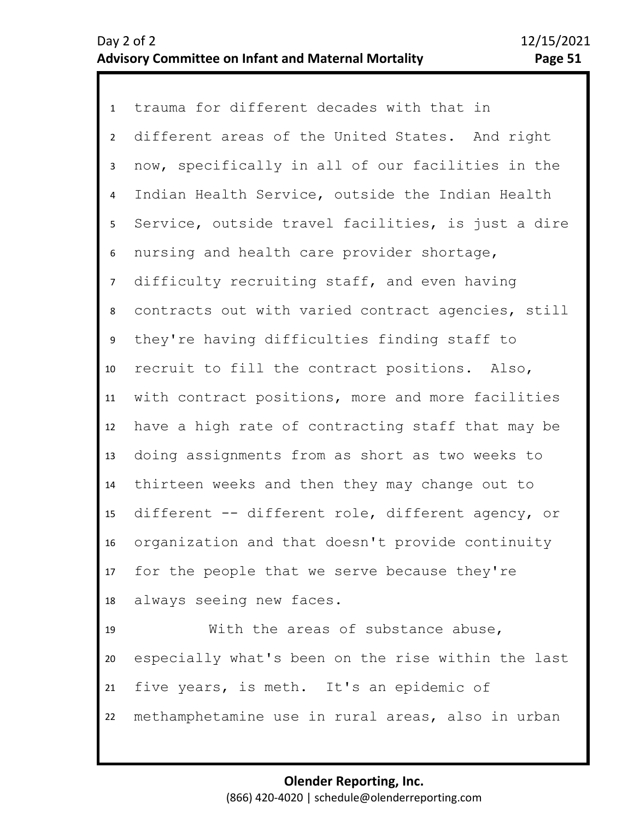1 trauma for different decades with that in 2 3 4 8 9 10 11 12 13 14 15 16 17 18 19 20 21 5 7 6 different areas of the United States. And right now, specifically in all of our facilities in the Indian Health Service, outside the Indian Health Service, outside travel facilities, is just a dire nursing and health care provider shortage, difficulty recruiting staff, and even having contracts out with varied contract agencies, still they're having difficulties finding staff to recruit to fill the contract positions. Also, with contract positions, more and more facilities have a high rate of contracting staff that may be doing assignments from as short as two weeks to thirteen weeks and then they may change out to different -- different role, different agency, or organization and that doesn't provide continuity for the people that we serve because they're always seeing new faces. With the areas of substance abuse, especially what's been on the rise within the last five years, is meth. It's an epidemic of

22 methamphetamine use in rural areas, also in urban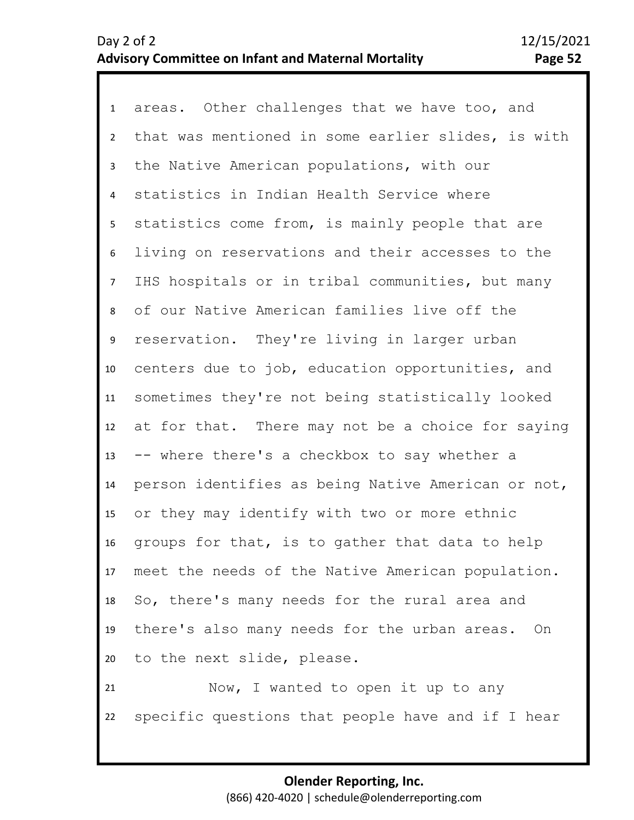1 areas. Other challenges that we have too, and 2 3 7 8 9 10 11 12 13 14 15 16 17 18 19 20 21 22 4 6 5 that was mentioned in some earlier slides, is with the Native American populations, with our statistics in Indian Health Service where statistics come from, is mainly people that are living on reservations and their accesses to the IHS hospitals or in tribal communities, but many of our Native American families live off the reservation. They're living in larger urban centers due to job, education opportunities, and sometimes they're not being statistically looked at for that. There may not be a choice for saying -- where there's a checkbox to say whether a person identifies as being Native American or not, or they may identify with two or more ethnic groups for that, is to gather that data to help meet the needs of the Native American population. So, there's many needs for the rural area and there's also many needs for the urban areas. On to the next slide, please. Now, I wanted to open it up to any specific questions that people have and if I hear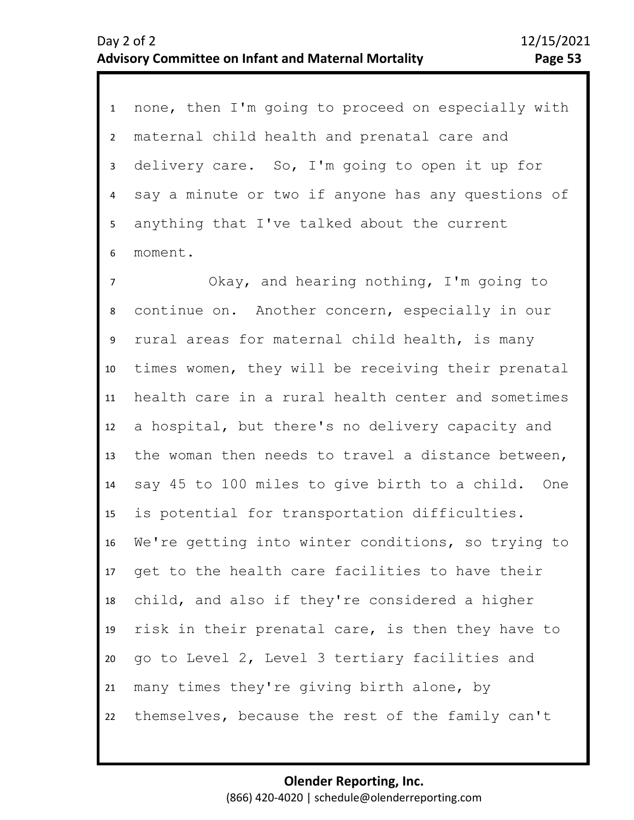1 none, then I'm going to proceed on especially with 2 3 4 6 5 maternal child health and prenatal care and delivery care. So, I'm going to open it up for say a minute or two if anyone has any questions of anything that I've talked about the current moment.

7 8 9 10 11 12 13 14 15 16 17 18 19 20 21 22 Okay, and hearing nothing, I'm going to continue on. Another concern, especially in our rural areas for maternal child health, is many times women, they will be receiving their prenatal health care in a rural health center and sometimes a hospital, but there's no delivery capacity and the woman then needs to travel a distance between, say 45 to 100 miles to give birth to a child. One is potential for transportation difficulties. We're getting into winter conditions, so trying to get to the health care facilities to have their child, and also if they're considered a higher risk in their prenatal care, is then they have to go to Level 2, Level 3 tertiary facilities and many times they're giving birth alone, by themselves, because the rest of the family can't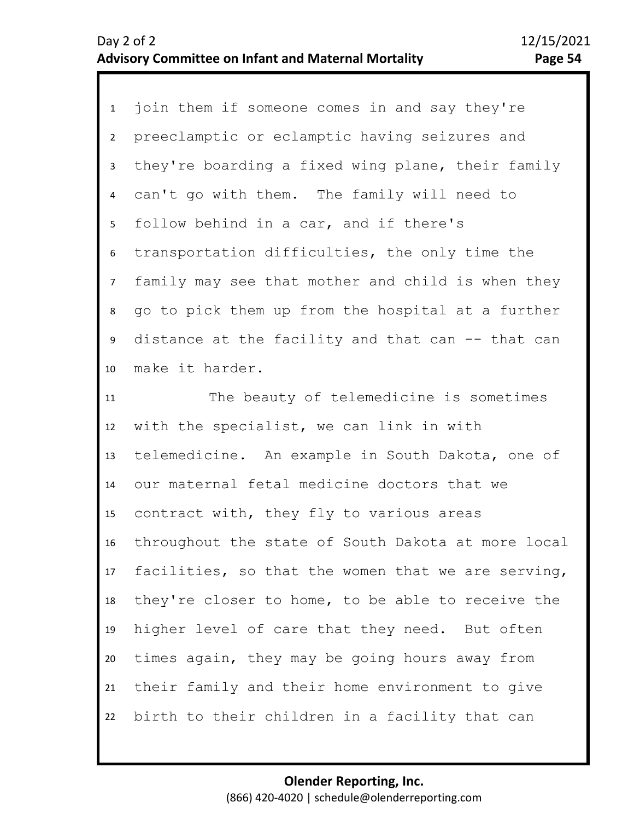1 join them if someone comes in and say they're 2 3 4 8 9 10 5 7 6 preeclamptic or eclamptic having seizures and they're boarding a fixed wing plane, their family can't go with them. The family will need to follow behind in a car, and if there's transportation difficulties, the only time the family may see that mother and child is when they go to pick them up from the hospital at a further distance at the facility and that can -- that can make it harder.

11 12 13 14 15 16 17 18 19 20 21 22 The beauty of telemedicine is sometimes with the specialist, we can link in with telemedicine. An example in South Dakota, one of our maternal fetal medicine doctors that we contract with, they fly to various areas throughout the state of South Dakota at more local facilities, so that the women that we are serving, they're closer to home, to be able to receive the higher level of care that they need. But often times again, they may be going hours away from their family and their home environment to give birth to their children in a facility that can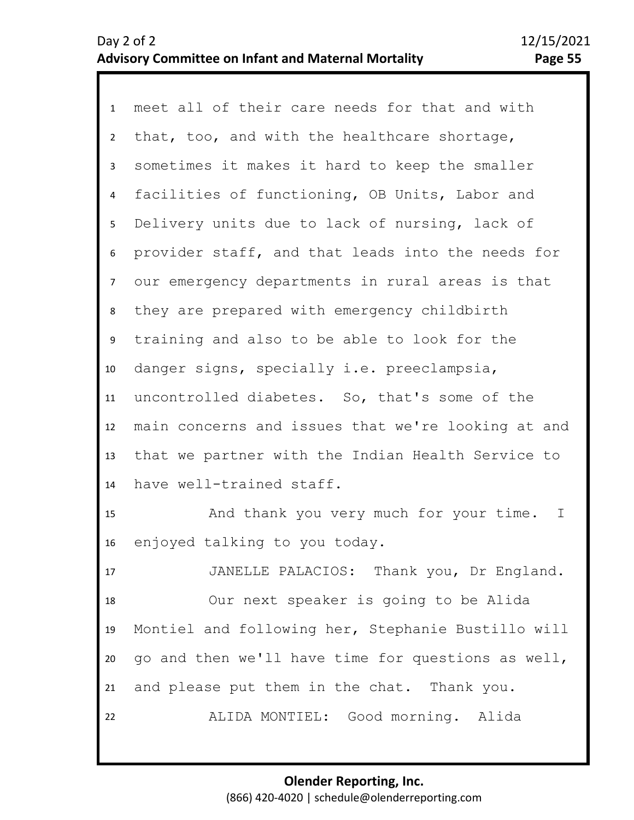1 meet all of their care needs for that and with 2 3 7 8 9 10 11 12 13 14 4 6 5 that, too, and with the healthcare shortage, sometimes it makes it hard to keep the smaller facilities of functioning, OB Units, Labor and Delivery units due to lack of nursing, lack of provider staff, and that leads into the needs for our emergency departments in rural areas is that they are prepared with emergency childbirth training and also to be able to look for the danger signs, specially i.e. preeclampsia, uncontrolled diabetes. So, that's some of the main concerns and issues that we're looking at and that we partner with the Indian Health Service to have well-trained staff.

15 16 And thank you very much for your time. I enjoyed talking to you today.

17 18 19 20 21 22 JANELLE PALACIOS: Thank you, Dr England. Our next speaker is going to be Alida Montiel and following her, Stephanie Bustillo will go and then we'll have time for questions as well, and please put them in the chat. Thank you. ALIDA MONTIEL: Good morning. Alida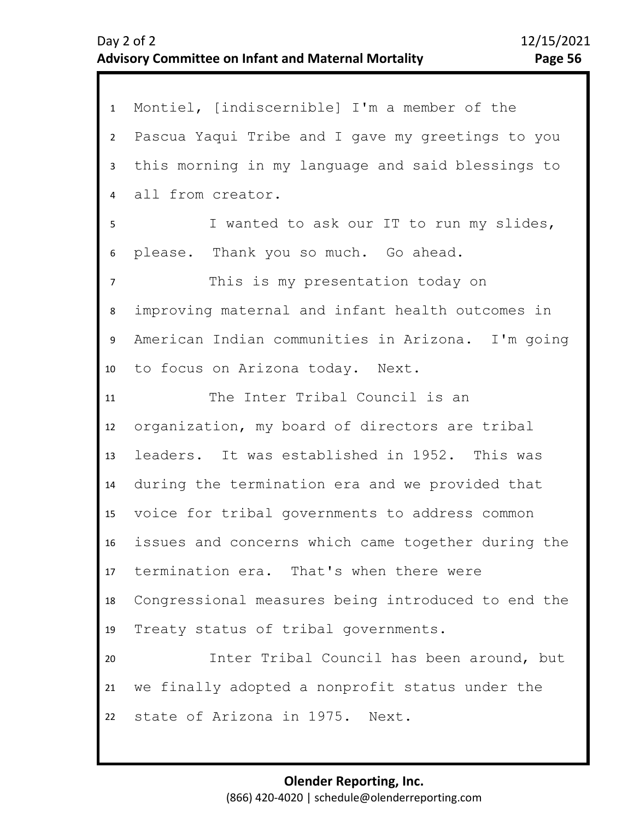| $\mathbf{1}$   | Montiel, [indiscernible] I'm a member of the       |
|----------------|----------------------------------------------------|
| $\overline{2}$ | Pascua Yaqui Tribe and I gave my greetings to you  |
| 3              | this morning in my language and said blessings to  |
| 4              | all from creator.                                  |
| 5              | I wanted to ask our IT to run my slides,           |
| 6              | please. Thank you so much. Go ahead.               |
| $\overline{7}$ | This is my presentation today on                   |
| 8              | improving maternal and infant health outcomes in   |
| 9              | American Indian communities in Arizona. I'm going  |
| 10             | to focus on Arizona today. Next.                   |
| 11             | The Inter Tribal Council is an                     |
| 12             | organization, my board of directors are tribal     |
| 13             | leaders. It was established in 1952. This was      |
| 14             | during the termination era and we provided that    |
| 15             | voice for tribal governments to address common     |
| 16             | issues and concerns which came together during the |
|                | 17 termination era. That's when there were         |
| 18             | Congressional measures being introduced to end the |
| 19             | Treaty status of tribal governments.               |
| 20             | Inter Tribal Council has been around, but          |
| 21             | we finally adopted a nonprofit status under the    |
| 22             | state of Arizona in 1975. Next.                    |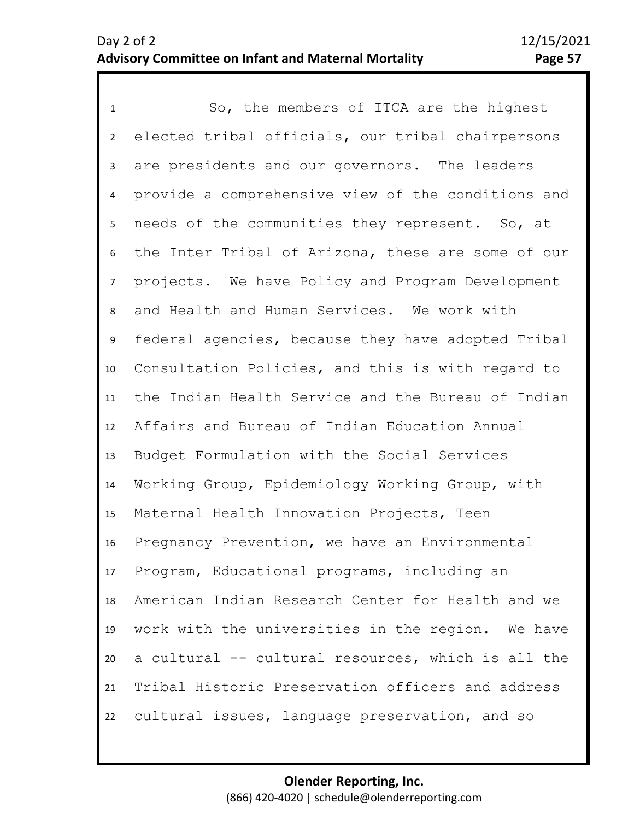1 So, the members of ITCA are the highest 2 3 4 8 9 10 11 12 13 14 15 16 17 18 19 20 21 22 5 7 6 elected tribal officials, our tribal chairpersons are presidents and our governors. The leaders provide a comprehensive view of the conditions and needs of the communities they represent. So, at the Inter Tribal of Arizona, these are some of our projects. We have Policy and Program Development and Health and Human Services. We work with federal agencies, because they have adopted Tribal Consultation Policies, and this is with regard to the Indian Health Service and the Bureau of Indian Affairs and Bureau of Indian Education Annual Budget Formulation with the Social Services Working Group, Epidemiology Working Group, with Maternal Health Innovation Projects, Teen Pregnancy Prevention, we have an Environmental Program, Educational programs, including an American Indian Research Center for Health and we work with the universities in the region. We have a cultural -- cultural resources, which is all the Tribal Historic Preservation officers and address cultural issues, language preservation, and so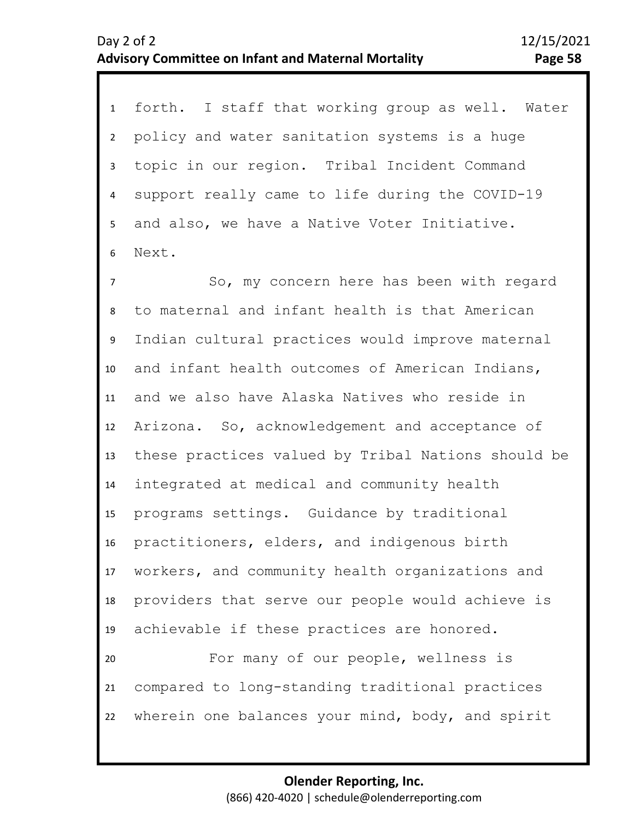1 forth. I staff that working group as well. Water 2 3 4 6 5 policy and water sanitation systems is a huge topic in our region. Tribal Incident Command support really came to life during the COVID-19 and also, we have a Native Voter Initiative. Next.

7 8 9 10 11 12 13 14 15 16 17 18 19 20 21 22 So, my concern here has been with regard to maternal and infant health is that American Indian cultural practices would improve maternal and infant health outcomes of American Indians, and we also have Alaska Natives who reside in Arizona. So, acknowledgement and acceptance of these practices valued by Tribal Nations should be integrated at medical and community health programs settings. Guidance by traditional practitioners, elders, and indigenous birth workers, and community health organizations and providers that serve our people would achieve is achievable if these practices are honored. For many of our people, wellness is compared to long-standing traditional practices wherein one balances your mind, body, and spirit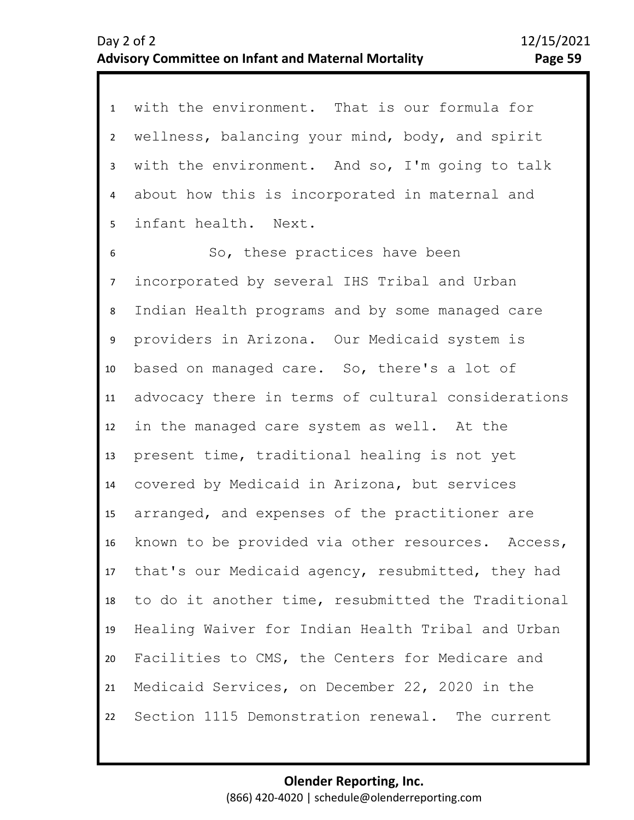1 with the environment. That is our formula for 2 3 4 5 6 7 wellness, balancing your mind, body, and spirit with the environment. And so, I'm going to talk about how this is incorporated in maternal and infant health. Next. So, these practices have been incorporated by several IHS Tribal and Urban

10 11 12 13 14 15 16 17 18 19 20 21 22 9 8 Indian Health programs and by some managed care providers in Arizona. Our Medicaid system is based on managed care. So, there's a lot of advocacy there in terms of cultural considerations in the managed care system as well. At the present time, traditional healing is not yet covered by Medicaid in Arizona, but services arranged, and expenses of the practitioner are known to be provided via other resources. Access, that's our Medicaid agency, resubmitted, they had to do it another time, resubmitted the Traditional Healing Waiver for Indian Health Tribal and Urban Facilities to CMS, the Centers for Medicare and Medicaid Services, on December 22, 2020 in the Section 1115 Demonstration renewal. The current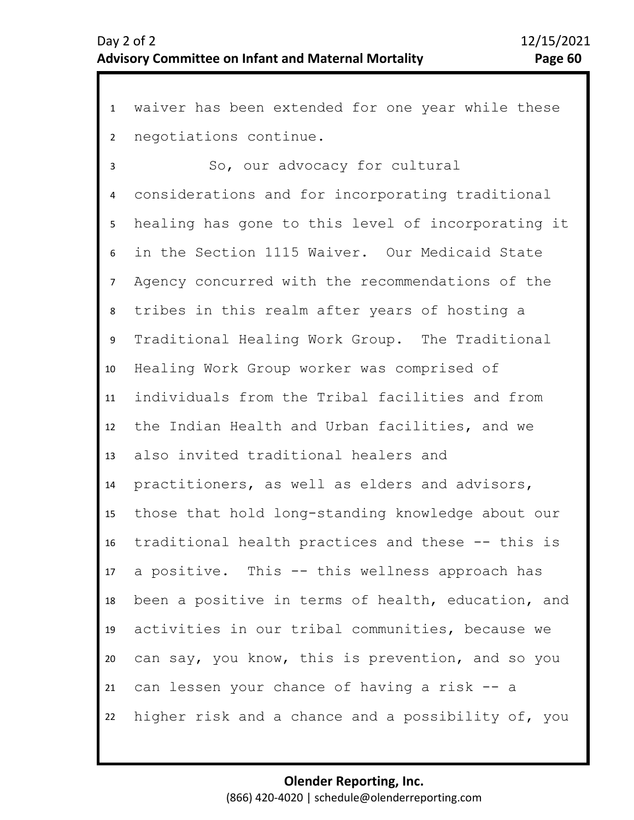1 waiver has been extended for one year while these 2 negotiations continue.

3 4 5 9 10 11 12 13 14 15 16 17 18 19 20 21 22 6 8 7 So, our advocacy for cultural considerations and for incorporating traditional healing has gone to this level of incorporating it in the Section 1115 Waiver. Our Medicaid State Agency concurred with the recommendations of the tribes in this realm after years of hosting a Traditional Healing Work Group. The Traditional Healing Work Group worker was comprised of individuals from the Tribal facilities and from the Indian Health and Urban facilities, and we also invited traditional healers and practitioners, as well as elders and advisors, those that hold long-standing knowledge about our traditional health practices and these -- this is a positive. This -- this wellness approach has been a positive in terms of health, education, and activities in our tribal communities, because we can say, you know, this is prevention, and so you can lessen your chance of having a risk -- a higher risk and a chance and a possibility of, you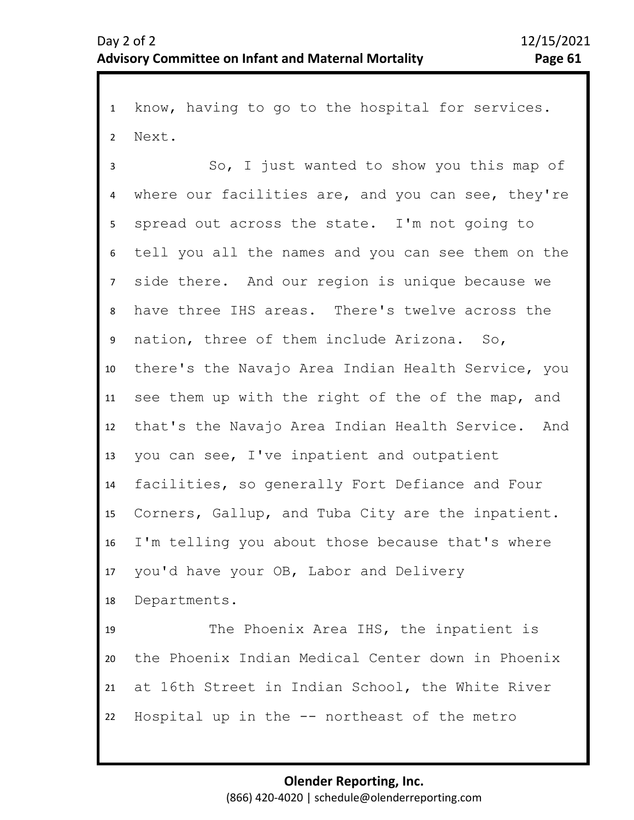1 know, having to go to the hospital for services. 2 Next.

3 4 5 9 10 11 12 13 14 15 16 17 18 19 6 8 7 So, I just wanted to show you this map of where our facilities are, and you can see, they're spread out across the state. I'm not going to tell you all the names and you can see them on the side there. And our region is unique because we have three IHS areas. There's twelve across the nation, three of them include Arizona. So, there's the Navajo Area Indian Health Service, you see them up with the right of the of the map, and that's the Navajo Area Indian Health Service. And you can see, I've inpatient and outpatient facilities, so generally Fort Defiance and Four Corners, Gallup, and Tuba City are the inpatient. I'm telling you about those because that's where you'd have your OB, Labor and Delivery Departments. The Phoenix Area IHS, the inpatient is

20 21 22 the Phoenix Indian Medical Center down in Phoenix at 16th Street in Indian School, the White River Hospital up in the -- northeast of the metro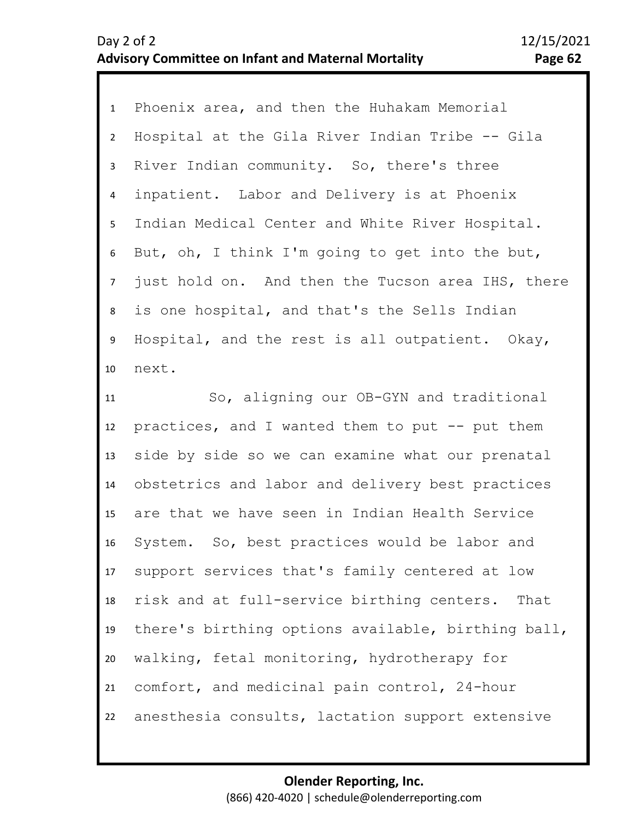1 Phoenix area, and then the Huhakam Memorial 2 3 4 8 9 10 11 5 7 6 Hospital at the Gila River Indian Tribe -- Gila River Indian community. So, there's three inpatient. Labor and Delivery is at Phoenix Indian Medical Center and White River Hospital. But, oh, I think I'm going to get into the but, just hold on. And then the Tucson area IHS, there is one hospital, and that's the Sells Indian Hospital, and the rest is all outpatient. Okay, next. So, aligning our OB-GYN and traditional

12 13 14 15 16 17 18 19 20 21 22 practices, and I wanted them to put -- put them side by side so we can examine what our prenatal obstetrics and labor and delivery best practices are that we have seen in Indian Health Service System. So, best practices would be labor and support services that's family centered at low risk and at full-service birthing centers. That there's birthing options available, birthing ball, walking, fetal monitoring, hydrotherapy for comfort, and medicinal pain control, 24-hour anesthesia consults, lactation support extensive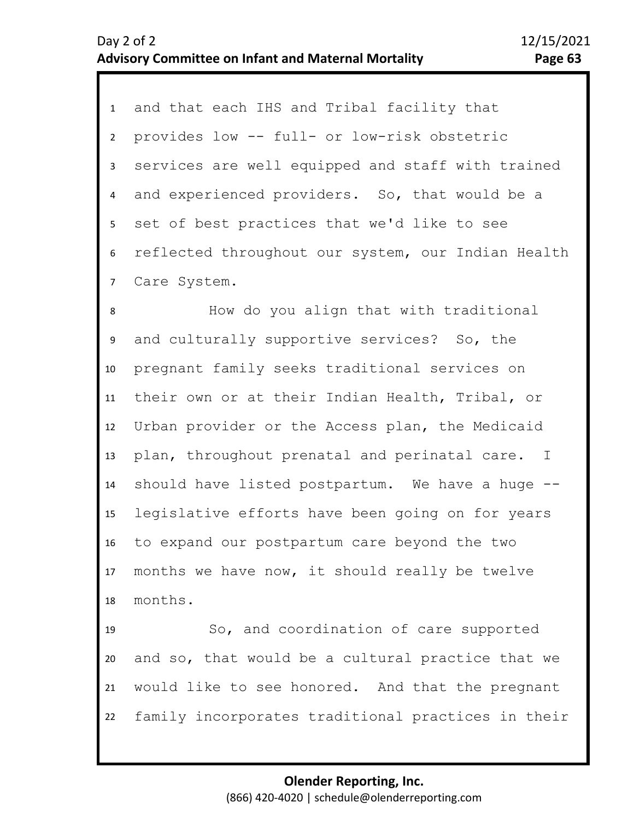| $\mathbf{1}$   | and that each IHS and Tribal facility that         |
|----------------|----------------------------------------------------|
| $\overline{2}$ | provides low -- full- or low-risk obstetric        |
| 3              | services are well equipped and staff with trained  |
| $\overline{4}$ | and experienced providers. So, that would be a     |
| 5              | set of best practices that we'd like to see        |
| 6              | reflected throughout our system, our Indian Health |
| $\overline{7}$ | Care System.                                       |
| 8              | How do you align that with traditional             |
| 9              | and culturally supportive services? So, the        |
| 10             | pregnant family seeks traditional services on      |
| 11             | their own or at their Indian Health, Tribal, or    |
| 12             | Urban provider or the Access plan, the Medicaid    |
| 13             | plan, throughout prenatal and perinatal care. I    |
| 14             | should have listed postpartum. We have a huge --   |
| 15             | legislative efforts have been going on for years   |
| 16             | to expand our postpartum care beyond the two       |
| 17             | months we have now, it should really be twelve     |
| 18             | months.                                            |
| 19             | So, and coordination of care supported             |
| 20             | and so, that would be a cultural practice that we  |
| 21             | would like to see honored. And that the pregnant   |
| 22             | family incorporates traditional practices in their |

22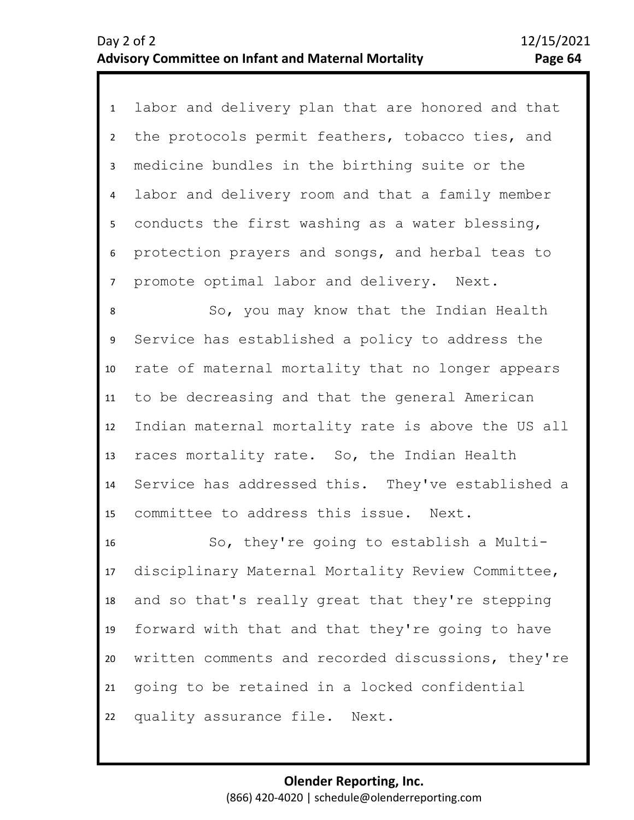1 labor and delivery plan that are honored and that 2 3 4 5 7 6 the protocols permit feathers, tobacco ties, and medicine bundles in the birthing suite or the labor and delivery room and that a family member conducts the first washing as a water blessing, protection prayers and songs, and herbal teas to promote optimal labor and delivery. Next.

8 9 10 11 12 13 14 15 So, you may know that the Indian Health Service has established a policy to address the rate of maternal mortality that no longer appears to be decreasing and that the general American Indian maternal mortality rate is above the US all races mortality rate. So, the Indian Health Service has addressed this. They've established a committee to address this issue. Next.

16 17 18 19 20 21 22 So, they're going to establish a Multidisciplinary Maternal Mortality Review Committee, and so that's really great that they're stepping forward with that and that they're going to have written comments and recorded discussions, they're going to be retained in a locked confidential quality assurance file. Next.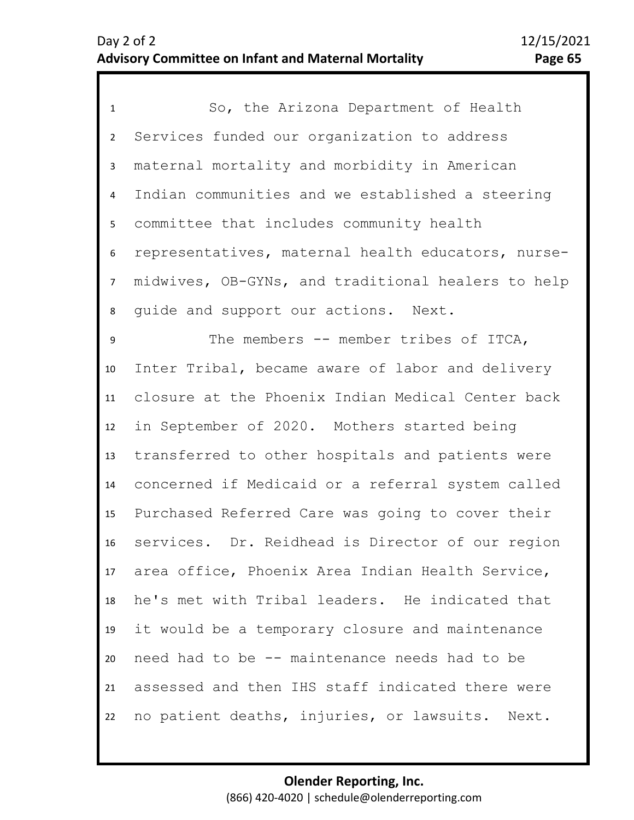| $\mathbf{1}$     | So, the Arizona Department of Health               |
|------------------|----------------------------------------------------|
| $\overline{2}$   | Services funded our organization to address        |
| 3                | maternal mortality and morbidity in American       |
| 4                | Indian communities and we established a steering   |
| 5                | committee that includes community health           |
| $\boldsymbol{6}$ | representatives, maternal health educators, nurse- |
| $\overline{7}$   | midwives, OB-GYNs, and traditional healers to help |
| 8                | quide and support our actions. Next.               |
| 9                | The members -- member tribes of ITCA,              |
| 10               | Inter Tribal, became aware of labor and delivery   |
| 11               | closure at the Phoenix Indian Medical Center back  |
| 12               | in September of 2020. Mothers started being        |
| 13               | transferred to other hospitals and patients were   |
| 14               | concerned if Medicaid or a referral system called  |
| 15               | Purchased Referred Care was going to cover their   |
| 16               | services. Dr. Reidhead is Director of our region   |
| 17               | area office, Phoenix Area Indian Health Service,   |
| 18               | he's met with Tribal leaders. He indicated that    |
| 19               | it would be a temporary closure and maintenance    |
| 20               | need had to be -- maintenance needs had to be      |
| 21               | assessed and then IHS staff indicated there were   |
| 22               | no patient deaths, injuries, or lawsuits. Next.    |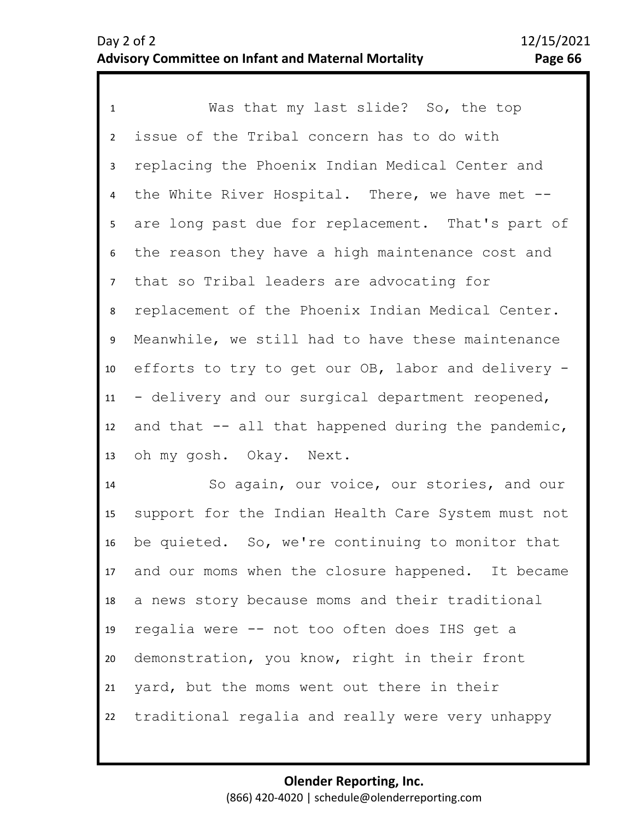1 Was that my last slide? So, the top 2 3 4 8 9 10 11 12 13 5 7 6 issue of the Tribal concern has to do with replacing the Phoenix Indian Medical Center and the White River Hospital. There, we have met - are long past due for replacement. That's part of the reason they have a high maintenance cost and that so Tribal leaders are advocating for replacement of the Phoenix Indian Medical Center. Meanwhile, we still had to have these maintenance efforts to try to get our OB, labor and delivery - - delivery and our surgical department reopened, and that  $-$  all that happened during the pandemic, oh my gosh. Okay. Next.

14 15 16 17 18 19 20 21 22 So again, our voice, our stories, and our support for the Indian Health Care System must not be quieted. So, we're continuing to monitor that and our moms when the closure happened. It became a news story because moms and their traditional regalia were -- not too often does IHS get a demonstration, you know, right in their front yard, but the moms went out there in their traditional regalia and really were very unhappy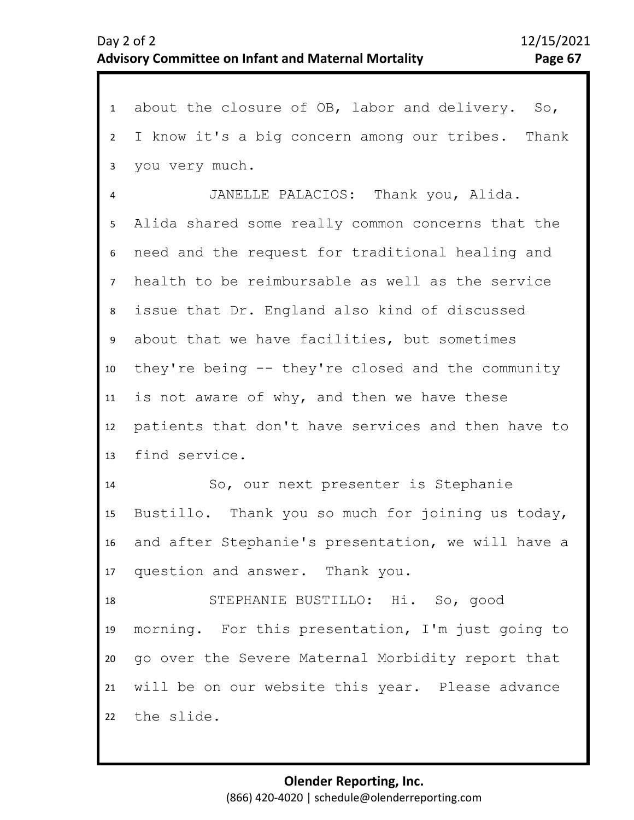1 about the closure of OB, labor and delivery. So, 2 3 4 8 9 10 11 12 13 14 15 16 17 18 19 20 21 22 5 7 6 I know it's a big concern among our tribes. Thank you very much. JANELLE PALACIOS: Thank you, Alida. Alida shared some really common concerns that the need and the request for traditional healing and health to be reimbursable as well as the service issue that Dr. England also kind of discussed about that we have facilities, but sometimes they're being -- they're closed and the community is not aware of why, and then we have these patients that don't have services and then have to find service. So, our next presenter is Stephanie Bustillo. Thank you so much for joining us today, and after Stephanie's presentation, we will have a question and answer. Thank you. STEPHANIE BUSTILLO: Hi. So, good morning. For this presentation, I'm just going to go over the Severe Maternal Morbidity report that will be on our website this year. Please advance the slide.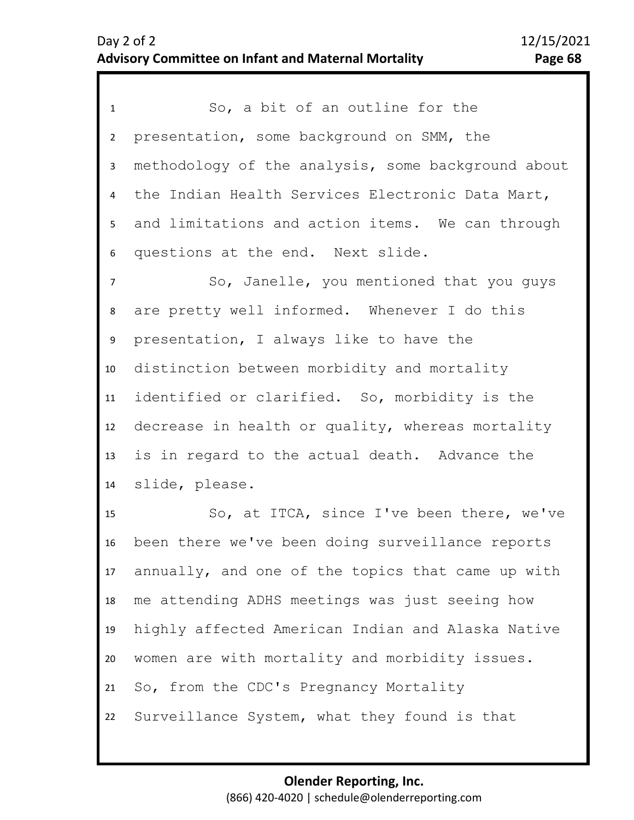1 So, a bit of an outline for the 2 3 4 5 6 presentation, some background on SMM, the methodology of the analysis, some background about the Indian Health Services Electronic Data Mart, and limitations and action items. We can through questions at the end. Next slide.

9 10 11 12 13 14 8 7 So, Janelle, you mentioned that you guys are pretty well informed. Whenever I do this presentation, I always like to have the distinction between morbidity and mortality identified or clarified. So, morbidity is the decrease in health or quality, whereas mortality is in regard to the actual death. Advance the slide, please.

15 16 17 18 19 20 21 22 So, at ITCA, since I've been there, we've been there we've been doing surveillance reports annually, and one of the topics that came up with me attending ADHS meetings was just seeing how highly affected American Indian and Alaska Native women are with mortality and morbidity issues. So, from the CDC's Pregnancy Mortality Surveillance System, what they found is that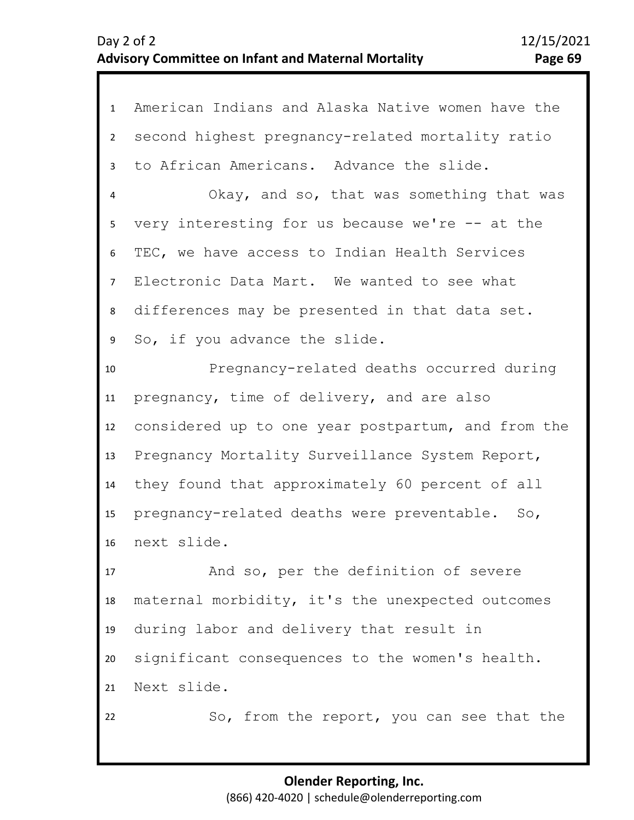| $\mathbf{1}$   | American Indians and Alaska Native women have the  |
|----------------|----------------------------------------------------|
| $\overline{2}$ | second highest pregnancy-related mortality ratio   |
| 3              | to African Americans. Advance the slide.           |
| 4              | Okay, and so, that was something that was          |
| 5              | very interesting for us because we're $-$ at the   |
| 6              | TEC, we have access to Indian Health Services      |
| $\overline{7}$ | Electronic Data Mart. We wanted to see what        |
| 8              | differences may be presented in that data set.     |
| 9              | So, if you advance the slide.                      |
| 10             | Pregnancy-related deaths occurred during           |
| 11             | pregnancy, time of delivery, and are also          |
| 12             | considered up to one year postpartum, and from the |
| 13             | Pregnancy Mortality Surveillance System Report,    |
| 14             | they found that approximately 60 percent of all    |
| 15             | pregnancy-related deaths were preventable. So,     |
| 16             | next slide.                                        |
| 17             | And so, per the definition of severe               |
| 18             | maternal morbidity, it's the unexpected outcomes   |
| 19             | during labor and delivery that result in           |
| 20             | significant consequences to the women's health.    |
| 21             | Next slide.                                        |
| 22             | So, from the report, you can see that the          |
|                |                                                    |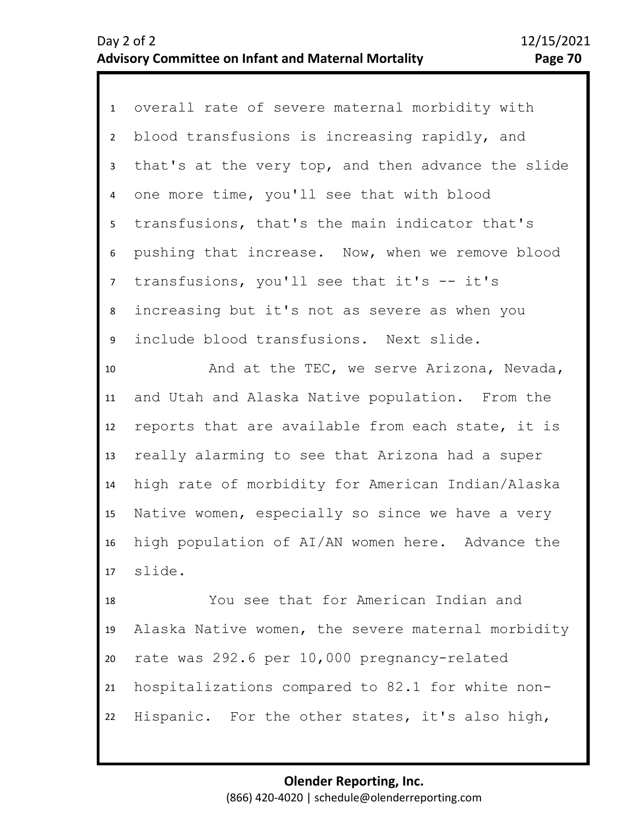1 overall rate of severe maternal morbidity with 2 3 7 8 9 4 6 5 blood transfusions is increasing rapidly, and that's at the very top, and then advance the slide one more time, you'll see that with blood transfusions, that's the main indicator that's pushing that increase. Now, when we remove blood transfusions, you'll see that it's -- it's increasing but it's not as severe as when you include blood transfusions. Next slide.

10 11 12 13 14 15 16 17 And at the TEC, we serve Arizona, Nevada, and Utah and Alaska Native population. From the reports that are available from each state, it is really alarming to see that Arizona had a super high rate of morbidity for American Indian/Alaska Native women, especially so since we have a very high population of AI/AN women here. Advance the slide.

18 19 20 21 22 You see that for American Indian and Alaska Native women, the severe maternal morbidity rate was 292.6 per 10,000 pregnancy-related hospitalizations compared to 82.1 for white non-Hispanic. For the other states, it's also high,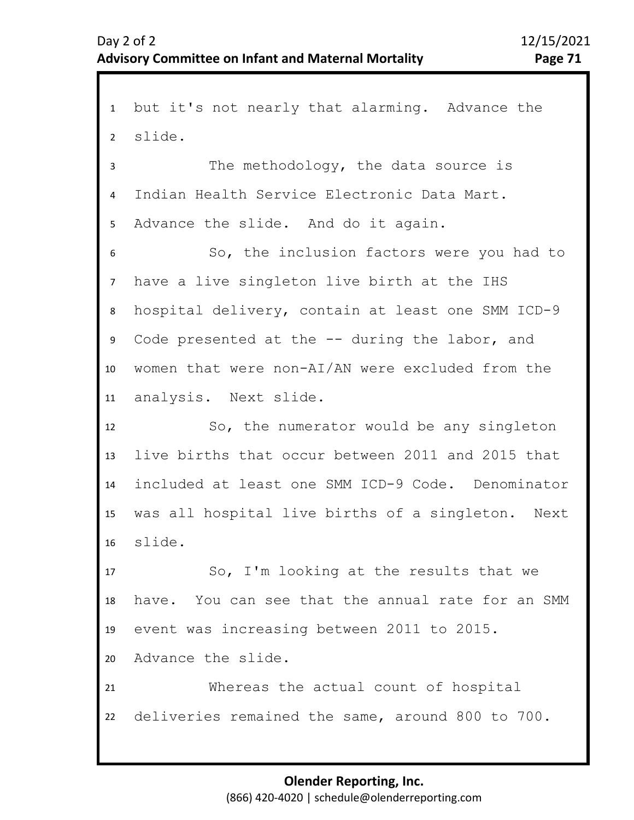1 but it's not nearly that alarming. Advance the 2 3 4 8 9 10 11 12 13 14 15 16 17 18 19 20 21 22 5 7 6 slide. The methodology, the data source is Indian Health Service Electronic Data Mart. Advance the slide. And do it again. So, the inclusion factors were you had to have a live singleton live birth at the IHS hospital delivery, contain at least one SMM ICD-9 Code presented at the -- during the labor, and women that were non-AI/AN were excluded from the analysis. Next slide. So, the numerator would be any singleton live births that occur between 2011 and 2015 that included at least one SMM ICD-9 Code. Denominator was all hospital live births of a singleton. Next slide. So, I'm looking at the results that we have. You can see that the annual rate for an SMM event was increasing between 2011 to 2015. Advance the slide. Whereas the actual count of hospital deliveries remained the same, around 800 to 700.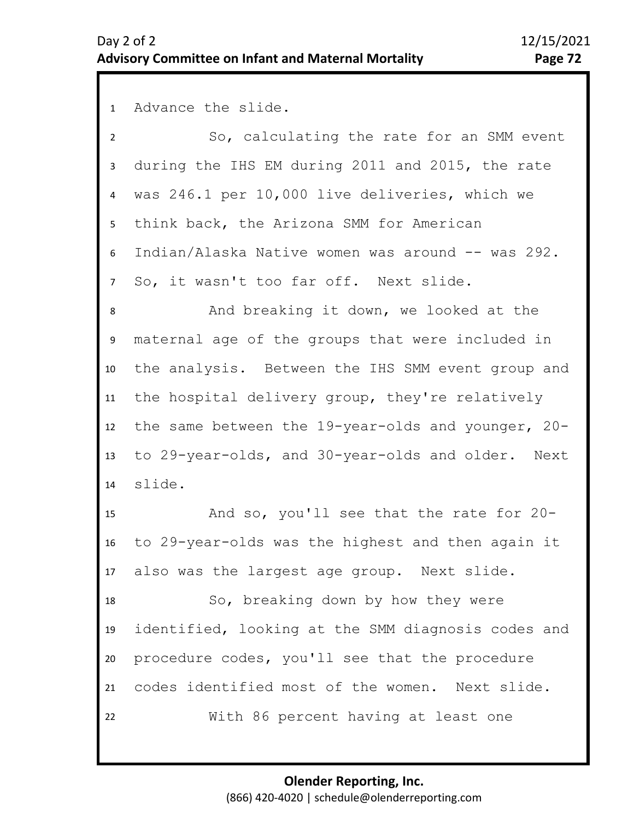1 Advance the slide.

2 3 4 5 6 7 So, calculating the rate for an SMM event during the IHS EM during 2011 and 2015, the rate was 246.1 per 10,000 live deliveries, which we think back, the Arizona SMM for American Indian/Alaska Native women was around -- was 292. So, it wasn't too far off. Next slide.

10 11 12 13 14 9 8 And breaking it down, we looked at the maternal age of the groups that were included in the analysis. Between the IHS SMM event group and the hospital delivery group, they're relatively the same between the 19-year-olds and younger, 20 to 29-year-olds, and 30-year-olds and older. Next slide.

15 16 17 And so, you'll see that the rate for 20 to 29-year-olds was the highest and then again it also was the largest age group. Next slide.

18 19 20 21 22 So, breaking down by how they were identified, looking at the SMM diagnosis codes and procedure codes, you'll see that the procedure codes identified most of the women. Next slide. With 86 percent having at least one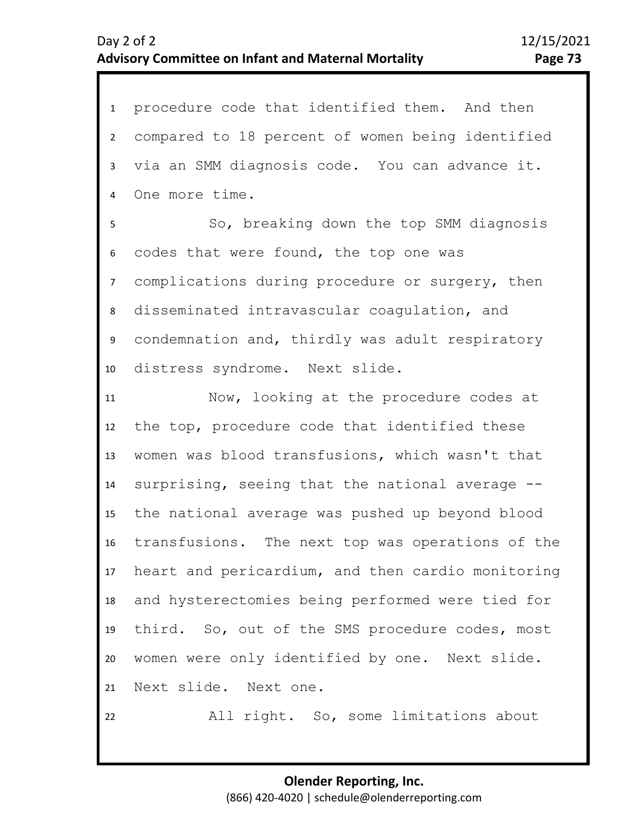| $\mathbf{1}$     | procedure code that identified them. And then     |
|------------------|---------------------------------------------------|
| $\overline{2}$   | compared to 18 percent of women being identified  |
| $\overline{3}$   | via an SMM diagnosis code. You can advance it.    |
| 4                | One more time.                                    |
| 5                | So, breaking down the top SMM diagnosis           |
| 6                | codes that were found, the top one was            |
| 7 <sup>7</sup>   | complications during procedure or surgery, then   |
| 8                | disseminated intravascular coagulation, and       |
| 9                | condemnation and, thirdly was adult respiratory   |
| 10               | distress syndrome. Next slide.                    |
| 11               | Now, looking at the procedure codes at            |
| 12               | the top, procedure code that identified these     |
| 13               | women was blood transfusions, which wasn't that   |
| 14               | surprising, seeing that the national average --   |
| 15               | the national average was pushed up beyond blood   |
| 16               | transfusions. The next top was operations of the  |
| 17 <sup>17</sup> | heart and pericardium, and then cardio monitoring |
| 18               | and hysterectomies being performed were tied for  |
| 19               | third. So, out of the SMS procedure codes, most   |
| 20               | women were only identified by one. Next slide.    |
| 21               | Next slide. Next one.                             |
|                  |                                                   |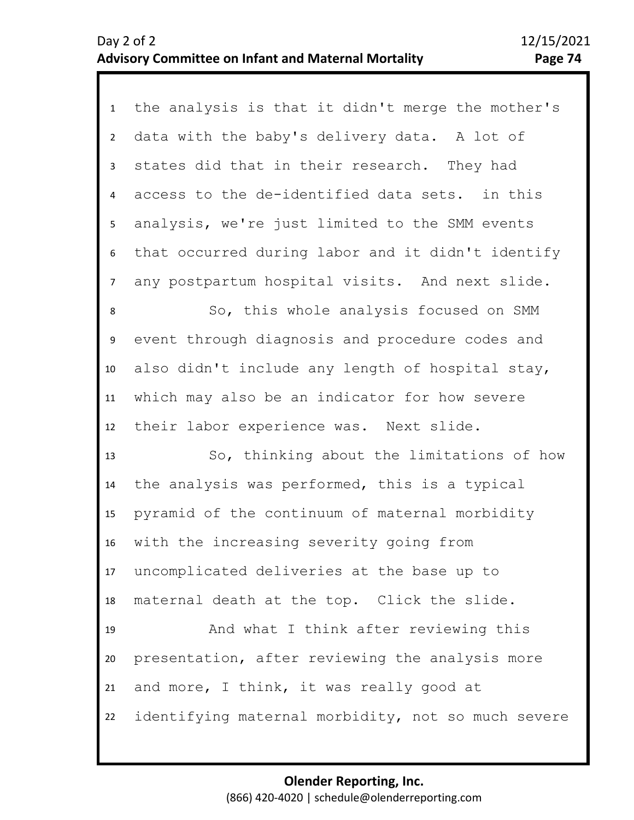| $\mathbf{1}$   | the analysis is that it didn't merge the mother's  |
|----------------|----------------------------------------------------|
| $2^{\circ}$    | data with the baby's delivery data. A lot of       |
| $\mathbf{3}$   | states did that in their research. They had        |
| $\overline{4}$ | access to the de-identified data sets. in this     |
| 5              | analysis, we're just limited to the SMM events     |
| 6              | that occurred during labor and it didn't identify  |
| $\overline{7}$ | any postpartum hospital visits. And next slide.    |
| 8              | So, this whole analysis focused on SMM             |
| 9              | event through diagnosis and procedure codes and    |
| 10             | also didn't include any length of hospital stay,   |
| 11             | which may also be an indicator for how severe      |
| 12             | their labor experience was. Next slide.            |
| 13             | So, thinking about the limitations of how          |
| 14             | the analysis was performed, this is a typical      |
| 15             | pyramid of the continuum of maternal morbidity     |
| 16             | with the increasing severity going from            |
| 17             | uncomplicated deliveries at the base up to         |
| 18             | maternal death at the top. Click the slide.        |
| 19             | And what I think after reviewing this              |
| 20             | presentation, after reviewing the analysis more    |
| 21             | and more, I think, it was really good at           |
| 22             | identifying maternal morbidity, not so much severe |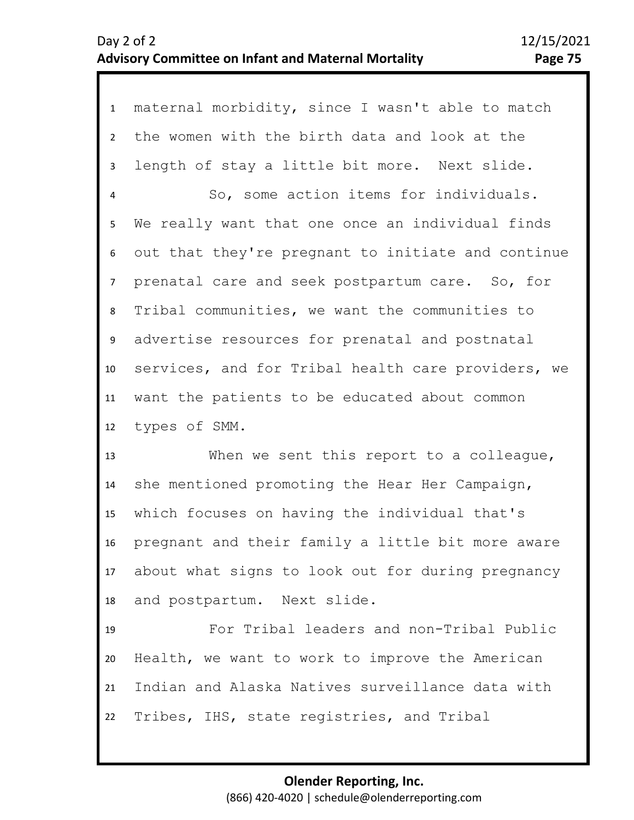1 maternal morbidity, since I wasn't able to match 2 3 4 8 9 10 11 12 5 7 6 the women with the birth data and look at the length of stay a little bit more. Next slide. So, some action items for individuals. We really want that one once an individual finds out that they're pregnant to initiate and continue prenatal care and seek postpartum care. So, for Tribal communities, we want the communities to advertise resources for prenatal and postnatal services, and for Tribal health care providers, we want the patients to be educated about common types of SMM.

13 14 15 16 17 18 When we sent this report to a colleague, she mentioned promoting the Hear Her Campaign, which focuses on having the individual that's pregnant and their family a little bit more aware about what signs to look out for during pregnancy and postpartum. Next slide.

19 20 21 22 For Tribal leaders and non-Tribal Public Health, we want to work to improve the American Indian and Alaska Natives surveillance data with Tribes, IHS, state registries, and Tribal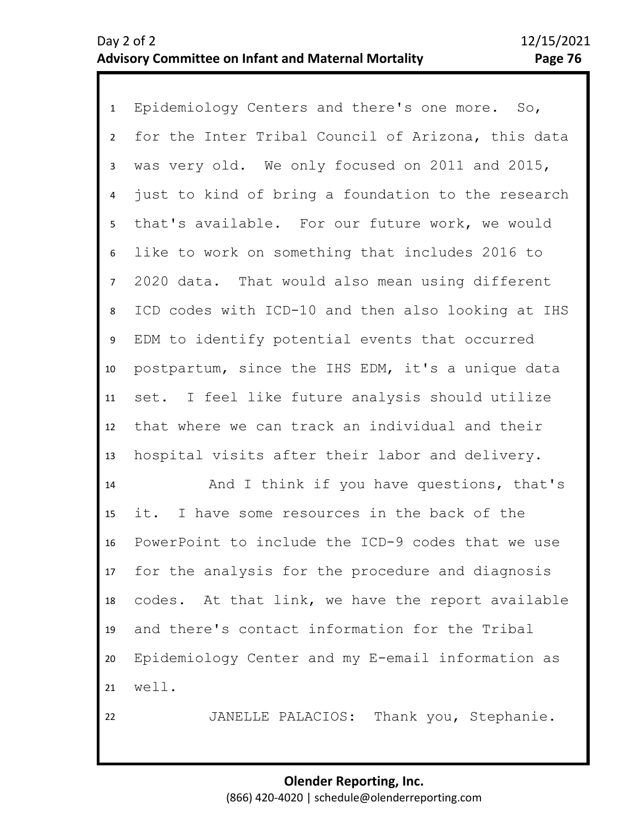1 Epidemiology Centers and there's one more. So, 2 3 4 8 9 10 11 12 13 5 7 6 for the Inter Tribal Council of Arizona, this data was very old. We only focused on 2011 and 2015, just to kind of bring a foundation to the research that's available. For our future work, we would like to work on something that includes 2016 to 2020 data. That would also mean using different ICD codes with ICD-10 and then also looking at IHS EDM to identify potential events that occurred postpartum, since the IHS EDM, it's a unique data set. I feel like future analysis should utilize that where we can track an individual and their hospital visits after their labor and delivery.

14 15 16 17 18 19 20 21 And I think if you have questions, that's it. I have some resources in the back of the PowerPoint to include the ICD-9 codes that we use for the analysis for the procedure and diagnosis codes. At that link, we have the report available and there's contact information for the Tribal Epidemiology Center and my E-email information as well.

22

JANELLE PALACIOS: Thank you, Stephanie.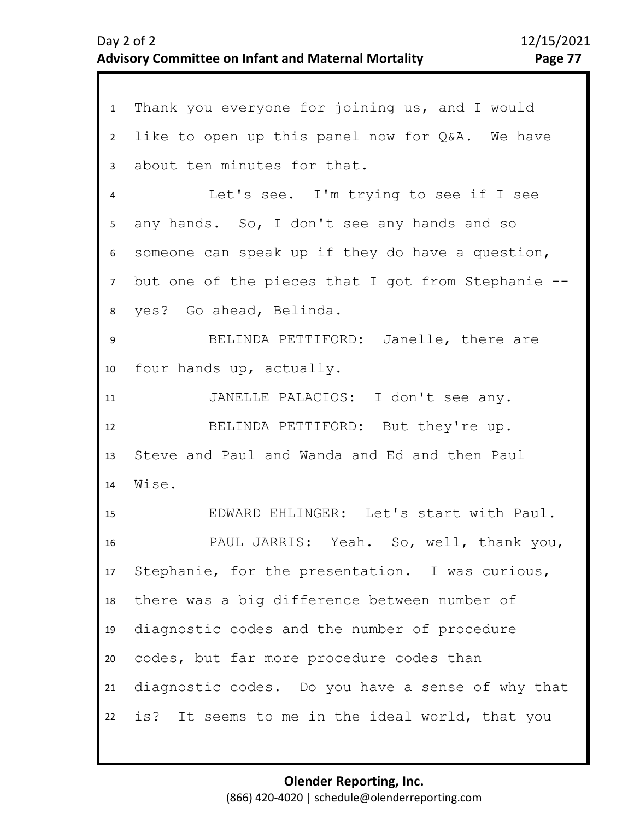| $\mathbf{1}$    | Thank you everyone for joining us, and I would        |
|-----------------|-------------------------------------------------------|
| $2^{\circ}$     | like to open up this panel now for Q&A. We have       |
| $\overline{3}$  | about ten minutes for that.                           |
| 4               | Let's see. I'm trying to see if I see                 |
| 5 <sub>1</sub>  | any hands. So, I don't see any hands and so           |
| 6               | someone can speak up if they do have a question,      |
| 7 <sup>7</sup>  | but one of the pieces that I got from Stephanie $-$ - |
| 8               | yes? Go ahead, Belinda.                               |
| 9               | BELINDA PETTIFORD: Janelle, there are                 |
| 10              | four hands up, actually.                              |
| 11              | JANELLE PALACIOS: I don't see any.                    |
| 12              | BELINDA PETTIFORD: But they're up.                    |
| 13              | Steve and Paul and Wanda and Ed and then Paul         |
| 14              | Wise.                                                 |
| 15              | EDWARD EHLINGER: Let's start with Paul.               |
| 16              | PAUL JARRIS: Yeah. So, well, thank you,               |
|                 | 17 Stephanie, for the presentation. I was curious,    |
| 18              | there was a big difference between number of          |
| 19              | diagnostic codes and the number of procedure          |
| 20 <sub>2</sub> | codes, but far more procedure codes than              |
| 21              | diagnostic codes. Do you have a sense of why that     |
|                 | 22 is? It seems to me in the ideal world, that you    |
|                 |                                                       |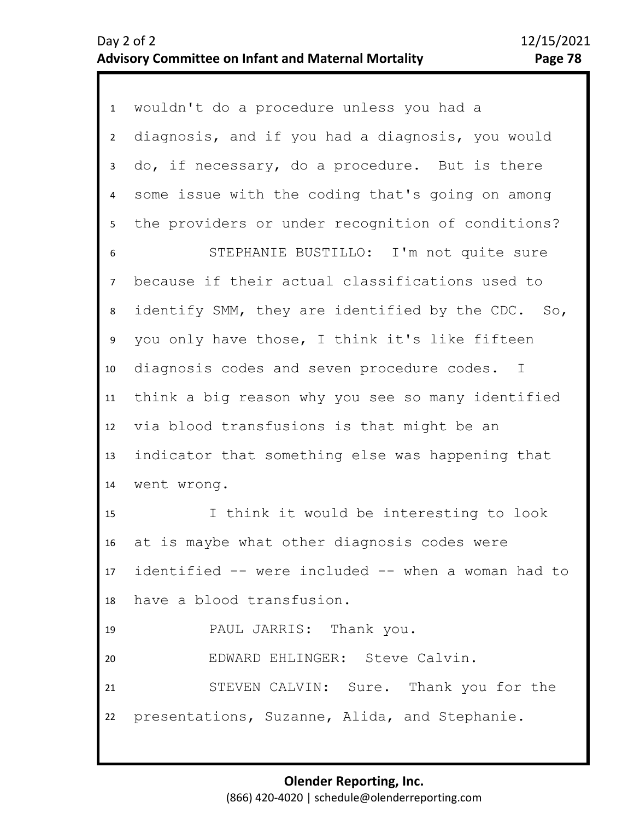| 1               | wouldn't do a procedure unless you had a           |
|-----------------|----------------------------------------------------|
| $2^{\circ}$     | diagnosis, and if you had a diagnosis, you would   |
| 3               | do, if necessary, do a procedure. But is there     |
| $\overline{4}$  | some issue with the coding that's going on among   |
| 5               | the providers or under recognition of conditions?  |
| 6               | STEPHANIE BUSTILLO: I'm not quite sure             |
| $\overline{7}$  | because if their actual classifications used to    |
| 8               | identify SMM, they are identified by the CDC. So,  |
| 9               | you only have those, I think it's like fifteen     |
| 10 <sub>1</sub> | diagnosis codes and seven procedure codes. I       |
| 11              | think a big reason why you see so many identified  |
| 12              | via blood transfusions is that might be an         |
| 13              | indicator that something else was happening that   |
| 14              | went wrong.                                        |
| 15              | I think it would be interesting to look            |
| 16              | at is maybe what other diagnosis codes were        |
| 17              | identified -- were included -- when a woman had to |
| 18              | have a blood transfusion.                          |
| 19              | PAUL JARRIS: Thank you.                            |
| 20              | EDWARD EHLINGER: Steve Calvin.                     |
| 21              | STEVEN CALVIN: Sure. Thank you for the             |
| 22              | presentations, Suzanne, Alida, and Stephanie.      |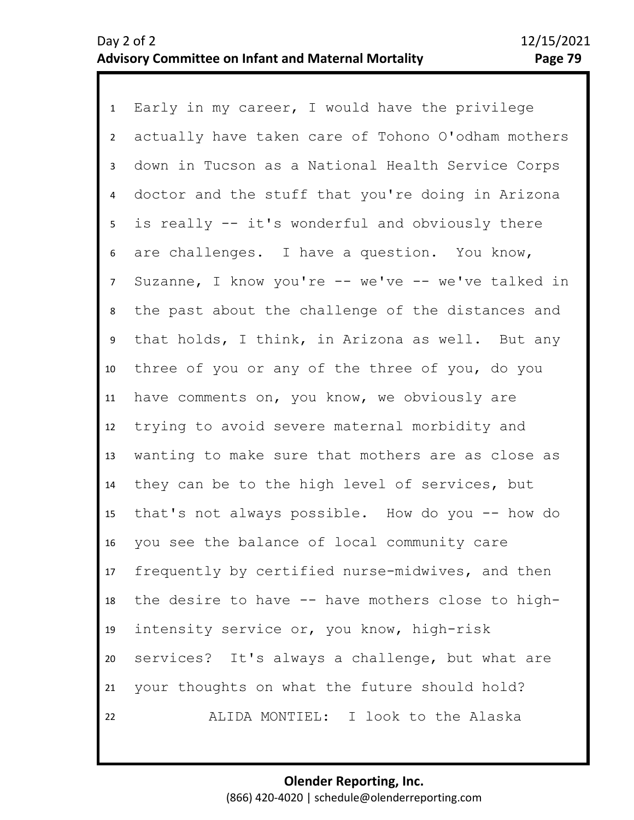1 Early in my career, I would have the privilege 2 3 4 5 9 10 11 12 13 14 15 16 17 18 19 20 21 22 6 8 7 actually have taken care of Tohono O'odham mothers down in Tucson as a National Health Service Corps doctor and the stuff that you're doing in Arizona is really -- it's wonderful and obviously there are challenges. I have a question. You know, Suzanne, I know you're -- we've -- we've talked in the past about the challenge of the distances and that holds, I think, in Arizona as well. But any three of you or any of the three of you, do you have comments on, you know, we obviously are trying to avoid severe maternal morbidity and wanting to make sure that mothers are as close as they can be to the high level of services, but that's not always possible. How do you -- how do you see the balance of local community care frequently by certified nurse-midwives, and then the desire to have -- have mothers close to highintensity service or, you know, high-risk services? It's always a challenge, but what are your thoughts on what the future should hold? ALIDA MONTIEL: I look to the Alaska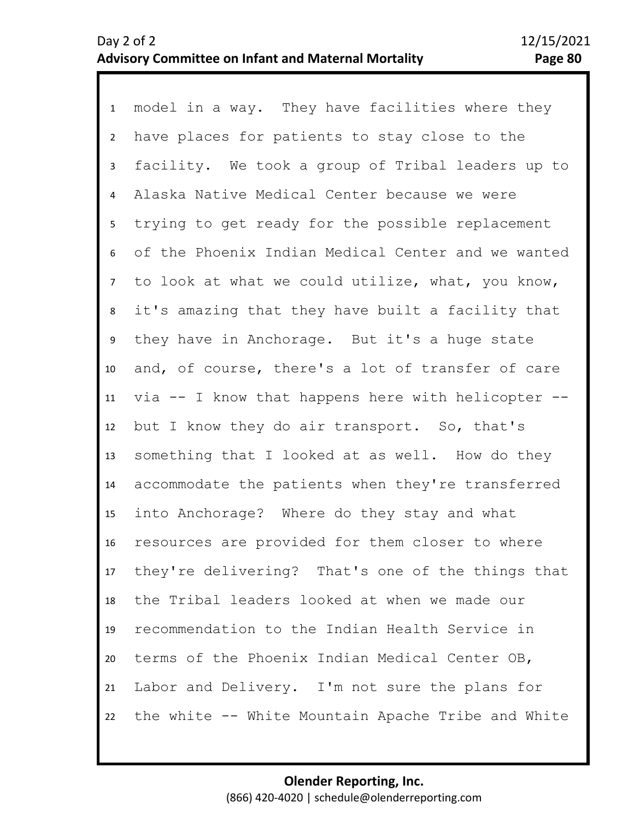1 model in a way. They have facilities where they 2 3 4 8 9 10 11 12 13 14 15 16 17 18 19 20 21 22 5 7 6 have places for patients to stay close to the facility. We took a group of Tribal leaders up to Alaska Native Medical Center because we were trying to get ready for the possible replacement of the Phoenix Indian Medical Center and we wanted to look at what we could utilize, what, you know, it's amazing that they have built a facility that they have in Anchorage. But it's a huge state and, of course, there's a lot of transfer of care via -- I know that happens here with helicopter - but I know they do air transport. So, that's something that I looked at as well. How do they accommodate the patients when they're transferred into Anchorage? Where do they stay and what resources are provided for them closer to where they're delivering? That's one of the things that the Tribal leaders looked at when we made our recommendation to the Indian Health Service in terms of the Phoenix Indian Medical Center OB, Labor and Delivery. I'm not sure the plans for the white -- White Mountain Apache Tribe and White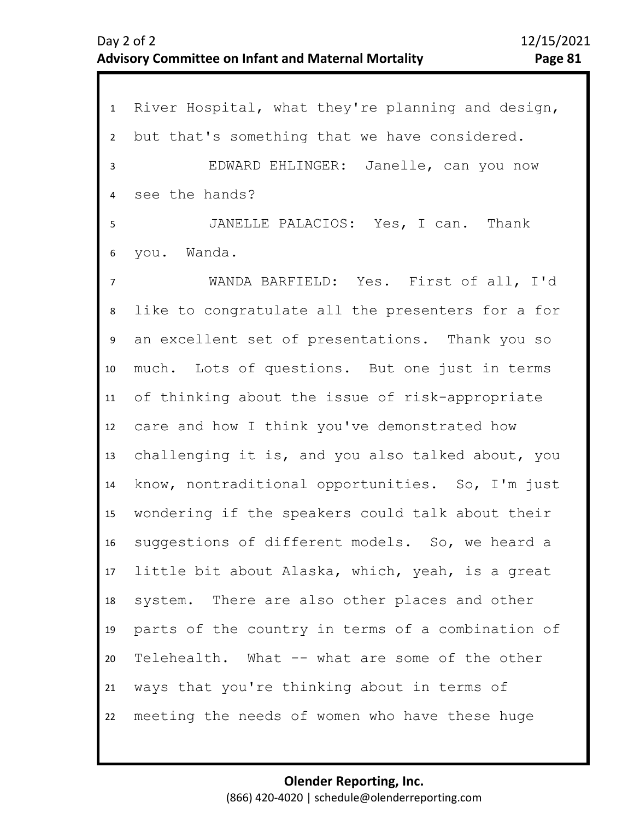| $\mathbf{1}$   | River Hospital, what they're planning and design, |
|----------------|---------------------------------------------------|
| $\overline{2}$ | but that's something that we have considered.     |
| 3              | EDWARD EHLINGER: Janelle, can you now             |
| 4              | see the hands?                                    |
| 5              | JANELLE PALACIOS: Yes, I can. Thank               |
| 6              | you. Wanda.                                       |
| $\overline{7}$ | WANDA BARFIELD: Yes. First of all, I'd            |
| 8              | like to congratulate all the presenters for a for |
| 9              | an excellent set of presentations. Thank you so   |
| 10             | much. Lots of questions. But one just in terms    |
| 11             | of thinking about the issue of risk-appropriate   |
| 12             | care and how I think you've demonstrated how      |
| 13             | challenging it is, and you also talked about, you |
| 14             | know, nontraditional opportunities. So, I'm just  |
| 15             | wondering if the speakers could talk about their  |
| 16             | suggestions of different models. So, we heard a   |
| 17             | little bit about Alaska, which, yeah, is a great  |
| 18             | system. There are also other places and other     |
| 19             | parts of the country in terms of a combination of |
| 20             | Telehealth. What -- what are some of the other    |
| 21             | ways that you're thinking about in terms of       |
| 22             | meeting the needs of women who have these huge    |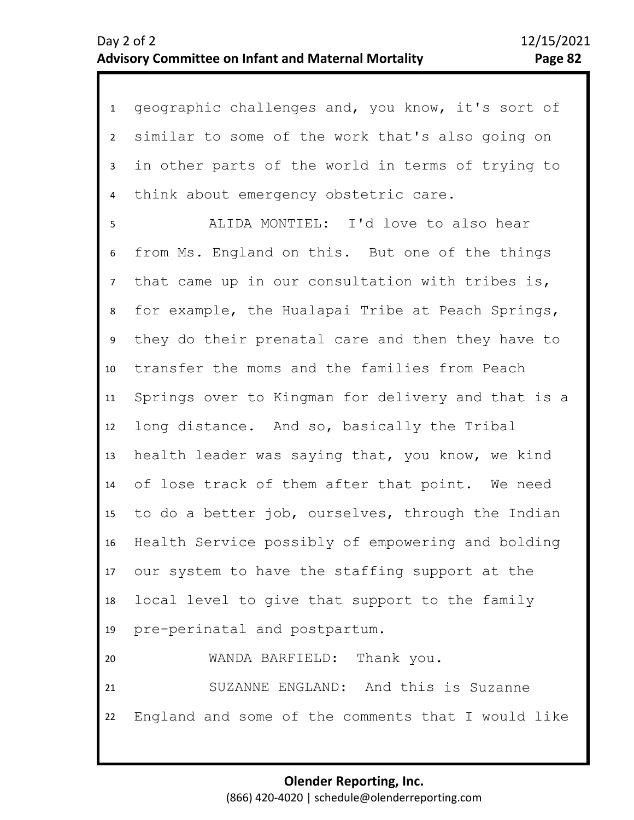| $\mathbf{1}$    | geographic challenges and, you know, it's sort of     |
|-----------------|-------------------------------------------------------|
| $\overline{2}$  | similar to some of the work that's also going on      |
| $\mathbf{3}$    | in other parts of the world in terms of trying to     |
| 4               | think about emergency obstetric care.                 |
| 5               | ALIDA MONTIEL: I'd love to also hear                  |
| 6               | from Ms. England on this. But one of the things       |
| $7\overline{ }$ | that came up in our consultation with tribes is,      |
| 8               | for example, the Hualapai Tribe at Peach Springs,     |
| 9               | they do their prenatal care and then they have to     |
| 10              | transfer the moms and the families from Peach         |
| 11              | Springs over to Kingman for delivery and that is a    |
| 12              | long distance. And so, basically the Tribal           |
| 13              | health leader was saying that, you know, we kind      |
| 14              | of lose track of them after that point. We need       |
| 15              | to do a better job, ourselves, through the Indian     |
| 16              | Health Service possibly of empowering and bolding     |
|                 | 17 our system to have the staffing support at the     |
| 18              | local level to give that support to the family        |
| 19              | pre-perinatal and postpartum.                         |
| 20              | WANDA BARFIELD: Thank you.                            |
| 21              | SUZANNE ENGLAND: And this is Suzanne                  |
|                 | 22 England and some of the comments that I would like |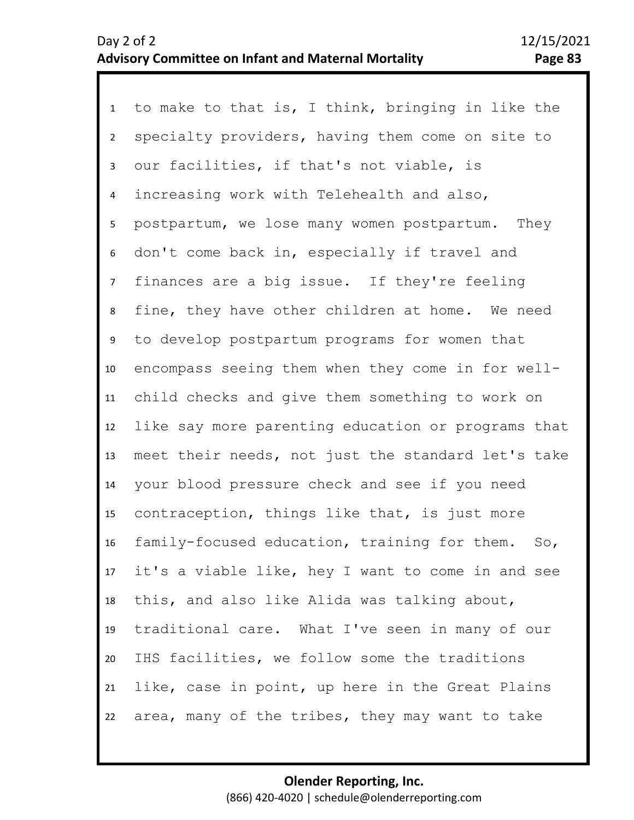1 to make to that is, I think, bringing in like the 2 3 7 8 9 10 11 12 13 14 15 16 17 18 19 20 21 22 4 6 5 specialty providers, having them come on site to our facilities, if that's not viable, is increasing work with Telehealth and also, postpartum, we lose many women postpartum. They don't come back in, especially if travel and finances are a big issue. If they're feeling fine, they have other children at home. We need to develop postpartum programs for women that encompass seeing them when they come in for wellchild checks and give them something to work on like say more parenting education or programs that meet their needs, not just the standard let's take your blood pressure check and see if you need contraception, things like that, is just more family-focused education, training for them. So, it's a viable like, hey I want to come in and see this, and also like Alida was talking about, traditional care. What I've seen in many of our IHS facilities, we follow some the traditions like, case in point, up here in the Great Plains area, many of the tribes, they may want to take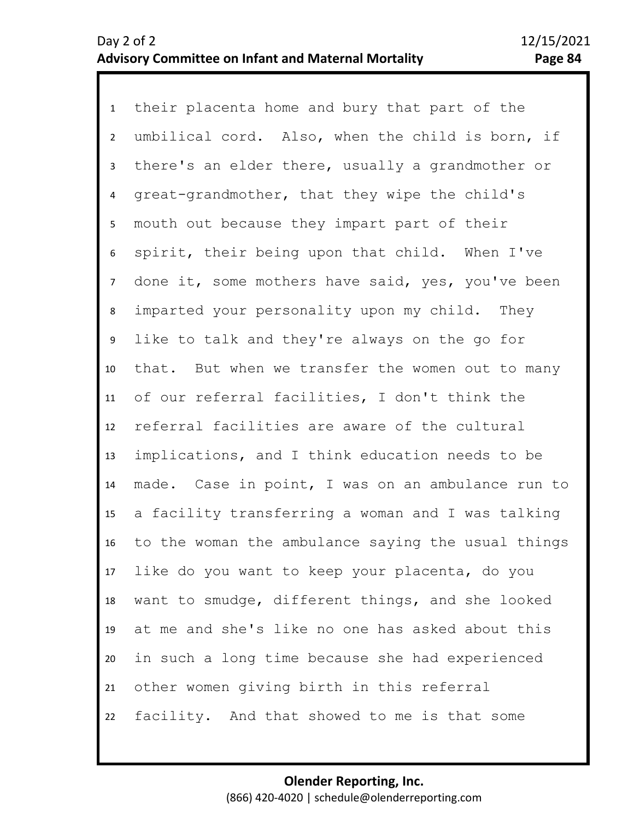1 their placenta home and bury that part of the 2 3 4 8 9 10 11 12 13 14 15 16 17 18 19 20 21 22 5 7 6 umbilical cord. Also, when the child is born, if there's an elder there, usually a grandmother or great-grandmother, that they wipe the child's mouth out because they impart part of their spirit, their being upon that child. When I've done it, some mothers have said, yes, you've been imparted your personality upon my child. They like to talk and they're always on the go for that. But when we transfer the women out to many of our referral facilities, I don't think the referral facilities are aware of the cultural implications, and I think education needs to be made. Case in point, I was on an ambulance run to a facility transferring a woman and I was talking to the woman the ambulance saying the usual things like do you want to keep your placenta, do you want to smudge, different things, and she looked at me and she's like no one has asked about this in such a long time because she had experienced other women giving birth in this referral facility. And that showed to me is that some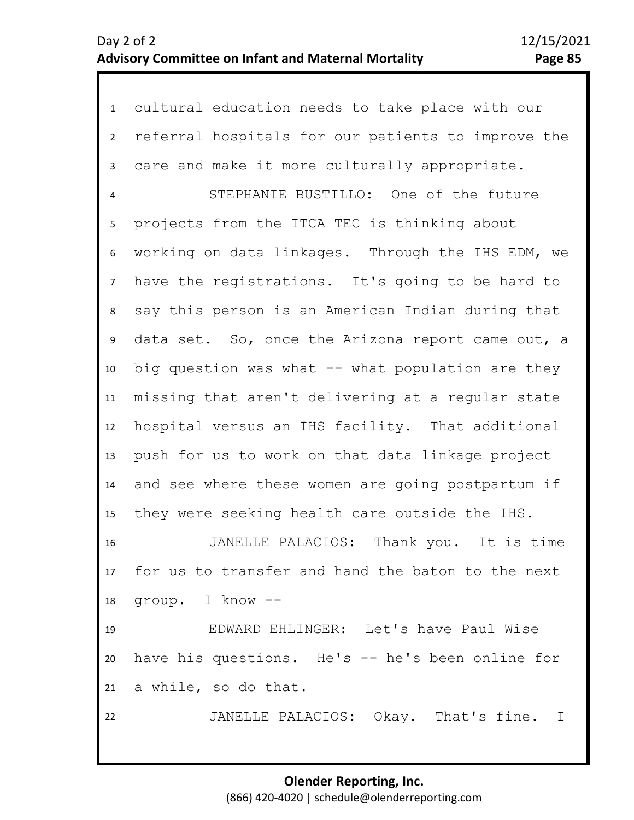| $\mathbf{1}$    | cultural education needs to take place with our      |
|-----------------|------------------------------------------------------|
| $2^{\circ}$     | referral hospitals for our patients to improve the   |
| $\mathbf{3}$    | care and make it more culturally appropriate.        |
| 4               | STEPHANIE BUSTILLO: One of the future                |
| 5               | projects from the ITCA TEC is thinking about         |
| 6               | working on data linkages. Through the IHS EDM, we    |
| $7\overline{ }$ | have the registrations. It's going to be hard to     |
| 8               | say this person is an American Indian during that    |
| 9               | data set. So, once the Arizona report came out, a    |
| 10              | big question was what -- what population are they    |
| 11              | missing that aren't delivering at a regular state    |
| 12              | hospital versus an IHS facility. That additional     |
| 13              | push for us to work on that data linkage project     |
| 14              | and see where these women are going postpartum if    |
| 15              | they were seeking health care outside the IHS.       |
| 16              | Thank you. It is time<br>JANELLE PALACIOS:           |
|                 | 17 for us to transfer and hand the baton to the next |
| 18              | group. I know --                                     |
| 19              | EDWARD EHLINGER: Let's have Paul Wise                |
| 20              | have his questions. He's -- he's been online for     |
|                 | 21 a while, so do that.                              |
| 22              | JANELLE PALACIOS: Okay. That's fine. I               |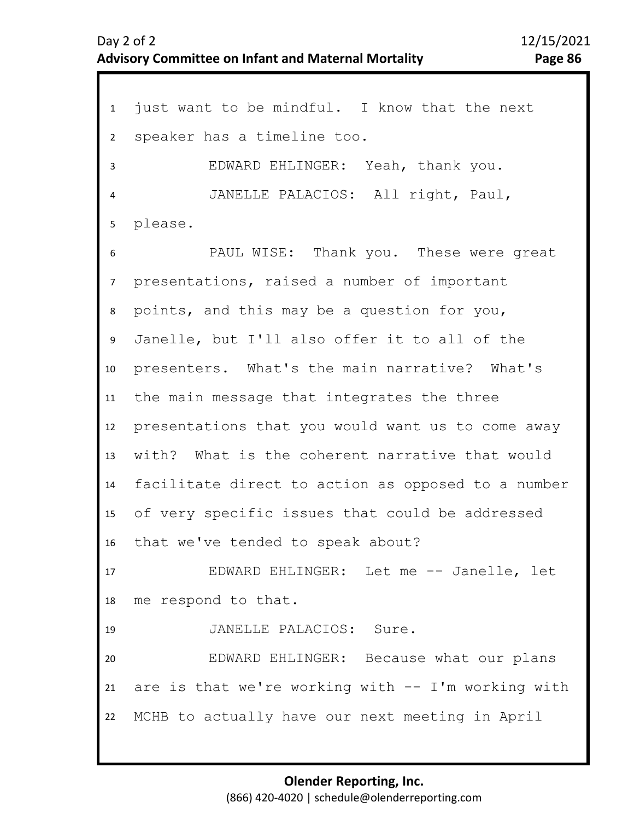1 just want to be mindful. I know that the next 2 3 4 5 9 10 11 12 13 14 15 16 17 18 19 20 21 22 6 8 7 speaker has a timeline too. EDWARD EHLINGER: Yeah, thank you. JANELLE PALACIOS: All right, Paul, please. PAUL WISE: Thank you. These were great presentations, raised a number of important points, and this may be a question for you, Janelle, but I'll also offer it to all of the presenters. What's the main narrative? What's the main message that integrates the three presentations that you would want us to come away with? What is the coherent narrative that would facilitate direct to action as opposed to a number of very specific issues that could be addressed that we've tended to speak about? EDWARD EHLINGER: Let me -- Janelle, let me respond to that. JANELLE PALACIOS: Sure. EDWARD EHLINGER: Because what our plans are is that we're working with  $-$  I'm working with MCHB to actually have our next meeting in April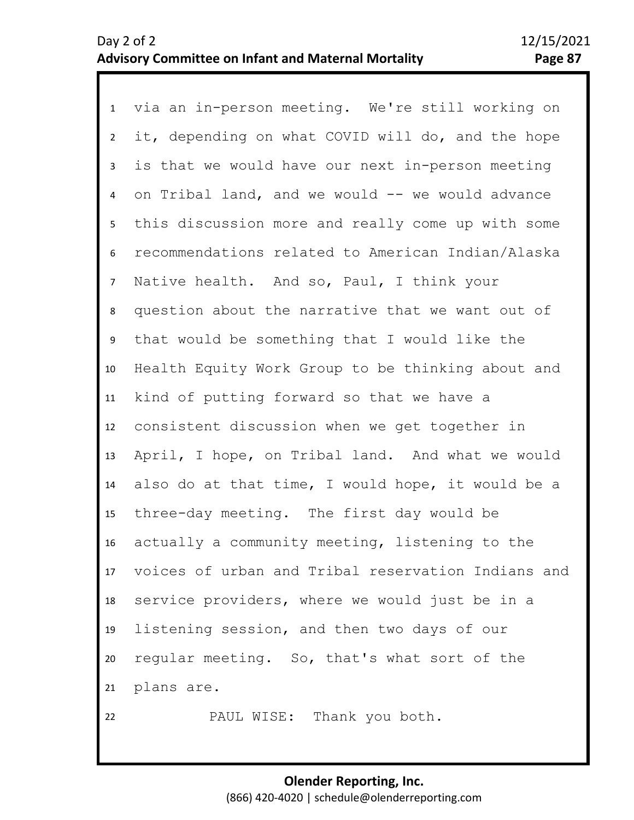1 via an in-person meeting. We're still working on 2 3 4 5 6 7 11 12 13 14 15 16 17 18 19 20 21 22 8 10 9 it, depending on what COVID will do, and the hope is that we would have our next in-person meeting on Tribal land, and we would -- we would advance this discussion more and really come up with some recommendations related to American Indian/Alaska Native health. And so, Paul, I think your question about the narrative that we want out of that would be something that I would like the Health Equity Work Group to be thinking about and kind of putting forward so that we have a consistent discussion when we get together in April, I hope, on Tribal land. And what we would also do at that time, I would hope, it would be a three-day meeting. The first day would be actually a community meeting, listening to the voices of urban and Tribal reservation Indians and service providers, where we would just be in a listening session, and then two days of our regular meeting. So, that's what sort of the plans are. PAUL WISE: Thank you both.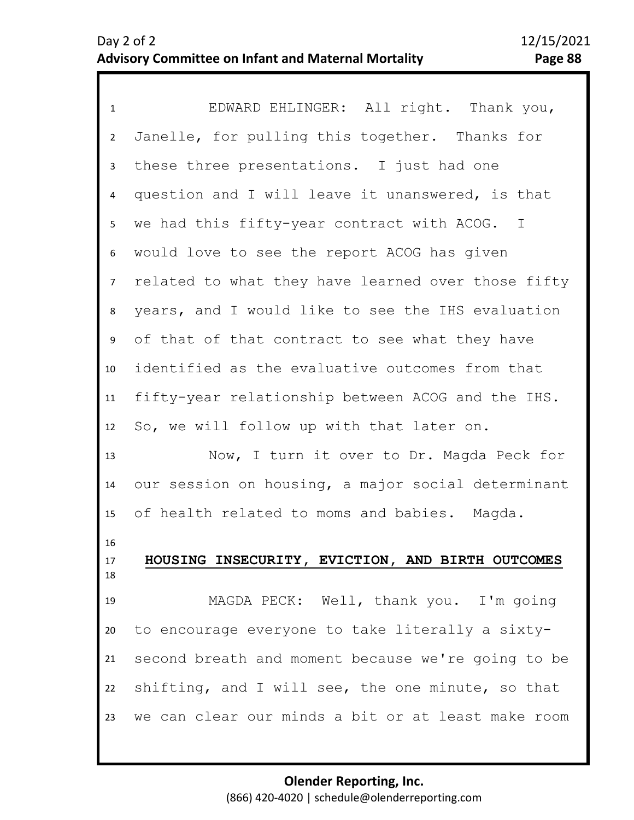| $\mathbf{1}$   | EDWARD EHLINGER: All right. Thank you,             |
|----------------|----------------------------------------------------|
| $\overline{2}$ | Janelle, for pulling this together. Thanks for     |
| 3              | these three presentations. I just had one          |
| 4              | question and I will leave it unanswered, is that   |
| 5 <sub>1</sub> | we had this fifty-year contract with ACOG. I       |
| 6              | would love to see the report ACOG has given        |
| 7 <sup>7</sup> | related to what they have learned over those fifty |
| 8              | years, and I would like to see the IHS evaluation  |
| 9              | of that of that contract to see what they have     |
| 10             | identified as the evaluative outcomes from that    |
| 11             | fifty-year relationship between ACOG and the IHS.  |
| 12             | So, we will follow up with that later on.          |
| 13             | Now, I turn it over to Dr. Magda Peck for          |
| 14             | our session on housing, a major social determinant |
| 15             | of health related to moms and babies. Magda.       |
| 16<br>17<br>18 | HOUSING INSECURITY, EVICTION, AND BIRTH OUTCOMES   |
| 19             | MAGDA PECK: Well, thank you. I'm going             |
| 20             | to encourage everyone to take literally a sixty-   |
| 21             | second breath and moment because we're going to be |
| 22             | shifting, and I will see, the one minute, so that  |
| 23             | we can clear our minds a bit or at least make room |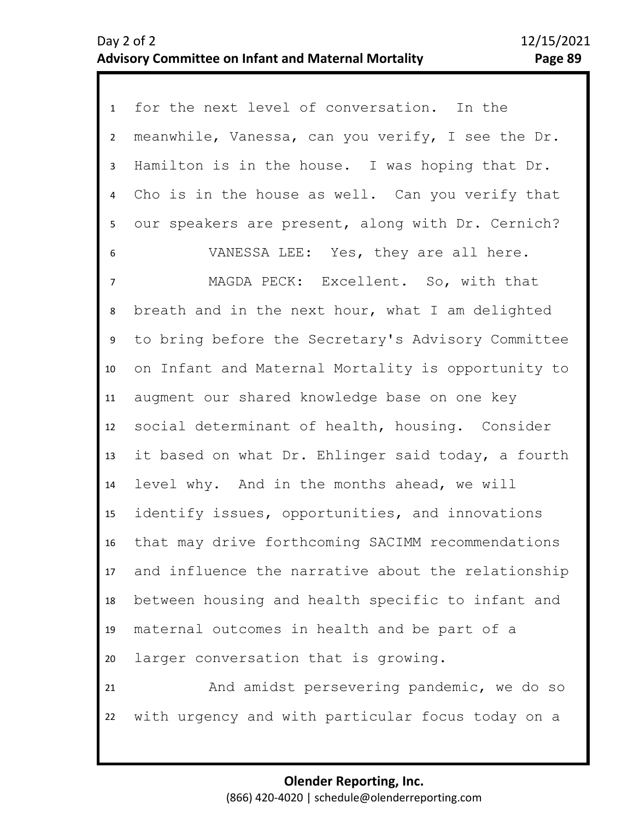| $\mathbf{1}$   | for the next level of conversation. In the         |
|----------------|----------------------------------------------------|
| $\overline{2}$ | meanwhile, Vanessa, can you verify, I see the Dr.  |
| 3              | Hamilton is in the house. I was hoping that Dr.    |
| 4              | Cho is in the house as well. Can you verify that   |
| 5              | our speakers are present, along with Dr. Cernich?  |
| 6              | VANESSA LEE: Yes, they are all here.               |
| $\overline{7}$ | MAGDA PECK: Excellent. So, with that               |
| 8              | breath and in the next hour, what I am delighted   |
| 9              | to bring before the Secretary's Advisory Committee |
| 10             | on Infant and Maternal Mortality is opportunity to |
| 11             | augment our shared knowledge base on one key       |
| 12             | social determinant of health, housing. Consider    |
| 13             | it based on what Dr. Ehlinger said today, a fourth |
| 14             | level why. And in the months ahead, we will        |
| 15             | identify issues, opportunities, and innovations    |
| 16             | that may drive forthcoming SACIMM recommendations  |
| 17             | and influence the narrative about the relationship |
| 18             | between housing and health specific to infant and  |
| 19             | maternal outcomes in health and be part of a       |
| 20             | larger conversation that is growing.               |
| 21             | And amidst persevering pandemic, we do so          |
| 22             | with urgency and with particular focus today on a  |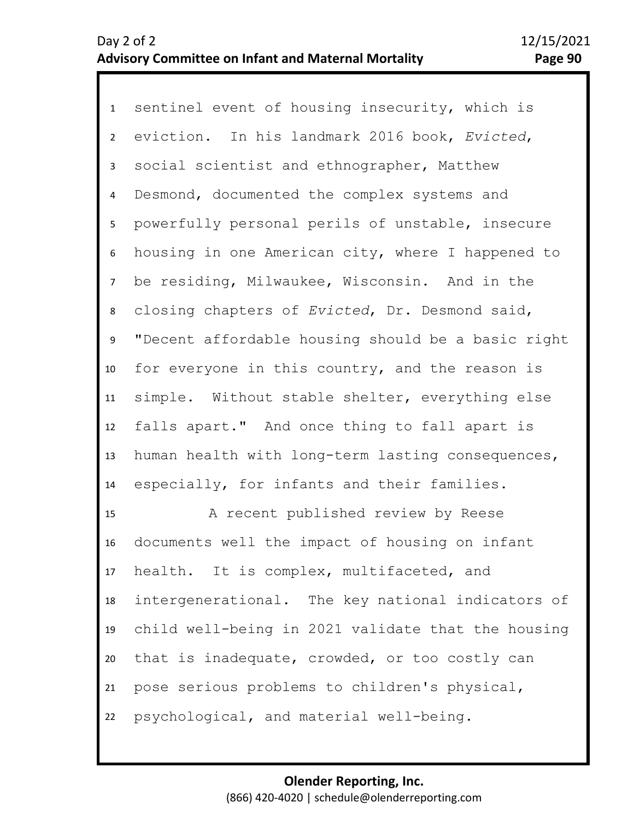1 sentinel event of housing insecurity, which is 2 3 4 5 9 10 11 12 13 14 6 8 7 eviction. In his landmark 2016 book, *Evicted*, social scientist and ethnographer, Matthew Desmond, documented the complex systems and powerfully personal perils of unstable, insecure housing in one American city, where I happened to be residing, Milwaukee, Wisconsin. And in the closing chapters of *Evicted*, Dr. Desmond said, "Decent affordable housing should be a basic right for everyone in this country, and the reason is simple. Without stable shelter, everything else falls apart." And once thing to fall apart is human health with long-term lasting consequences, especially, for infants and their families.

15 16 17 18 19 20 21 22 A recent published review by Reese documents well the impact of housing on infant health. It is complex, multifaceted, and intergenerational. The key national indicators of child well-being in 2021 validate that the housing that is inadequate, crowded, or too costly can pose serious problems to children's physical, psychological, and material well-being.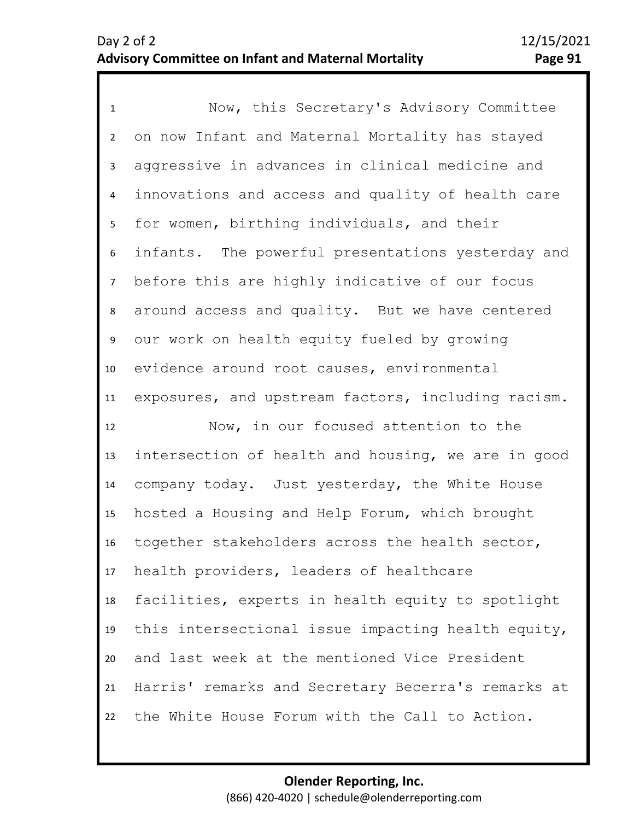1 Now, this Secretary's Advisory Committee 2 3 7 8 9 10 11 4 6 5 on now Infant and Maternal Mortality has stayed aggressive in advances in clinical medicine and innovations and access and quality of health care for women, birthing individuals, and their infants. The powerful presentations yesterday and before this are highly indicative of our focus around access and quality. But we have centered our work on health equity fueled by growing evidence around root causes, environmental exposures, and upstream factors, including racism.

12 13 14 15 16 17 18 19 20 21 22 Now, in our focused attention to the intersection of health and housing, we are in good company today. Just yesterday, the White House hosted a Housing and Help Forum, which brought together stakeholders across the health sector, health providers, leaders of healthcare facilities, experts in health equity to spotlight this intersectional issue impacting health equity, and last week at the mentioned Vice President Harris' remarks and Secretary Becerra's remarks at the White House Forum with the Call to Action.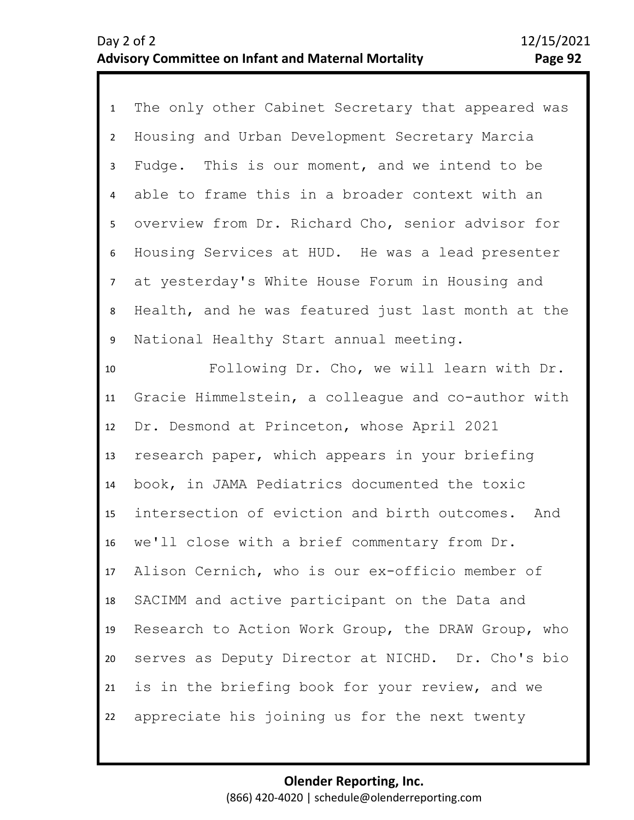1 The only other Cabinet Secretary that appeared was 2 3 4 5 9 10 11 12 13 14 15 6 8 7 Housing and Urban Development Secretary Marcia Fudge. This is our moment, and we intend to be able to frame this in a broader context with an overview from Dr. Richard Cho, senior advisor for Housing Services at HUD. He was a lead presenter at yesterday's White House Forum in Housing and Health, and he was featured just last month at the National Healthy Start annual meeting. Following Dr. Cho, we will learn with Dr. Gracie Himmelstein, a colleague and co-author with Dr. Desmond at Princeton, whose April 2021 research paper, which appears in your briefing book, in JAMA Pediatrics documented the toxic intersection of eviction and birth outcomes. And

16 17 18 19 20 21 22 we'll close with a brief commentary from Dr. Alison Cernich, who is our ex-officio member of SACIMM and active participant on the Data and Research to Action Work Group, the DRAW Group, who serves as Deputy Director at NICHD. Dr. Cho's bio is in the briefing book for your review, and we appreciate his joining us for the next twenty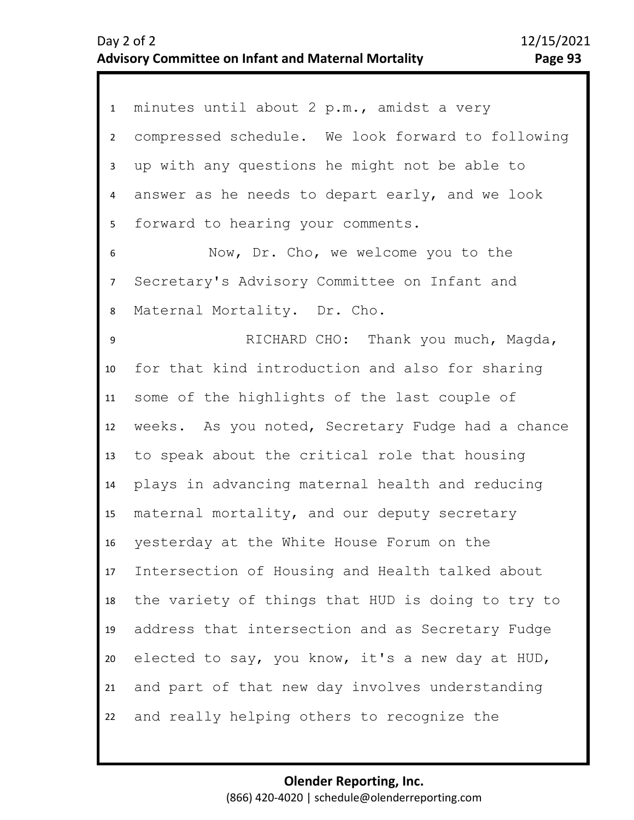| $\mathbf{1}$    | minutes until about 2 p.m., amidst a very         |
|-----------------|---------------------------------------------------|
| $2^{\circ}$     | compressed schedule. We look forward to following |
| 3               | up with any questions he might not be able to     |
| $\overline{4}$  | answer as he needs to depart early, and we look   |
| 5               | forward to hearing your comments.                 |
| 6               | Now, Dr. Cho, we welcome you to the               |
| $7\overline{ }$ | Secretary's Advisory Committee on Infant and      |
| 8               | Maternal Mortality. Dr. Cho.                      |
| $\mathsf g$     | RICHARD CHO: Thank you much, Magda,               |
| 10              | for that kind introduction and also for sharing   |
| 11              | some of the highlights of the last couple of      |
| 12              | weeks. As you noted, Secretary Fudge had a chance |
| 13              | to speak about the critical role that housing     |
| 14              | plays in advancing maternal health and reducing   |
| 15              | maternal mortality, and our deputy secretary      |
| 16              | yesterday at the White House Forum on the         |
| 17              | Intersection of Housing and Health talked about   |
| 18              | the variety of things that HUD is doing to try to |
| 19              | address that intersection and as Secretary Fudge  |
| 20              | elected to say, you know, it's a new day at HUD,  |
| 21              | and part of that new day involves understanding   |
|                 |                                                   |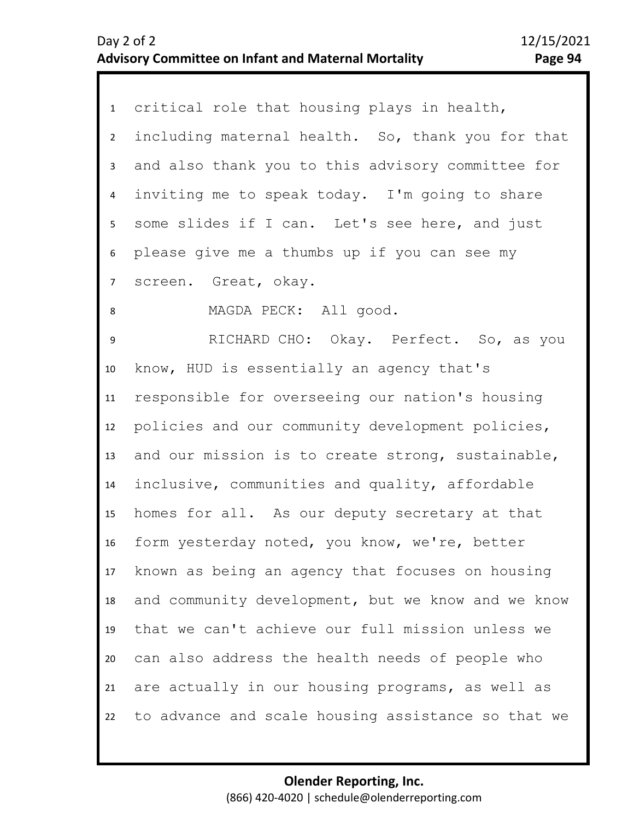| critical role that housing plays in health,<br>including maternal health. So, thank you for that<br>and also thank you to this advisory committee for<br>inviting me to speak today. I'm going to share<br>some slides if I can. Let's see here, and just<br>please give me a thumbs up if you can see my<br>screen. Great, okay.<br>MAGDA PECK: All good.<br>RICHARD CHO: Okay. Perfect. So, as you<br>know, HUD is essentially an agency that's<br>responsible for overseeing our nation's housing<br>policies and our community development policies, |
|----------------------------------------------------------------------------------------------------------------------------------------------------------------------------------------------------------------------------------------------------------------------------------------------------------------------------------------------------------------------------------------------------------------------------------------------------------------------------------------------------------------------------------------------------------|
|                                                                                                                                                                                                                                                                                                                                                                                                                                                                                                                                                          |
|                                                                                                                                                                                                                                                                                                                                                                                                                                                                                                                                                          |
|                                                                                                                                                                                                                                                                                                                                                                                                                                                                                                                                                          |
|                                                                                                                                                                                                                                                                                                                                                                                                                                                                                                                                                          |
|                                                                                                                                                                                                                                                                                                                                                                                                                                                                                                                                                          |
|                                                                                                                                                                                                                                                                                                                                                                                                                                                                                                                                                          |
|                                                                                                                                                                                                                                                                                                                                                                                                                                                                                                                                                          |
|                                                                                                                                                                                                                                                                                                                                                                                                                                                                                                                                                          |
|                                                                                                                                                                                                                                                                                                                                                                                                                                                                                                                                                          |
|                                                                                                                                                                                                                                                                                                                                                                                                                                                                                                                                                          |
|                                                                                                                                                                                                                                                                                                                                                                                                                                                                                                                                                          |
|                                                                                                                                                                                                                                                                                                                                                                                                                                                                                                                                                          |
| and our mission is to create strong, sustainable,                                                                                                                                                                                                                                                                                                                                                                                                                                                                                                        |
| inclusive, communities and quality, affordable                                                                                                                                                                                                                                                                                                                                                                                                                                                                                                           |
| homes for all. As our deputy secretary at that                                                                                                                                                                                                                                                                                                                                                                                                                                                                                                           |
| form yesterday noted, you know, we're, better                                                                                                                                                                                                                                                                                                                                                                                                                                                                                                            |
| known as being an agency that focuses on housing                                                                                                                                                                                                                                                                                                                                                                                                                                                                                                         |
| and community development, but we know and we know                                                                                                                                                                                                                                                                                                                                                                                                                                                                                                       |
| that we can't achieve our full mission unless we                                                                                                                                                                                                                                                                                                                                                                                                                                                                                                         |
| can also address the health needs of people who                                                                                                                                                                                                                                                                                                                                                                                                                                                                                                          |
| are actually in our housing programs, as well as                                                                                                                                                                                                                                                                                                                                                                                                                                                                                                         |
|                                                                                                                                                                                                                                                                                                                                                                                                                                                                                                                                                          |
|                                                                                                                                                                                                                                                                                                                                                                                                                                                                                                                                                          |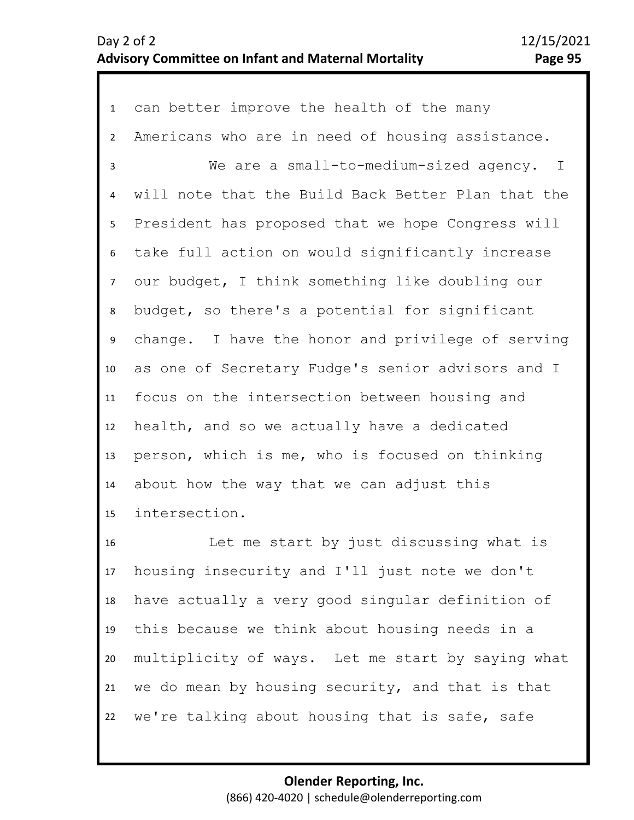1 can better improve the health of the many 2 3 4 5 9 10 11 12 13 14 15 6 8 7 Americans who are in need of housing assistance. We are a small-to-medium-sized agency. I will note that the Build Back Better Plan that the President has proposed that we hope Congress will take full action on would significantly increase our budget, I think something like doubling our budget, so there's a potential for significant change. I have the honor and privilege of serving as one of Secretary Fudge's senior advisors and I focus on the intersection between housing and health, and so we actually have a dedicated person, which is me, who is focused on thinking about how the way that we can adjust this intersection.

16 17 18 19 20 21 22 Let me start by just discussing what is housing insecurity and I'll just note we don't have actually a very good singular definition of this because we think about housing needs in a multiplicity of ways. Let me start by saying what we do mean by housing security, and that is that we're talking about housing that is safe, safe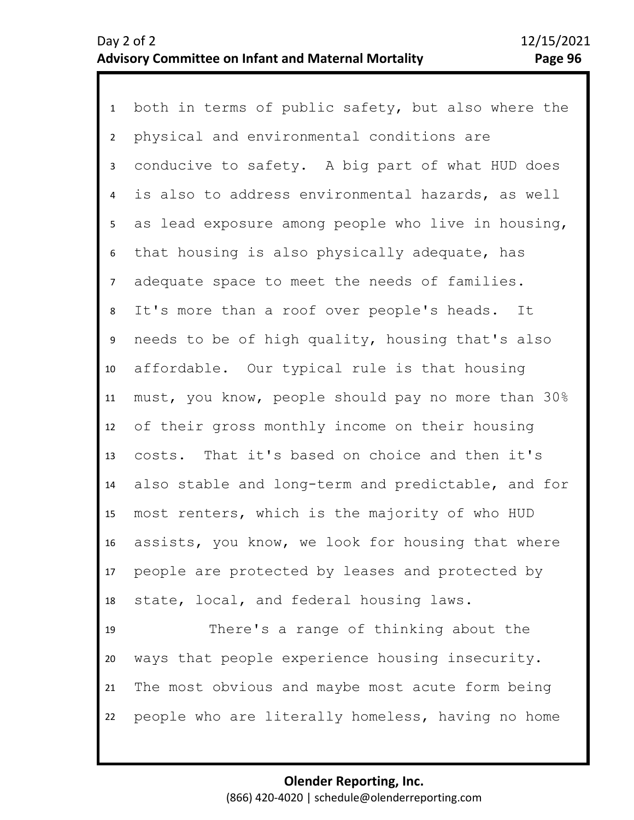1 both in terms of public safety, but also where the 2 6 7 8 9 10 11 12 13 14 15 16 17 18 19 20 3 5 4 physical and environmental conditions are conducive to safety. A big part of what HUD does is also to address environmental hazards, as well as lead exposure among people who live in housing, that housing is also physically adequate, has adequate space to meet the needs of families. It's more than a roof over people's heads. It needs to be of high quality, housing that's also affordable. Our typical rule is that housing must, you know, people should pay no more than 30% of their gross monthly income on their housing costs. That it's based on choice and then it's also stable and long-term and predictable, and for most renters, which is the majority of who HUD assists, you know, we look for housing that where people are protected by leases and protected by state, local, and federal housing laws. There's a range of thinking about the ways that people experience housing insecurity.

21 22 The most obvious and maybe most acute form being people who are literally homeless, having no home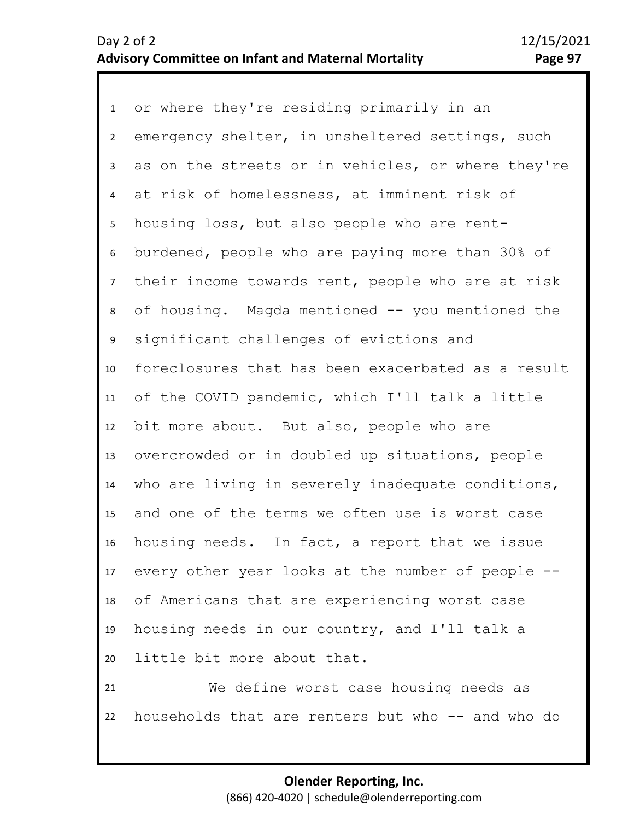1 or where they're residing primarily in an 2 3 4 5 9 10 11 12 13 14 15 16 17 18 19 20 21 6 8 7 emergency shelter, in unsheltered settings, such as on the streets or in vehicles, or where they're at risk of homelessness, at imminent risk of housing loss, but also people who are rentburdened, people who are paying more than 30% of their income towards rent, people who are at risk of housing. Magda mentioned -- you mentioned the significant challenges of evictions and foreclosures that has been exacerbated as a result of the COVID pandemic, which I'll talk a little bit more about. But also, people who are overcrowded or in doubled up situations, people who are living in severely inadequate conditions, and one of the terms we often use is worst case housing needs. In fact, a report that we issue every other year looks at the number of people - of Americans that are experiencing worst case housing needs in our country, and I'll talk a little bit more about that. We define worst case housing needs as

households that are renters but who -- and who do

22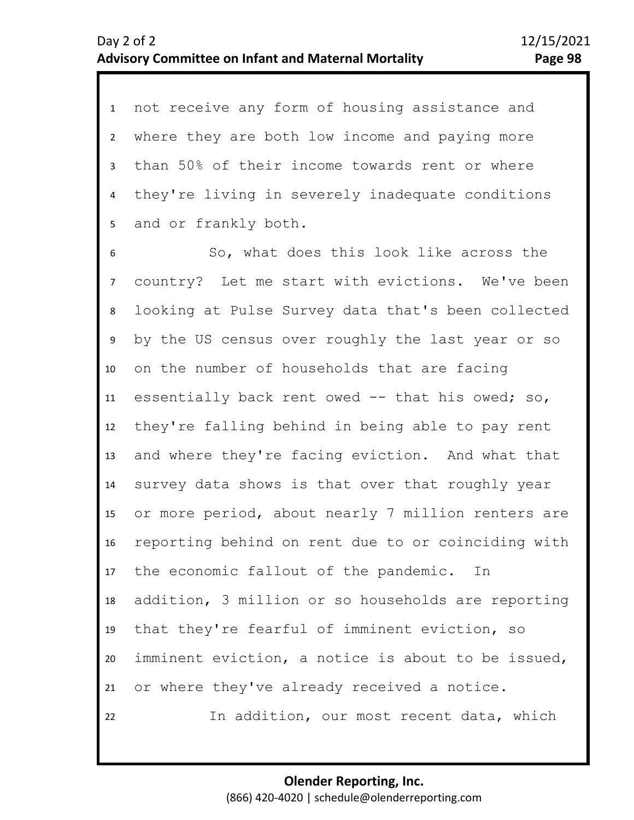1 not receive any form of housing assistance and 2 3 4 5 where they are both low income and paying more than 50% of their income towards rent or where they're living in severely inadequate conditions and or frankly both.

8 9 10 11 12 13 14 15 16 17 18 19 20 21 22 7 6 So, what does this look like across the country? Let me start with evictions. We've been looking at Pulse Survey data that's been collected by the US census over roughly the last year or so on the number of households that are facing essentially back rent owed -- that his owed; so, they're falling behind in being able to pay rent and where they're facing eviction. And what that survey data shows is that over that roughly year or more period, about nearly 7 million renters are reporting behind on rent due to or coinciding with the economic fallout of the pandemic. In addition, 3 million or so households are reporting that they're fearful of imminent eviction, so imminent eviction, a notice is about to be issued, or where they've already received a notice. In addition, our most recent data, which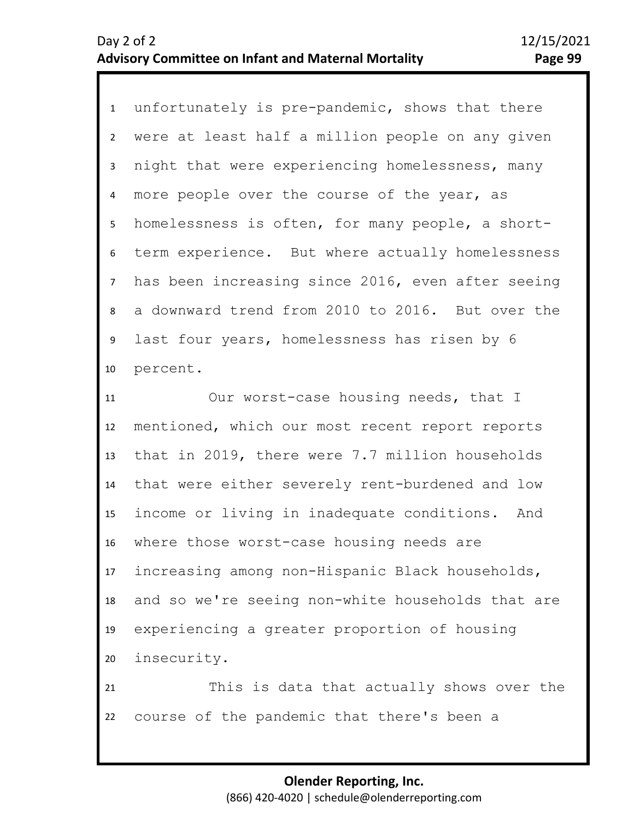1 unfortunately is pre-pandemic, shows that there 2 3 4 5 6 7 8 10 9 were at least half a million people on any given night that were experiencing homelessness, many more people over the course of the year, as homelessness is often, for many people, a shortterm experience. But where actually homelessness has been increasing since 2016, even after seeing a downward trend from 2010 to 2016. But over the last four years, homelessness has risen by 6 percent.

11 12 13 14 15 16 17 18 19 20 21 Our worst-case housing needs, that I mentioned, which our most recent report reports that in 2019, there were 7.7 million households that were either severely rent-burdened and low income or living in inadequate conditions. And where those worst-case housing needs are increasing among non-Hispanic Black households, and so we're seeing non-white households that are experiencing a greater proportion of housing insecurity. This is data that actually shows over the

22 course of the pandemic that there's been a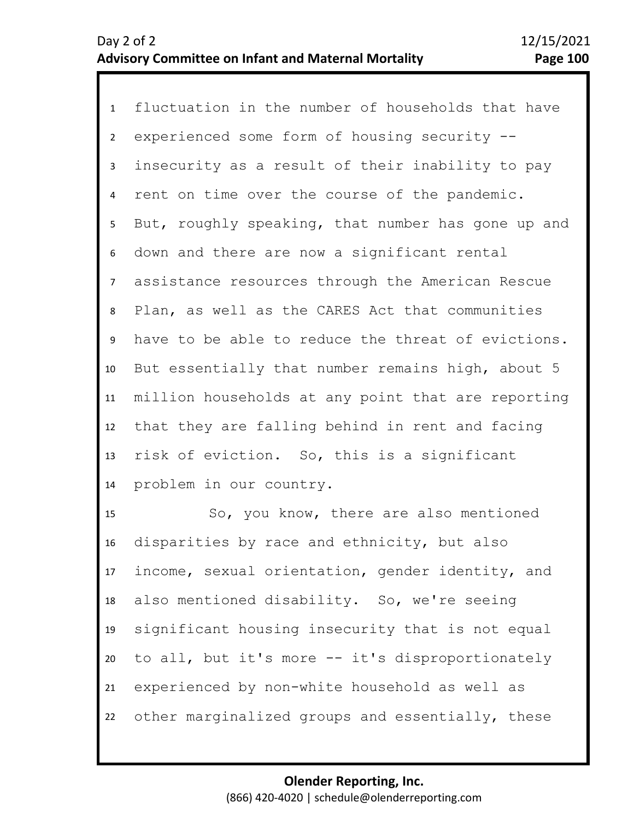1 fluctuation in the number of households that have 2 3 4 5 6 7 11 12 13 14 8 10 9 experienced some form of housing security - insecurity as a result of their inability to pay rent on time over the course of the pandemic. But, roughly speaking, that number has gone up and down and there are now a significant rental assistance resources through the American Rescue Plan, as well as the CARES Act that communities have to be able to reduce the threat of evictions. But essentially that number remains high, about 5 million households at any point that are reporting that they are falling behind in rent and facing risk of eviction. So, this is a significant problem in our country.

15 16 17 18 19 20 21 22 So, you know, there are also mentioned disparities by race and ethnicity, but also income, sexual orientation, gender identity, and also mentioned disability. So, we're seeing significant housing insecurity that is not equal to all, but it's more -- it's disproportionately experienced by non-white household as well as other marginalized groups and essentially, these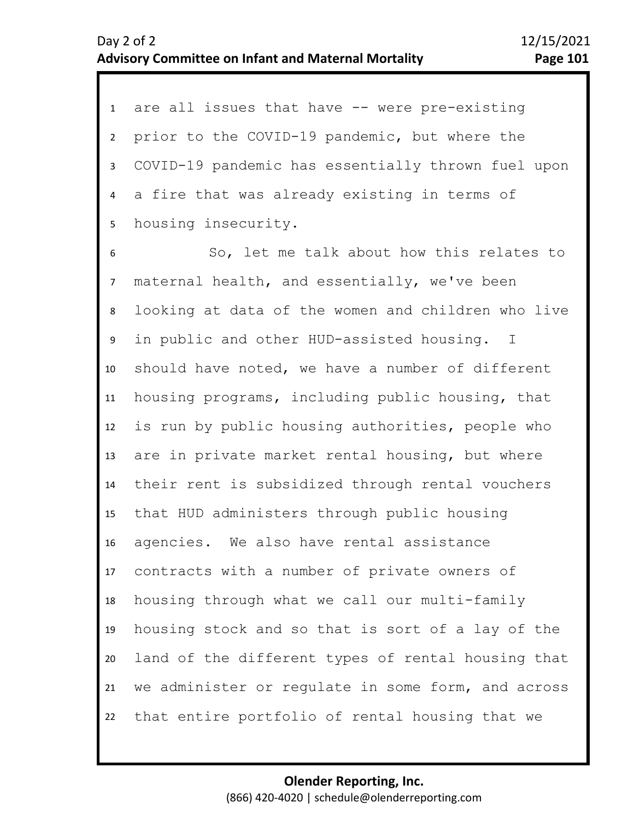1 are all issues that have -- were pre-existing 2 3 4 5 prior to the COVID-19 pandemic, but where the COVID-19 pandemic has essentially thrown fuel upon a fire that was already existing in terms of housing insecurity.

6 7 11 12 13 14 15 16 17 18 19 20 21 22 8 10 9 So, let me talk about how this relates to maternal health, and essentially, we've been looking at data of the women and children who live in public and other HUD-assisted housing. I should have noted, we have a number of different housing programs, including public housing, that is run by public housing authorities, people who are in private market rental housing, but where their rent is subsidized through rental vouchers that HUD administers through public housing agencies. We also have rental assistance contracts with a number of private owners of housing through what we call our multi-family housing stock and so that is sort of a lay of the land of the different types of rental housing that we administer or regulate in some form, and across that entire portfolio of rental housing that we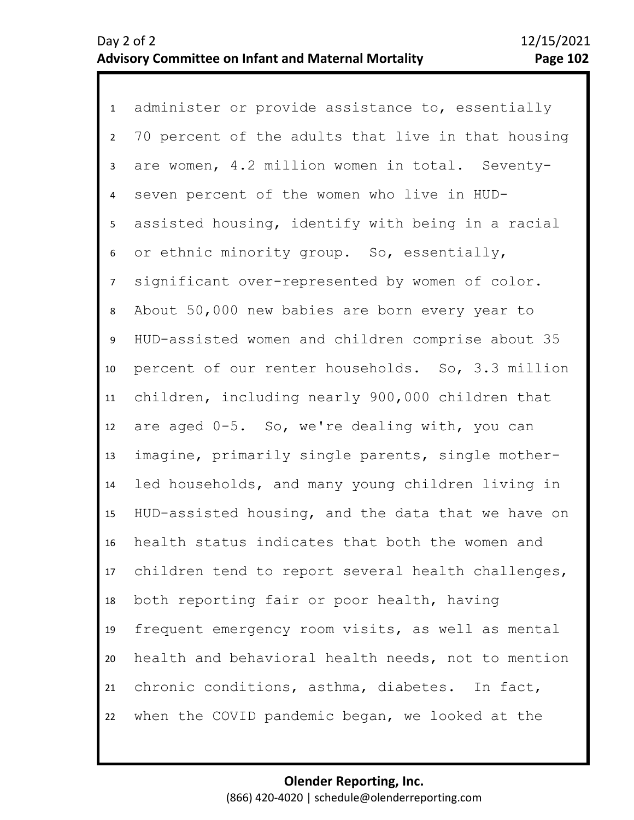1 administer or provide assistance to, essentially 2 3 4 5 9 10 11 12 13 14 15 16 17 18 19 20 21 22 6 8 7 70 percent of the adults that live in that housing are women, 4.2 million women in total. Seventyseven percent of the women who live in HUDassisted housing, identify with being in a racial or ethnic minority group. So, essentially, significant over-represented by women of color. About 50,000 new babies are born every year to HUD-assisted women and children comprise about 35 percent of our renter households. So, 3.3 million children, including nearly 900,000 children that are aged 0-5. So, we're dealing with, you can imagine, primarily single parents, single motherled households, and many young children living in HUD-assisted housing, and the data that we have on health status indicates that both the women and children tend to report several health challenges, both reporting fair or poor health, having frequent emergency room visits, as well as mental health and behavioral health needs, not to mention chronic conditions, asthma, diabetes. In fact, when the COVID pandemic began, we looked at the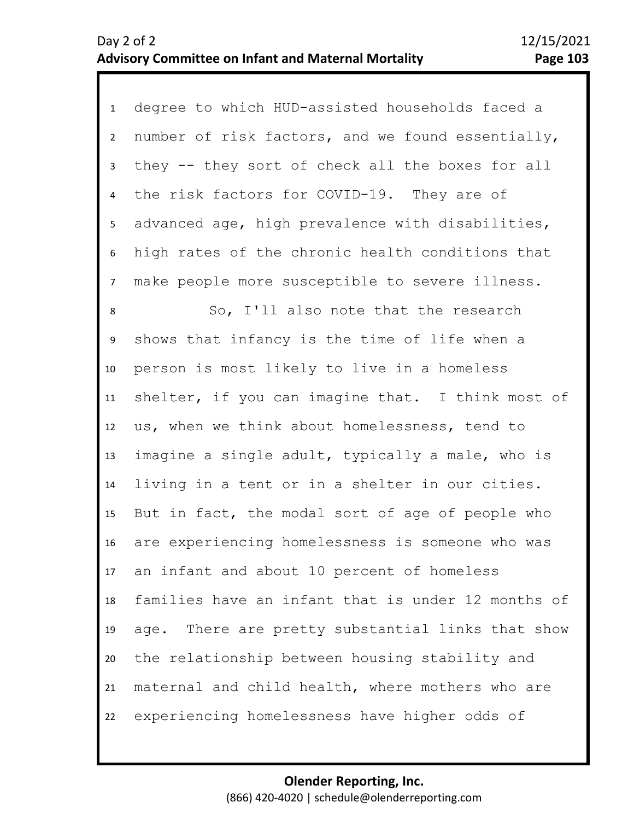1 degree to which HUD-assisted households faced a 2 3 4 5 8 9 10 11 12 13 14 15 16 17 18 19 20 21 22 6 7 number of risk factors, and we found essentially, they -- they sort of check all the boxes for all the risk factors for COVID-19. They are of advanced age, high prevalence with disabilities, high rates of the chronic health conditions that make people more susceptible to severe illness. So, I'll also note that the research shows that infancy is the time of life when a person is most likely to live in a homeless shelter, if you can imagine that. I think most of us, when we think about homelessness, tend to imagine a single adult, typically a male, who is living in a tent or in a shelter in our cities. But in fact, the modal sort of age of people who are experiencing homelessness is someone who was an infant and about 10 percent of homeless families have an infant that is under 12 months of age. There are pretty substantial links that show the relationship between housing stability and maternal and child health, where mothers who are experiencing homelessness have higher odds of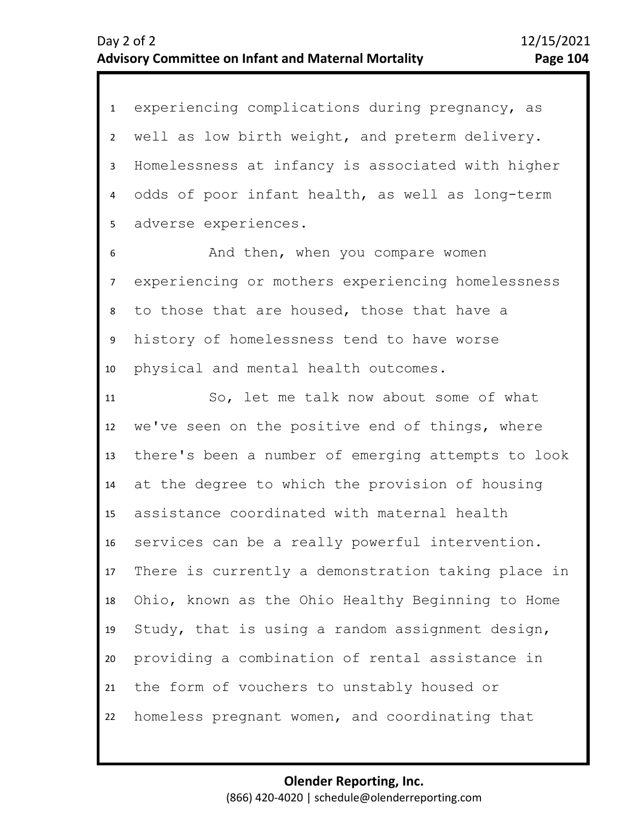1 experiencing complications during pregnancy, as 2 3 4 7 8 9 10 11 12 13 14 15 16 17 18 19 20 21 22 5 6 well as low birth weight, and preterm delivery. Homelessness at infancy is associated with higher odds of poor infant health, as well as long-term adverse experiences. And then, when you compare women experiencing or mothers experiencing homelessness to those that are housed, those that have a history of homelessness tend to have worse physical and mental health outcomes. So, let me talk now about some of what we've seen on the positive end of things, where there's been a number of emerging attempts to look at the degree to which the provision of housing assistance coordinated with maternal health services can be a really powerful intervention. There is currently a demonstration taking place in Ohio, known as the Ohio Healthy Beginning to Home Study, that is using a random assignment design, providing a combination of rental assistance in the form of vouchers to unstably housed or homeless pregnant women, and coordinating that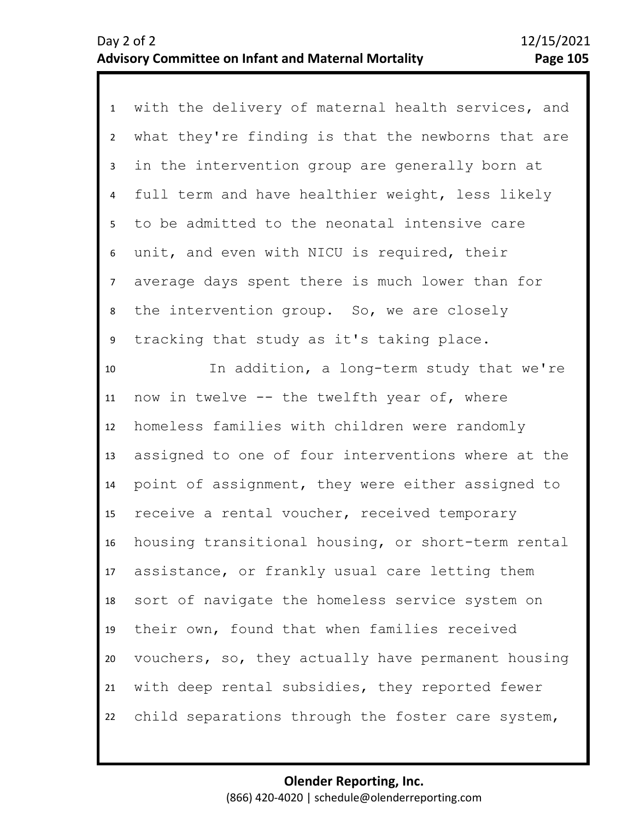| $\mathbf{1}$   | with the delivery of maternal health services, and |
|----------------|----------------------------------------------------|
| $\overline{2}$ | what they're finding is that the newborns that are |
| 3              | in the intervention group are generally born at    |
| 4              | full term and have healthier weight, less likely   |
| 5 <sub>1</sub> | to be admitted to the neonatal intensive care      |
| 6              | unit, and even with NICU is required, their        |
| $\overline{7}$ | average days spent there is much lower than for    |
| 8              | the intervention group. So, we are closely         |
| 9              | tracking that study as it's taking place.          |
| 10             | In addition, a long-term study that we're          |
| 11             | now in twelve -- the twelfth year of, where        |
| 12             | homeless families with children were randomly      |
| 13             | assigned to one of four interventions where at the |
| 14             | point of assignment, they were either assigned to  |
| 15             | receive a rental voucher, received temporary       |
| 16             | housing transitional housing, or short-term rental |
| 17             | assistance, or frankly usual care letting them     |
| 18             | sort of navigate the homeless service system on    |
| 19             | their own, found that when families received       |
| 20             | vouchers, so, they actually have permanent housing |
| 21             | with deep rental subsidies, they reported fewer    |
| 22             | child separations through the foster care system,  |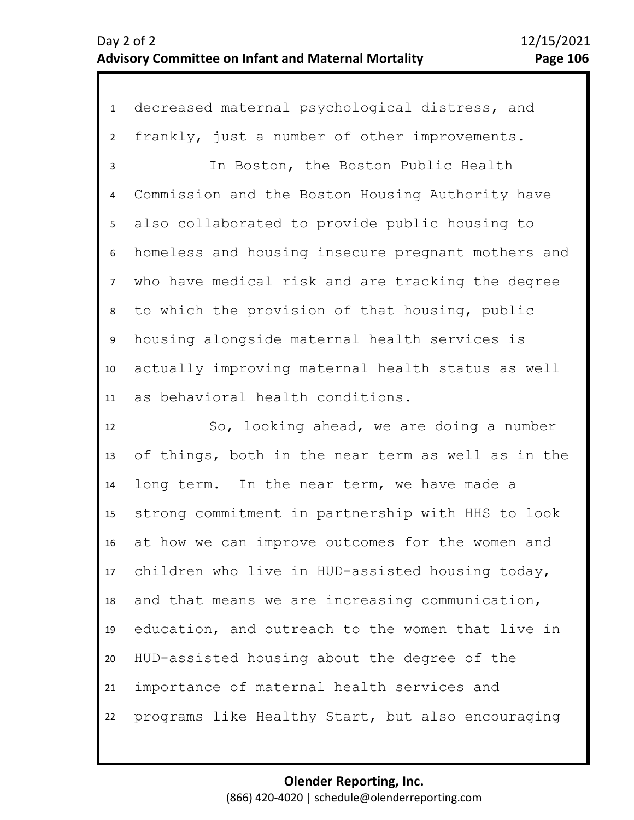1 decreased maternal psychological distress, and 2 3 4 5 6 7 1 0 11 8 9 frankly, just a number of other improvements. In Boston, the Boston Public Health Commission and the Boston Housing Authority have also collaborated to provide public housing to homeless and housing insecure pregnant mothers and who have medical risk and are tracking the degree to which the provision of that housing, public housing alongside maternal health services is actually improving maternal health status as well as behavioral health conditions.

12 13 14 15 16 17 18 19 20 21 22 So, looking ahead, we are doing a number of things, both in the near term as well as in the long term. In the near term, we have made a strong commitment in partnership with HHS to look at how we can improve outcomes for the women and children who live in HUD-assisted housing today, and that means we are increasing communication, education, and outreach to the women that live in HUD-assisted housing about the degree of the importance of maternal health services and programs like Healthy Start, but also encouraging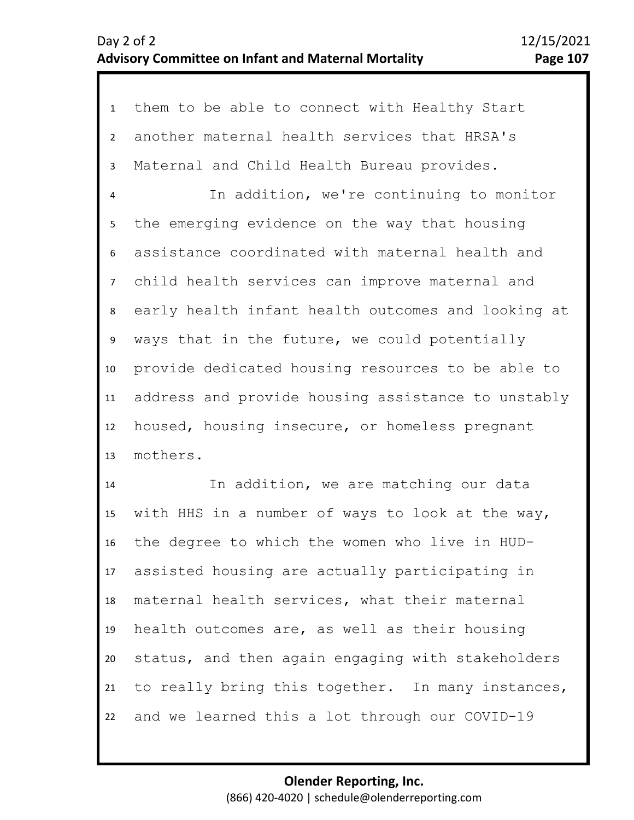1 them to be able to connect with Healthy Start 2 3 4 5 6 7 11 12 13 8 10 9 another maternal health services that HRSA's Maternal and Child Health Bureau provides. In addition, we're continuing to monitor the emerging evidence on the way that housing assistance coordinated with maternal health and child health services can improve maternal and early health infant health outcomes and looking at ways that in the future, we could potentially provide dedicated housing resources to be able to address and provide housing assistance to unstably housed, housing insecure, or homeless pregnant mothers.

14 15 16 17 18 19 20 21 22 In addition, we are matching our data with HHS in a number of ways to look at the way, the degree to which the women who live in HUDassisted housing are actually participating in maternal health services, what their maternal health outcomes are, as well as their housing status, and then again engaging with stakeholders to really bring this together. In many instances, and we learned this a lot through our COVID-19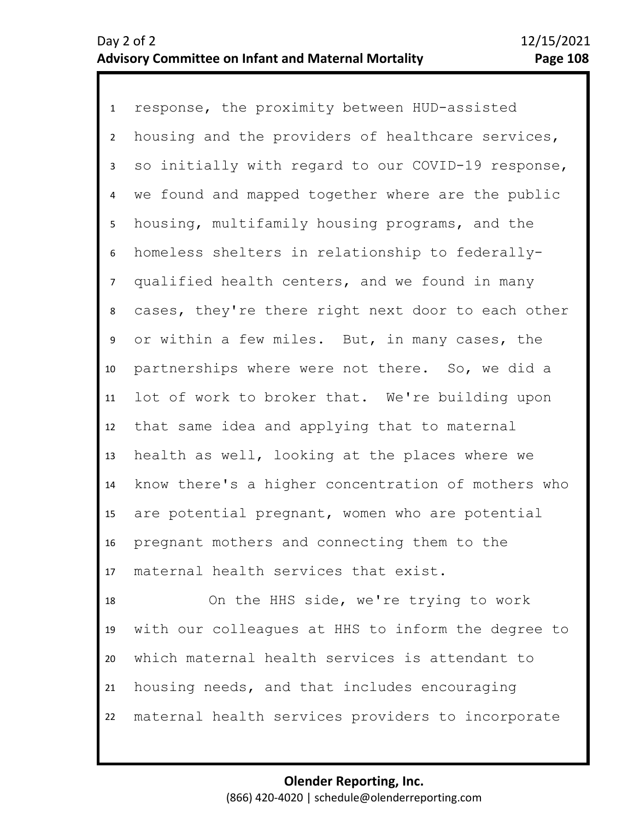1 response, the proximity between HUD-assisted 2 3 4 5 9 10 11 12 13 14 15 16 17 6 8 7 housing and the providers of healthcare services, so initially with regard to our COVID-19 response, we found and mapped together where are the public housing, multifamily housing programs, and the homeless shelters in relationship to federallyqualified health centers, and we found in many cases, they're there right next door to each other or within a few miles. But, in many cases, the partnerships where were not there. So, we did a lot of work to broker that. We're building upon that same idea and applying that to maternal health as well, looking at the places where we know there's a higher concentration of mothers who are potential pregnant, women who are potential pregnant mothers and connecting them to the maternal health services that exist.

18 19 20 21 22 On the HHS side, we're trying to work with our colleagues at HHS to inform the degree to which maternal health services is attendant to housing needs, and that includes encouraging maternal health services providers to incorporate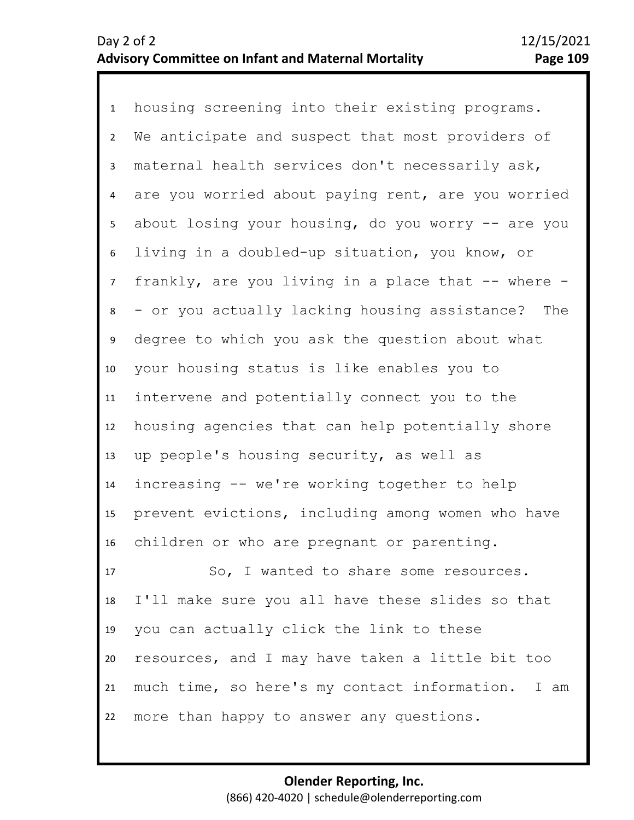1 housing screening into their existing programs. 2 3 4 5 9 10 11 12 13 14 15 16 17 6 8 7 We anticipate and suspect that most providers of maternal health services don't necessarily ask, are you worried about paying rent, are you worried about losing your housing, do you worry  $-$  are you living in a doubled-up situation, you know, or frankly, are you living in a place that -- where -- or you actually lacking housing assistance? The degree to which you ask the question about what your housing status is like enables you to intervene and potentially connect you to the housing agencies that can help potentially shore up people's housing security, as well as increasing -- we're working together to help prevent evictions, including among women who have children or who are pregnant or parenting. So, I wanted to share some resources.

18 19 20 21 22 I'll make sure you all have these slides so that you can actually click the link to these resources, and I may have taken a little bit too much time, so here's my contact information. I am more than happy to answer any questions.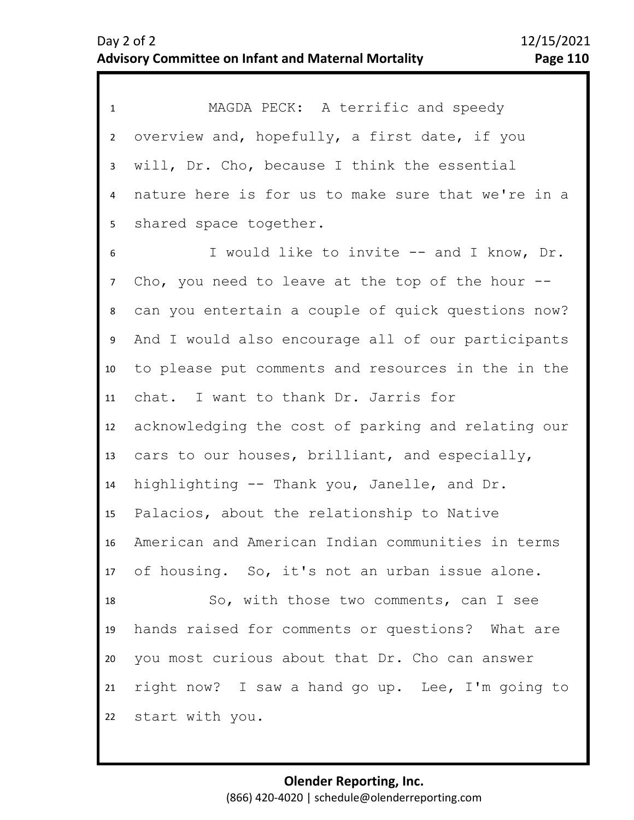1 MAGDA PECK: A terrific and speedy 2 3 4 5 9 10 11 12 13 14 15 16 17 18 19 20 21 22 6 8 7 overview and, hopefully, a first date, if you will, Dr. Cho, because I think the essential nature here is for us to make sure that we're in a shared space together. I would like to invite -- and I know, Dr. Cho, you need to leave at the top of the hour  $$ can you entertain a couple of quick questions now? And I would also encourage all of our participants to please put comments and resources in the in the chat. I want to thank Dr. Jarris for acknowledging the cost of parking and relating our cars to our houses, brilliant, and especially, highlighting -- Thank you, Janelle, and Dr. Palacios, about the relationship to Native American and American Indian communities in terms of housing. So, it's not an urban issue alone. So, with those two comments, can I see hands raised for comments or questions? What are you most curious about that Dr. Cho can answer right now? I saw a hand go up. Lee, I'm going to start with you.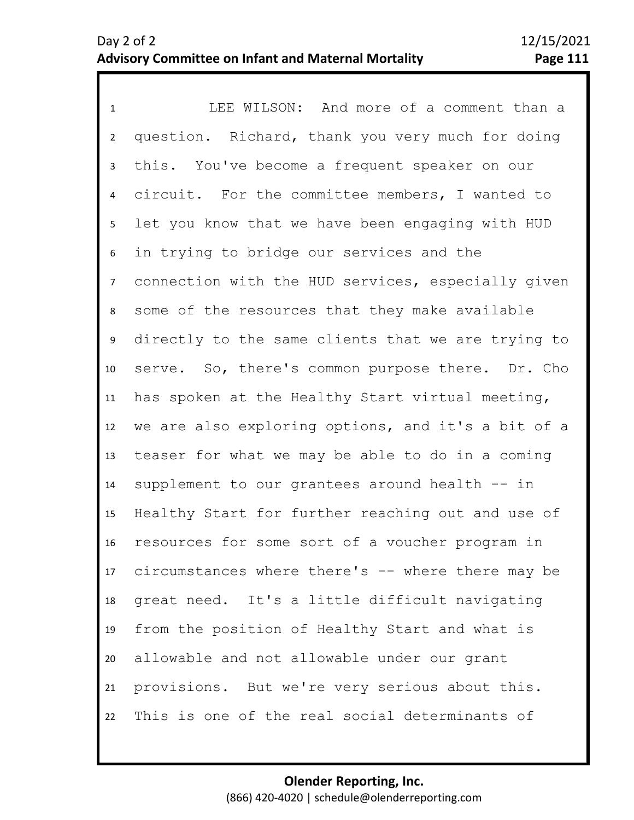1 LEE WILSON: And more of a comment than a 2 3 4 5 9 10 11 12 13 14 15 16 17 18 19 20 21 22 6 8 7 question. Richard, thank you very much for doing this. You've become a frequent speaker on our circuit. For the committee members, I wanted to let you know that we have been engaging with HUD in trying to bridge our services and the connection with the HUD services, especially given some of the resources that they make available directly to the same clients that we are trying to serve. So, there's common purpose there. Dr. Cho has spoken at the Healthy Start virtual meeting, we are also exploring options, and it's a bit of a teaser for what we may be able to do in a coming supplement to our grantees around health -- in Healthy Start for further reaching out and use of resources for some sort of a voucher program in circumstances where there's -- where there may be great need. It's a little difficult navigating from the position of Healthy Start and what is allowable and not allowable under our grant provisions. But we're very serious about this. This is one of the real social determinants of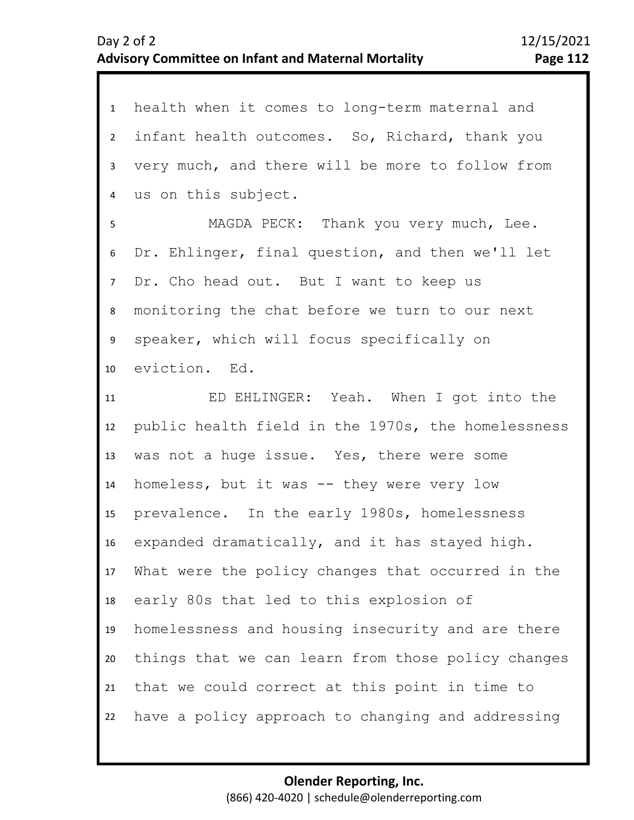| $\mathbf{1}$   | health when it comes to long-term maternal and     |
|----------------|----------------------------------------------------|
| $\overline{2}$ | infant health outcomes. So, Richard, thank you     |
| $\overline{3}$ | very much, and there will be more to follow from   |
| 4              | us on this subject.                                |
| 5              | MAGDA PECK: Thank you very much, Lee.              |
| 6              | Dr. Ehlinger, final question, and then we'll let   |
| 7 <sup>7</sup> | Dr. Cho head out. But I want to keep us            |
| 8              | monitoring the chat before we turn to our next     |
| 9              | speaker, which will focus specifically on          |
| 10             | eviction. Ed.                                      |
| 11             | ED EHLINGER: Yeah. When I got into the             |
| 12             | public health field in the 1970s, the homelessness |
| 13             | was not a huge issue. Yes, there were some         |
| 14             | homeless, but it was -- they were very low         |
| 15             | prevalence. In the early 1980s, homelessness       |
| 16             | expanded dramatically, and it has stayed high.     |
| 17             | What were the policy changes that occurred in the  |
| 18             | early 80s that led to this explosion of            |
| 19             | homelessness and housing insecurity and are there  |
| 20             | things that we can learn from those policy changes |
| 21             | that we could correct at this point in time to     |
| 22             | have a policy approach to changing and addressing  |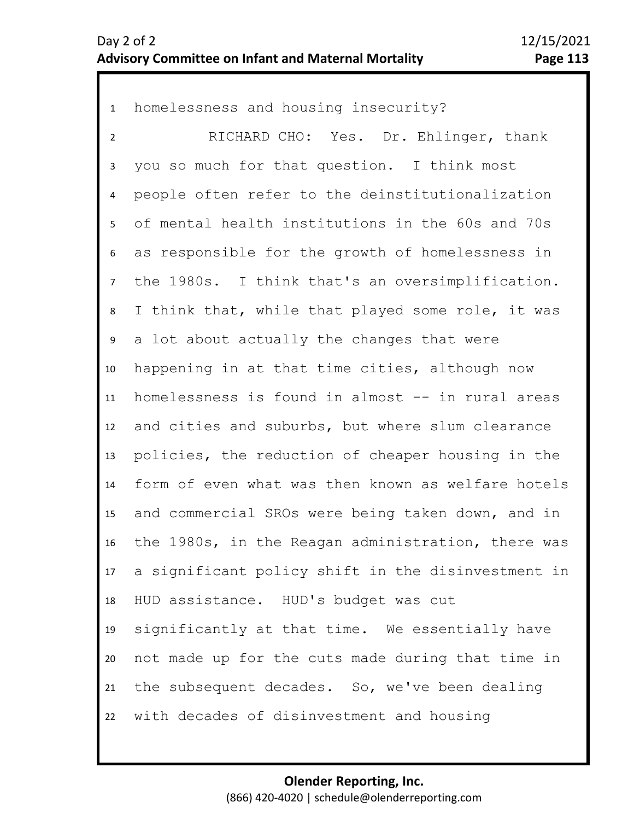1 homelessness and housing insecurity? 2 3 4 5 6 7 11 12 13 14 15 16 17 18 19 20 21 22 8 10 9 RICHARD CHO: Yes. Dr. Ehlinger, thank you so much for that question. I think most people often refer to the deinstitutionalization of mental health institutions in the 60s and 70s as responsible for the growth of homelessness in the 1980s. I think that's an oversimplification. I think that, while that played some role, it was a lot about actually the changes that were happening in at that time cities, although now homelessness is found in almost -- in rural areas and cities and suburbs, but where slum clearance policies, the reduction of cheaper housing in the form of even what was then known as welfare hotels and commercial SROs were being taken down, and in the 1980s, in the Reagan administration, there was a significant policy shift in the disinvestment in HUD assistance. HUD's budget was cut significantly at that time. We essentially have not made up for the cuts made during that time in the subsequent decades. So, we've been dealing with decades of disinvestment and housing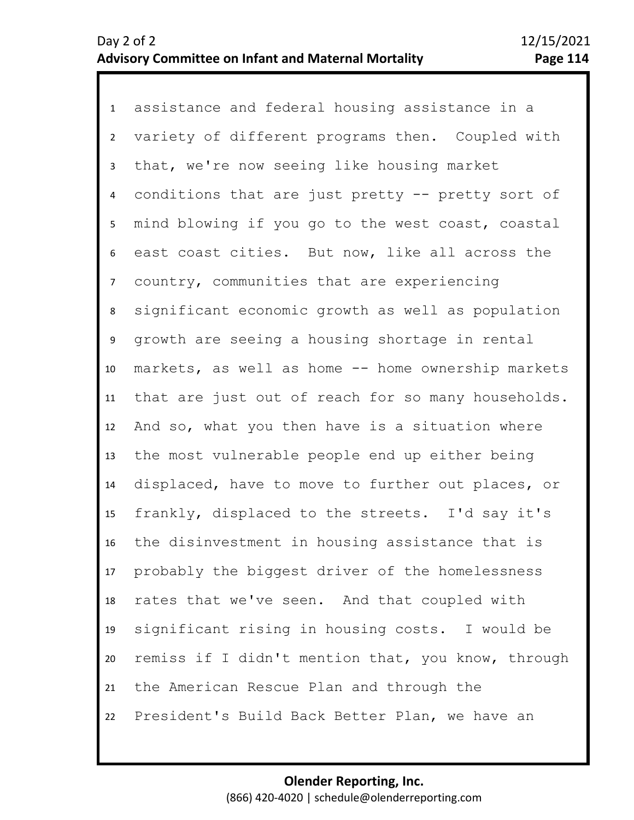1 assistance and federal housing assistance in a 2 3 4 5 6 10 11 12 13 14 15 16 17 18 19 20 21 22 7 9 8 variety of different programs then. Coupled with that, we're now seeing like housing market conditions that are just pretty -- pretty sort of mind blowing if you go to the west coast, coastal east coast cities. But now, like all across the country, communities that are experiencing significant economic growth as well as population growth are seeing a housing shortage in rental markets, as well as home -- home ownership markets that are just out of reach for so many households. And so, what you then have is a situation where the most vulnerable people end up either being displaced, have to move to further out places, or frankly, displaced to the streets. I'd say it's the disinvestment in housing assistance that is probably the biggest driver of the homelessness rates that we've seen. And that coupled with significant rising in housing costs. I would be remiss if I didn't mention that, you know, through the American Rescue Plan and through the President's Build Back Better Plan, we have an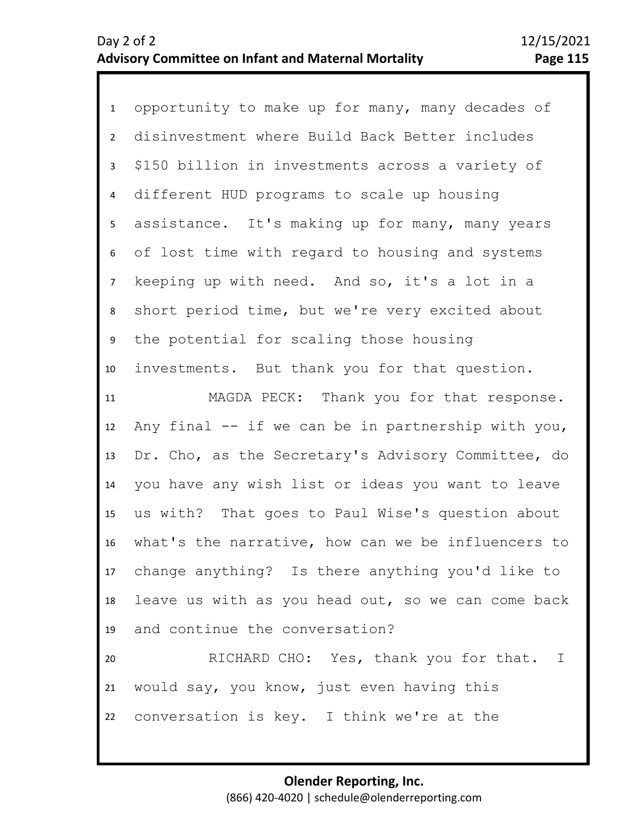| $\mathbf{1}$   | opportunity to make up for many, many decades of      |
|----------------|-------------------------------------------------------|
| $\overline{2}$ | disinvestment where Build Back Better includes        |
| $\mathbf{3}$   | \$150 billion in investments across a variety of      |
| $\overline{4}$ | different HUD programs to scale up housing            |
| 5 <sub>1</sub> | assistance. It's making up for many, many years       |
| 6              | of lost time with regard to housing and systems       |
| 7 <sup>7</sup> | keeping up with need. And so, it's a lot in a         |
| 8              | short period time, but we're very excited about       |
| 9              | the potential for scaling those housing               |
| 10             | investments. But thank you for that question.         |
| 11             | MAGDA PECK: Thank you for that response.              |
| 12             | Any final -- if we can be in partnership with you,    |
| 13             | Dr. Cho, as the Secretary's Advisory Committee, do    |
| 14             | you have any wish list or ideas you want to leave     |
| 15             | us with? That goes to Paul Wise's question about      |
| 16             | what's the narrative, how can we be influencers to    |
|                | 17 change anything? Is there anything you'd like to   |
|                | 18 leave us with as you head out, so we can come back |
|                | 19 and continue the conversation?                     |
| 20             | RICHARD CHO: Yes, thank you for that. I               |
| 21             | would say, you know, just even having this            |
|                |                                                       |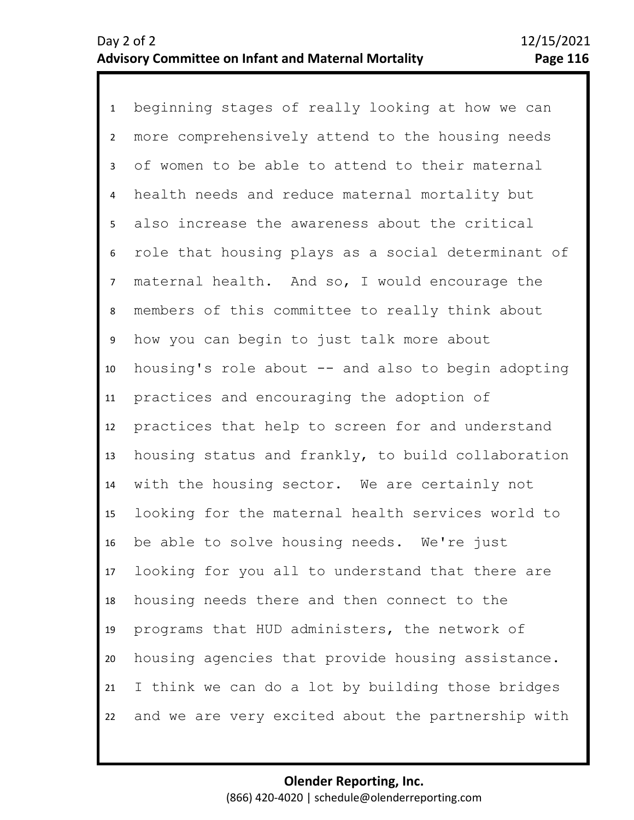1 beginning stages of really looking at how we can 2 3 4 5 8 9 10 11 12 13 14 15 16 17 18 19 20 21 22 6 7 more comprehensively attend to the housing needs of women to be able to attend to their maternal health needs and reduce maternal mortality but also increase the awareness about the critical role that housing plays as a social determinant of maternal health. And so, I would encourage the members of this committee to really think about how you can begin to just talk more about housing's role about -- and also to begin adopting practices and encouraging the adoption of practices that help to screen for and understand housing status and frankly, to build collaboration with the housing sector. We are certainly not looking for the maternal health services world to be able to solve housing needs. We're just looking for you all to understand that there are housing needs there and then connect to the programs that HUD administers, the network of housing agencies that provide housing assistance. I think we can do a lot by building those bridges and we are very excited about the partnership with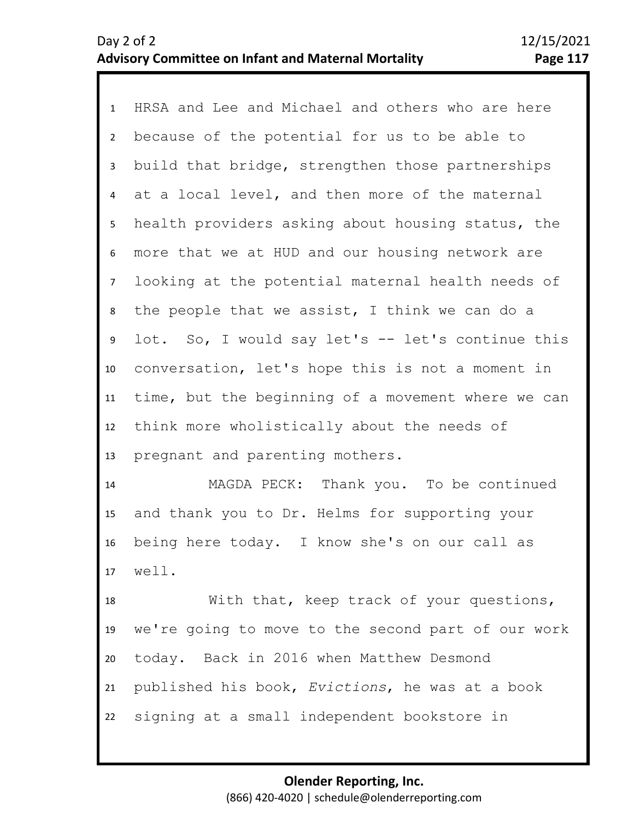1 HRSA and Lee and Michael and others who are here 2 3 4 5 9 10 11 12 13 6 8 7 because of the potential for us to be able to build that bridge, strengthen those partnerships at a local level, and then more of the maternal health providers asking about housing status, the more that we at HUD and our housing network are looking at the potential maternal health needs of the people that we assist, I think we can do a lot. So, I would say let's -- let's continue this conversation, let's hope this is not a moment in time, but the beginning of a movement where we can think more wholistically about the needs of pregnant and parenting mothers.

14 15 16 17 MAGDA PECK: Thank you. To be continued and thank you to Dr. Helms for supporting your being here today. I know she's on our call as well.

18 19 20 21 22 With that, keep track of your questions, we're going to move to the second part of our work today. Back in 2016 when Matthew Desmond published his book, *Evictions*, he was at a book signing at a small independent bookstore in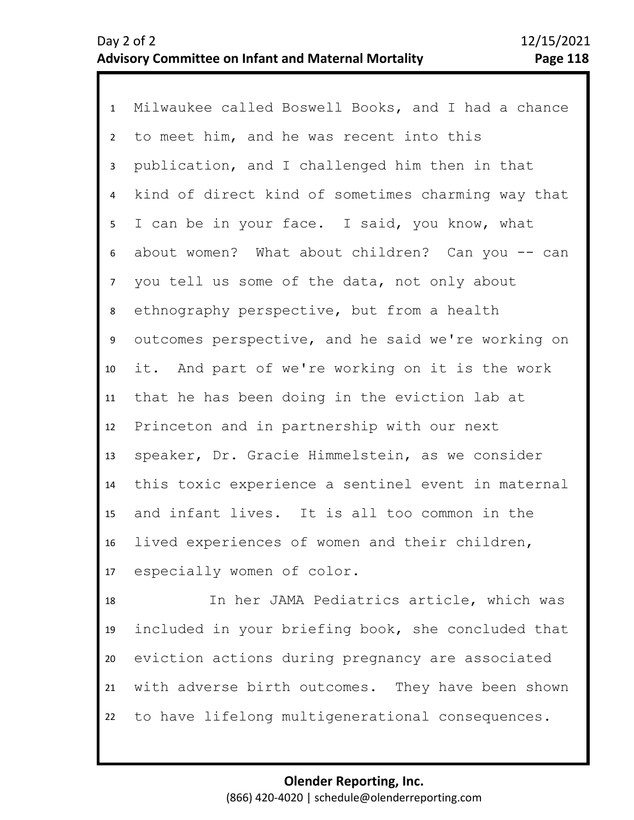1 Milwaukee called Boswell Books, and I had a chance 2 3 4 8 9 10 11 12 13 14 15 16 17 5 7 6 to meet him, and he was recent into this publication, and I challenged him then in that kind of direct kind of sometimes charming way that I can be in your face. I said, you know, what about women? What about children? Can you -- can you tell us some of the data, not only about ethnography perspective, but from a health outcomes perspective, and he said we're working on it. And part of we're working on it is the work that he has been doing in the eviction lab at Princeton and in partnership with our next speaker, Dr. Gracie Himmelstein, as we consider this toxic experience a sentinel event in maternal and infant lives. It is all too common in the lived experiences of women and their children, especially women of color.

18 19 20 21 22 In her JAMA Pediatrics article, which was included in your briefing book, she concluded that eviction actions during pregnancy are associated with adverse birth outcomes. They have been shown to have lifelong multigenerational consequences.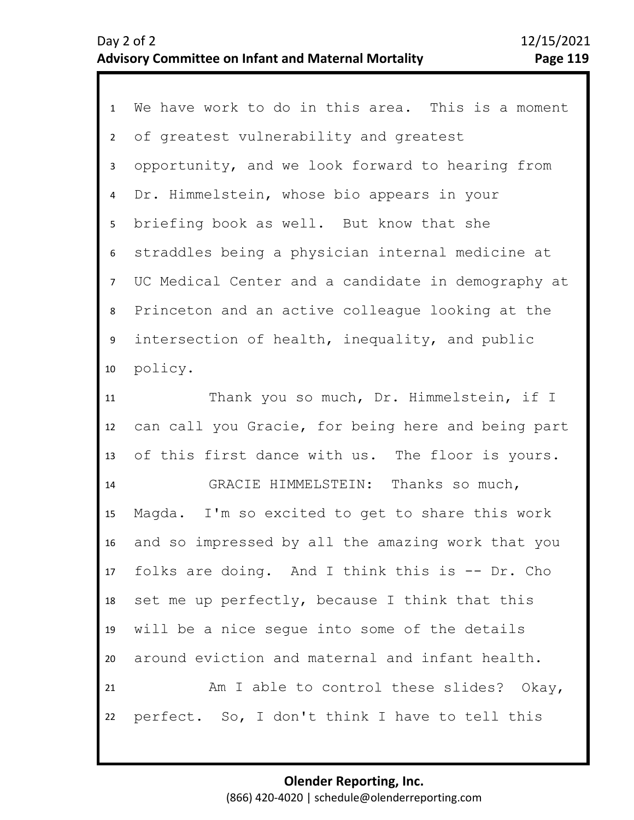| $\mathbf{1}$   | We have work to do in this area. This is a moment  |
|----------------|----------------------------------------------------|
| $\mathbf{2}$   | of greatest vulnerability and greatest             |
| 3              | opportunity, and we look forward to hearing from   |
| 4              | Dr. Himmelstein, whose bio appears in your         |
| 5 <sub>1</sub> | briefing book as well. But know that she           |
| 6              | straddles being a physician internal medicine at   |
| $\overline{7}$ | UC Medical Center and a candidate in demography at |
| 8              | Princeton and an active colleague looking at the   |
| 9              | intersection of health, inequality, and public     |
| 10             | policy.                                            |
| 11             | Thank you so much, Dr. Himmelstein, if I           |
| 12             | can call you Gracie, for being here and being part |
| 13             | of this first dance with us. The floor is yours.   |
| 14             | GRACIE HIMMELSTEIN: Thanks so much,                |
| 15             | Magda. I'm so excited to get to share this work    |
| 16             | and so impressed by all the amazing work that you  |
| 17             | folks are doing. And I think this is -- Dr. Cho    |
| 18             | set me up perfectly, because I think that this     |
| 19             | will be a nice seque into some of the details      |
| 20             | around eviction and maternal and infant health.    |
| 21             | Am I able to control these slides? Okay,           |
| 22             | perfect. So, I don't think I have to tell this     |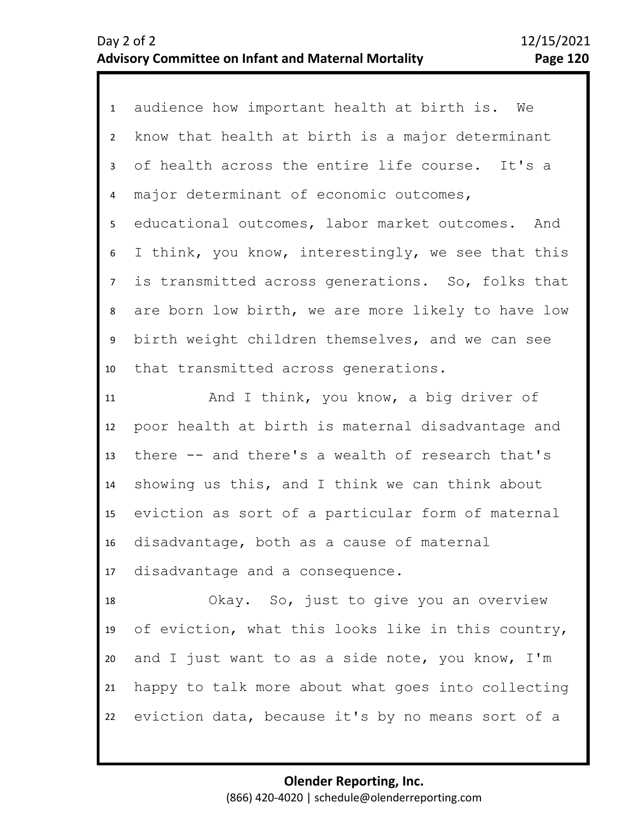| $\mathbf{1}$   | audience how important health at birth is. We      |
|----------------|----------------------------------------------------|
| $2^{\circ}$    | know that health at birth is a major determinant   |
| $\mathbf{3}$   | of health across the entire life course. It's a    |
| 4              | major determinant of economic outcomes,            |
| 5              | educational outcomes, labor market outcomes. And   |
| 6              | I think, you know, interestingly, we see that this |
| 7 <sup>7</sup> | is transmitted across generations. So, folks that  |
| 8              | are born low birth, we are more likely to have low |
| 9              | birth weight children themselves, and we can see   |
| 10             | that transmitted across generations.               |
| 11             | And I think, you know, a big driver of             |
| 12             | poor health at birth is maternal disadvantage and  |
| 13             | there -- and there's a wealth of research that's   |
| 14             | showing us this, and I think we can think about    |
| 15             | eviction as sort of a particular form of maternal  |
| 16             | disadvantage, both as a cause of maternal          |
| 17             | disadvantage and a consequence.                    |
| 18             | Okay. So, just to give you an overview             |
| 19             | of eviction, what this looks like in this country, |
| 20             | and I just want to as a side note, you know, I'm   |
| 21             | happy to talk more about what goes into collecting |
| 22             | eviction data, because it's by no means sort of a  |
|                |                                                    |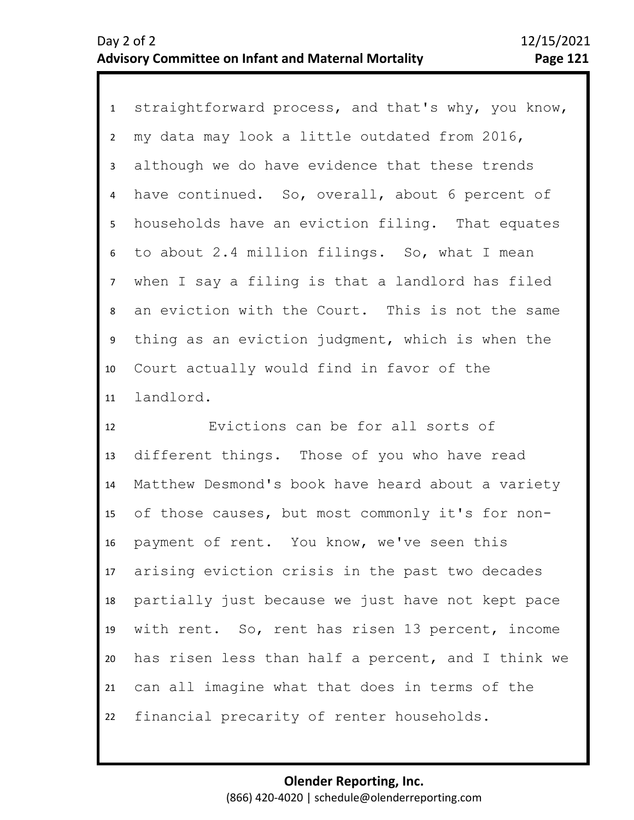1 straightforward process, and that's why, you know, 2 3 4 5 9 10 11 6 8 7 my data may look a little outdated from 2016, although we do have evidence that these trends have continued. So, overall, about 6 percent of households have an eviction filing. That equates to about 2.4 million filings. So, what I mean when I say a filing is that a landlord has filed an eviction with the Court. This is not the same thing as an eviction judgment, which is when the Court actually would find in favor of the landlord.

12 13 14 15 16 17 18 19 20 21 22 Evictions can be for all sorts of different things. Those of you who have read Matthew Desmond's book have heard about a variety of those causes, but most commonly it's for nonpayment of rent. You know, we've seen this arising eviction crisis in the past two decades partially just because we just have not kept pace with rent. So, rent has risen 13 percent, income has risen less than half a percent, and I think we can all imagine what that does in terms of the financial precarity of renter households.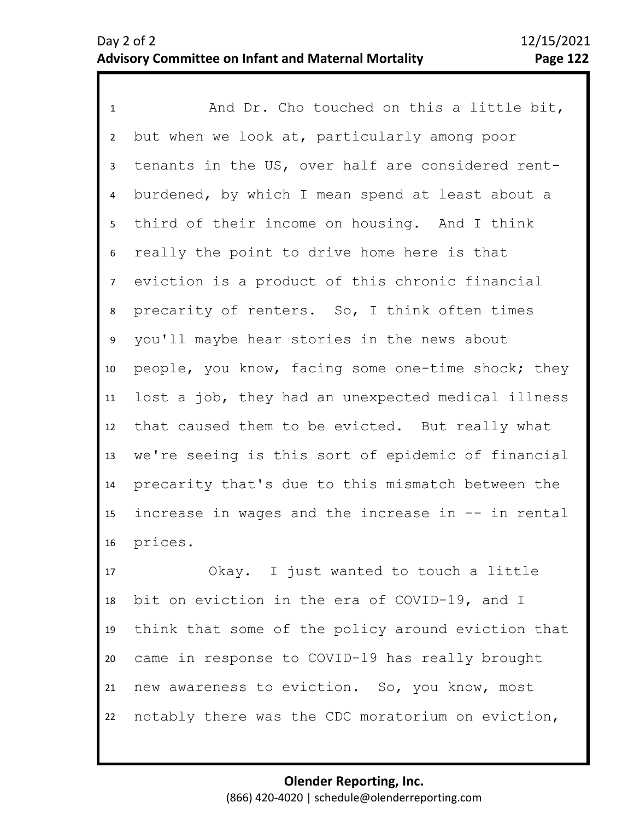1 And Dr. Cho touched on this a little bit, 2 3 4 5 6 7 11 12 13 14 15 16 8 10 9 but when we look at, particularly among poor tenants in the US, over half are considered rentburdened, by which I mean spend at least about a third of their income on housing. And I think really the point to drive home here is that eviction is a product of this chronic financial precarity of renters. So, I think often times you'll maybe hear stories in the news about people, you know, facing some one-time shock; they lost a job, they had an unexpected medical illness that caused them to be evicted. But really what we're seeing is this sort of epidemic of financial precarity that's due to this mismatch between the increase in wages and the increase in -- in rental prices.

17 18 19 20 21 22 Okay. I just wanted to touch a little bit on eviction in the era of COVID-19, and I think that some of the policy around eviction that came in response to COVID-19 has really brought new awareness to eviction. So, you know, most notably there was the CDC moratorium on eviction,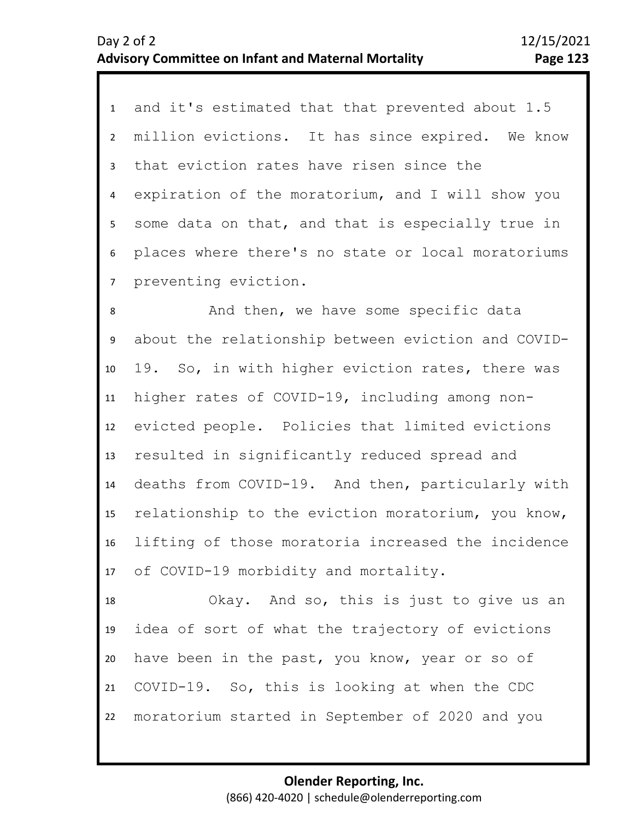1 and it's estimated that that prevented about 1.5 2 3 4 5 6 7 million evictions. It has since expired. We know that eviction rates have risen since the expiration of the moratorium, and I will show you some data on that, and that is especially true in places where there's no state or local moratoriums preventing eviction.

10 11 12 13 14 15 16 17 9 8 And then, we have some specific data about the relationship between eviction and COVID-19. So, in with higher eviction rates, there was higher rates of COVID-19, including among nonevicted people. Policies that limited evictions resulted in significantly reduced spread and deaths from COVID-19. And then, particularly with relationship to the eviction moratorium, you know, lifting of those moratoria increased the incidence of COVID-19 morbidity and mortality.

18 19 20 21 22 Okay. And so, this is just to give us an idea of sort of what the trajectory of evictions have been in the past, you know, year or so of COVID-19. So, this is looking at when the CDC moratorium started in September of 2020 and you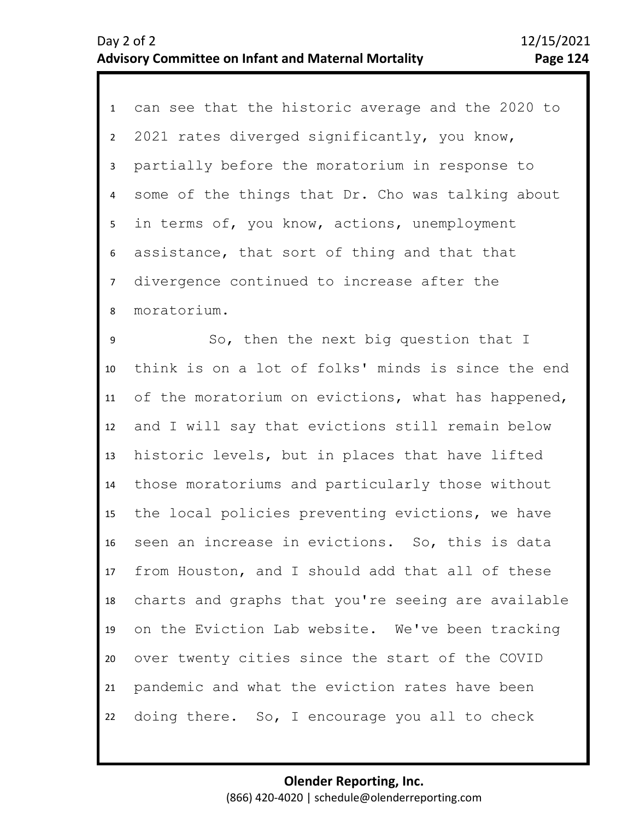1 can see that the historic average and the 2020 to 2 3 4 8 5 7 6 2021 rates diverged significantly, you know, partially before the moratorium in response to some of the things that Dr. Cho was talking about in terms of, you know, actions, unemployment assistance, that sort of thing and that that divergence continued to increase after the moratorium.

9 10 11 12 13 14 15 16 17 18 19 20 21 22 So, then the next big question that I think is on a lot of folks' minds is since the end of the moratorium on evictions, what has happened, and I will say that evictions still remain below historic levels, but in places that have lifted those moratoriums and particularly those without the local policies preventing evictions, we have seen an increase in evictions. So, this is data from Houston, and I should add that all of these charts and graphs that you're seeing are available on the Eviction Lab website. We've been tracking over twenty cities since the start of the COVID pandemic and what the eviction rates have been doing there. So, I encourage you all to check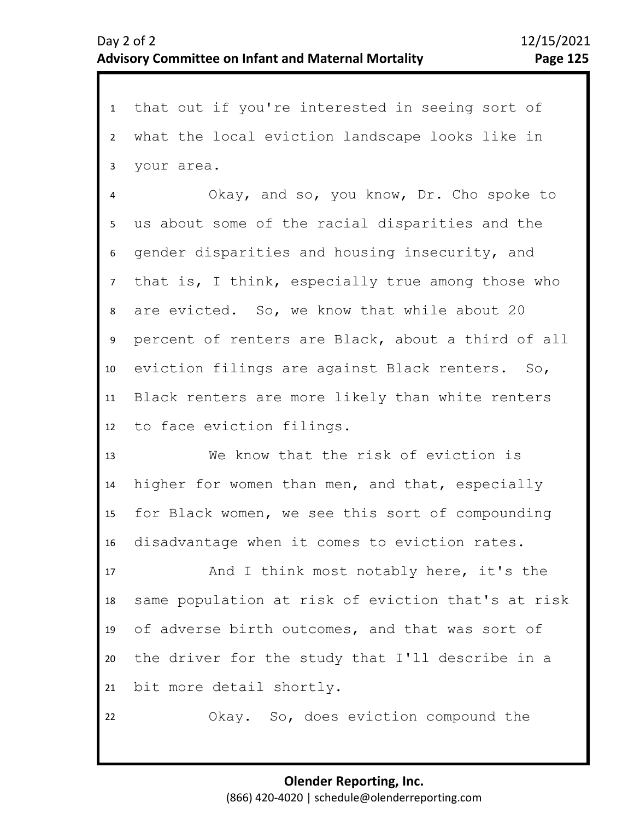1 that out if you're interested in seeing sort of 2 3 what the local eviction landscape looks like in your area.

7 8 9 10 11 12 4 6 5 Okay, and so, you know, Dr. Cho spoke to us about some of the racial disparities and the gender disparities and housing insecurity, and that is, I think, especially true among those who are evicted. So, we know that while about 20 percent of renters are Black, about a third of all eviction filings are against Black renters. So, Black renters are more likely than white renters to face eviction filings.

13 14 15 16 We know that the risk of eviction is higher for women than men, and that, especially for Black women, we see this sort of compounding disadvantage when it comes to eviction rates.

17 18 19 20 21 And I think most notably here, it's the same population at risk of eviction that's at risk of adverse birth outcomes, and that was sort of the driver for the study that I'll describe in a bit more detail shortly.

Okay. So, does eviction compound the

22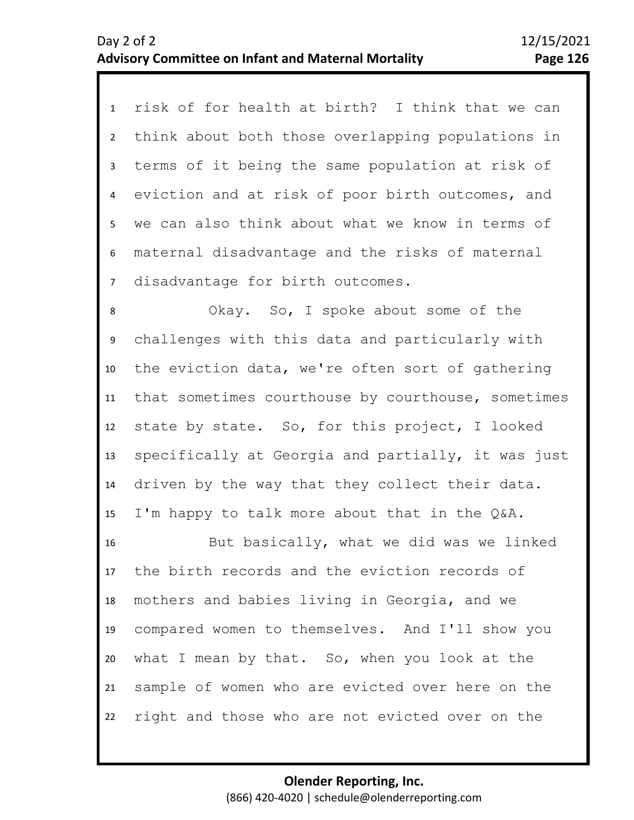1 risk of for health at birth? I think that we can 2 3 4 5 6 7 think about both those overlapping populations in terms of it being the same population at risk of eviction and at risk of poor birth outcomes, and we can also think about what we know in terms of maternal disadvantage and the risks of maternal disadvantage for birth outcomes.

10 11 12 13 14 15 9 8 Okay. So, I spoke about some of the challenges with this data and particularly with the eviction data, we're often sort of gathering that sometimes courthouse by courthouse, sometimes state by state. So, for this project, I looked specifically at Georgia and partially, it was just driven by the way that they collect their data. I'm happy to talk more about that in the Q&A.

16 17 18 19 20 21 22 But basically, what we did was we linked the birth records and the eviction records of mothers and babies living in Georgia, and we compared women to themselves. And I'll show you what I mean by that. So, when you look at the sample of women who are evicted over here on the right and those who are not evicted over on the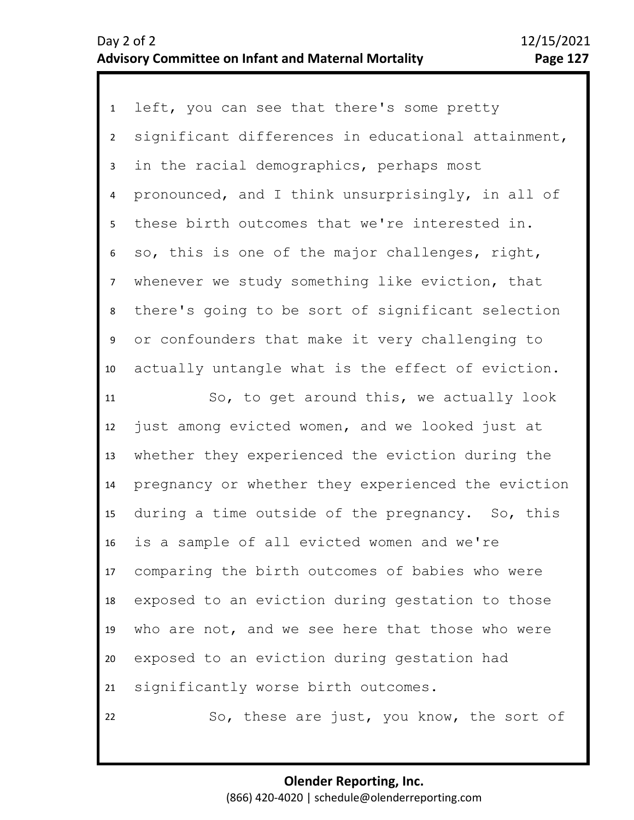| $\mathbf{1}$   | left, you can see that there's some pretty         |
|----------------|----------------------------------------------------|
| $\overline{2}$ | significant differences in educational attainment, |
| $\mathbf{3}$   | in the racial demographics, perhaps most           |
| 4              | pronounced, and I think unsurprisingly, in all of  |
| 5              | these birth outcomes that we're interested in.     |
| 6              | so, this is one of the major challenges, right,    |
| $\overline{7}$ | whenever we study something like eviction, that    |
| 8              | there's going to be sort of significant selection  |
| 9              | or confounders that make it very challenging to    |
| 10             | actually untangle what is the effect of eviction.  |
| 11             | So, to get around this, we actually look           |
| 12             | just among evicted women, and we looked just at    |
| 13             | whether they experienced the eviction during the   |
| 14             | pregnancy or whether they experienced the eviction |
| 15             | during a time outside of the pregnancy. So, this   |
| 16             | is a sample of all evicted women and we're         |
| 17             | comparing the birth outcomes of babies who were    |
| 18             | exposed to an eviction during gestation to those   |
| 19             | who are not, and we see here that those who were   |
| 20             | exposed to an eviction during gestation had        |
| 21             | significantly worse birth outcomes.                |
| 22             | So, these are just, you know, the sort of          |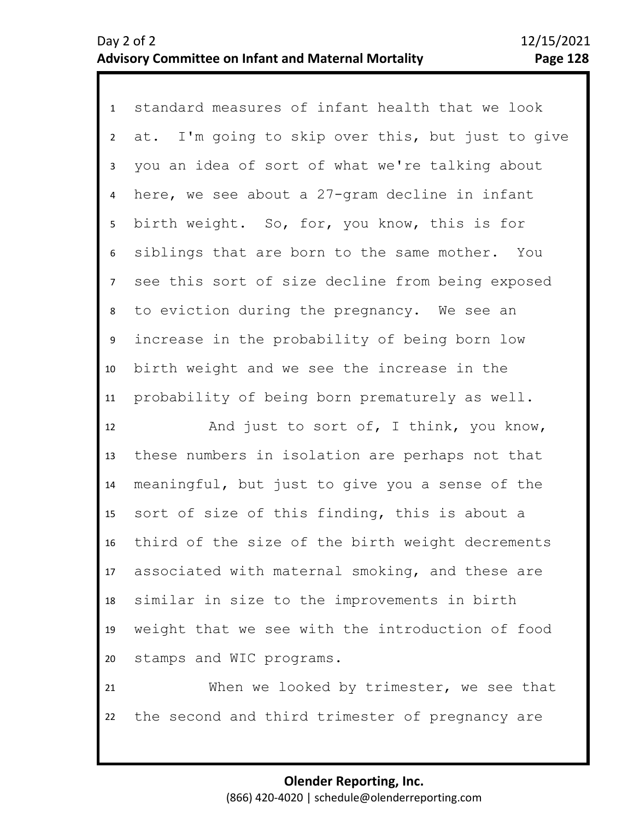1 standard measures of infant health that we look 2 3 4 8 9 10 11 5 7 6 at. I'm going to skip over this, but just to give you an idea of sort of what we're talking about here, we see about a 27-gram decline in infant birth weight. So, for, you know, this is for siblings that are born to the same mother. You see this sort of size decline from being exposed to eviction during the pregnancy. We see an increase in the probability of being born low birth weight and we see the increase in the probability of being born prematurely as well.

12 13 14 15 16 17 18 19 20 And just to sort of, I think, you know, these numbers in isolation are perhaps not that meaningful, but just to give you a sense of the sort of size of this finding, this is about a third of the size of the birth weight decrements associated with maternal smoking, and these are similar in size to the improvements in birth weight that we see with the introduction of food stamps and WIC programs.

21 22 When we looked by trimester, we see that the second and third trimester of pregnancy are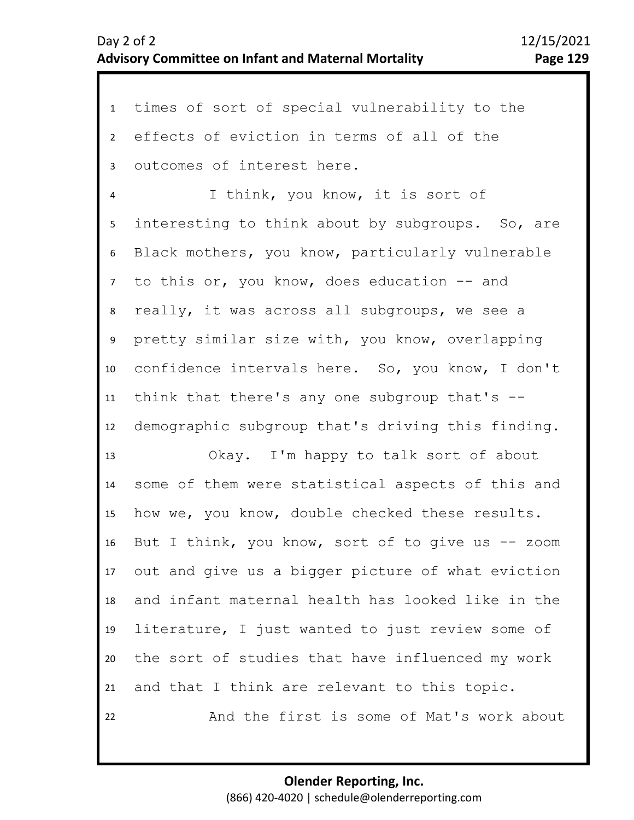1 times of sort of special vulnerability to the 2 3 4 5 9 10 11 12 13 14 15 16 17 18 19 20 21 6 8 7 effects of eviction in terms of all of the outcomes of interest here. I think, you know, it is sort of interesting to think about by subgroups. So, are Black mothers, you know, particularly vulnerable to this or, you know, does education -- and really, it was across all subgroups, we see a pretty similar size with, you know, overlapping confidence intervals here. So, you know, I don't think that there's any one subgroup that's - demographic subgroup that's driving this finding. Okay. I'm happy to talk sort of about some of them were statistical aspects of this and how we, you know, double checked these results. But I think, you know, sort of to give us  $-$  zoom out and give us a bigger picture of what eviction and infant maternal health has looked like in the literature, I just wanted to just review some of the sort of studies that have influenced my work and that I think are relevant to this topic.

And the first is some of Mat's work about

22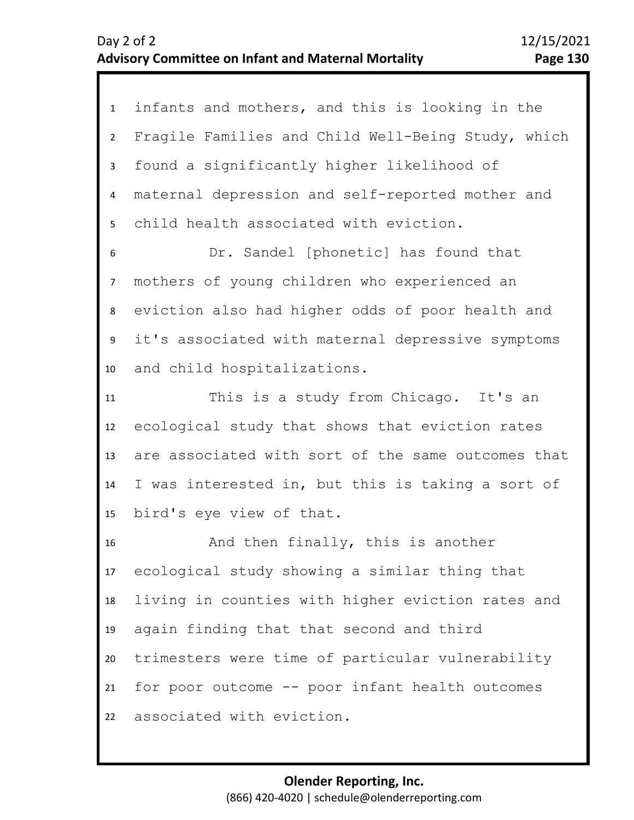| $\mathbf{1}$   | infants and mothers, and this is looking in the    |
|----------------|----------------------------------------------------|
| $2^{\circ}$    | Fragile Families and Child Well-Being Study, which |
| $\mathbf{3}$   | found a significantly higher likelihood of         |
| 4              | maternal depression and self-reported mother and   |
| 5              | child health associated with eviction.             |
| 6              | Dr. Sandel [phonetic] has found that               |
| $\overline{7}$ | mothers of young children who experienced an       |
| 8              | eviction also had higher odds of poor health and   |
| 9              | it's associated with maternal depressive symptoms  |
| 10             | and child hospitalizations.                        |
| 11             | This is a study from Chicago. It's an              |
| 12             | ecological study that shows that eviction rates    |
| 13             | are associated with sort of the same outcomes that |
| 14             | I was interested in, but this is taking a sort of  |
| 15             | bird's eye view of that.                           |
| 16             | And then finally, this is another                  |
| 17             | ecological study showing a similar thing that      |
| 18             | living in counties with higher eviction rates and  |
| 19             | again finding that that second and third           |
| 20             | trimesters were time of particular vulnerability   |
| 21             | for poor outcome -- poor infant health outcomes    |
| 22             | associated with eviction.                          |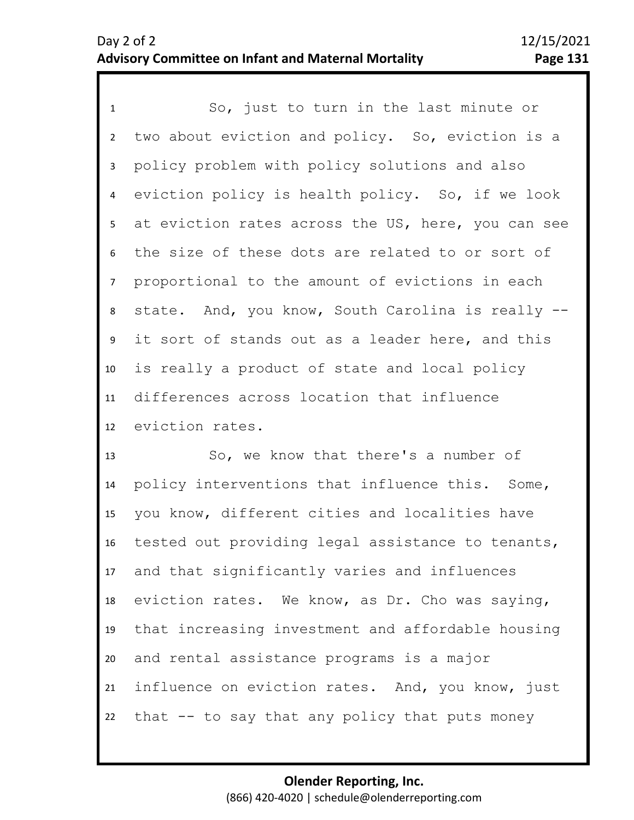1 So, just to turn in the last minute or 2 3 4 8 9 10 11 12 5 7 6 two about eviction and policy. So, eviction is a policy problem with policy solutions and also eviction policy is health policy. So, if we look at eviction rates across the US, here, you can see the size of these dots are related to or sort of proportional to the amount of evictions in each state. And, you know, South Carolina is really - it sort of stands out as a leader here, and this is really a product of state and local policy differences across location that influence eviction rates.

13 14 15 16 17 18 19 20 21 22 So, we know that there's a number of policy interventions that influence this. Some, you know, different cities and localities have tested out providing legal assistance to tenants, and that significantly varies and influences eviction rates. We know, as Dr. Cho was saying, that increasing investment and affordable housing and rental assistance programs is a major influence on eviction rates. And, you know, just that -- to say that any policy that puts money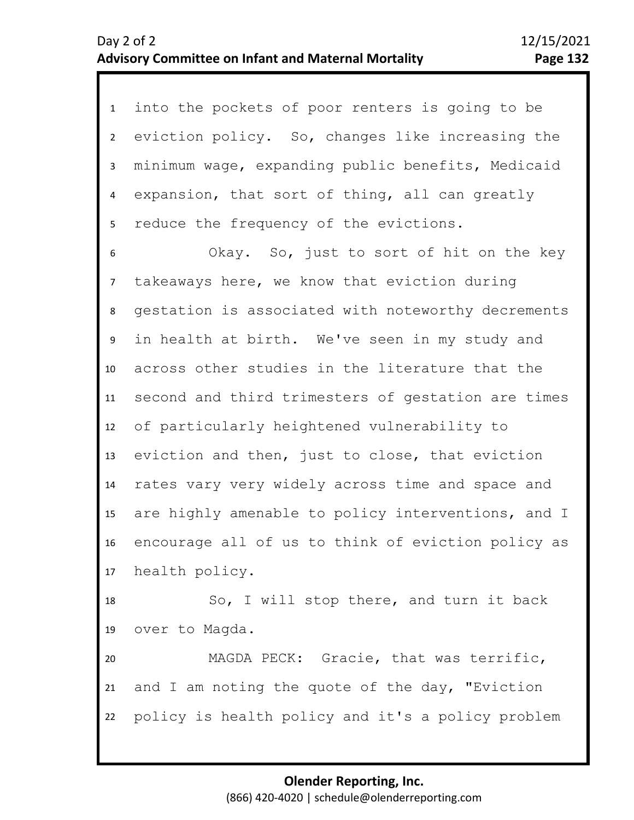1 into the pockets of poor renters is going to be 2 3 4 5 eviction policy. So, changes like increasing the minimum wage, expanding public benefits, Medicaid expansion, that sort of thing, all can greatly reduce the frequency of the evictions.

8 9 10 11 12 13 14 15 16 17 7 6 Okay. So, just to sort of hit on the key takeaways here, we know that eviction during gestation is associated with noteworthy decrements in health at birth. We've seen in my study and across other studies in the literature that the second and third trimesters of gestation are times of particularly heightened vulnerability to eviction and then, just to close, that eviction rates vary very widely across time and space and are highly amenable to policy interventions, and I encourage all of us to think of eviction policy as health policy.

18 19 So, I will stop there, and turn it back over to Magda.

20 21 22 MAGDA PECK: Gracie, that was terrific, and I am noting the quote of the day, "Eviction policy is health policy and it's a policy problem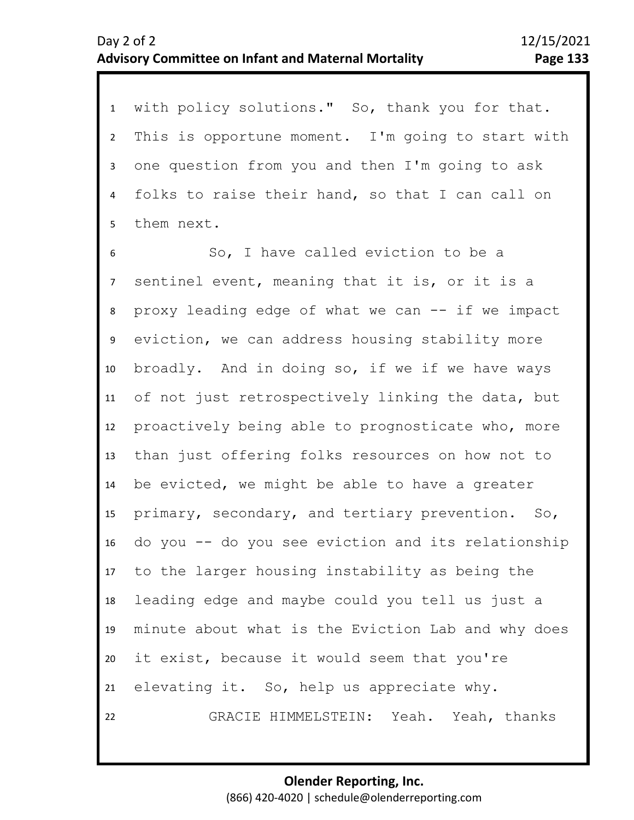1 with policy solutions." So, thank you for that. 2 3 4 5 This is opportune moment. I'm going to start with one question from you and then I'm going to ask folks to raise their hand, so that I can call on them next.

9 10 11 12 13 14 15 16 17 18 19 20 21 22 6 8 7 So, I have called eviction to be a sentinel event, meaning that it is, or it is a proxy leading edge of what we can -- if we impact eviction, we can address housing stability more broadly. And in doing so, if we if we have ways of not just retrospectively linking the data, but proactively being able to prognosticate who, more than just offering folks resources on how not to be evicted, we might be able to have a greater primary, secondary, and tertiary prevention. So, do you -- do you see eviction and its relationship to the larger housing instability as being the leading edge and maybe could you tell us just a minute about what is the Eviction Lab and why does it exist, because it would seem that you're elevating it. So, help us appreciate why. GRACIE HIMMELSTEIN: Yeah. Yeah, thanks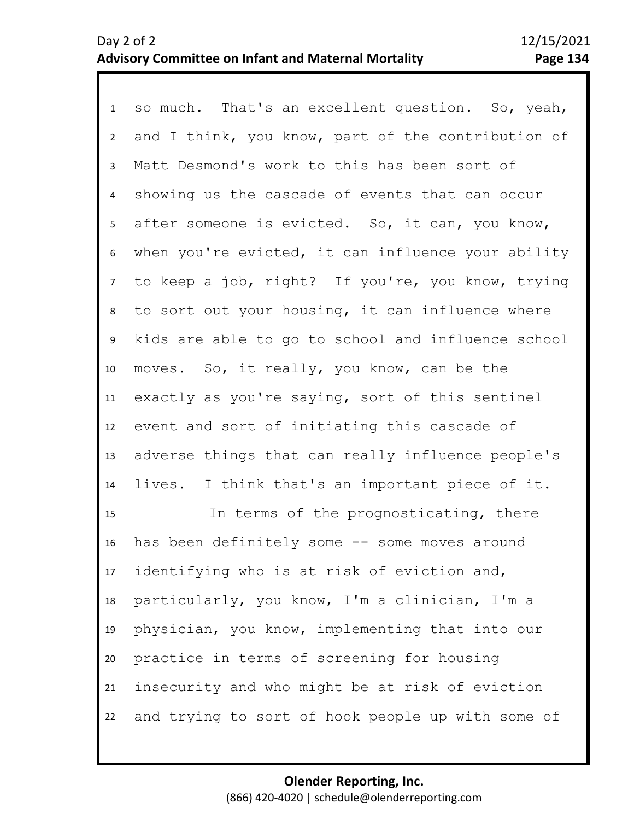1 so much. That's an excellent question. So, yeah, 2 3 4 5 9 10 11 12 13 14 15 16 17 18 19 6 8 7 and I think, you know, part of the contribution of Matt Desmond's work to this has been sort of showing us the cascade of events that can occur after someone is evicted. So, it can, you know, when you're evicted, it can influence your ability to keep a job, right? If you're, you know, trying to sort out your housing, it can influence where kids are able to go to school and influence school moves. So, it really, you know, can be the exactly as you're saying, sort of this sentinel event and sort of initiating this cascade of adverse things that can really influence people's lives. I think that's an important piece of it. In terms of the prognosticating, there has been definitely some -- some moves around identifying who is at risk of eviction and, particularly, you know, I'm a clinician, I'm a physician, you know, implementing that into our

21 22 insecurity and who might be at risk of eviction and trying to sort of hook people up with some of

practice in terms of screening for housing

20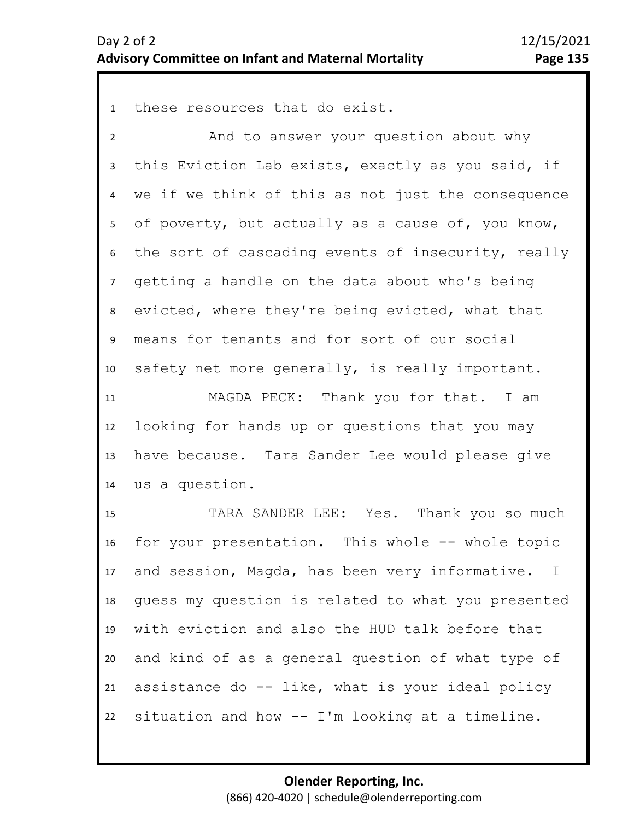1 these resources that do exist.

2 3 4 5 9 10 11 12 6 8 7 And to answer your question about why this Eviction Lab exists, exactly as you said, if we if we think of this as not just the consequence of poverty, but actually as a cause of, you know, the sort of cascading events of insecurity, really getting a handle on the data about who's being evicted, where they're being evicted, what that means for tenants and for sort of our social safety net more generally, is really important. MAGDA PECK: Thank you for that. I am looking for hands up or questions that you may

13 14 have because. Tara Sander Lee would please give us a question.

15 16 17 18 19 20 21 22 TARA SANDER LEE: Yes. Thank you so much for your presentation. This whole -- whole topic and session, Magda, has been very informative. I guess my question is related to what you presented with eviction and also the HUD talk before that and kind of as a general question of what type of assistance do -- like, what is your ideal policy situation and how -- I'm looking at a timeline.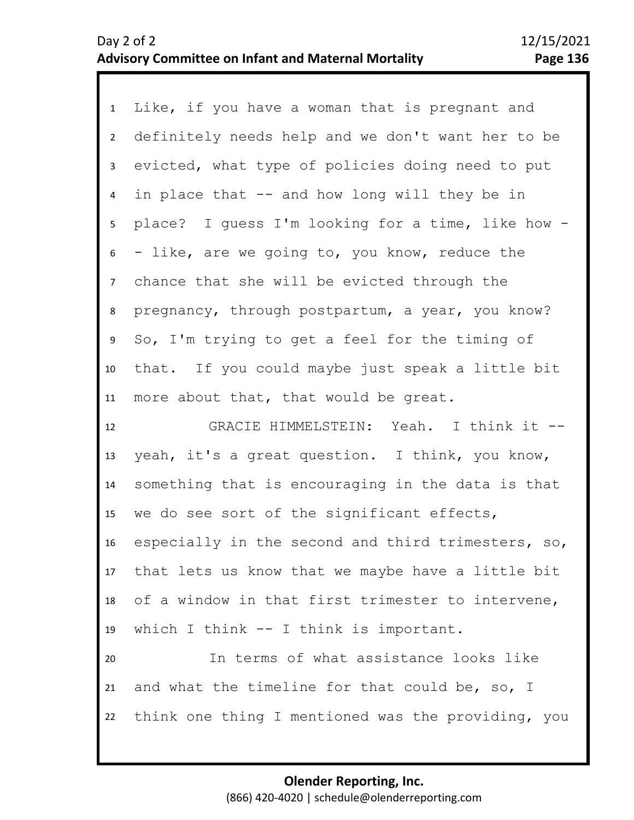| 1               | Like, if you have a woman that is pregnant and     |
|-----------------|----------------------------------------------------|
| $2^{\circ}$     | definitely needs help and we don't want her to be  |
| $\mathbf{3}$    | evicted, what type of policies doing need to put   |
| $\overline{4}$  | in place that -- and how long will they be in      |
| 5               | place? I guess I'm looking for a time, like how -  |
| 6               | - like, are we going to, you know, reduce the      |
| $\overline{7}$  | chance that she will be evicted through the        |
| 8               | pregnancy, through postpartum, a year, you know?   |
| 9               | So, I'm trying to get a feel for the timing of     |
| 10              | that. If you could maybe just speak a little bit   |
| 11              | more about that, that would be great.              |
|                 |                                                    |
| 12              | GRACIE HIMMELSTEIN: Yeah. I think it --            |
| 13              | yeah, it's a great question. I think, you know,    |
| 14              | something that is encouraging in the data is that  |
| 15              | we do see sort of the significant effects,         |
| 16 <sup>1</sup> | especially in the second and third trimesters, so, |
| 17              | that lets us know that we maybe have a little bit  |
| 18              | of a window in that first trimester to intervene,  |
| 19              | which I think -- I think is important.             |
| 20              | In terms of what assistance looks like             |
| 21              | and what the timeline for that could be, so, I     |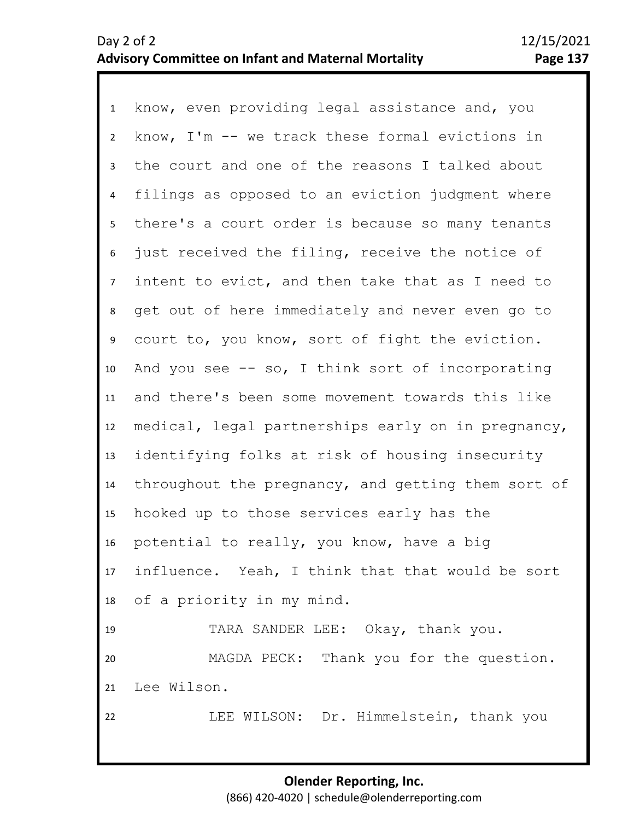| $\mathbf{1}$   | know, even providing legal assistance and, you     |
|----------------|----------------------------------------------------|
| $2^{\circ}$    | know, I'm -- we track these formal evictions in    |
| 3              | the court and one of the reasons I talked about    |
| 4              | filings as opposed to an eviction judgment where   |
| 5              | there's a court order is because so many tenants   |
| 6              | just received the filing, receive the notice of    |
| 7 <sup>7</sup> | intent to evict, and then take that as I need to   |
| 8              | get out of here immediately and never even go to   |
| 9              | court to, you know, sort of fight the eviction.    |
| 10             | And you see $-$ so, I think sort of incorporating  |
| 11             | and there's been some movement towards this like   |
| 12             | medical, legal partnerships early on in pregnancy, |
| 13             | identifying folks at risk of housing insecurity    |
| 14             | throughout the pregnancy, and getting them sort of |
| 15             | hooked up to those services early has the          |
| 16             | potential to really, you know, have a big          |
| 17             | influence. Yeah, I think that that would be sort   |
| 18             | of a priority in my mind.                          |
| 19             | TARA SANDER LEE: Okay, thank you.                  |
| 20             | MAGDA PECK: Thank you for the question.            |
| 21             | Lee Wilson.                                        |
| 22             | LEE WILSON: Dr. Himmelstein, thank you             |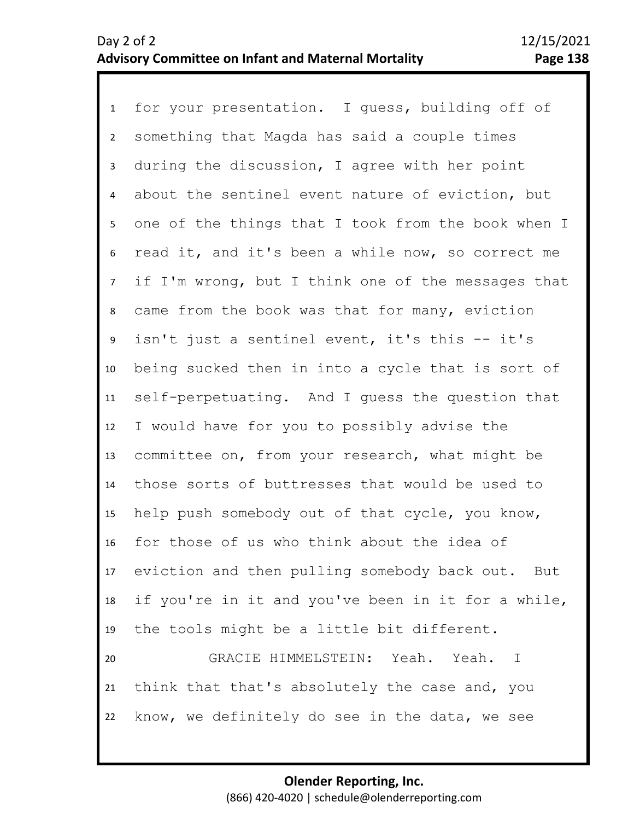1 for your presentation. I guess, building off of 2 3 7 8 9 10 11 12 13 14 15 16 17 18 19 20 21 22 4 6 5 something that Magda has said a couple times during the discussion, I agree with her point about the sentinel event nature of eviction, but one of the things that I took from the book when I read it, and it's been a while now, so correct me if I'm wrong, but I think one of the messages that came from the book was that for many, eviction isn't just a sentinel event, it's this -- it's being sucked then in into a cycle that is sort of self-perpetuating. And I guess the question that I would have for you to possibly advise the committee on, from your research, what might be those sorts of buttresses that would be used to help push somebody out of that cycle, you know, for those of us who think about the idea of eviction and then pulling somebody back out. But if you're in it and you've been in it for a while, the tools might be a little bit different. GRACIE HIMMELSTEIN: Yeah. Yeah. I think that that's absolutely the case and, you know, we definitely do see in the data, we see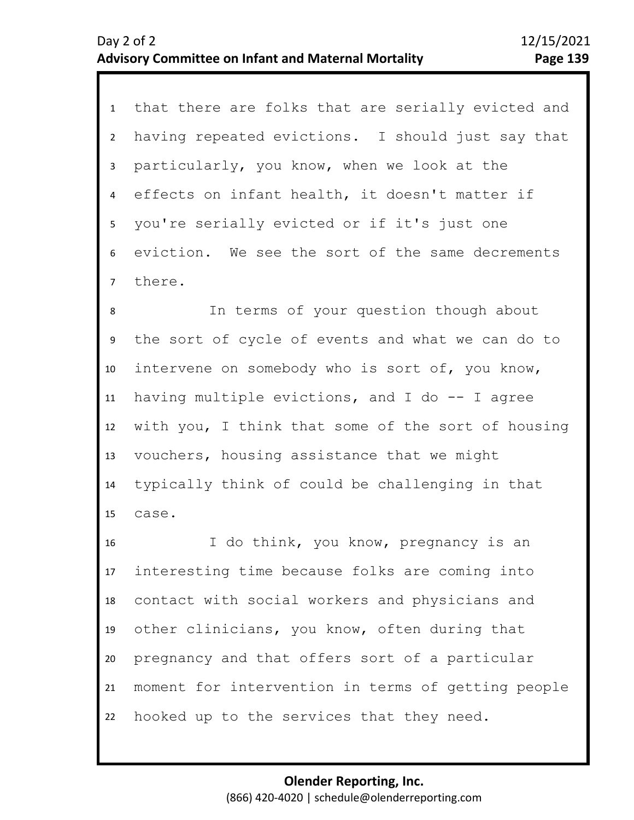1 that there are folks that are serially evicted and 2 3 4 5 6 7 having repeated evictions. I should just say that particularly, you know, when we look at the effects on infant health, it doesn't matter if you're serially evicted or if it's just one eviction. We see the sort of the same decrements there.

9 10 11 12 13 14 15 8 In terms of your question though about the sort of cycle of events and what we can do to intervene on somebody who is sort of, you know, having multiple evictions, and I do  $-$ - I agree with you, I think that some of the sort of housing vouchers, housing assistance that we might typically think of could be challenging in that case.

16 17 18 19 20 21 22 I do think, you know, pregnancy is an interesting time because folks are coming into contact with social workers and physicians and other clinicians, you know, often during that pregnancy and that offers sort of a particular moment for intervention in terms of getting people hooked up to the services that they need.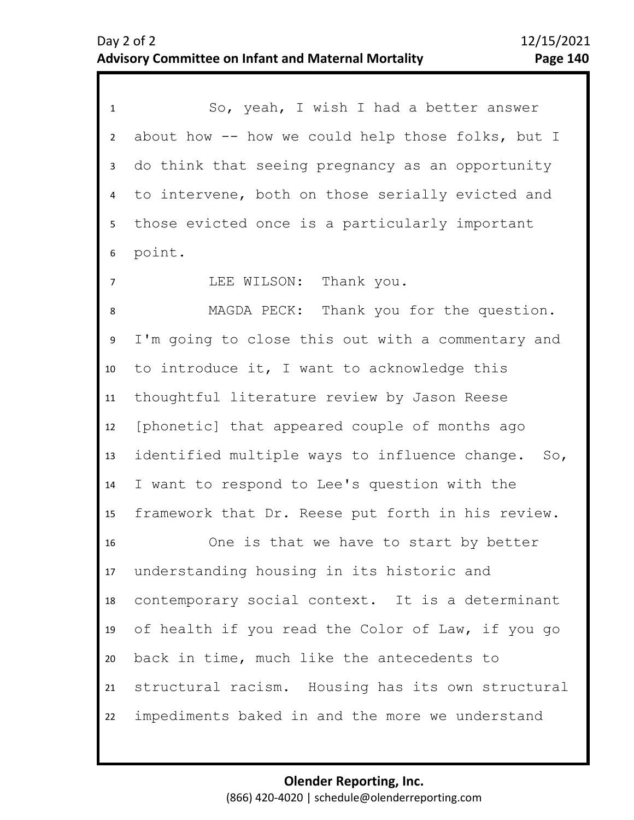1 So, yeah, I wish I had a better answer 2 3 4 8 9 10 11 12 13 14 15 16 17 18 19 20 21 22 5 7 6 about how -- how we could help those folks, but I do think that seeing pregnancy as an opportunity to intervene, both on those serially evicted and those evicted once is a particularly important point. LEE WILSON: Thank you. MAGDA PECK: Thank you for the question. I'm going to close this out with a commentary and to introduce it, I want to acknowledge this thoughtful literature review by Jason Reese [phonetic] that appeared couple of months ago identified multiple ways to influence change. So, I want to respond to Lee's question with the framework that Dr. Reese put forth in his review. One is that we have to start by better understanding housing in its historic and contemporary social context. It is a determinant of health if you read the Color of Law, if you go back in time, much like the antecedents to structural racism. Housing has its own structural impediments baked in and the more we understand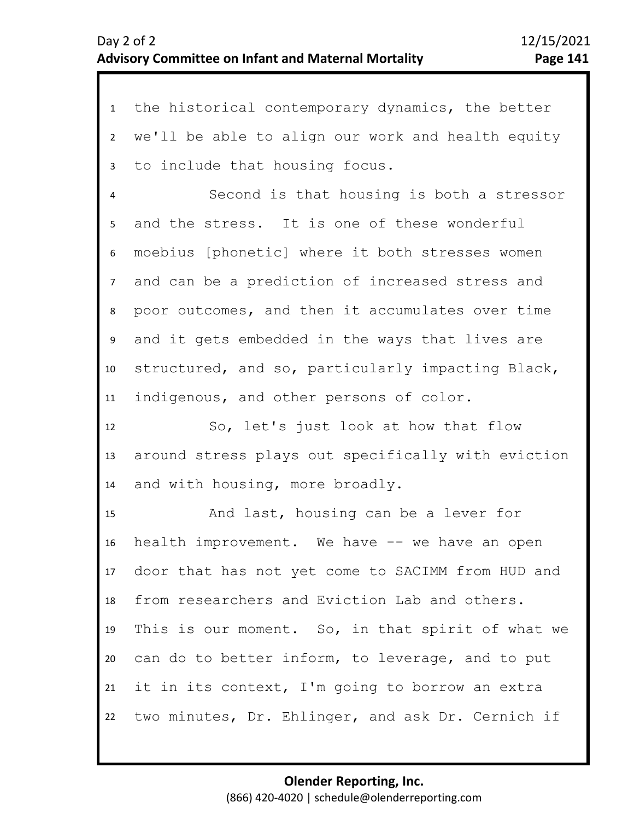1 the historical contemporary dynamics, the better 2 3 4 8 9 10 11 12 13 14 15 16 17 18 19 20 21 22 5 7 6 we'll be able to align our work and health equity to include that housing focus. Second is that housing is both a stressor and the stress. It is one of these wonderful moebius [phonetic] where it both stresses women and can be a prediction of increased stress and poor outcomes, and then it accumulates over time and it gets embedded in the ways that lives are structured, and so, particularly impacting Black, indigenous, and other persons of color. So, let's just look at how that flow around stress plays out specifically with eviction and with housing, more broadly. And last, housing can be a lever for health improvement. We have -- we have an open door that has not yet come to SACIMM from HUD and from researchers and Eviction Lab and others. This is our moment. So, in that spirit of what we can do to better inform, to leverage, and to put it in its context, I'm going to borrow an extra two minutes, Dr. Ehlinger, and ask Dr. Cernich if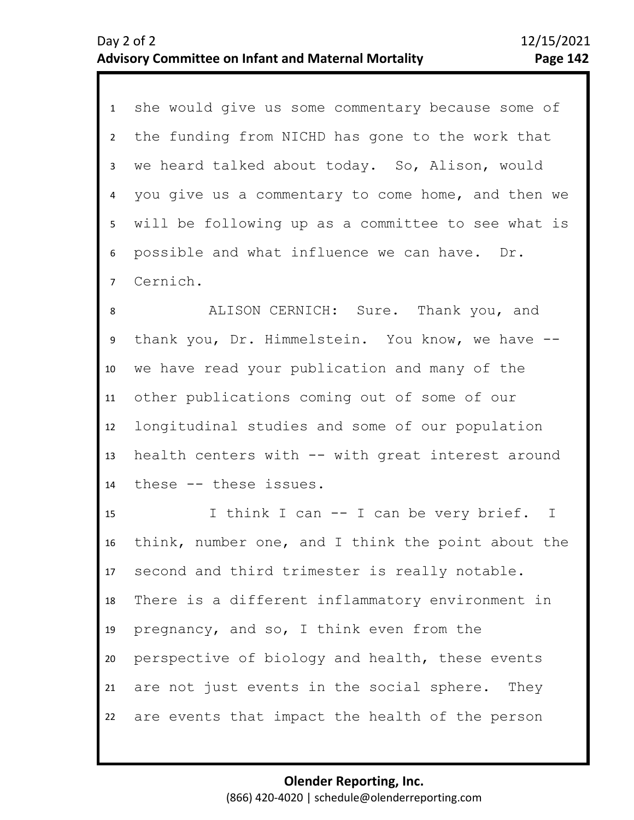1 she would give us some commentary because some of 2 3 4 5 6 7 the funding from NICHD has gone to the work that we heard talked about today. So, Alison, would you give us a commentary to come home, and then we will be following up as a committee to see what is possible and what influence we can have. Dr. Cernich.

9 10 11 12 13 14 8 ALISON CERNICH: Sure. Thank you, and thank you, Dr. Himmelstein. You know, we have - we have read your publication and many of the other publications coming out of some of our longitudinal studies and some of our population health centers with -- with great interest around these -- these issues.

15 16 17 18 19 20 21 22 I think I can -- I can be very brief. I think, number one, and I think the point about the second and third trimester is really notable. There is a different inflammatory environment in pregnancy, and so, I think even from the perspective of biology and health, these events are not just events in the social sphere. They are events that impact the health of the person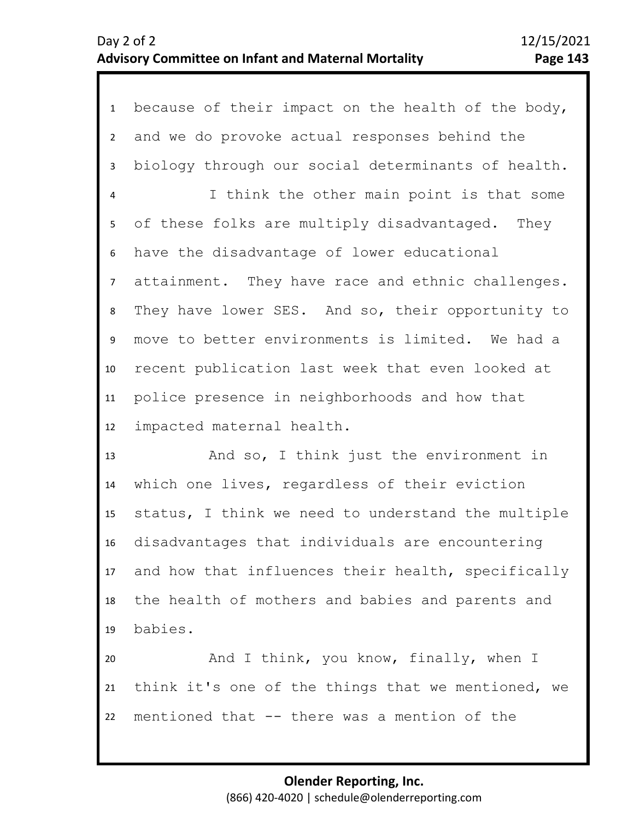1 because of their impact on the health of the body, 2 3 4 5 6 10 11 12 7 9 8 and we do provoke actual responses behind the biology through our social determinants of health. I think the other main point is that some of these folks are multiply disadvantaged. They have the disadvantage of lower educational attainment. They have race and ethnic challenges. They have lower SES. And so, their opportunity to move to better environments is limited. We had a recent publication last week that even looked at police presence in neighborhoods and how that impacted maternal health.

13 14 15 16 17 18 19 And so, I think just the environment in which one lives, regardless of their eviction status, I think we need to understand the multiple disadvantages that individuals are encountering and how that influences their health, specifically the health of mothers and babies and parents and babies.

20 21 22 And I think, you know, finally, when I think it's one of the things that we mentioned, we mentioned that -- there was a mention of the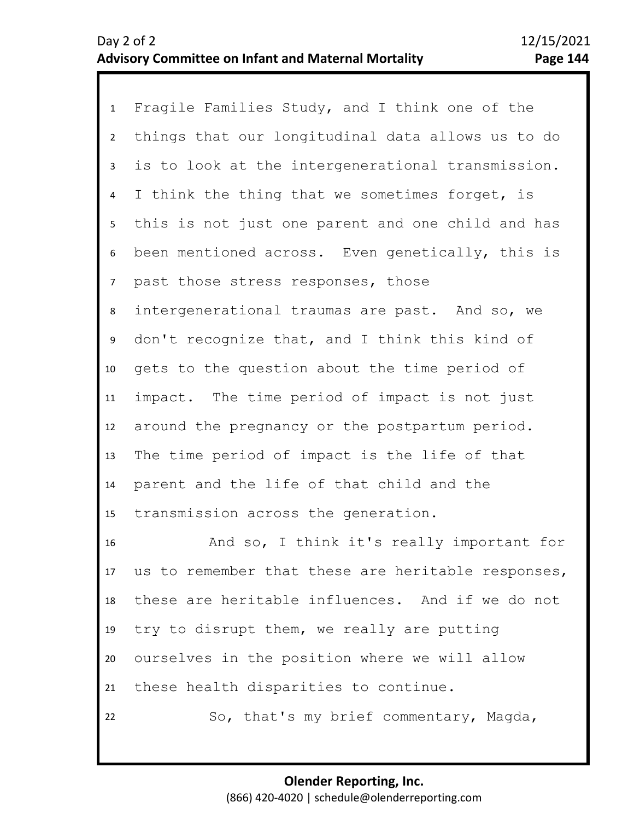| $\mathbf{1}$   | Fragile Families Study, and I think one of the     |
|----------------|----------------------------------------------------|
| $2^{\circ}$    | things that our longitudinal data allows us to do  |
| $\mathbf{3}$   | is to look at the intergenerational transmission.  |
| $\overline{4}$ | I think the thing that we sometimes forget, is     |
| 5 <sub>1</sub> | this is not just one parent and one child and has  |
| 6              | been mentioned across. Even genetically, this is   |
| 7 <sup>7</sup> | past those stress responses, those                 |
| 8              | intergenerational traumas are past. And so, we     |
| 9              | don't recognize that, and I think this kind of     |
| 10             | gets to the question about the time period of      |
| 11             | impact. The time period of impact is not just      |
| 12             | around the pregnancy or the postpartum period.     |
| 13             | The time period of impact is the life of that      |
| 14             | parent and the life of that child and the          |
| 15             | transmission across the generation.                |
| 16             | And so, I think it's really important for          |
| 17             | us to remember that these are heritable responses, |
| 18             | these are heritable influences. And if we do not   |
| 19             | try to disrupt them, we really are putting         |
| 20             | ourselves in the position where we will allow      |
| 21             | these health disparities to continue.              |
| 22             | So, that's my brief commentary, Magda,             |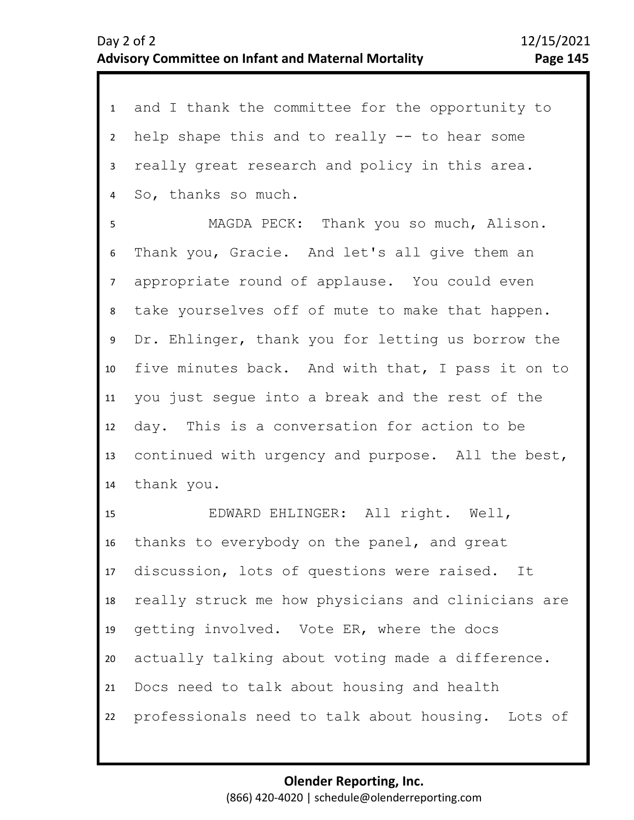| $\mathbf{1}$    | and I thank the committee for the opportunity to   |
|-----------------|----------------------------------------------------|
| $2^{\circ}$     | help shape this and to really -- to hear some      |
| $\mathbf{3}$    | really great research and policy in this area.     |
| $\overline{a}$  | So, thanks so much.                                |
| 5               | MAGDA PECK: Thank you so much, Alison.             |
| 6               | Thank you, Gracie. And let's all give them an      |
| $7\overline{ }$ | appropriate round of applause. You could even      |
| 8               | take yourselves off of mute to make that happen.   |
| 9               | Dr. Ehlinger, thank you for letting us borrow the  |
| 10              | five minutes back. And with that, I pass it on to  |
| 11              | you just segue into a break and the rest of the    |
| 12              | day. This is a conversation for action to be       |
| 13              | continued with urgency and purpose. All the best,  |
| 14              | thank you.                                         |
| 15              | EDWARD EHLINGER: All right. Well,                  |
| 16              | thanks to everybody on the panel, and great        |
| 17              | discussion, lots of questions were raised. It      |
| 18              | really struck me how physicians and clinicians are |
| 19              | getting involved. Vote ER, where the docs          |
| 20              | actually talking about voting made a difference.   |
| 21              | Docs need to talk about housing and health         |
| 22              | professionals need to talk about housing. Lots of  |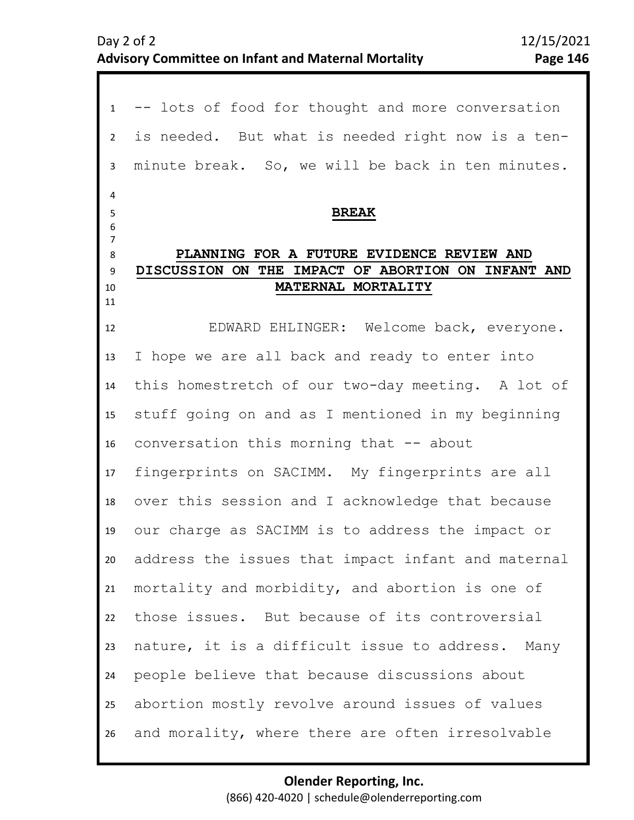1 -- lots of food for thought and more conversation 2 3 4 8 9 10 11 12 13 14 15 16 17 18 19 20 21  $22$ 23 24 25 26 5 6 7 is needed. But what is needed right now is a tenminute break. So, we will be back in ten minutes. **BREAK PLANNING FOR A FUTURE EVIDENCE REVIEW AND DISCUSSION ON THE IMPACT OF ABORTION ON INFANT AND MATERNAL MORTALITY** EDWARD EHLINGER: Welcome back, everyone. I hope we are all back and ready to enter into this homestretch of our two-day meeting. A lot of stuff going on and as I mentioned in my beginning conversation this morning that -- about fingerprints on SACIMM. My fingerprints are all over this session and I acknowledge that because our charge as SACIMM is to address the impact or address the issues that impact infant and maternal mortality and morbidity, and abortion is one of those issues. But because of its controversial nature, it is a difficult issue to address. Many people believe that because discussions about abortion mostly revolve around issues of values and morality, where there are often irresolvable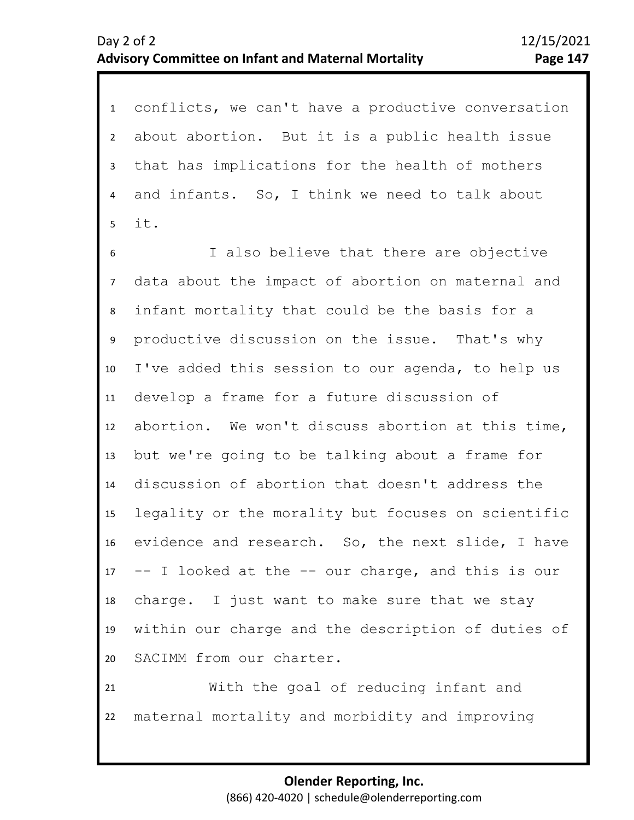1 conflicts, we can't have a productive conversation 2 3 4 5 about abortion. But it is a public health issue that has implications for the health of mothers and infants. So, I think we need to talk about it.

7 8 9 10 11 12 13 14 15 16 17 18 19 20 6 I also believe that there are objective data about the impact of abortion on maternal and infant mortality that could be the basis for a productive discussion on the issue. That's why I've added this session to our agenda, to help us develop a frame for a future discussion of abortion. We won't discuss abortion at this time, but we're going to be talking about a frame for discussion of abortion that doesn't address the legality or the morality but focuses on scientific evidence and research. So, the next slide, I have -- I looked at the -- our charge, and this is our charge. I just want to make sure that we stay within our charge and the description of duties of SACIMM from our charter.

21 22 With the goal of reducing infant and maternal mortality and morbidity and improving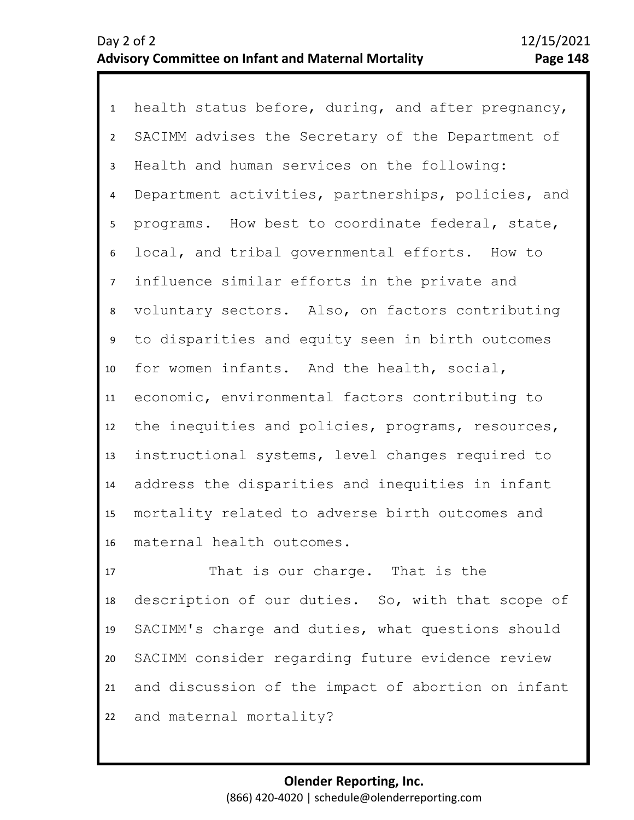1 health status before, during, and after pregnancy, 2 6 7 8 9 10 11 12 13 14 15 16 3 5 4 SACIMM advises the Secretary of the Department of Health and human services on the following: Department activities, partnerships, policies, and programs. How best to coordinate federal, state, local, and tribal governmental efforts. How to influence similar efforts in the private and voluntary sectors. Also, on factors contributing to disparities and equity seen in birth outcomes for women infants. And the health, social, economic, environmental factors contributing to the inequities and policies, programs, resources, instructional systems, level changes required to address the disparities and inequities in infant mortality related to adverse birth outcomes and maternal health outcomes.

17 18 19 20 21 22 That is our charge. That is the description of our duties. So, with that scope of SACIMM's charge and duties, what questions should SACIMM consider regarding future evidence review and discussion of the impact of abortion on infant and maternal mortality?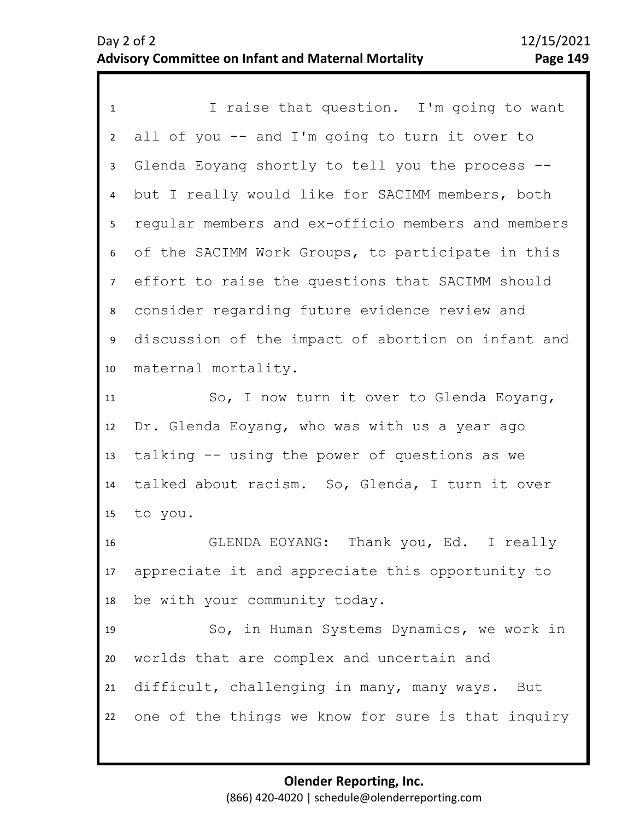1 I raise that question. I'm going to want 2 3 4 5 9 10 11 12 13 14 15 16 17 18 6 8 7 all of you -- and I'm going to turn it over to Glenda Eoyang shortly to tell you the process - but I really would like for SACIMM members, both regular members and ex-officio members and members of the SACIMM Work Groups, to participate in this effort to raise the questions that SACIMM should consider regarding future evidence review and discussion of the impact of abortion on infant and maternal mortality. So, I now turn it over to Glenda Eoyang, Dr. Glenda Eoyang, who was with us a year ago talking -- using the power of questions as we talked about racism. So, Glenda, I turn it over to you. GLENDA EOYANG: Thank you, Ed. I really appreciate it and appreciate this opportunity to be with your community today.

19 20 21 22 So, in Human Systems Dynamics, we work in worlds that are complex and uncertain and difficult, challenging in many, many ways. But one of the things we know for sure is that inquiry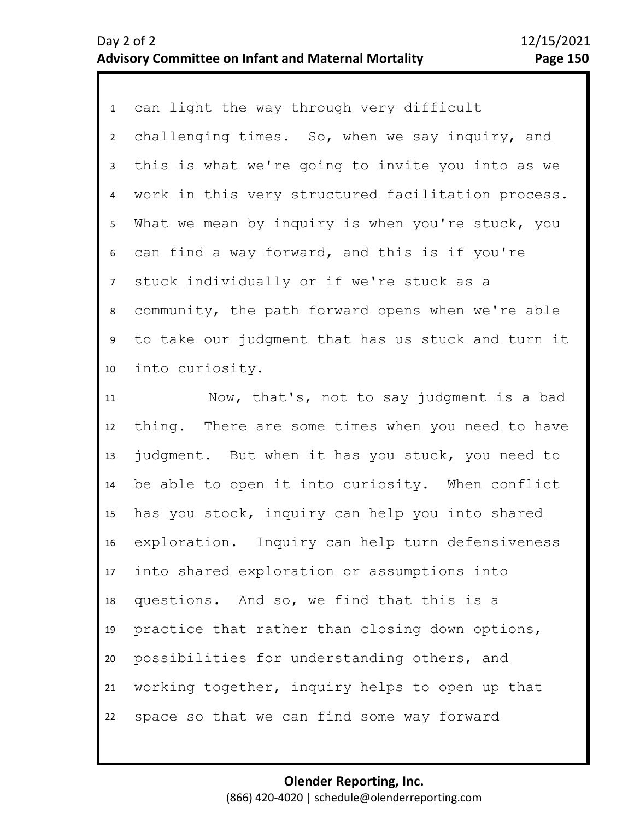1 can light the way through very difficult 2 3 4 8 9 10 11 12 5 7 6 challenging times. So, when we say inquiry, and this is what we're going to invite you into as we work in this very structured facilitation process. What we mean by inquiry is when you're stuck, you can find a way forward, and this is if you're stuck individually or if we're stuck as a community, the path forward opens when we're able to take our judgment that has us stuck and turn it into curiosity. Now, that's, not to say judgment is a bad thing. There are some times when you need to have

13 14 15 16 17 18 19 20 21 22 judgment. But when it has you stuck, you need to be able to open it into curiosity. When conflict has you stock, inquiry can help you into shared exploration. Inquiry can help turn defensiveness into shared exploration or assumptions into questions. And so, we find that this is a practice that rather than closing down options, possibilities for understanding others, and working together, inquiry helps to open up that space so that we can find some way forward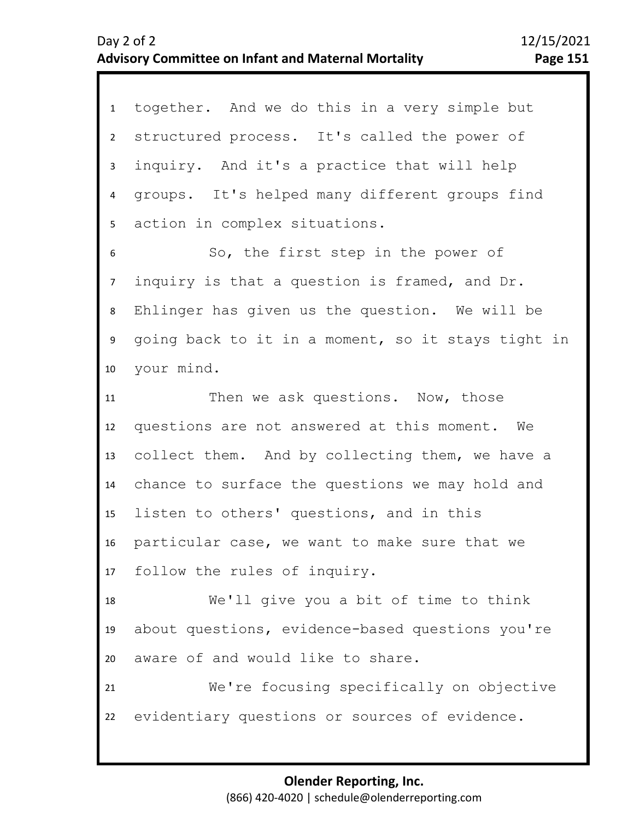| 1               | together. And we do this in a very simple but      |
|-----------------|----------------------------------------------------|
| $2^{\circ}$     | structured process. It's called the power of       |
|                 |                                                    |
| $\mathbf{3}$    | inquiry. And it's a practice that will help        |
| 4               | groups. It's helped many different groups find     |
| 5               | action in complex situations.                      |
| 6               | So, the first step in the power of                 |
| $7\overline{ }$ | inquiry is that a question is framed, and Dr.      |
| 8               | Ehlinger has given us the question. We will be     |
| 9               | going back to it in a moment, so it stays tight in |
| 10              | your mind.                                         |
| 11              | Then we ask questions. Now, those                  |
| 12              | questions are not answered at this moment. We      |
| 13              | collect them. And by collecting them, we have a    |
| 14              | chance to surface the questions we may hold and    |
| 15 <sub>1</sub> | listen to others' questions, and in this           |
| 16              | particular case, we want to make sure that we      |
|                 | 17 follow the rules of inquiry.                    |
| 18              | We'll give you a bit of time to think              |
| 19              | about questions, evidence-based questions you're   |
| 20              | aware of and would like to share.                  |
| 21              | We're focusing specifically on objective           |
| 22              | evidentiary questions or sources of evidence.      |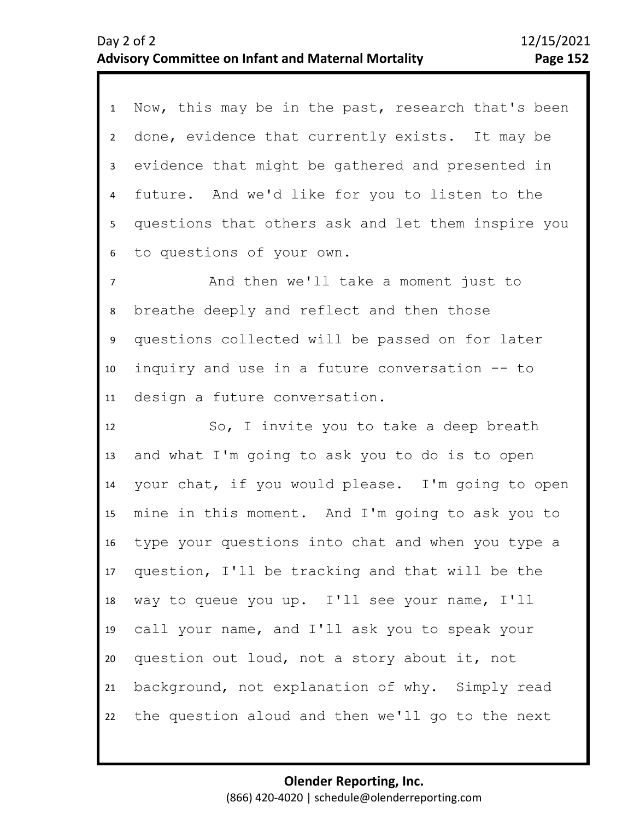1 Now, this may be in the past, research that's been 2 6 7 8 9 10 11 12 13 14 15 16 17 18 19 20 21 22 3 5 4 done, evidence that currently exists. It may be evidence that might be gathered and presented in future. And we'd like for you to listen to the questions that others ask and let them inspire you to questions of your own. And then we'll take a moment just to breathe deeply and reflect and then those questions collected will be passed on for later inquiry and use in a future conversation -- to design a future conversation. So, I invite you to take a deep breath and what I'm going to ask you to do is to open your chat, if you would please. I'm going to open mine in this moment. And I'm going to ask you to type your questions into chat and when you type a question, I'll be tracking and that will be the way to queue you up. I'll see your name, I'll call your name, and I'll ask you to speak your question out loud, not a story about it, not background, not explanation of why. Simply read the question aloud and then we'll go to the next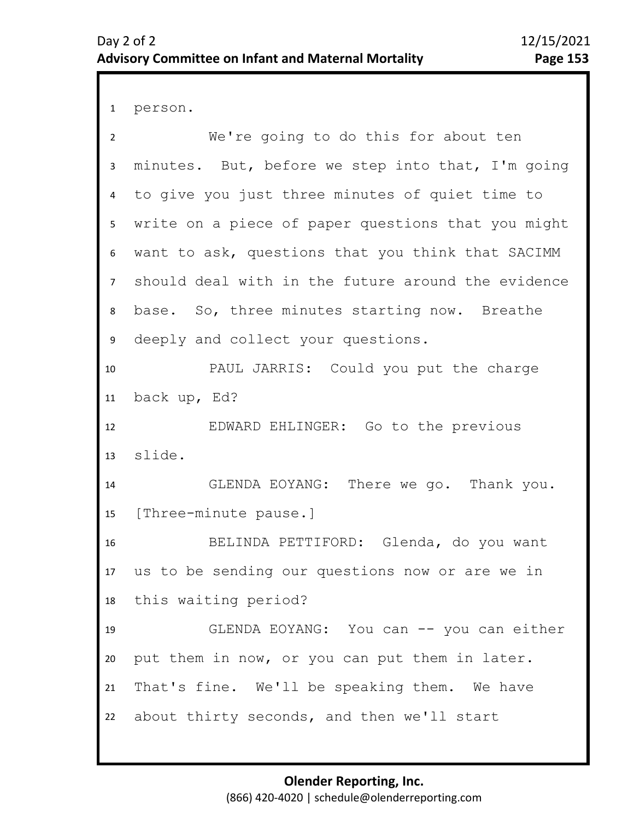```
1 person.
```

| $\overline{2}$ | We're going to do this for about ten               |
|----------------|----------------------------------------------------|
| 3              | minutes. But, before we step into that, I'm going  |
| 4              | to give you just three minutes of quiet time to    |
| 5              | write on a piece of paper questions that you might |
| 6              | want to ask, questions that you think that SACIMM  |
| $\overline{7}$ | should deal with in the future around the evidence |
| 8              | base. So, three minutes starting now. Breathe      |
| 9              | deeply and collect your questions.                 |
| 10             | PAUL JARRIS: Could you put the charge              |
| 11             | back up, Ed?                                       |
| 12             | EDWARD EHLINGER: Go to the previous                |
| 13             | slide.                                             |
| 14             | GLENDA EOYANG: There we go. Thank you.             |
| 15             | [Three-minute pause.]                              |
| 16             | BELINDA PETTIFORD: Glenda, do you want             |
| 17             | us to be sending our questions now or are we in    |
| 18             | this waiting period?                               |
| 19             | GLENDA EOYANG: You can -- you can either           |
| 20             | put them in now, or you can put them in later.     |
| 21             | That's fine. We'll be speaking them. We have       |
| 22             | about thirty seconds, and then we'll start         |
|                |                                                    |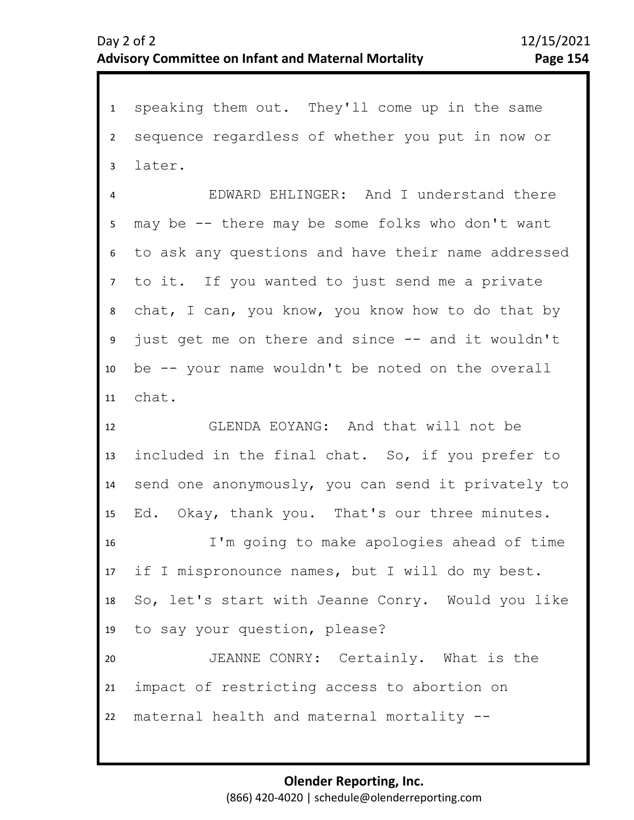1 speaking them out. They'll come up in the same 2 3 4 8 9 10 11 12 13 14 15 16 17 18 19 20 21 22 5 7 6 sequence regardless of whether you put in now or later. EDWARD EHLINGER: And I understand there may be -- there may be some folks who don't want to ask any questions and have their name addressed to it. If you wanted to just send me a private chat, I can, you know, you know how to do that by just get me on there and since -- and it wouldn't be -- your name wouldn't be noted on the overall chat. GLENDA EOYANG: And that will not be included in the final chat. So, if you prefer to send one anonymously, you can send it privately to Ed. Okay, thank you. That's our three minutes. I'm going to make apologies ahead of time if I mispronounce names, but I will do my best. So, let's start with Jeanne Conry. Would you like to say your question, please? JEANNE CONRY: Certainly. What is the impact of restricting access to abortion on maternal health and maternal mortality --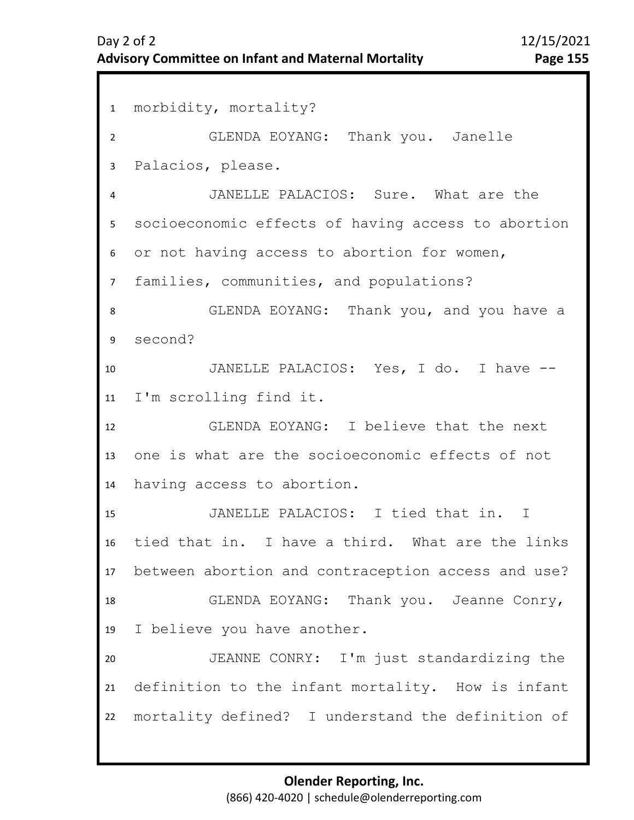1 morbidity, mortality? 2 3 4 8 9 10 11 12 13 14 15 16 17 18 19 20 21 22 5 7 6 GLENDA EOYANG: Thank you. Janelle Palacios, please. JANELLE PALACIOS: Sure. What are the socioeconomic effects of having access to abortion or not having access to abortion for women, families, communities, and populations? GLENDA EOYANG: Thank you, and you have a second? JANELLE PALACIOS: Yes, I do. I have -- I'm scrolling find it. GLENDA EOYANG: I believe that the next one is what are the socioeconomic effects of not having access to abortion. JANELLE PALACIOS: I tied that in. I tied that in. I have a third. What are the links between abortion and contraception access and use? GLENDA EOYANG: Thank you. Jeanne Conry, I believe you have another. JEANNE CONRY: I'm just standardizing the definition to the infant mortality. How is infant mortality defined? I understand the definition of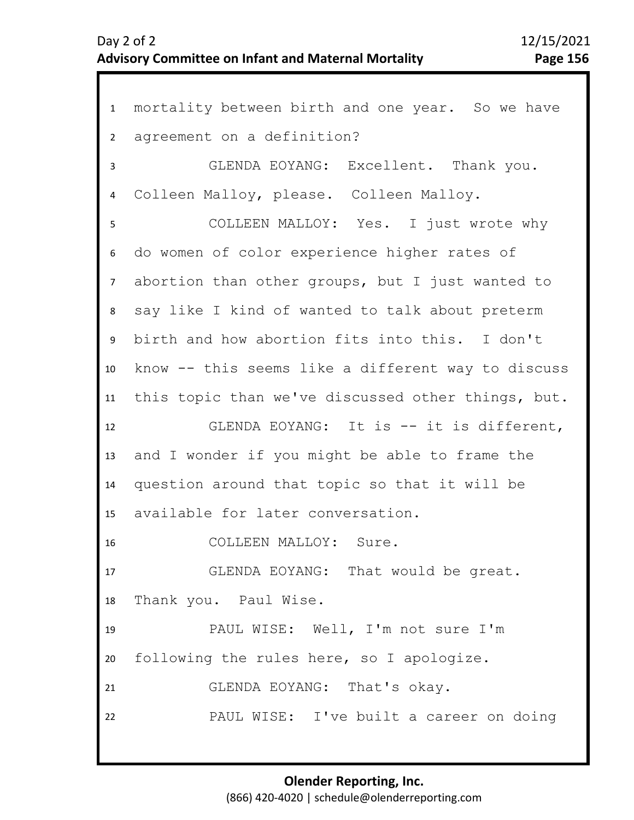1 mortality between birth and one year. So we have 2 3 7 8 9 10 11 12 13 14 15 16 17 18 19 20 21 22 4 6 5 agreement on a definition? GLENDA EOYANG: Excellent. Thank you. Colleen Malloy, please. Colleen Malloy. COLLEEN MALLOY: Yes. I just wrote why do women of color experience higher rates of abortion than other groups, but I just wanted to say like I kind of wanted to talk about preterm birth and how abortion fits into this. I don't know -- this seems like a different way to discuss this topic than we've discussed other things, but. GLENDA EOYANG: It is -- it is different, and I wonder if you might be able to frame the question around that topic so that it will be available for later conversation. COLLEEN MALLOY: Sure. GLENDA EOYANG: That would be great. Thank you. Paul Wise. PAUL WISE: Well, I'm not sure I'm following the rules here, so I apologize. GLENDA EOYANG: That's okay. PAUL WISE: I've built a career on doing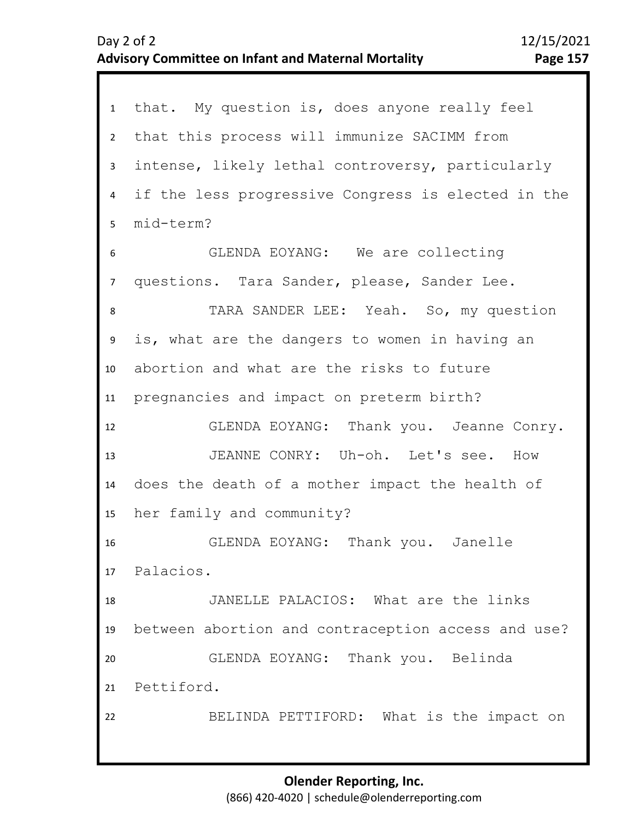|                 | that. My question is, does anyone really feel      |
|-----------------|----------------------------------------------------|
| 1               |                                                    |
| $2^{\circ}$     | that this process will immunize SACIMM from        |
| 3 <sup>7</sup>  | intense, likely lethal controversy, particularly   |
| $\overline{4}$  | if the less progressive Congress is elected in the |
| 5               | mid-term?                                          |
| 6               | GLENDA EOYANG: We are collecting                   |
| $\overline{7}$  | questions. Tara Sander, please, Sander Lee.        |
| 8               | TARA SANDER LEE: Yeah. So, my question             |
| 9               | is, what are the dangers to women in having an     |
| 10 <sub>1</sub> | abortion and what are the risks to future          |
| 11              | pregnancies and impact on preterm birth?           |
| 12              | GLENDA EOYANG: Thank you. Jeanne Conry.            |
| 13              | JEANNE CONRY: Uh-oh. Let's see. How                |
| 14              | does the death of a mother impact the health of    |
| 15              | her family and community?                          |
| 16              | GLENDA EOYANG: Thank you. Janelle                  |
|                 | 17 Palacios.                                       |
| 18              | JANELLE PALACIOS: What are the links               |
| 19              | between abortion and contraception access and use? |
| 20              | GLENDA EOYANG: Thank you. Belinda                  |
|                 | 21 Pettiford.                                      |
| 22              | BELINDA PETTIFORD: What is the impact on           |
|                 |                                                    |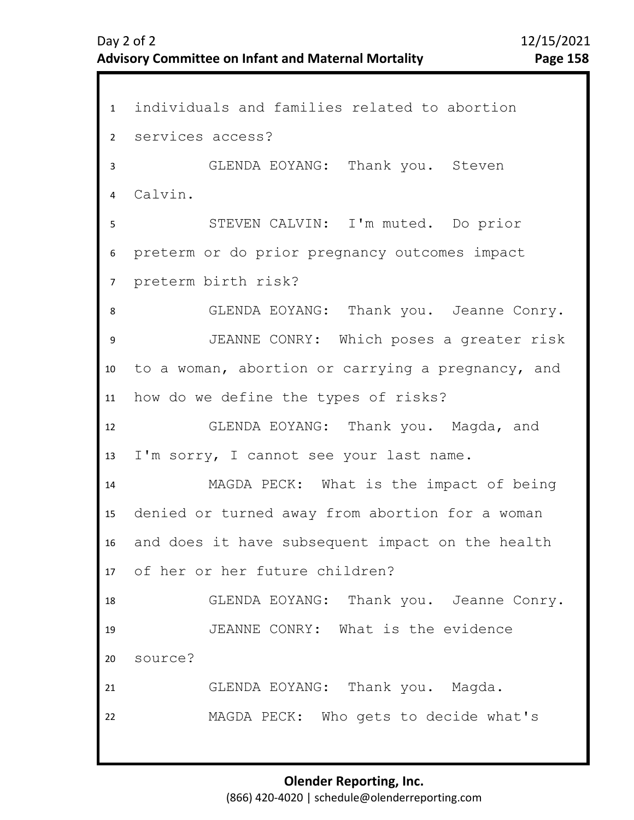1 individuals and families related to abortion 2 3 7 8 9 10 11 12 13 14 15 16 17 18 19 20 21 22 4 6 5 services access? GLENDA EOYANG: Thank you. Steven Calvin. STEVEN CALVIN: I'm muted. Do prior preterm or do prior pregnancy outcomes impact preterm birth risk? GLENDA EOYANG: Thank you. Jeanne Conry. JEANNE CONRY: Which poses a greater risk to a woman, abortion or carrying a pregnancy, and how do we define the types of risks? GLENDA EOYANG: Thank you. Magda, and I'm sorry, I cannot see your last name. MAGDA PECK: What is the impact of being denied or turned away from abortion for a woman and does it have subsequent impact on the health of her or her future children? GLENDA EOYANG: Thank you. Jeanne Conry. JEANNE CONRY: What is the evidence source? GLENDA EOYANG: Thank you. Magda. MAGDA PECK: Who gets to decide what's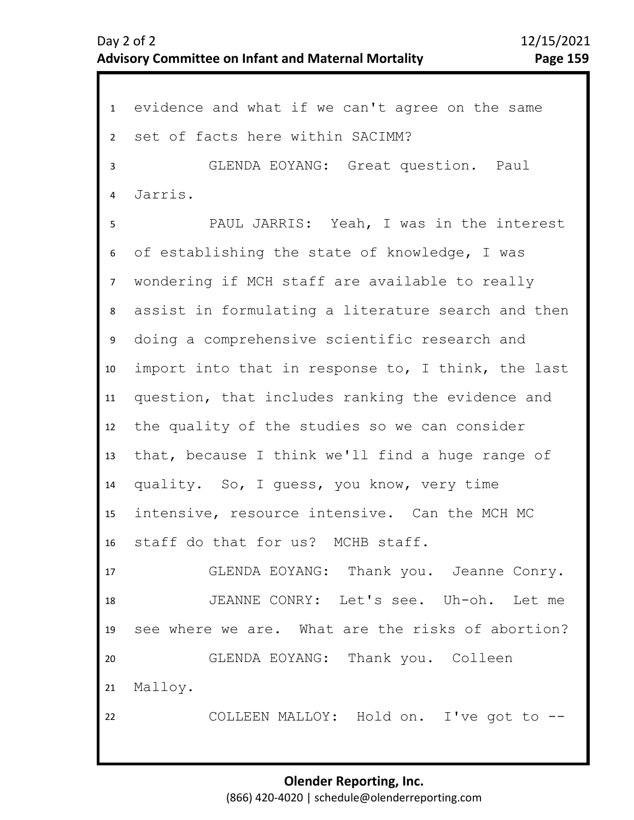1 evidence and what if we can't agree on the same 2 3 7 8 9 10 11 12 13 14 15 16 17 18 19 20 21 22 4 6 5 set of facts here within SACIMM? GLENDA EOYANG: Great question. Paul Jarris. PAUL JARRIS: Yeah, I was in the interest of establishing the state of knowledge, I was wondering if MCH staff are available to really assist in formulating a literature search and then doing a comprehensive scientific research and import into that in response to, I think, the last question, that includes ranking the evidence and the quality of the studies so we can consider that, because I think we'll find a huge range of quality. So, I guess, you know, very time intensive, resource intensive. Can the MCH MC staff do that for us? MCHB staff. GLENDA EOYANG: Thank you. Jeanne Conry. JEANNE CONRY: Let's see. Uh-oh. Let me see where we are. What are the risks of abortion? GLENDA EOYANG: Thank you. Colleen Malloy. COLLEEN MALLOY: Hold on. I've got to --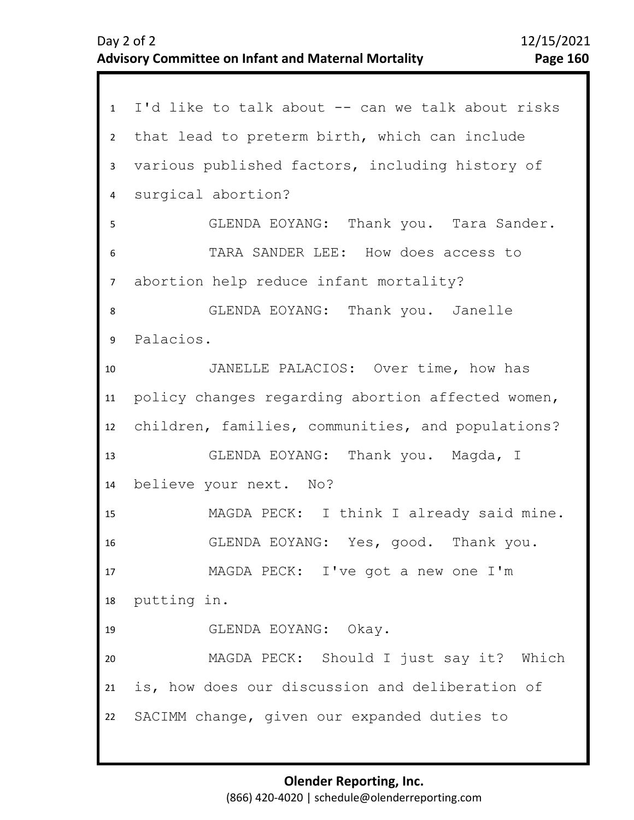1 I'd like to talk about -- can we talk about risks 2 3 4 5 9 10 11 12 13 14 15 16 17 18 19 20 21 22 6 8 7 that lead to preterm birth, which can include various published factors, including history of surgical abortion? GLENDA EOYANG: Thank you. Tara Sander. TARA SANDER LEE: How does access to abortion help reduce infant mortality? GLENDA EOYANG: Thank you. Janelle Palacios. JANELLE PALACIOS: Over time, how has policy changes regarding abortion affected women, children, families, communities, and populations? GLENDA EOYANG: Thank you. Magda, I believe your next. No? MAGDA PECK: I think I already said mine. GLENDA EOYANG: Yes, good. Thank you. MAGDA PECK: I've got a new one I'm putting in. GLENDA EOYANG: Okay. MAGDA PECK: Should I just say it? Which is, how does our discussion and deliberation of SACIMM change, given our expanded duties to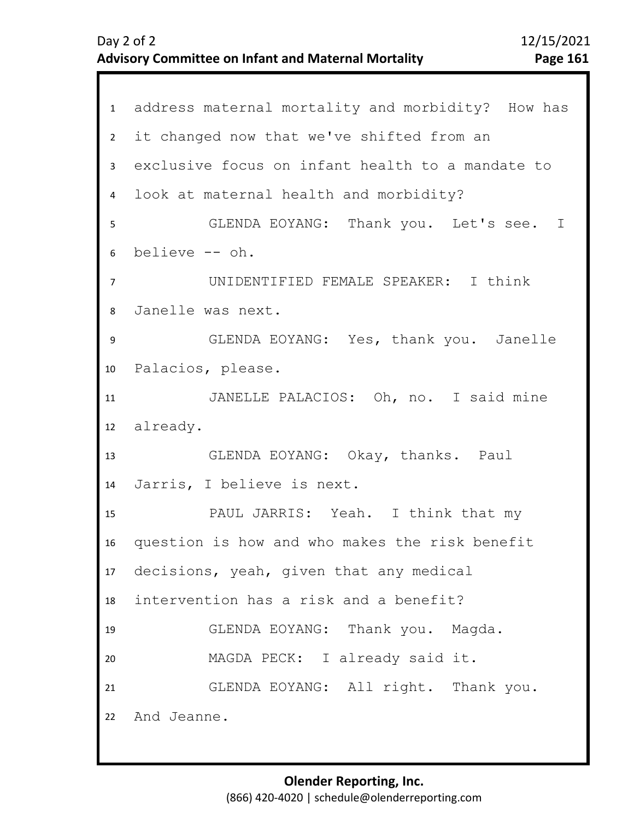|                | 1 address maternal mortality and morbidity? How has |
|----------------|-----------------------------------------------------|
| $\overline{2}$ | it changed now that we've shifted from an           |
| 3              | exclusive focus on infant health to a mandate to    |
| $\overline{4}$ | look at maternal health and morbidity?              |
| 5              | GLENDA EOYANG: Thank you. Let's see. I              |
| 6              | believe -- oh.                                      |
| $\overline{7}$ | UNIDENTIFIED FEMALE SPEAKER: I think                |
| 8              | Janelle was next.                                   |
| 9              | GLENDA EOYANG: Yes, thank you. Janelle              |
| 10             | Palacios, please.                                   |
| 11             | JANELLE PALACIOS: Oh, no. I said mine               |
|                | 12 already.                                         |
| 13             | GLENDA EOYANG: Okay, thanks. Paul                   |
| 14             | Jarris, I believe is next.                          |
| 15             | PAUL JARRIS: Yeah. I think that my                  |
| 16             | question is how and who makes the risk benefit      |
|                | 17 decisions, yeah, given that any medical          |
| 18             | intervention has a risk and a benefit?              |
| 19             | GLENDA EOYANG: Thank you. Magda.                    |
| 20             | MAGDA PECK: I already said it.                      |
| 21             | GLENDA EOYANG: All right. Thank you.                |
|                | 22 And Jeanne.                                      |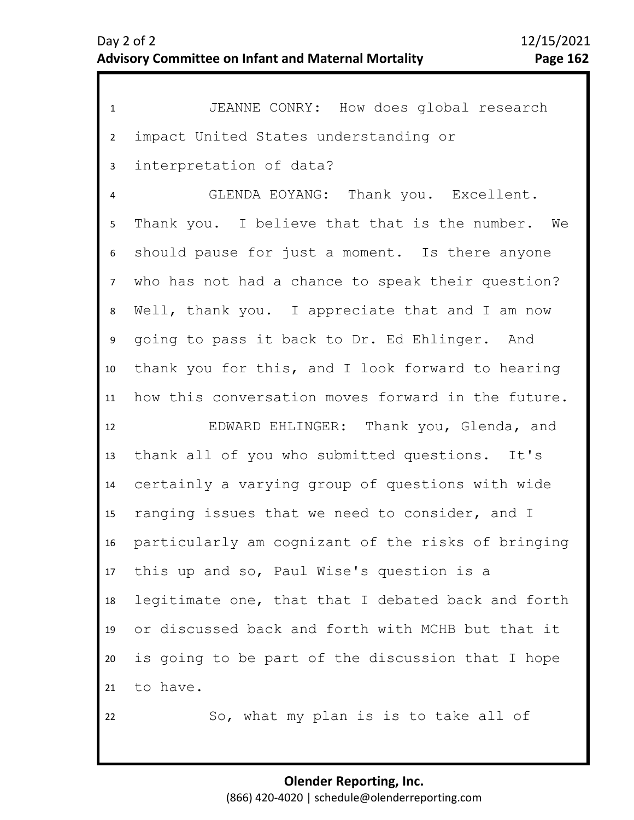| $\mathbf{1}$    | JEANNE CONRY: How does global research             |
|-----------------|----------------------------------------------------|
| $2^{\circ}$     | impact United States understanding or              |
| 3               | interpretation of data?                            |
| 4               | GLENDA EOYANG: Thank you. Excellent.               |
| 5               | Thank you. I believe that that is the number. We   |
| 6               | should pause for just a moment. Is there anyone    |
| 7 <sup>7</sup>  | who has not had a chance to speak their question?  |
| 8               | Well, thank you. I appreciate that and I am now    |
| 9               | going to pass it back to Dr. Ed Ehlinger. And      |
| 10 <sup>°</sup> | thank you for this, and I look forward to hearing  |
| 11              | how this conversation moves forward in the future. |
| 12              | EDWARD EHLINGER: Thank you, Glenda, and            |
| 13              | thank all of you who submitted questions. It's     |
| 14              | certainly a varying group of questions with wide   |
| 15 <sub>1</sub> | ranging issues that we need to consider, and I     |
| 16              | particularly am cognizant of the risks of bringing |
| 17              | this up and so, Paul Wise's question is a          |
| 18              | legitimate one, that that I debated back and forth |
| 19              | or discussed back and forth with MCHB but that it  |
| 20              | is going to be part of the discussion that I hope  |
| 21              | to have.                                           |
| 22              | So, what my plan is is to take all of              |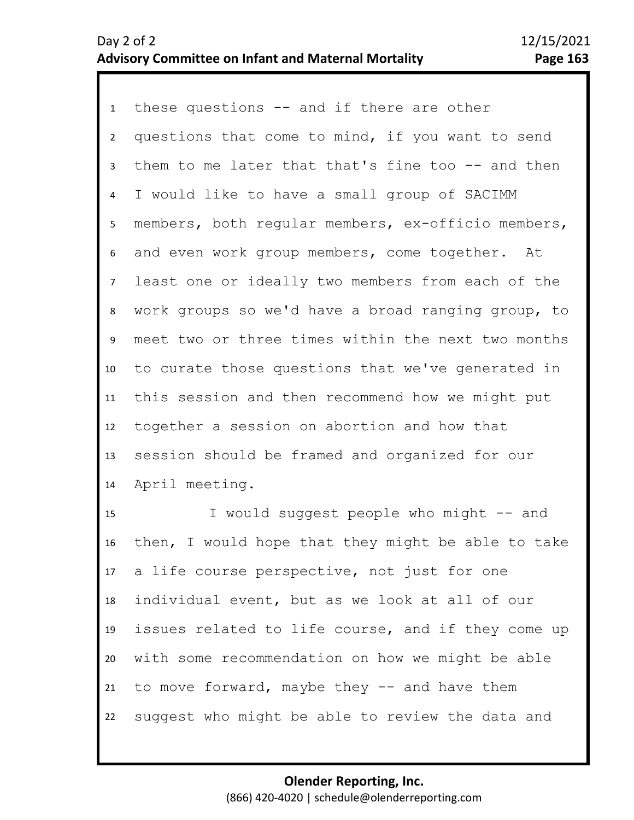1 these questions -- and if there are other 2 3 4 5 9 10 11 12 13 14 6 8 7 questions that come to mind, if you want to send them to me later that that's fine too -- and then I would like to have a small group of SACIMM members, both regular members, ex-officio members, and even work group members, come together. At least one or ideally two members from each of the work groups so we'd have a broad ranging group, to meet two or three times within the next two months to curate those questions that we've generated in this session and then recommend how we might put together a session on abortion and how that session should be framed and organized for our April meeting.

15 16 17 18 19 20 21 22 I would suggest people who might -- and then, I would hope that they might be able to take a life course perspective, not just for one individual event, but as we look at all of our issues related to life course, and if they come up with some recommendation on how we might be able to move forward, maybe they -- and have them suggest who might be able to review the data and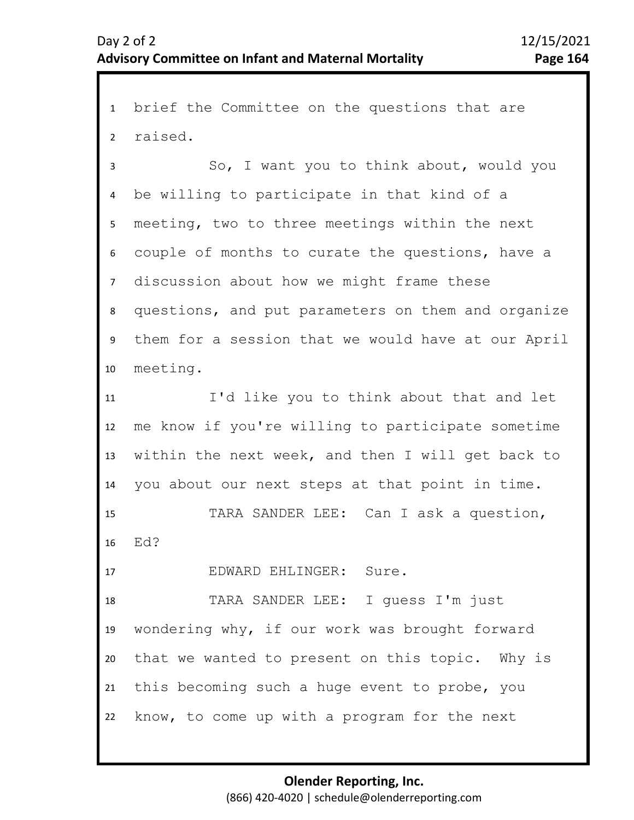1 brief the Committee on the questions that are 2 raised.

3 4 8 9 10 5 7 6 So, I want you to think about, would you be willing to participate in that kind of a meeting, two to three meetings within the next couple of months to curate the questions, have a discussion about how we might frame these questions, and put parameters on them and organize them for a session that we would have at our April meeting.

11 12 13 14 I'd like you to think about that and let me know if you're willing to participate sometime within the next week, and then I will get back to you about our next steps at that point in time.

15 16 TARA SANDER LEE: Can I ask a question, Ed?

17 EDWARD EHLINGER: Sure.

18 19 20 21 22 TARA SANDER LEE: I guess I'm just wondering why, if our work was brought forward that we wanted to present on this topic. Why is this becoming such a huge event to probe, you know, to come up with a program for the next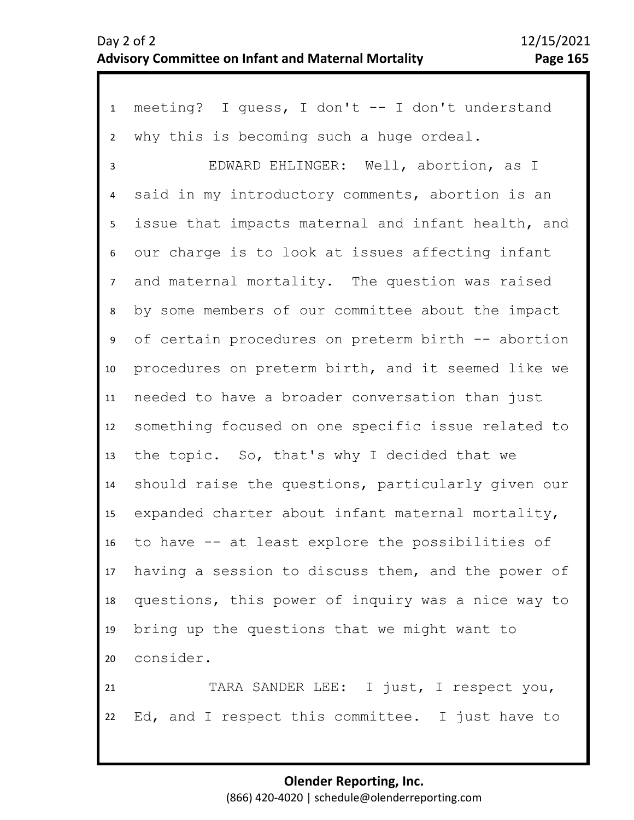1 meeting? I guess, I don't -- I don't understand 2 3 4 8 9 10 11 12 13 14 15 16 17 18 19 20 21 22 5 7 6 why this is becoming such a huge ordeal. EDWARD EHLINGER: Well, abortion, as I said in my introductory comments, abortion is an issue that impacts maternal and infant health, and our charge is to look at issues affecting infant and maternal mortality. The question was raised by some members of our committee about the impact of certain procedures on preterm birth -- abortion procedures on preterm birth, and it seemed like we needed to have a broader conversation than just something focused on one specific issue related to the topic. So, that's why I decided that we should raise the questions, particularly given our expanded charter about infant maternal mortality, to have -- at least explore the possibilities of having a session to discuss them, and the power of questions, this power of inquiry was a nice way to bring up the questions that we might want to consider. TARA SANDER LEE: I just, I respect you, Ed, and I respect this committee. I just have to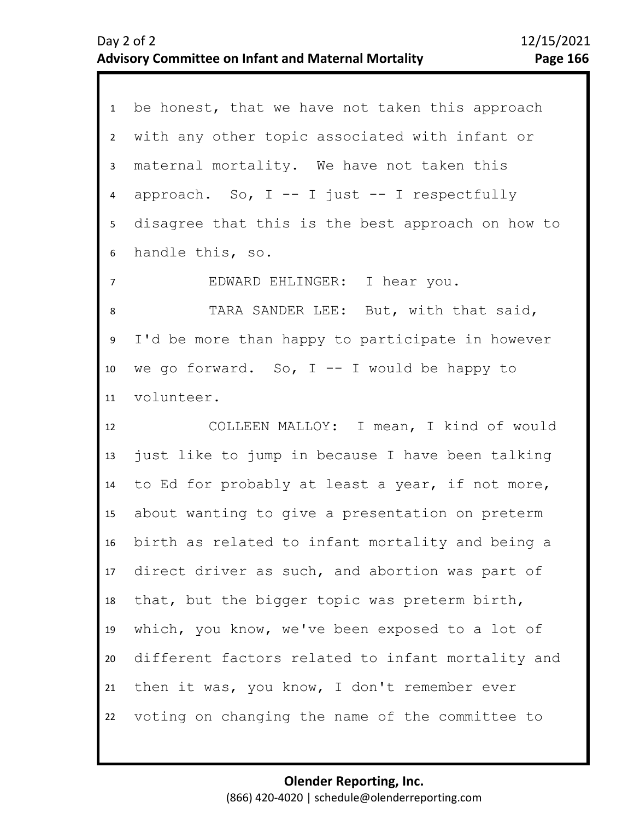1 be honest, that we have not taken this approach 2 3 4 8 9 10 11 12 13 14 15 16 17 18 19 20 21 22 5 7 6 with any other topic associated with infant or maternal mortality. We have not taken this approach. So,  $I$  --  $I$  just --  $I$  respectfully disagree that this is the best approach on how to handle this, so. EDWARD EHLINGER: I hear you. TARA SANDER LEE: But, with that said, I'd be more than happy to participate in however we go forward. So,  $I$  -- I would be happy to volunteer. COLLEEN MALLOY: I mean, I kind of would just like to jump in because I have been talking to Ed for probably at least a year, if not more, about wanting to give a presentation on preterm birth as related to infant mortality and being a direct driver as such, and abortion was part of that, but the bigger topic was preterm birth, which, you know, we've been exposed to a lot of different factors related to infant mortality and then it was, you know, I don't remember ever voting on changing the name of the committee to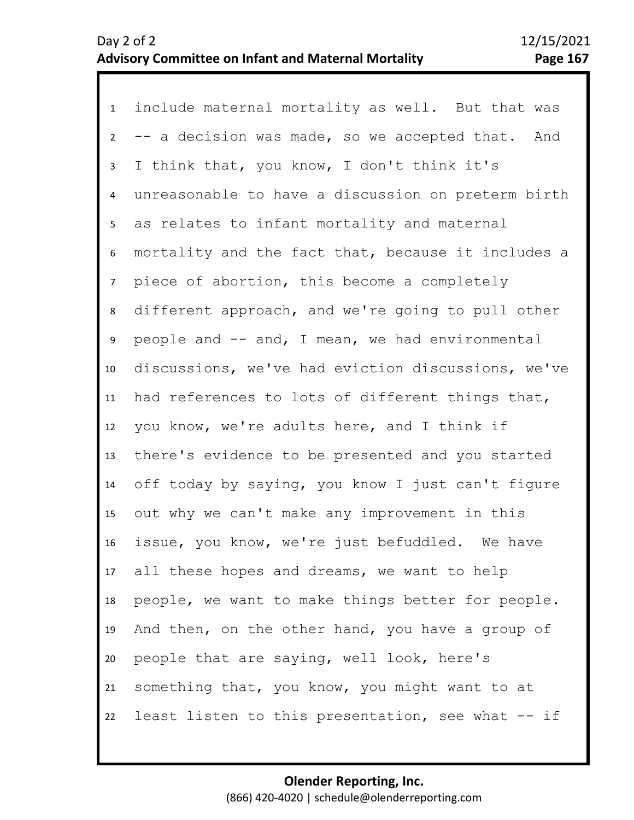1 include maternal mortality as well. But that was 2 3 4 5 6 10 11 12 13 14 15 16 17 18 19 20 21 22 7 9 8 -- a decision was made, so we accepted that. And I think that, you know, I don't think it's unreasonable to have a discussion on preterm birth as relates to infant mortality and maternal mortality and the fact that, because it includes a piece of abortion, this become a completely different approach, and we're going to pull other people and -- and, I mean, we had environmental discussions, we've had eviction discussions, we've had references to lots of different things that, you know, we're adults here, and I think if there's evidence to be presented and you started off today by saying, you know I just can't figure out why we can't make any improvement in this issue, you know, we're just befuddled. We have all these hopes and dreams, we want to help people, we want to make things better for people. And then, on the other hand, you have a group of people that are saying, well look, here's something that, you know, you might want to at least listen to this presentation, see what -- if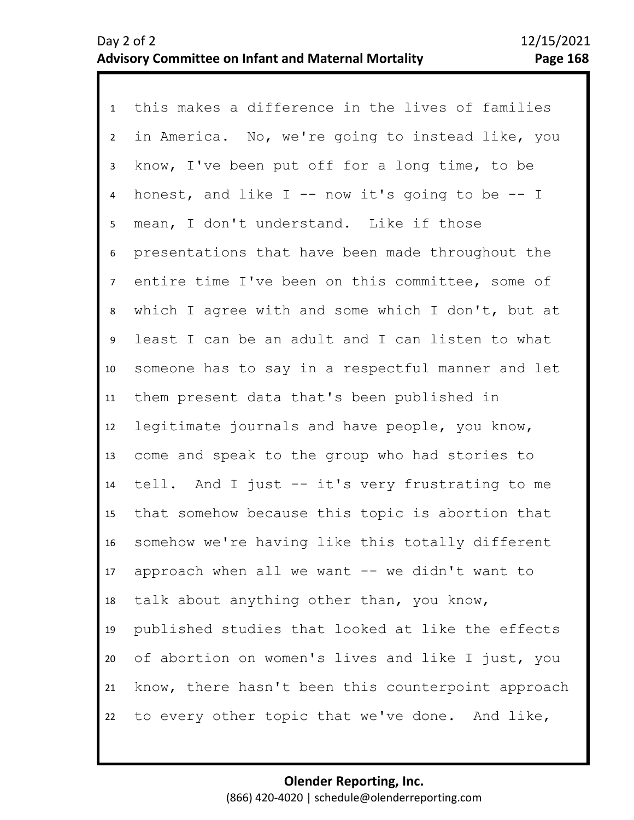1 this makes a difference in the lives of families 2 3 4 5 9 10 11 12 13 14 15 16 17 18 19 20 21 22 6 8 7 in America. No, we're going to instead like, you know, I've been put off for a long time, to be honest, and like  $I$  -- now it's going to be -- I mean, I don't understand. Like if those presentations that have been made throughout the entire time I've been on this committee, some of which I agree with and some which I don't, but at least I can be an adult and I can listen to what someone has to say in a respectful manner and let them present data that's been published in legitimate journals and have people, you know, come and speak to the group who had stories to tell. And I just -- it's very frustrating to me that somehow because this topic is abortion that somehow we're having like this totally different approach when all we want  $--$  we didn't want to talk about anything other than, you know, published studies that looked at like the effects of abortion on women's lives and like I just, you know, there hasn't been this counterpoint approach to every other topic that we've done. And like,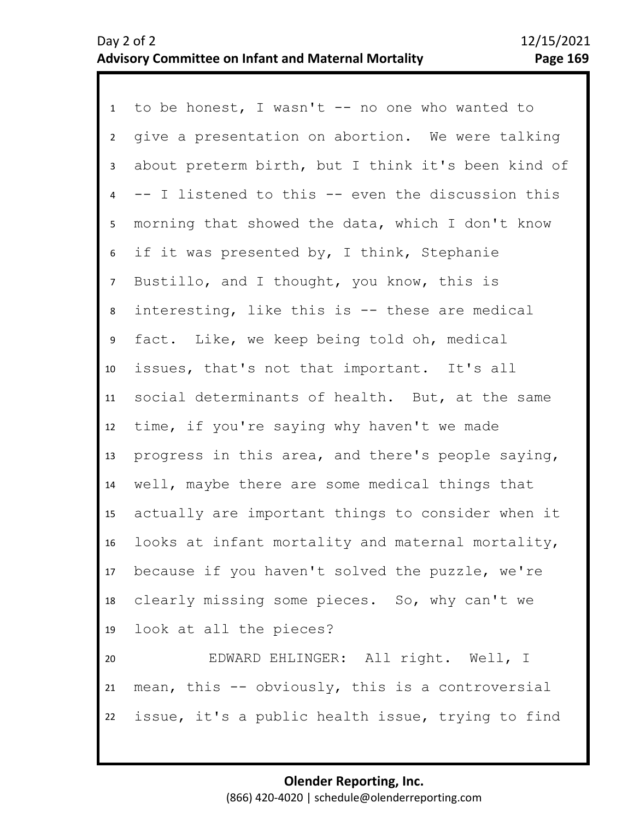1 to be honest, I wasn't -- no one who wanted to 2 3 4 8 9 10 11 12 13 14 15 16 17 18 19 20 21 22 5 7 6 give a presentation on abortion. We were talking about preterm birth, but I think it's been kind of -- I listened to this -- even the discussion this morning that showed the data, which I don't know if it was presented by, I think, Stephanie Bustillo, and I thought, you know, this is interesting, like this is -- these are medical fact. Like, we keep being told oh, medical issues, that's not that important. It's all social determinants of health. But, at the same time, if you're saying why haven't we made progress in this area, and there's people saying, well, maybe there are some medical things that actually are important things to consider when it looks at infant mortality and maternal mortality, because if you haven't solved the puzzle, we're clearly missing some pieces. So, why can't we look at all the pieces? EDWARD EHLINGER: All right. Well, I mean, this -- obviously, this is a controversial issue, it's a public health issue, trying to find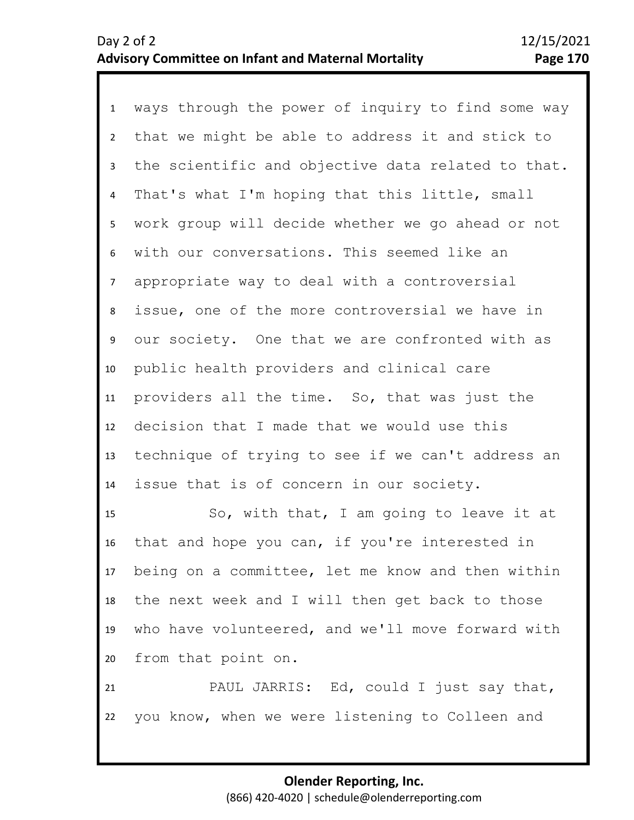1 ways through the power of inquiry to find some way 2 3 4 8 9 10 11 12 13 14 5 7 6 that we might be able to address it and stick to the scientific and objective data related to that. That's what I'm hoping that this little, small work group will decide whether we go ahead or not with our conversations. This seemed like an appropriate way to deal with a controversial issue, one of the more controversial we have in our society. One that we are confronted with as public health providers and clinical care providers all the time. So, that was just the decision that I made that we would use this technique of trying to see if we can't address an issue that is of concern in our society.

15 16 17 18 19 20 So, with that, I am going to leave it at that and hope you can, if you're interested in being on a committee, let me know and then within the next week and I will then get back to those who have volunteered, and we'll move forward with from that point on.

21 22 PAUL JARRIS: Ed, could I just say that, you know, when we were listening to Colleen and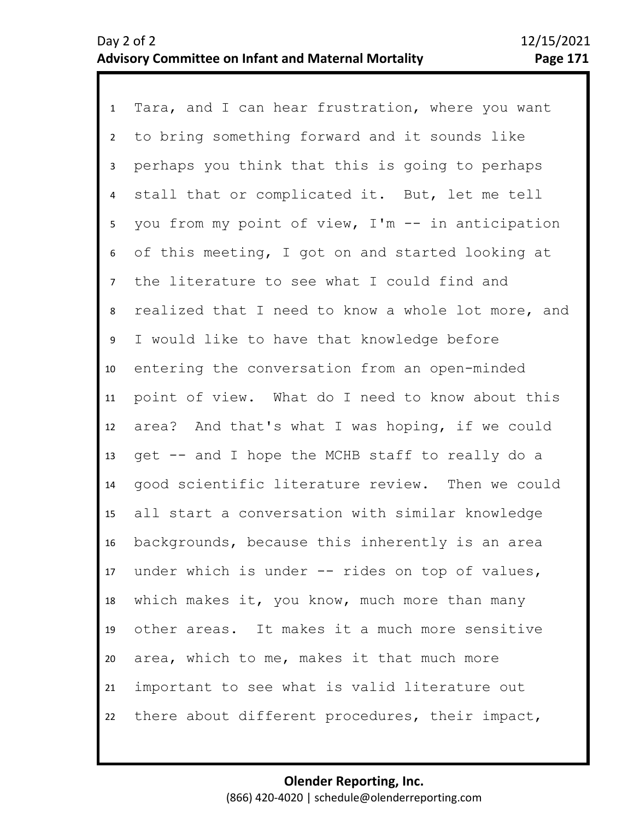1 Tara, and I can hear frustration, where you want 2 3 4 5 9 10 11 12 13 14 15 16 17 18 19 20 21 22 6 8 7 to bring something forward and it sounds like perhaps you think that this is going to perhaps stall that or complicated it. But, let me tell you from my point of view, I'm -- in anticipation of this meeting, I got on and started looking at the literature to see what I could find and realized that I need to know a whole lot more, and I would like to have that knowledge before entering the conversation from an open-minded point of view. What do I need to know about this area? And that's what I was hoping, if we could get -- and I hope the MCHB staff to really do a good scientific literature review. Then we could all start a conversation with similar knowledge backgrounds, because this inherently is an area under which is under -- rides on top of values, which makes it, you know, much more than many other areas. It makes it a much more sensitive area, which to me, makes it that much more important to see what is valid literature out there about different procedures, their impact,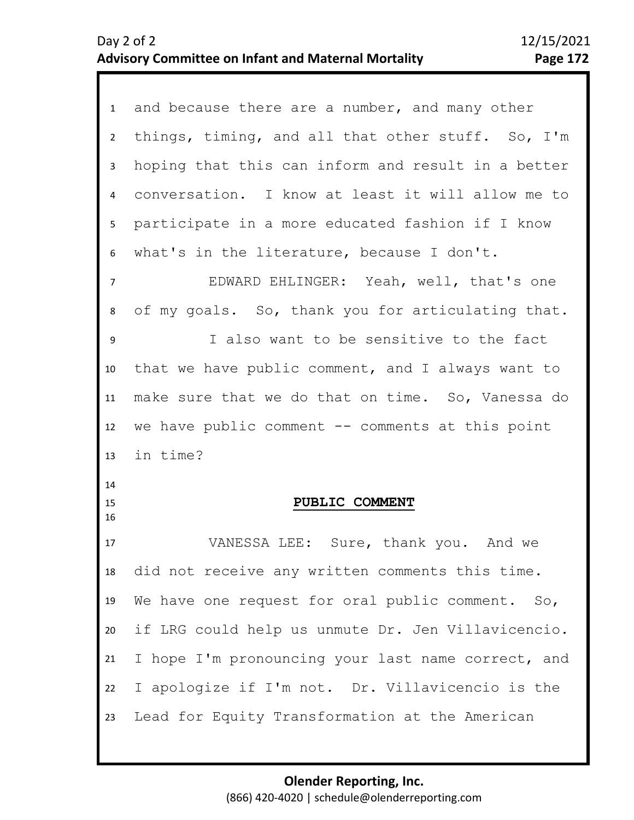| 1              | and because there are a number, and many other     |
|----------------|----------------------------------------------------|
| $2^{\circ}$    | things, timing, and all that other stuff. So, I'm  |
| $\mathbf{3}$   | hoping that this can inform and result in a better |
| 4              | conversation. I know at least it will allow me to  |
| 5 <sub>1</sub> | participate in a more educated fashion if I know   |
| 6              | what's in the literature, because I don't.         |
| $\overline{7}$ | EDWARD EHLINGER: Yeah, well, that's one            |
| 8              | of my goals. So, thank you for articulating that.  |
| 9              | I also want to be sensitive to the fact            |
| 10             | that we have public comment, and I always want to  |
| 11             | make sure that we do that on time. So, Vanessa do  |
|                |                                                    |
| 12             | we have public comment $--$ comments at this point |
| 13             | in time?                                           |
| 14<br>15<br>16 | PUBLIC COMMENT                                     |
| 17             | VANESSA LEE: Sure, thank you. And we               |
| 18             | did not receive any written comments this time.    |
| 19             | We have one request for oral public comment. So,   |
| 20             | if LRG could help us unmute Dr. Jen Villavicencio. |
| 21             | I hope I'm pronouncing your last name correct, and |
| 22             | I apologize if I'm not. Dr. Villavicencio is the   |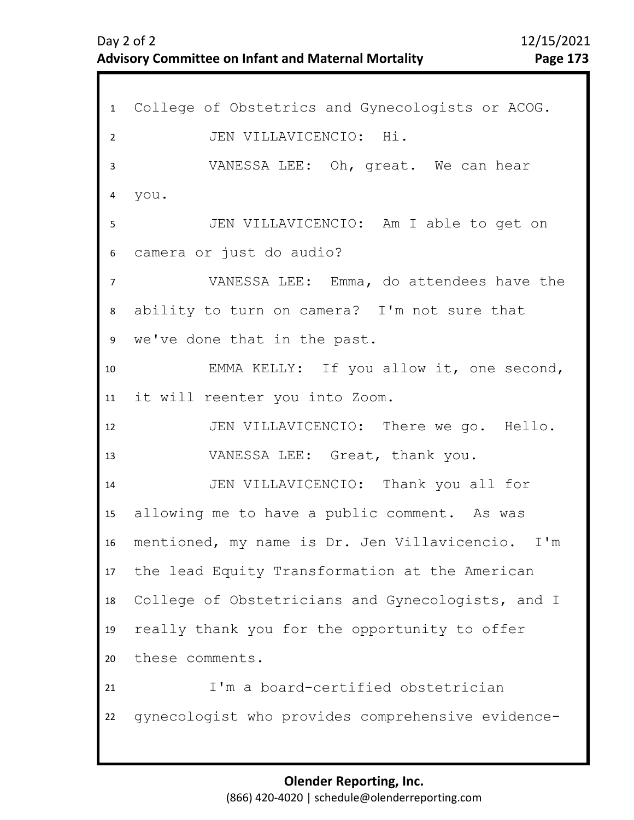| $\mathbf{1}$   | College of Obstetrics and Gynecologists or ACOG.  |
|----------------|---------------------------------------------------|
| $\overline{2}$ | JEN VILLAVICENCIO: Hi.                            |
| 3              | VANESSA LEE: Oh, great. We can hear               |
| 4              | you.                                              |
| 5              | JEN VILLAVICENCIO: Am I able to get on            |
| 6              | camera or just do audio?                          |
| $\overline{7}$ | VANESSA LEE: Emma, do attendees have the          |
| 8              | ability to turn on camera? I'm not sure that      |
| 9              | we've done that in the past.                      |
| 10             | EMMA KELLY: If you allow it, one second,          |
| 11             | it will reenter you into Zoom.                    |
| 12             | JEN VILLAVICENCIO: There we go. Hello.            |
| 13             | VANESSA LEE: Great, thank you.                    |
| 14             | JEN VILLAVICENCIO: Thank you all for              |
| 15             | allowing me to have a public comment. As was      |
| 16             | mentioned, my name is Dr. Jen Villavicencio. I'm  |
| 17             | the lead Equity Transformation at the American    |
| 18             | College of Obstetricians and Gynecologists, and I |
| 19             | really thank you for the opportunity to offer     |
| 20             | these comments.                                   |
| 21             | I'm a board-certified obstetrician                |
| 22             | qynecologist who provides comprehensive evidence- |
|                |                                                   |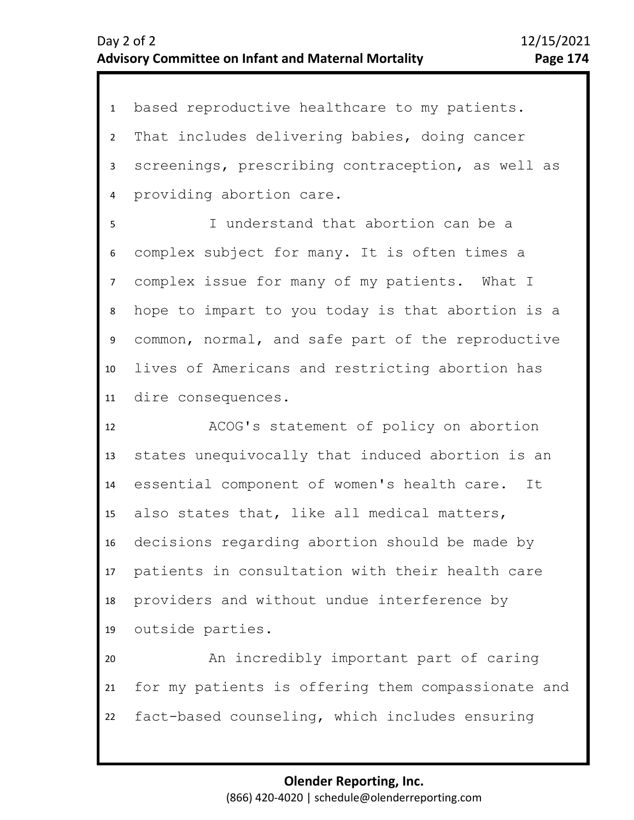1 based reproductive healthcare to my patients. 2 3 4 That includes delivering babies, doing cancer screenings, prescribing contraception, as well as providing abortion care.

8 9 10 11 5 7 6 I understand that abortion can be a complex subject for many. It is often times a complex issue for many of my patients. What I hope to impart to you today is that abortion is a common, normal, and safe part of the reproductive lives of Americans and restricting abortion has dire consequences.

12 13 14 15 16 17 18 19 ACOG's statement of policy on abortion states unequivocally that induced abortion is an essential component of women's health care. It also states that, like all medical matters, decisions regarding abortion should be made by patients in consultation with their health care providers and without undue interference by outside parties.

20 21 22 An incredibly important part of caring for my patients is offering them compassionate and fact-based counseling, which includes ensuring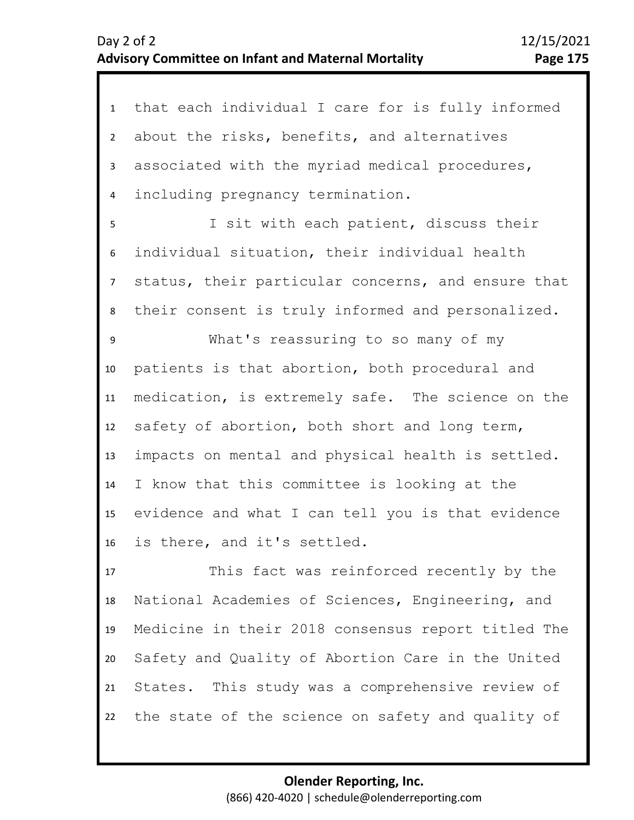| $\mathbf{1}$   | that each individual I care for is fully informed  |
|----------------|----------------------------------------------------|
| $\overline{2}$ | about the risks, benefits, and alternatives        |
| 3              | associated with the myriad medical procedures,     |
| 4              | including pregnancy termination.                   |
| 5              | I sit with each patient, discuss their             |
| 6              | individual situation, their individual health      |
| $\overline{7}$ | status, their particular concerns, and ensure that |
| 8              | their consent is truly informed and personalized.  |
| 9              | What's reassuring to so many of my                 |
| 10             | patients is that abortion, both procedural and     |
| 11             | medication, is extremely safe. The science on the  |
| 12             | safety of abortion, both short and long term,      |
| 13             | impacts on mental and physical health is settled.  |
| 14             | I know that this committee is looking at the       |
| 15             | evidence and what I can tell you is that evidence  |
| 16             | is there, and it's settled.                        |
| 17             | This fact was reinforced recently by the           |
| 18             | National Academies of Sciences, Engineering, and   |
| 19             | Medicine in their 2018 consensus report titled The |
| 20             | Safety and Quality of Abortion Care in the United  |
|                |                                                    |

22 the state of the science on safety and quality of

States. This study was a comprehensive review of

21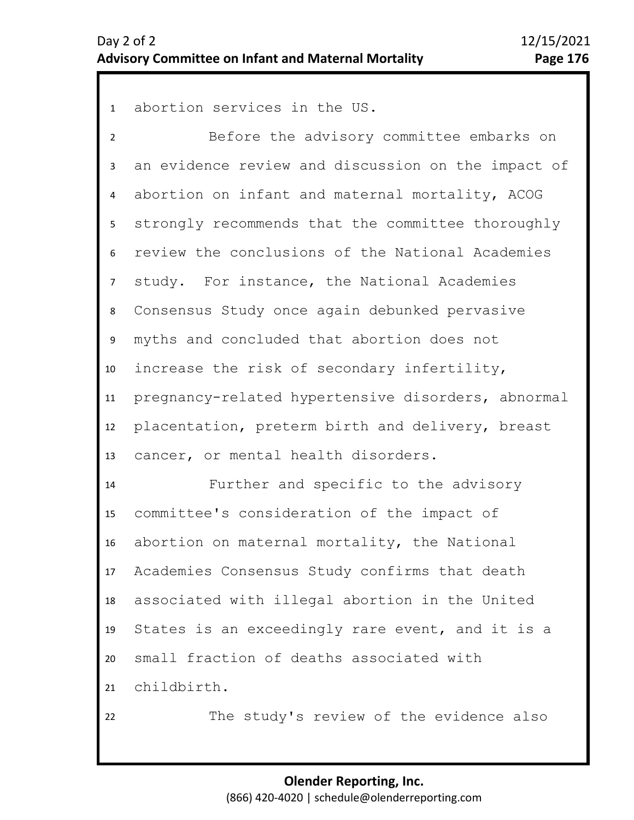1 abortion services in the US.

2 3 4 8 9 10 11 12 13 5 7 6 Before the advisory committee embarks on an evidence review and discussion on the impact of abortion on infant and maternal mortality, ACOG strongly recommends that the committee thoroughly review the conclusions of the National Academies study. For instance, the National Academies Consensus Study once again debunked pervasive myths and concluded that abortion does not increase the risk of secondary infertility, pregnancy-related hypertensive disorders, abnormal placentation, preterm birth and delivery, breast cancer, or mental health disorders.

14 15 16 17 18 19 20 21 Further and specific to the advisory committee's consideration of the impact of abortion on maternal mortality, the National Academies Consensus Study confirms that death associated with illegal abortion in the United States is an exceedingly rare event, and it is a small fraction of deaths associated with childbirth.

22

The study's review of the evidence also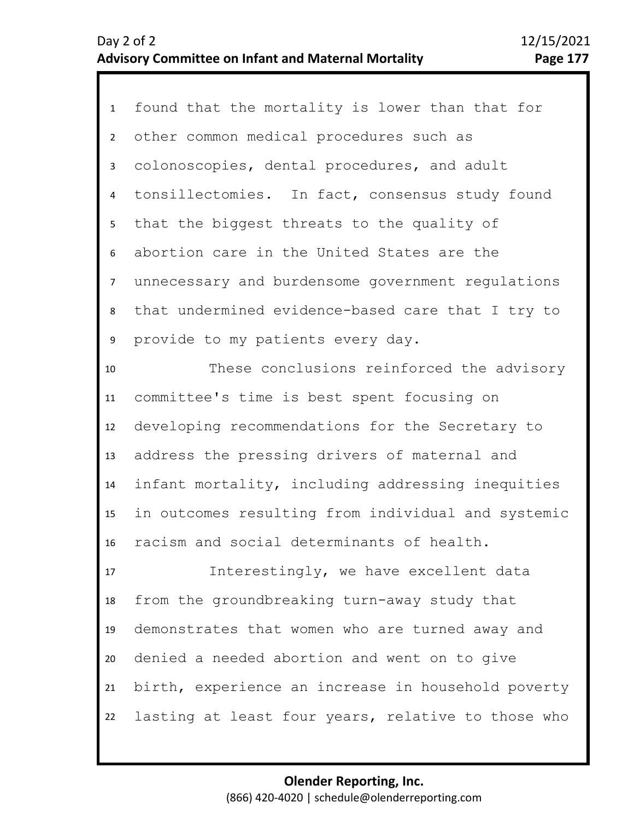| 1               | found that the mortality is lower than that for    |
|-----------------|----------------------------------------------------|
| $\overline{2}$  | other common medical procedures such as            |
| 3 <sup>1</sup>  | colonoscopies, dental procedures, and adult        |
| $\overline{4}$  | tonsillectomies. In fact, consensus study found    |
| 5               | that the biggest threats to the quality of         |
| 6               | abortion care in the United States are the         |
| $7\overline{ }$ | unnecessary and burdensome government regulations  |
| 8               | that undermined evidence-based care that I try to  |
| 9               | provide to my patients every day.                  |
| 10              | These conclusions reinforced the advisory          |
| 11              | committee's time is best spent focusing on         |
| 12              | developing recommendations for the Secretary to    |
| 13              | address the pressing drivers of maternal and       |
| 14              | infant mortality, including addressing inequities  |
| 15              | in outcomes resulting from individual and systemic |
| 16              | racism and social determinants of health.          |
| 17              | Interestingly, we have excellent data              |
| 18              | from the groundbreaking turn-away study that       |
| 19              | demonstrates that women who are turned away and    |
| 20              | denied a needed abortion and went on to give       |
| 21              | birth, experience an increase in household poverty |
| 22              | lasting at least four years, relative to those who |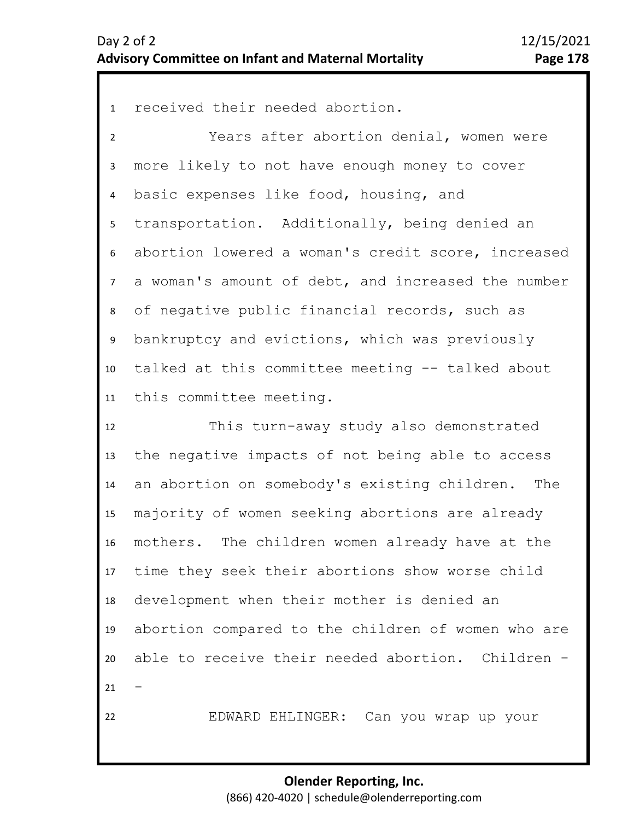1 received their needed abortion.

2 3 4 8 9 10 11 5 7 6 Years after abortion denial, women were more likely to not have enough money to cover basic expenses like food, housing, and transportation. Additionally, being denied an abortion lowered a woman's credit score, increased a woman's amount of debt, and increased the number of negative public financial records, such as bankruptcy and evictions, which was previously talked at this committee meeting -- talked about this committee meeting.

12 13 14 15 16 17 18 19 20 21 22 This turn-away study also demonstrated the negative impacts of not being able to access an abortion on somebody's existing children. The majority of women seeking abortions are already mothers. The children women already have at the time they seek their abortions show worse child development when their mother is denied an abortion compared to the children of women who are able to receive their needed abortion. Children - -

EDWARD EHLINGER: Can you wrap up your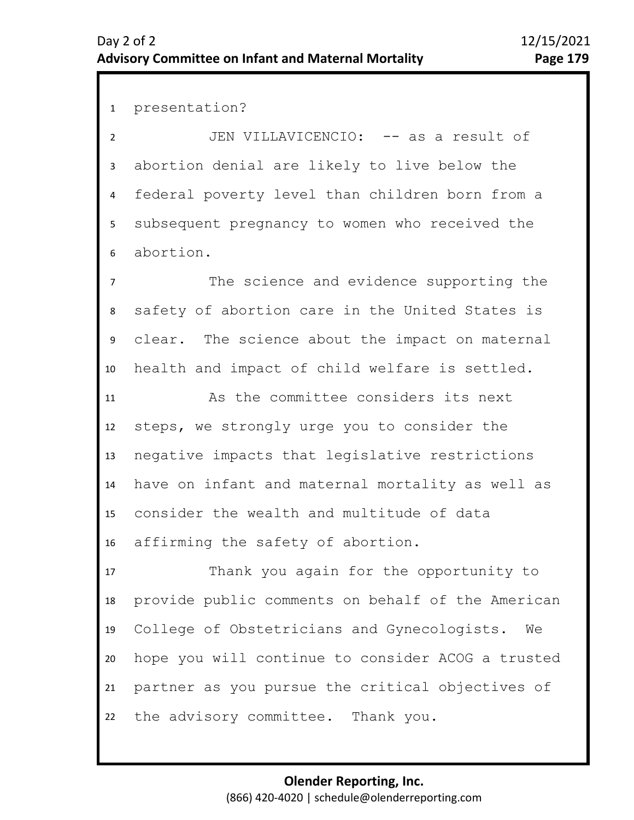1 presentation?

2 3 4 5 6 JEN VILLAVICENCIO: -- as a result of abortion denial are likely to live below the federal poverty level than children born from a subsequent pregnancy to women who received the abortion.

8 9 10 7 The science and evidence supporting the safety of abortion care in the United States is clear. The science about the impact on maternal health and impact of child welfare is settled.

11 12 13 14 15 16 As the committee considers its next steps, we strongly urge you to consider the negative impacts that legislative restrictions have on infant and maternal mortality as well as consider the wealth and multitude of data affirming the safety of abortion.

17 18 19 20 21 22 Thank you again for the opportunity to provide public comments on behalf of the American College of Obstetricians and Gynecologists. We hope you will continue to consider ACOG a trusted partner as you pursue the critical objectives of the advisory committee. Thank you.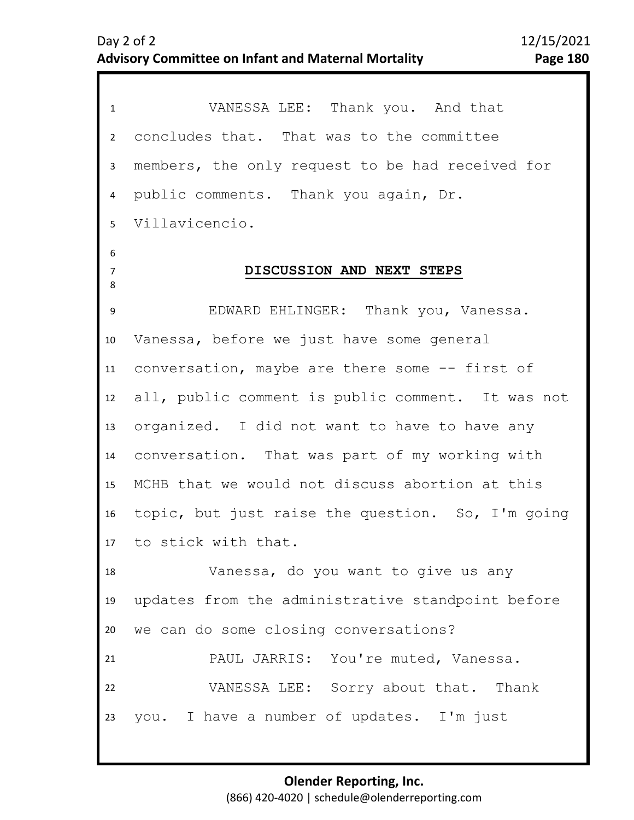| $\mathbf{1}$             | VANESSA LEE: Thank you. And that                  |
|--------------------------|---------------------------------------------------|
| $\overline{2}$           | concludes that. That was to the committee         |
| 3                        | members, the only request to be had received for  |
| 4                        | public comments. Thank you again, Dr.             |
| 5 <sup>1</sup>           | Villavicencio.                                    |
| 6<br>$\overline{7}$<br>8 | DISCUSSION AND NEXT STEPS                         |
| 9                        | EDWARD EHLINGER: Thank you, Vanessa.              |
| 10                       | Vanessa, before we just have some general         |
| 11                       | conversation, maybe are there some -- first of    |
| 12                       | all, public comment is public comment. It was not |
| 13                       | organized. I did not want to have to have any     |
| 14                       | conversation. That was part of my working with    |
| 15                       | MCHB that we would not discuss abortion at this   |
| 16                       | topic, but just raise the question. So, I'm going |
|                          | 17 to stick with that.                            |
| 18                       | Vanessa, do you want to give us any               |
| 19                       | updates from the administrative standpoint before |
| 20                       | we can do some closing conversations?             |
| 21                       | PAUL JARRIS: You're muted, Vanessa.               |
| 22                       | VANESSA LEE: Sorry about that. Thank              |
| 23                       | you. I have a number of updates. I'm just         |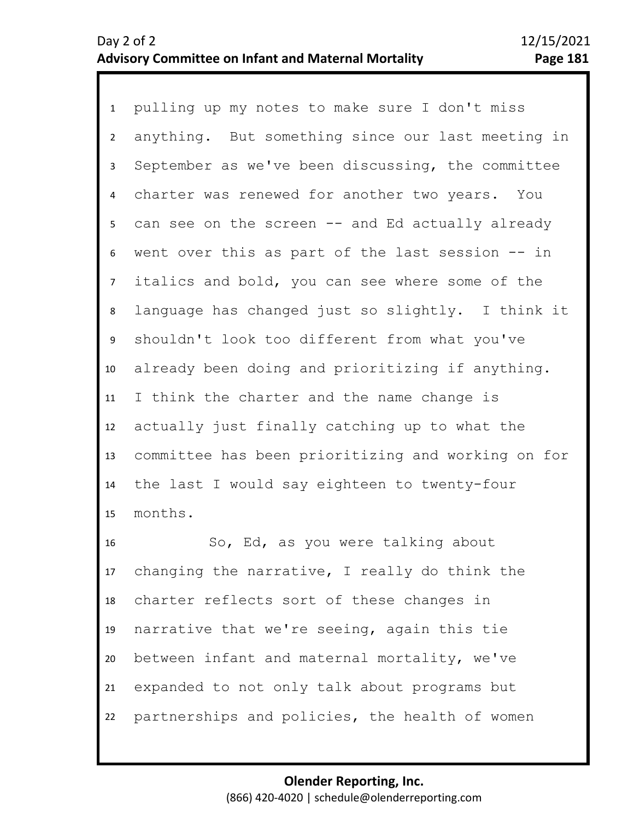1 pulling up my notes to make sure I don't miss 2 3 4 5 9 10 11 12 13 14 15 6 8 7 anything. But something since our last meeting in September as we've been discussing, the committee charter was renewed for another two years. You can see on the screen -- and Ed actually already went over this as part of the last session -- in italics and bold, you can see where some of the language has changed just so slightly. I think it shouldn't look too different from what you've already been doing and prioritizing if anything. I think the charter and the name change is actually just finally catching up to what the committee has been prioritizing and working on for the last I would say eighteen to twenty-four months.

16 17 18 19 20 21 22 So, Ed, as you were talking about changing the narrative, I really do think the charter reflects sort of these changes in narrative that we're seeing, again this tie between infant and maternal mortality, we've expanded to not only talk about programs but partnerships and policies, the health of women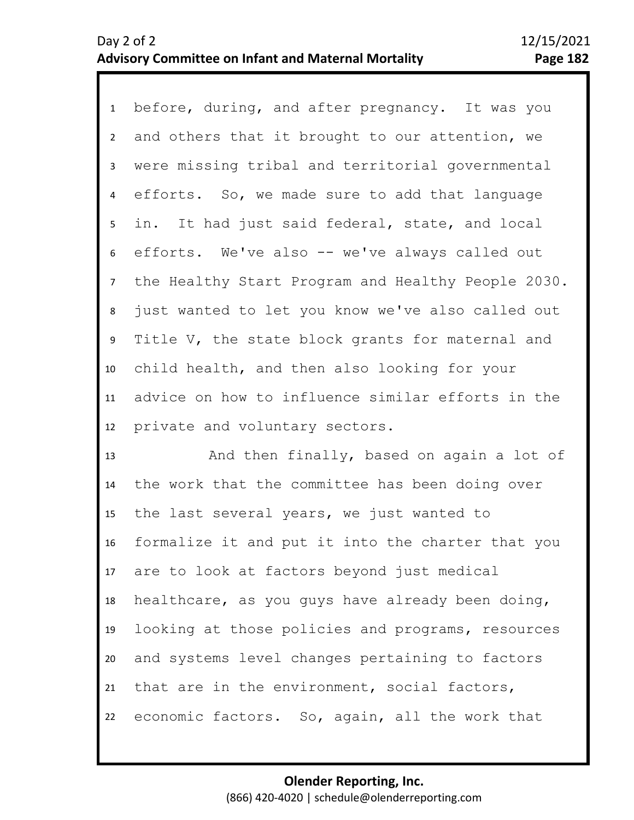1 before, during, and after pregnancy. It was you 2 3 4 5 9 10 11 12 6 8 7 and others that it brought to our attention, we were missing tribal and territorial governmental efforts. So, we made sure to add that language in. It had just said federal, state, and local efforts. We've also -- we've always called out the Healthy Start Program and Healthy People 2030. just wanted to let you know we've also called out Title V, the state block grants for maternal and child health, and then also looking for your advice on how to influence similar efforts in the private and voluntary sectors.

13 14 15 16 17 18 19 20 21 22 And then finally, based on again a lot of the work that the committee has been doing over the last several years, we just wanted to formalize it and put it into the charter that you are to look at factors beyond just medical healthcare, as you guys have already been doing, looking at those policies and programs, resources and systems level changes pertaining to factors that are in the environment, social factors, economic factors. So, again, all the work that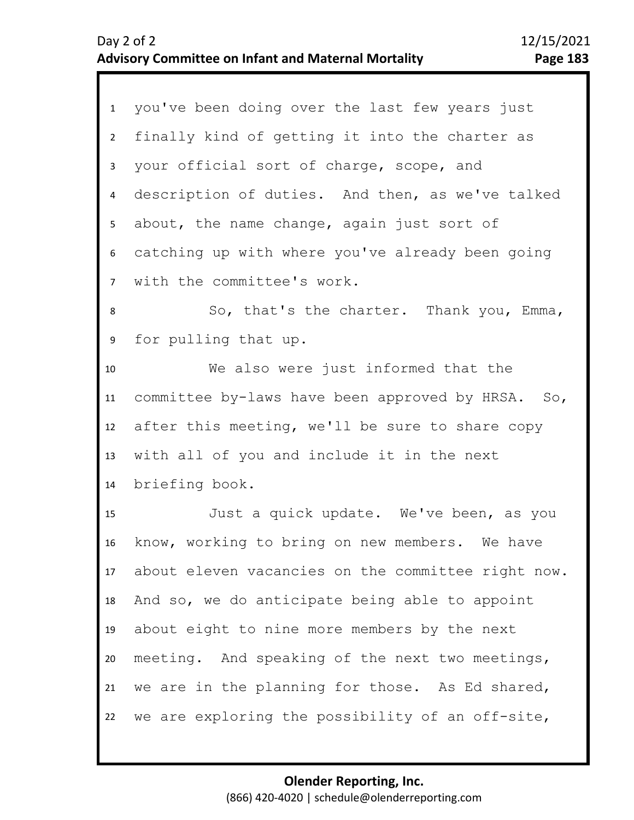| 1              | you've been doing over the last few years just     |
|----------------|----------------------------------------------------|
| $2^{\circ}$    | finally kind of getting it into the charter as     |
| $\mathbf{3}$   | your official sort of charge, scope, and           |
| 4              | description of duties. And then, as we've talked   |
| 5 <sub>1</sub> | about, the name change, again just sort of         |
| 6              | catching up with where you've already been going   |
| 7 <sup>7</sup> | with the committee's work.                         |
| 8              | So, that's the charter. Thank you, Emma,           |
| 9              | for pulling that up.                               |
| 10             | We also were just informed that the                |
| 11             | committee by-laws have been approved by HRSA. So,  |
| 12             | after this meeting, we'll be sure to share copy    |
| 13             | with all of you and include it in the next         |
| 14             | briefing book.                                     |
| 15             | Just a quick update. We've been, as you            |
| 16             | know, working to bring on new members. We have     |
| 17             | about eleven vacancies on the committee right now. |
| 18             | And so, we do anticipate being able to appoint     |
| 19             | about eight to nine more members by the next       |
| 20             | meeting. And speaking of the next two meetings,    |
| 21             |                                                    |
|                | we are in the planning for those. As Ed shared,    |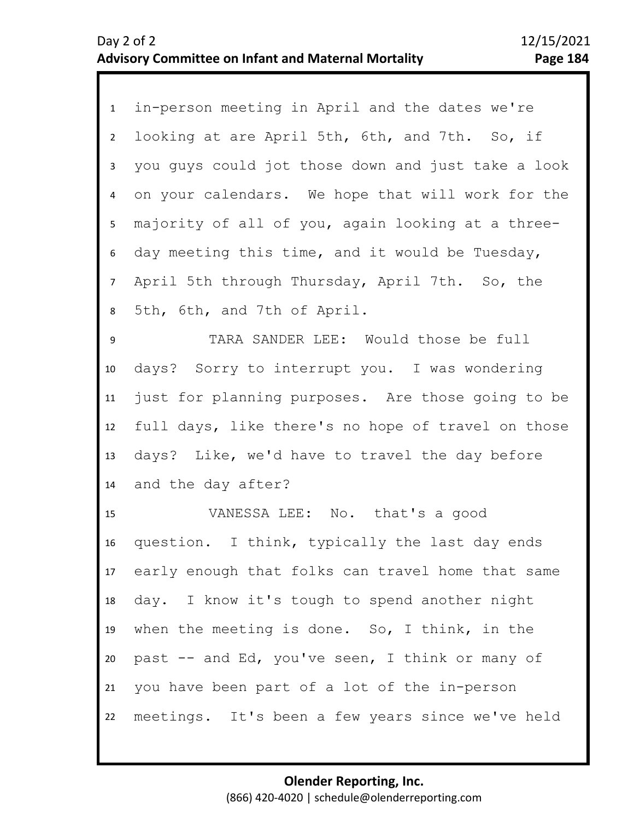1 in-person meeting in April and the dates we're 2 3 4 5 9 10 11 12 13 14 6 8 7 looking at are April 5th, 6th, and 7th. So, if you guys could jot those down and just take a look on your calendars. We hope that will work for the majority of all of you, again looking at a threeday meeting this time, and it would be Tuesday, April 5th through Thursday, April 7th. So, the 5th, 6th, and 7th of April. TARA SANDER LEE: Would those be full days? Sorry to interrupt you. I was wondering just for planning purposes. Are those going to be full days, like there's no hope of travel on those days? Like, we'd have to travel the day before and the day after?

15 16 17 18 19 20 21 22 VANESSA LEE: No. that's a good question. I think, typically the last day ends early enough that folks can travel home that same day. I know it's tough to spend another night when the meeting is done. So, I think, in the past -- and Ed, you've seen, I think or many of you have been part of a lot of the in-person meetings. It's been a few years since we've held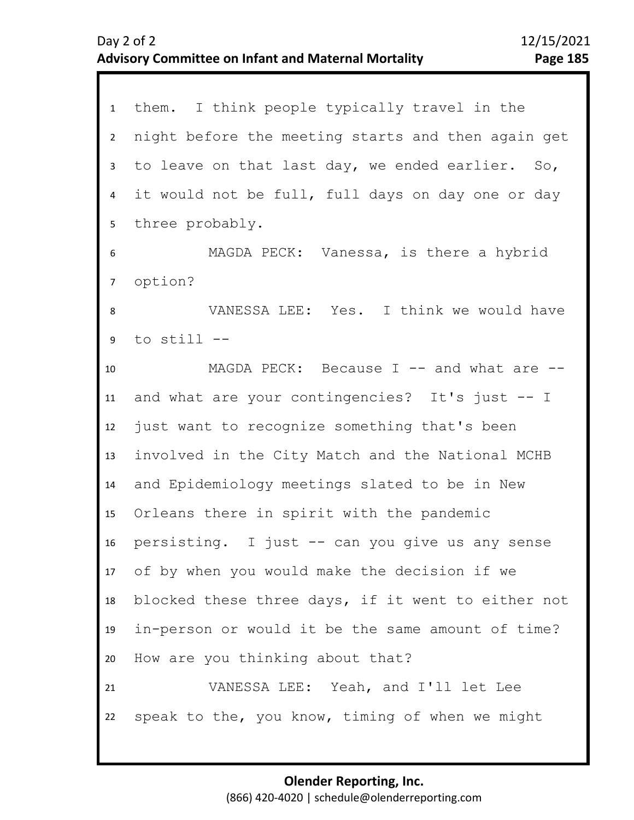| 1               | them. I think people typically travel in the        |
|-----------------|-----------------------------------------------------|
| $2^{\circ}$     | night before the meeting starts and then again get  |
| $\mathbf{3}$    | to leave on that last day, we ended earlier.<br>So, |
| $\overline{4}$  | it would not be full, full days on day one or day   |
| 5               | three probably.                                     |
| 6               | MAGDA PECK: Vanessa, is there a hybrid              |
| $7\overline{ }$ | option?                                             |
| 8               | VANESSA LEE: Yes. I think we would have             |
| 9               | to $still$ $--$                                     |
| 10              | MAGDA PECK: Because I -- and what are --            |
| 11              | and what are your contingencies? It's just -- I     |
| 12              | just want to recognize something that's been        |
| 13              | involved in the City Match and the National MCHB    |
| 14              | and Epidemiology meetings slated to be in New       |
| 15              | Orleans there in spirit with the pandemic           |
| 16              | persisting. I just -- can you give us any sense     |
|                 | 17 of by when you would make the decision if we     |
| 18              | blocked these three days, if it went to either not  |
| 19              | in-person or would it be the same amount of time?   |
| 20              | How are you thinking about that?                    |
| 21              | VANESSA LEE: Yeah, and I'll let Lee                 |
| 22              | speak to the, you know, timing of when we might     |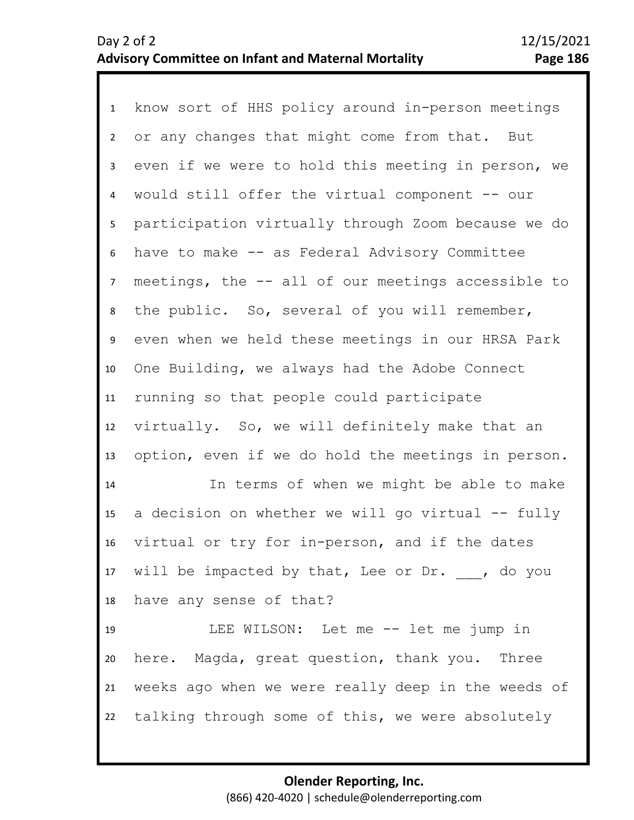1 know sort of HHS policy around in-person meetings 2 3 4 5 9 10 11 12 13 14 15 16 17 18 19 20 21 22 6 8 7 or any changes that might come from that. But even if we were to hold this meeting in person, we would still offer the virtual component -- our participation virtually through Zoom because we do have to make -- as Federal Advisory Committee meetings, the -- all of our meetings accessible to the public. So, several of you will remember, even when we held these meetings in our HRSA Park One Building, we always had the Adobe Connect running so that people could participate virtually. So, we will definitely make that an option, even if we do hold the meetings in person. In terms of when we might be able to make a decision on whether we will go virtual -- fully virtual or try for in-person, and if the dates will be impacted by that, Lee or Dr. , do you have any sense of that? LEE WILSON: Let me -- let me jump in here. Magda, great question, thank you. Three weeks ago when we were really deep in the weeds of talking through some of this, we were absolutely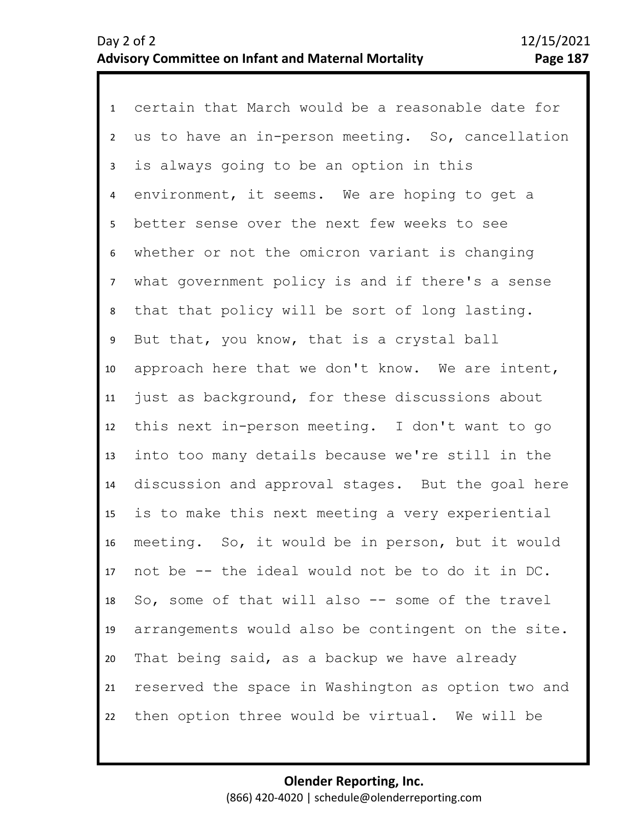1 certain that March would be a reasonable date for 2 3 4 5 6 10 11 12 13 14 15 16 17 18 19 20 21 22 7 9 8 us to have an in-person meeting. So, cancellation is always going to be an option in this environment, it seems. We are hoping to get a better sense over the next few weeks to see whether or not the omicron variant is changing what government policy is and if there's a sense that that policy will be sort of long lasting. But that, you know, that is a crystal ball approach here that we don't know. We are intent, just as background, for these discussions about this next in-person meeting. I don't want to go into too many details because we're still in the discussion and approval stages. But the goal here is to make this next meeting a very experiential meeting. So, it would be in person, but it would not be -- the ideal would not be to do it in DC. So, some of that will also -- some of the travel arrangements would also be contingent on the site. That being said, as a backup we have already reserved the space in Washington as option two and then option three would be virtual. We will be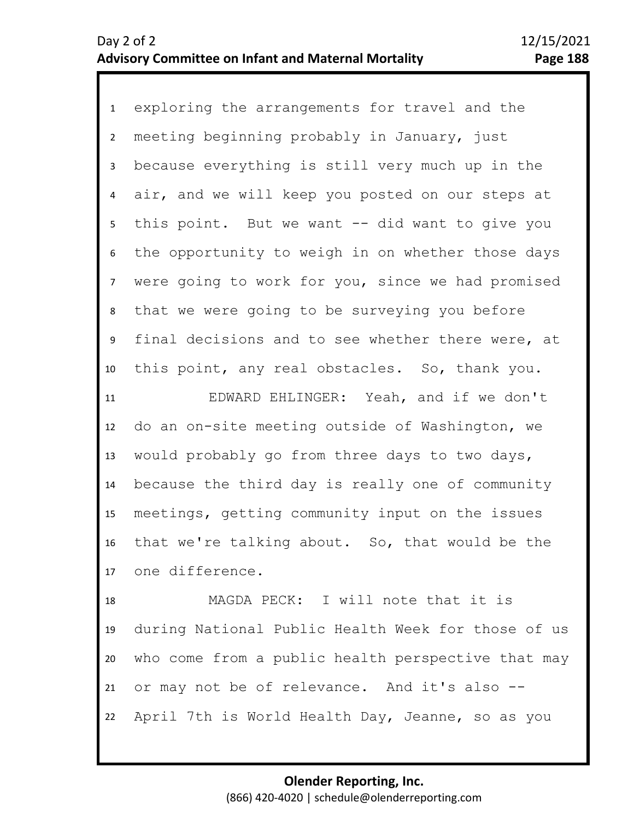1 exploring the arrangements for travel and the 2 3 4 5 9 10 6 8 7 meeting beginning probably in January, just because everything is still very much up in the air, and we will keep you posted on our steps at this point. But we want -- did want to give you the opportunity to weigh in on whether those days were going to work for you, since we had promised that we were going to be surveying you before final decisions and to see whether there were, at this point, any real obstacles. So, thank you.

11 12 13 14 15 16 17 EDWARD EHLINGER: Yeah, and if we don't do an on-site meeting outside of Washington, we would probably go from three days to two days, because the third day is really one of community meetings, getting community input on the issues that we're talking about. So, that would be the one difference.

18 19 20 21 22 MAGDA PECK: I will note that it is during National Public Health Week for those of us who come from a public health perspective that may or may not be of relevance. And it's also -- April 7th is World Health Day, Jeanne, so as you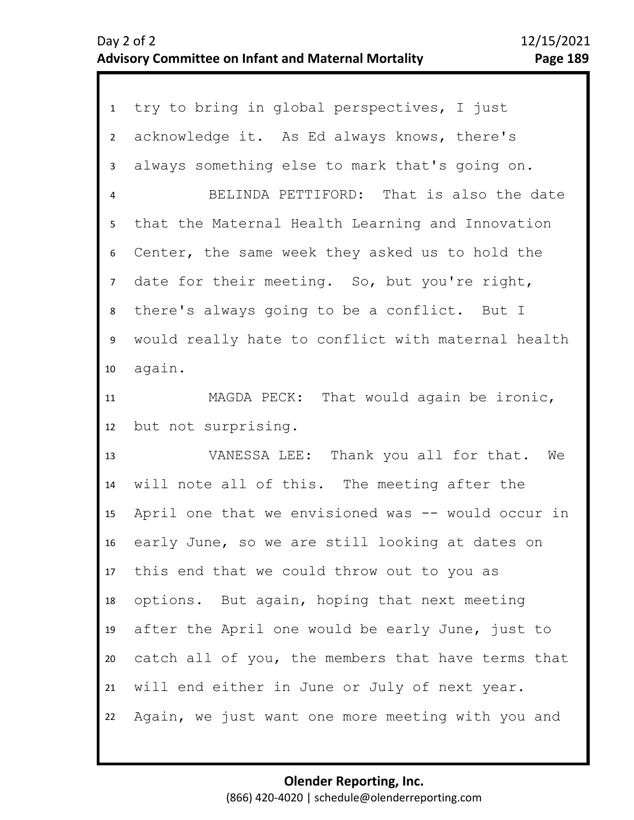| $\mathbf{1}$            | try to bring in global perspectives, I just        |
|-------------------------|----------------------------------------------------|
| $2^{\circ}$             | acknowledge it. As Ed always knows, there's        |
| 3                       | always something else to mark that's going on.     |
| $\overline{\mathbf{4}}$ | BELINDA PETTIFORD: That is also the date           |
| 5                       | that the Maternal Health Learning and Innovation   |
| 6                       | Center, the same week they asked us to hold the    |
| $7\overline{ }$         | date for their meeting. So, but you're right,      |
| 8                       | there's always going to be a conflict. But I       |
| 9                       | would really hate to conflict with maternal health |
| 10                      | again.                                             |
| 11                      | MAGDA PECK: That would again be ironic,            |
|                         |                                                    |
| 12                      | but not surprising.                                |
| 13                      | VANESSA LEE: Thank you all for that. We            |
| 14                      | will note all of this. The meeting after the       |
| 15                      | April one that we envisioned was -- would occur in |
| 16                      | early June, so we are still looking at dates on    |
| 17                      | this end that we could throw out to you as         |
| 18                      | options. But again, hoping that next meeting       |
| 19                      | after the April one would be early June, just to   |
| 20                      | catch all of you, the members that have terms that |
| 21                      | will end either in June or July of next year.      |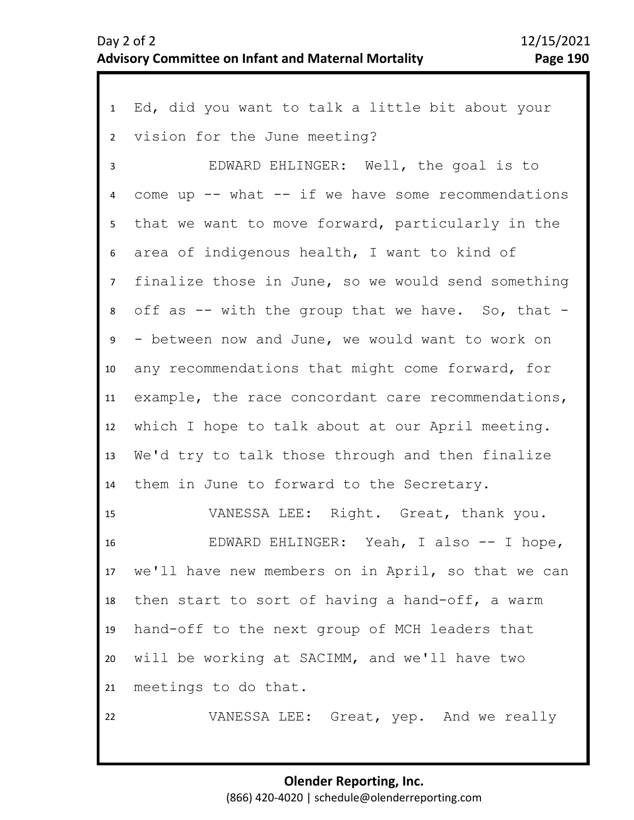| 1               | Ed, did you want to talk a little bit about your       |
|-----------------|--------------------------------------------------------|
| $2^{\circ}$     | vision for the June meeting?                           |
| $\overline{3}$  | EDWARD EHLINGER: Well, the goal is to                  |
| 4               | come up $--$ what $--$ if we have some recommendations |
| 5               | that we want to move forward, particularly in the      |
| 6               | area of indigenous health, I want to kind of           |
| 7 <sup>7</sup>  | finalize those in June, so we would send something     |
| 8               | off as -- with the group that we have. So, that -      |
| 9               | - between now and June, we would want to work on       |
| 10 <sup>°</sup> | any recommendations that might come forward, for       |
| 11              | example, the race concordant care recommendations,     |
| 12              | which I hope to talk about at our April meeting.       |
| 13              | We'd try to talk those through and then finalize       |
| 14              | them in June to forward to the Secretary.              |
| 15              | VANESSA LEE: Right. Great, thank you.                  |
| 16              | EDWARD EHLINGER: Yeah, I also -- I hope,               |
|                 | 17 we'll have new members on in April, so that we can  |
| 18              | then start to sort of having a hand-off, a warm        |
| 19              | hand-off to the next group of MCH leaders that         |
| 20 <sub>2</sub> | will be working at SACIMM, and we'll have two          |
| 21              | meetings to do that.                                   |
| 22              | VANESSA LEE: Great, yep. And we really                 |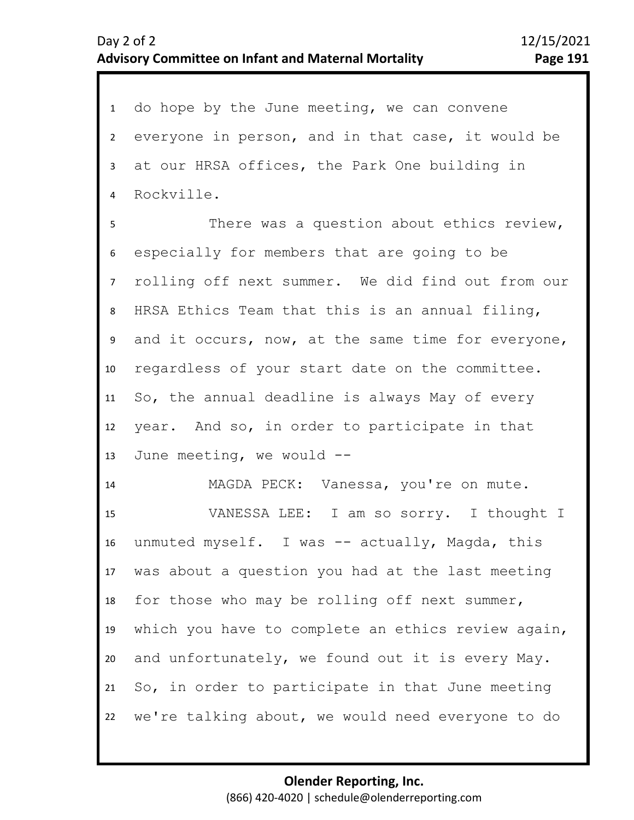1 do hope by the June meeting, we can convene 2 3 4 everyone in person, and in that case, it would be at our HRSA offices, the Park One building in Rockville.

7 8 9 10 11 12 13 6 5 There was a question about ethics review, especially for members that are going to be rolling off next summer. We did find out from our HRSA Ethics Team that this is an annual filing, and it occurs, now, at the same time for everyone, regardless of your start date on the committee. So, the annual deadline is always May of every year. And so, in order to participate in that June meeting, we would --

14 15 16 17 18 19 20 21 22 MAGDA PECK: Vanessa, you're on mute. VANESSA LEE: I am so sorry. I thought I unmuted myself. I was -- actually, Magda, this was about a question you had at the last meeting for those who may be rolling off next summer, which you have to complete an ethics review again, and unfortunately, we found out it is every May. So, in order to participate in that June meeting we're talking about, we would need everyone to do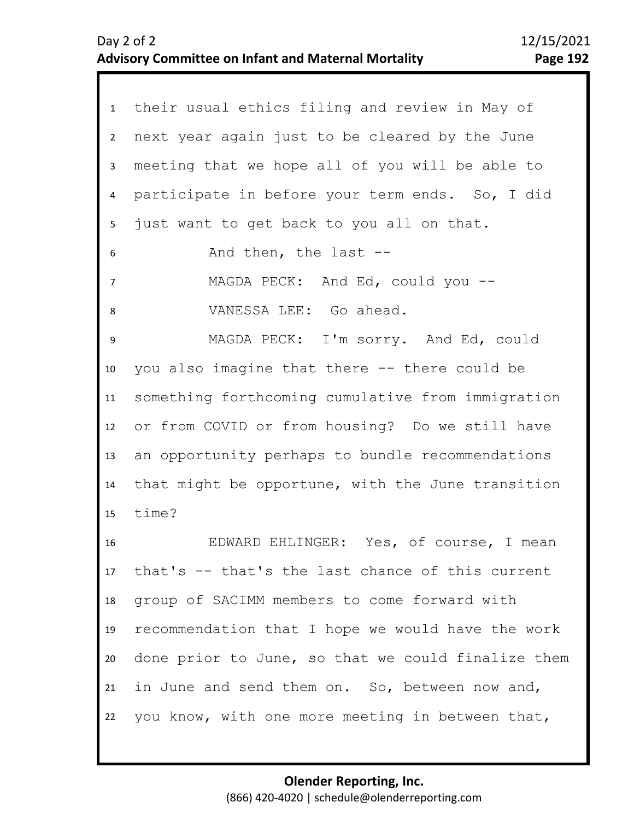| 1              | their usual ethics filing and review in May of     |
|----------------|----------------------------------------------------|
| $\overline{2}$ | next year again just to be cleared by the June     |
| 3              | meeting that we hope all of you will be able to    |
| 4              | participate in before your term ends. So, I did    |
| 5              | just want to get back to you all on that.          |
| 6              | And then, the last --                              |
| $\overline{7}$ | MAGDA PECK: And Ed, could you --                   |
| 8              | VANESSA LEE: Go ahead.                             |
| 9              | MAGDA PECK: I'm sorry. And Ed, could               |
| 10             | you also imagine that there -- there could be      |
| 11             | something forthcoming cumulative from immigration  |
| 12             | or from COVID or from housing? Do we still have    |
| 13             | an opportunity perhaps to bundle recommendations   |
| 14             | that might be opportune, with the June transition  |
| 15             | time?                                              |
| 16             | EDWARD EHLINGER: Yes, of course, I mean            |
| 17             | that's -- that's the last chance of this current   |
| 18             | group of SACIMM members to come forward with       |
| 19             | recommendation that I hope we would have the work  |
| 20             | done prior to June, so that we could finalize them |
| 21             | in June and send them on. So, between now and,     |
| 22             | you know, with one more meeting in between that,   |
|                |                                                    |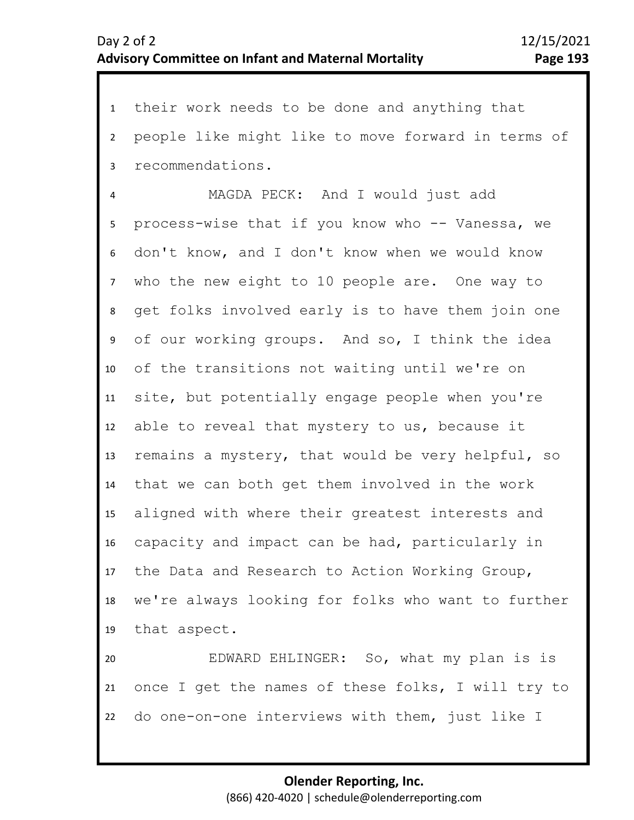1 their work needs to be done and anything that 2 3 people like might like to move forward in terms of recommendations.

6 7 8 9 10 11 12 13 14 15 16 17 18 19 5 4 MAGDA PECK: And I would just add process-wise that if you know who -- Vanessa, we don't know, and I don't know when we would know who the new eight to 10 people are. One way to get folks involved early is to have them join one of our working groups. And so, I think the idea of the transitions not waiting until we're on site, but potentially engage people when you're able to reveal that mystery to us, because it remains a mystery, that would be very helpful, so that we can both get them involved in the work aligned with where their greatest interests and capacity and impact can be had, particularly in the Data and Research to Action Working Group, we're always looking for folks who want to further that aspect.

20 21 22 EDWARD EHLINGER: So, what my plan is is once I get the names of these folks, I will try to do one-on-one interviews with them, just like I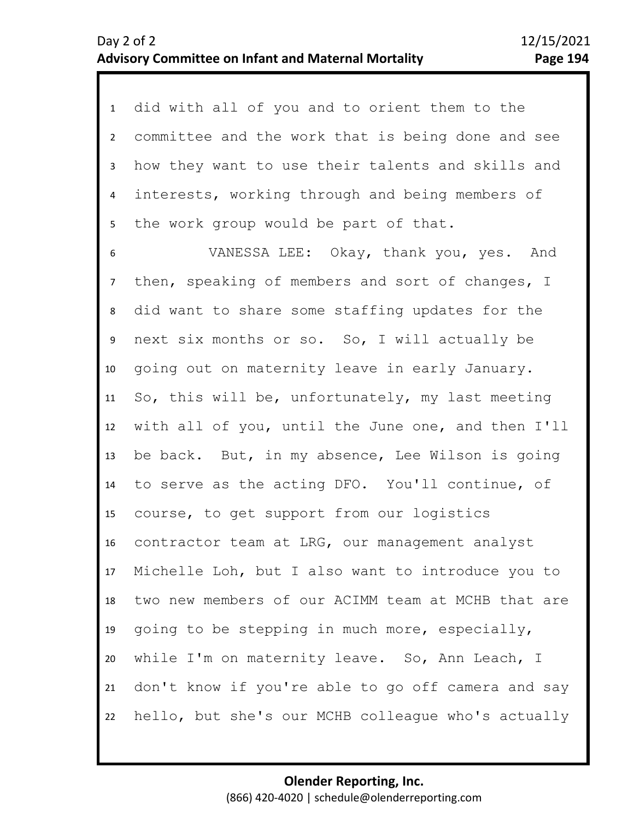1 did with all of you and to orient them to the 2 3 5 4 committee and the work that is being done and see how they want to use their talents and skills and interests, working through and being members of the work group would be part of that.

6 7 8 9 10 11 12 13 14 15 16 17 18 19 20 21 22 VANESSA LEE: Okay, thank you, yes. And then, speaking of members and sort of changes, I did want to share some staffing updates for the next six months or so. So, I will actually be going out on maternity leave in early January. So, this will be, unfortunately, my last meeting with all of you, until the June one, and then I'll be back. But, in my absence, Lee Wilson is going to serve as the acting DFO. You'll continue, of course, to get support from our logistics contractor team at LRG, our management analyst Michelle Loh, but I also want to introduce you to two new members of our ACIMM team at MCHB that are going to be stepping in much more, especially, while I'm on maternity leave. So, Ann Leach, I don't know if you're able to go off camera and say hello, but she's our MCHB colleague who's actually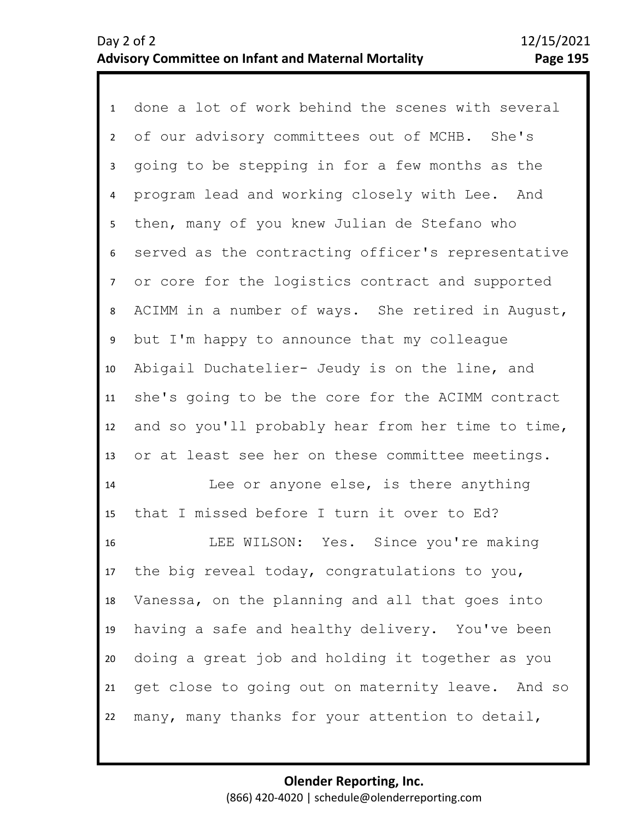1 done a lot of work behind the scenes with several 2 3 4 8 9 10 11 12 13 14 15 16 5 7 6 of our advisory committees out of MCHB. She's going to be stepping in for a few months as the program lead and working closely with Lee. And then, many of you knew Julian de Stefano who served as the contracting officer's representative or core for the logistics contract and supported ACIMM in a number of ways. She retired in August, but I'm happy to announce that my colleague Abigail Duchatelier- Jeudy is on the line, and she's going to be the core for the ACIMM contract and so you'll probably hear from her time to time, or at least see her on these committee meetings. Lee or anyone else, is there anything that I missed before I turn it over to Ed? LEE WILSON: Yes. Since you're making

17 18 19 20 21 22 the big reveal today, congratulations to you, Vanessa, on the planning and all that goes into having a safe and healthy delivery. You've been doing a great job and holding it together as you get close to going out on maternity leave. And so many, many thanks for your attention to detail,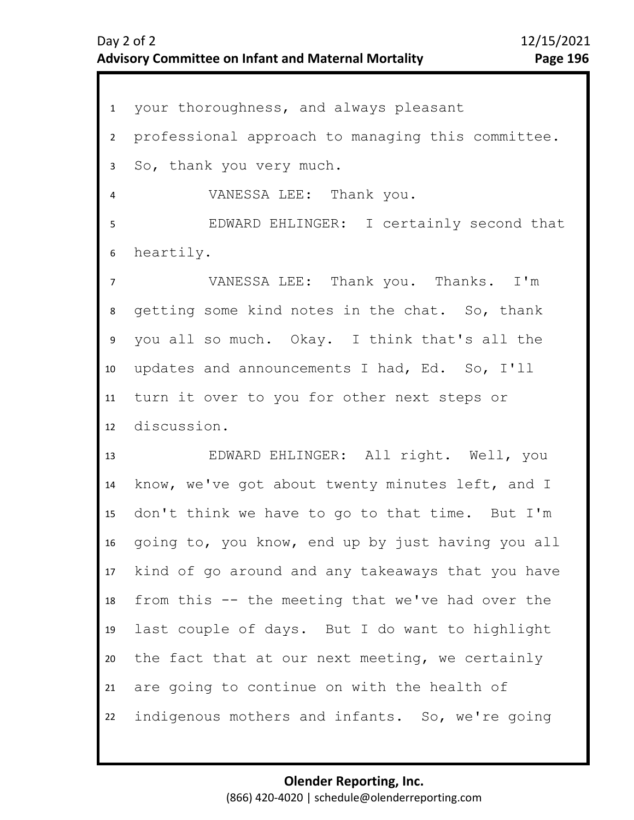1 your thoroughness, and always pleasant 2 3 7 8 9 10 11 12 13 14 15 16 17 18 19 20 21 22 4 6 5 professional approach to managing this committee. So, thank you very much. VANESSA LEE: Thank you. EDWARD EHLINGER: I certainly second that heartily. VANESSA LEE: Thank you. Thanks. I'm getting some kind notes in the chat. So, thank you all so much. Okay. I think that's all the updates and announcements I had, Ed. So, I'll turn it over to you for other next steps or discussion. EDWARD EHLINGER: All right. Well, you know, we've got about twenty minutes left, and I don't think we have to go to that time. But I'm going to, you know, end up by just having you all kind of go around and any takeaways that you have from this -- the meeting that we've had over the last couple of days. But I do want to highlight the fact that at our next meeting, we certainly are going to continue on with the health of indigenous mothers and infants. So, we're going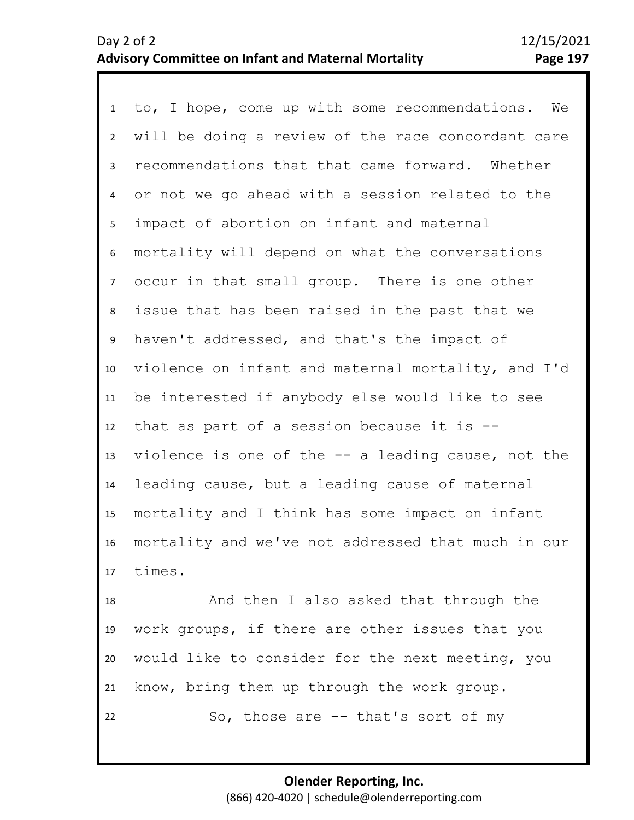1 to, I hope, come up with some recommendations. We 2 3 7 8 9 10 11 12 13 14 15 16 17 4 6 5 will be doing a review of the race concordant care recommendations that that came forward. Whether or not we go ahead with a session related to the impact of abortion on infant and maternal mortality will depend on what the conversations occur in that small group. There is one other issue that has been raised in the past that we haven't addressed, and that's the impact of violence on infant and maternal mortality, and I'd be interested if anybody else would like to see that as part of a session because it is - violence is one of the -- a leading cause, not the leading cause, but a leading cause of maternal mortality and I think has some impact on infant mortality and we've not addressed that much in our times.

18 19 20 21 22 And then I also asked that through the work groups, if there are other issues that you would like to consider for the next meeting, you know, bring them up through the work group. So, those are -- that's sort of my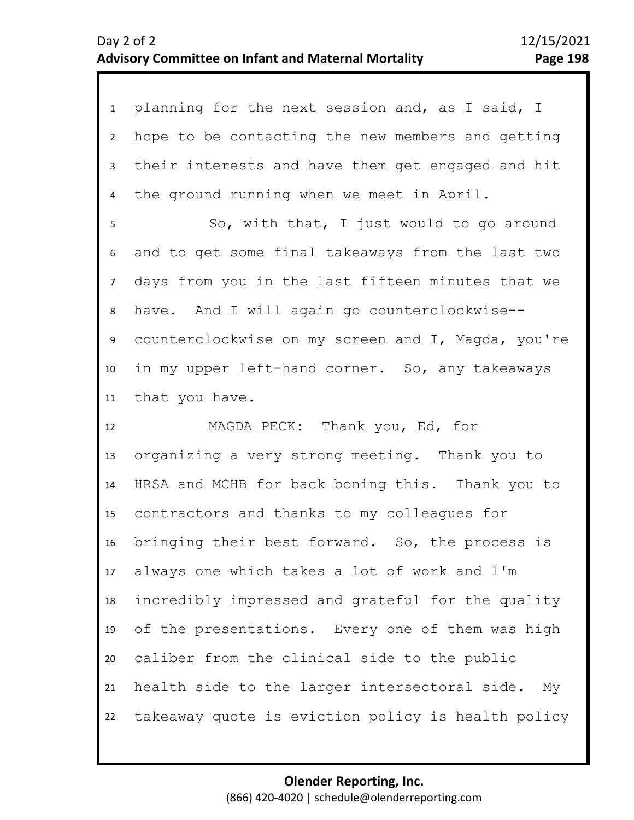| $\mathbf{1}$   | planning for the next session and, as I said, I    |
|----------------|----------------------------------------------------|
| $2^{\circ}$    | hope to be contacting the new members and getting  |
| $\overline{3}$ | their interests and have them get engaged and hit  |
| 4              | the ground running when we meet in April.          |
| 5              | So, with that, I just would to go around           |
| 6              | and to get some final takeaways from the last two  |
| 7 <sup>7</sup> | days from you in the last fifteen minutes that we  |
| 8              | have. And I will again go counterclockwise--       |
| 9              | counterclockwise on my screen and I, Magda, you're |
| 10             | in my upper left-hand corner. So, any takeaways    |
| 11             | that you have.                                     |
| 12             | MAGDA PECK: Thank you, Ed, for                     |
| 13             | organizing a very strong meeting. Thank you to     |
| 14             | HRSA and MCHB for back boning this. Thank you to   |
| 15             | contractors and thanks to my colleagues for        |
| 16             | bringing their best forward. So, the process is    |
| 17             | always one which takes a lot of work and I'm       |

17 18 19 20 21 22 always one which takes a lot of work and I'm incredibly impressed and grateful for the quality of the presentations. Every one of them was high caliber from the clinical side to the public health side to the larger intersectoral side. My takeaway quote is eviction policy is health policy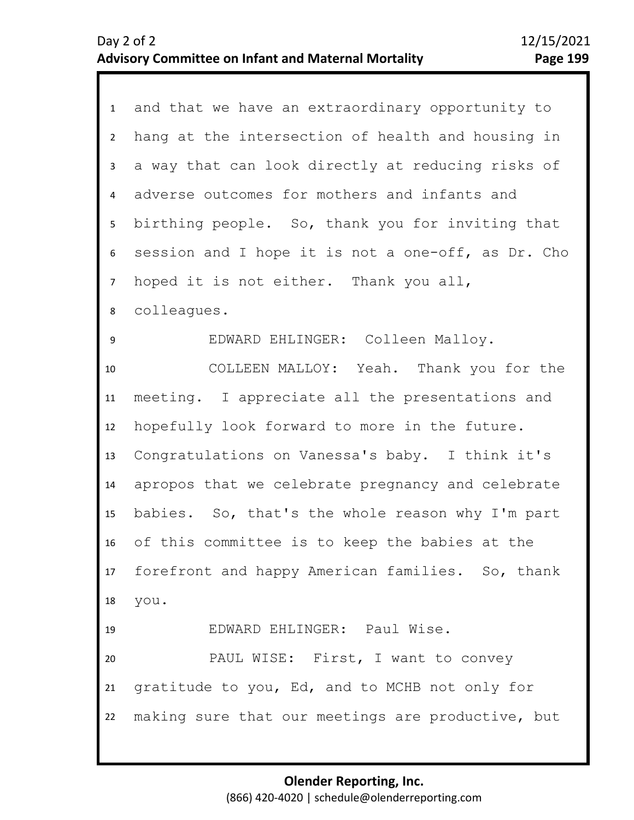| 1              | and that we have an extraordinary opportunity to    |
|----------------|-----------------------------------------------------|
| $2^{\circ}$    | hang at the intersection of health and housing in   |
| 3              | a way that can look directly at reducing risks of   |
| $\overline{4}$ | adverse outcomes for mothers and infants and        |
| 5              | birthing people. So, thank you for inviting that    |
| 6              | session and I hope it is not a one-off, as Dr. Cho  |
| 7 <sup>7</sup> | hoped it is not either. Thank you all,              |
| 8              | colleagues.                                         |
| 9              | EDWARD EHLINGER: Colleen Malloy.                    |
| 10             | COLLEEN MALLOY: Yeah. Thank you for the             |
| 11             | meeting. I appreciate all the presentations and     |
| 12             | hopefully look forward to more in the future.       |
| 13             | Congratulations on Vanessa's baby. I think it's     |
| 14             | apropos that we celebrate pregnancy and celebrate   |
| 15             | babies. So, that's the whole reason why I'm part    |
| 16             | of this committee is to keep the babies at the      |
|                | 17 forefront and happy American families. So, thank |
|                | 18 you.                                             |
| 19             | EDWARD EHLINGER: Paul Wise.                         |
| 20             | PAUL WISE: First, I want to convey                  |
| 21             | gratitude to you, Ed, and to MCHB not only for      |
| 22             | making sure that our meetings are productive, but   |
|                |                                                     |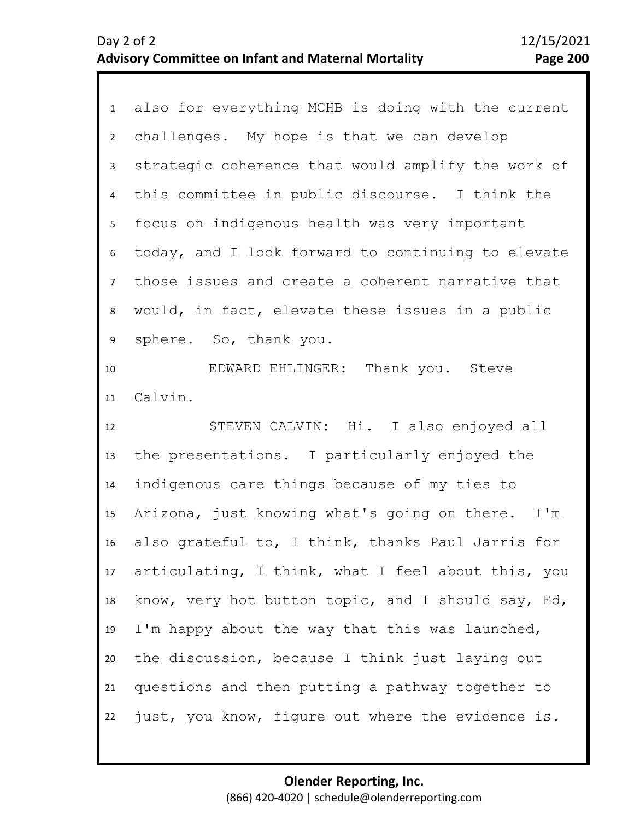| 1              | also for everything MCHB is doing with the current  |
|----------------|-----------------------------------------------------|
| $2^{\circ}$    | challenges. My hope is that we can develop          |
| $\mathbf{3}$   | strategic coherence that would amplify the work of  |
| 4              | this committee in public discourse. I think the     |
| 5 <sub>1</sub> | focus on indigenous health was very important       |
| 6              | today, and I look forward to continuing to elevate  |
| $7^{\circ}$    | those issues and create a coherent narrative that   |
| 8              | would, in fact, elevate these issues in a public    |
| 9              | sphere. So, thank you.                              |
| 10             | EDWARD EHLINGER: Thank you. Steve                   |
| 11             | Calvin.                                             |
|                |                                                     |
| 12             | STEVEN CALVIN: Hi. I also enjoyed all               |
| 13             | the presentations. I particularly enjoyed the       |
| 14             | indigenous care things because of my ties to        |
| 15             | Arizona, just knowing what's going on there.<br>I'm |
| 16             | also grateful to, I think, thanks Paul Jarris for   |
| 17             | articulating, I think, what I feel about this, you  |
| 18             | know, very hot button topic, and I should say, Ed,  |
| 19             | I'm happy about the way that this was launched,     |
| 20             | the discussion, because I think just laying out     |
| 21             | questions and then putting a pathway together to    |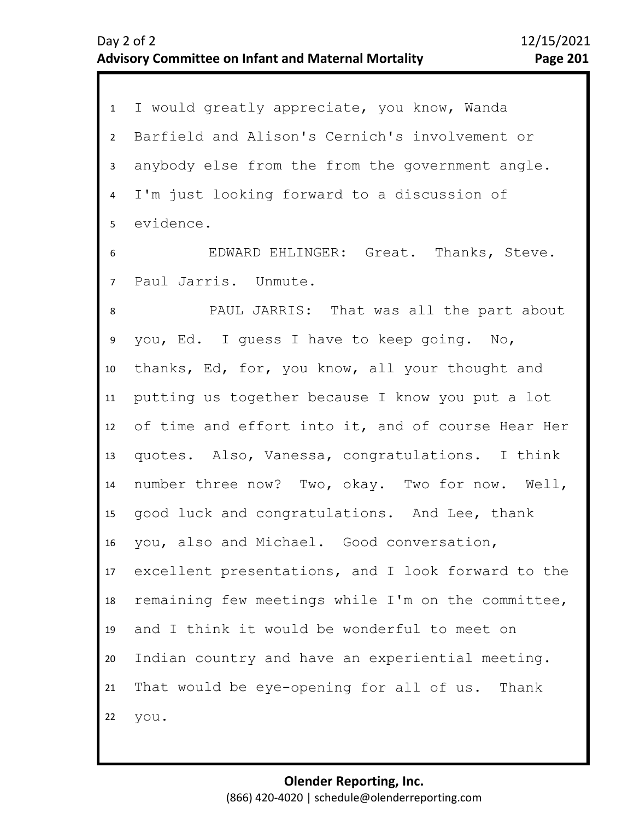| $\mathbf{1}$   | I would greatly appreciate, you know, Wanda        |
|----------------|----------------------------------------------------|
| $2^{\circ}$    | Barfield and Alison's Cernich's involvement or     |
| $\mathbf{3}$   | anybody else from the from the government angle.   |
| $\overline{4}$ | I'm just looking forward to a discussion of        |
| 5 <sub>1</sub> | evidence.                                          |
| 6              | EDWARD EHLINGER: Great. Thanks, Steve.             |
| 7 <sup>7</sup> | Paul Jarris. Unmute.                               |
| 8              | PAUL JARRIS: That was all the part about           |
| 9              | you, Ed. I quess I have to keep going. No,         |
| 10             | thanks, Ed, for, you know, all your thought and    |
| 11             | putting us together because I know you put a lot   |
| 12             | of time and effort into it, and of course Hear Her |
| 13             | quotes. Also, Vanessa, congratulations. I think    |
| 14             | number three now? Two, okay. Two for now. Well,    |
| 15             | good luck and congratulations. And Lee, thank      |
| 16             | you, also and Michael. Good conversation,          |
| 17             | excellent presentations, and I look forward to the |
| 18             | remaining few meetings while I'm on the committee, |
| 19             | and I think it would be wonderful to meet on       |
| 20             | Indian country and have an experiential meeting.   |
| 21             | That would be eye-opening for all of us. Thank     |
| 22             | you.                                               |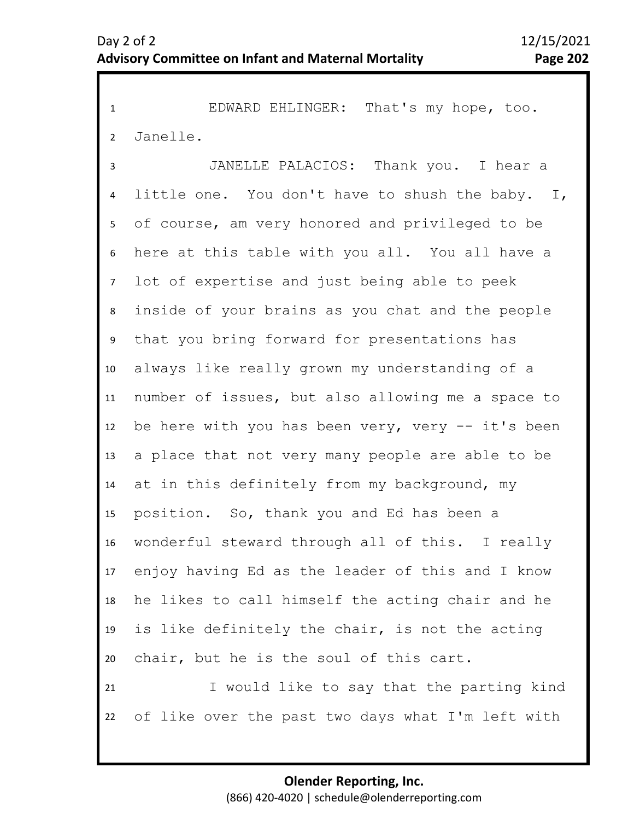1 EDWARD EHLINGER: That's my hope, too. 2 Janelle.

3 4 5 9 10 11 12 13 14 15 16 17 18 19 20 21 22 6 8 7 JANELLE PALACIOS: Thank you. I hear a little one. You don't have to shush the baby. I, of course, am very honored and privileged to be here at this table with you all. You all have a lot of expertise and just being able to peek inside of your brains as you chat and the people that you bring forward for presentations has always like really grown my understanding of a number of issues, but also allowing me a space to be here with you has been very, very -- it's been a place that not very many people are able to be at in this definitely from my background, my position. So, thank you and Ed has been a wonderful steward through all of this. I really enjoy having Ed as the leader of this and I know he likes to call himself the acting chair and he is like definitely the chair, is not the acting chair, but he is the soul of this cart. I would like to say that the parting kind of like over the past two days what I'm left with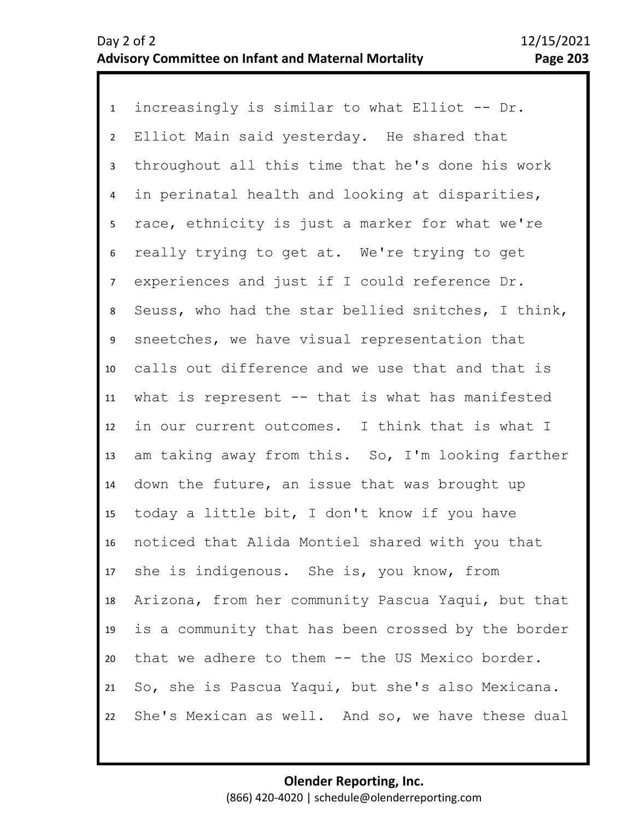1 increasingly is similar to what Elliot -- Dr. 2 3 4 5 6 10 11 12 13 14 15 16 17 18 19 20 21 22 7 9 8 Elliot Main said yesterday. He shared that throughout all this time that he's done his work in perinatal health and looking at disparities, race, ethnicity is just a marker for what we're really trying to get at. We're trying to get experiences and just if I could reference Dr. Seuss, who had the star bellied snitches, I think, sneetches, we have visual representation that calls out difference and we use that and that is what is represent -- that is what has manifested in our current outcomes. I think that is what I am taking away from this. So, I'm looking farther down the future, an issue that was brought up today a little bit, I don't know if you have noticed that Alida Montiel shared with you that she is indigenous. She is, you know, from Arizona, from her community Pascua Yaqui, but that is a community that has been crossed by the border that we adhere to them -- the US Mexico border. So, she is Pascua Yaqui, but she's also Mexicana. She's Mexican as well. And so, we have these dual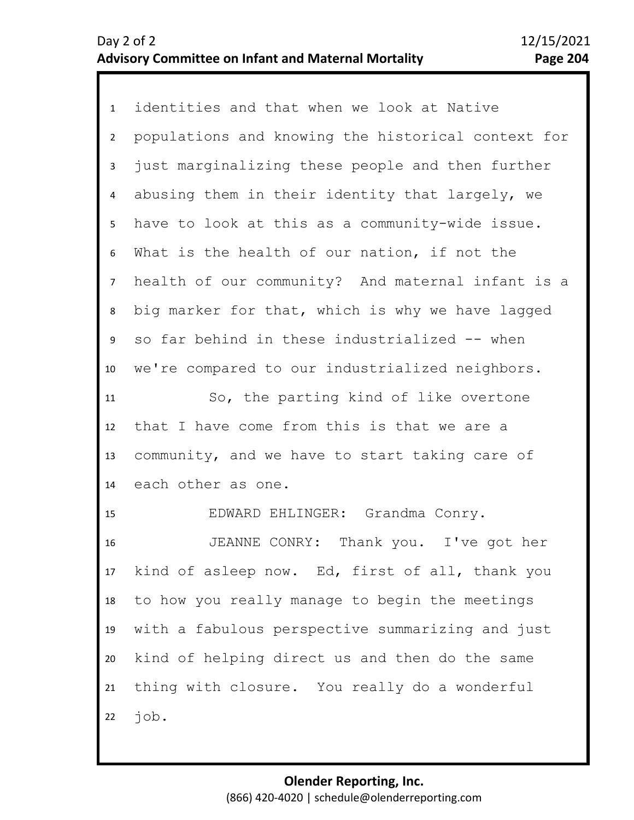1 identities and that when we look at Native 2 3 4 5 9 10 11 12 13 14 15 16 17 18 19 20 21 22 6 8 7 populations and knowing the historical context for just marginalizing these people and then further abusing them in their identity that largely, we have to look at this as a community-wide issue. What is the health of our nation, if not the health of our community? And maternal infant is a big marker for that, which is why we have lagged so far behind in these industrialized -- when we're compared to our industrialized neighbors. So, the parting kind of like overtone that I have come from this is that we are a community, and we have to start taking care of each other as one. EDWARD EHLINGER: Grandma Conry. JEANNE CONRY: Thank you. I've got her kind of asleep now. Ed, first of all, thank you to how you really manage to begin the meetings with a fabulous perspective summarizing and just kind of helping direct us and then do the same thing with closure. You really do a wonderful job.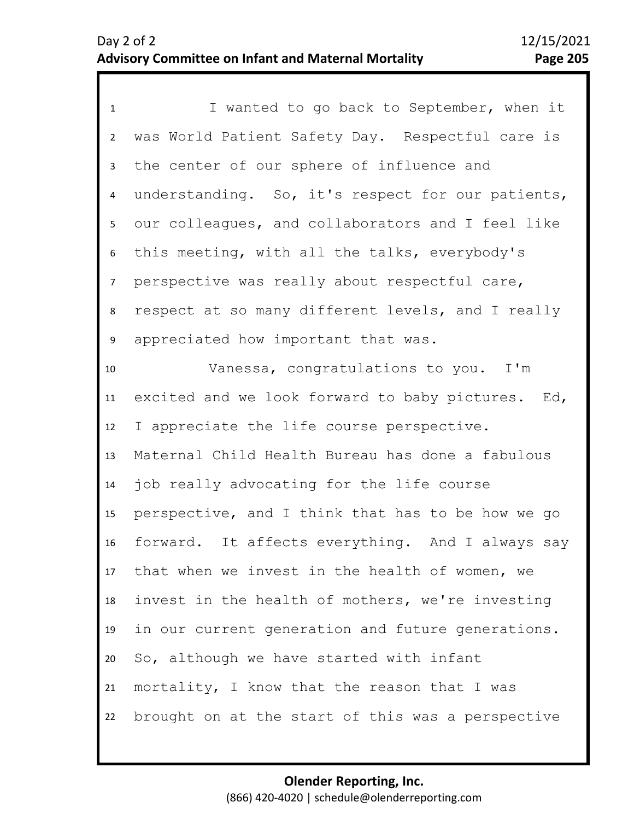| $\mathbf{1}$   | I wanted to go back to September, when it         |
|----------------|---------------------------------------------------|
| $\overline{2}$ | was World Patient Safety Day. Respectful care is  |
| 3              | the center of our sphere of influence and         |
| 4              | understanding. So, it's respect for our patients, |
| 5              | our colleagues, and collaborators and I feel like |
| 6              | this meeting, with all the talks, everybody's     |
| $\overline{7}$ | perspective was really about respectful care,     |
| 8              | respect at so many different levels, and I really |
| 9              | appreciated how important that was.               |
| 10             | Vanessa, congratulations to you. I'm              |
| 11             | excited and we look forward to baby pictures. Ed, |
| 12             | I appreciate the life course perspective.         |
| 13             | Maternal Child Health Bureau has done a fabulous  |
| 14             | job really advocating for the life course         |
| 15             | perspective, and I think that has to be how we go |
| 16             | forward. It affects everything. And I always say  |
| 17             | that when we invest in the health of women, we    |
| 18             | invest in the health of mothers, we're investing  |
| 19             | in our current generation and future generations. |
| 20             | So, although we have started with infant          |
| 21             | mortality, I know that the reason that I was      |
| 22             | brought on at the start of this was a perspective |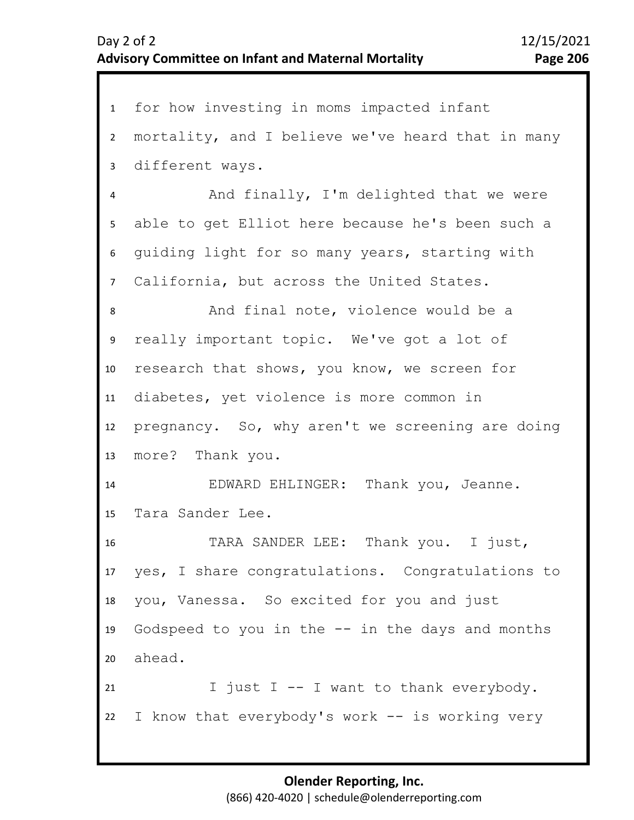1 for how investing in moms impacted infant 2 3 4 8 9 10 11 12 13 14 15 16 17 18 19 20 21 22 5 7 6 mortality, and I believe we've heard that in many different ways. And finally, I'm delighted that we were able to get Elliot here because he's been such a guiding light for so many years, starting with California, but across the United States. And final note, violence would be a really important topic. We've got a lot of research that shows, you know, we screen for diabetes, yet violence is more common in pregnancy. So, why aren't we screening are doing more? Thank you. EDWARD EHLINGER: Thank you, Jeanne. Tara Sander Lee. TARA SANDER LEE: Thank you. I just, yes, I share congratulations. Congratulations to you, Vanessa. So excited for you and just Godspeed to you in the  $-$  in the days and months ahead. I just I -- I want to thank everybody. I know that everybody's work -- is working very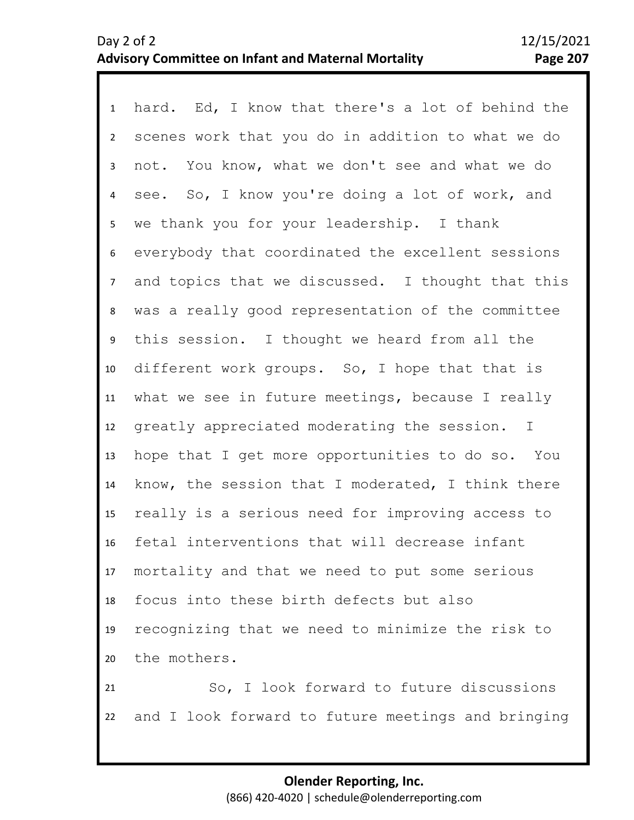1 hard. Ed, I know that there's a lot of behind the 2 3 4 8 9 10 11 12 13 14 15 16 17 18 19 20 21 22 5 7 6 scenes work that you do in addition to what we do not. You know, what we don't see and what we do see. So, I know you're doing a lot of work, and we thank you for your leadership. I thank everybody that coordinated the excellent sessions and topics that we discussed. I thought that this was a really good representation of the committee this session. I thought we heard from all the different work groups. So, I hope that that is what we see in future meetings, because I really greatly appreciated moderating the session. I hope that I get more opportunities to do so. You know, the session that I moderated, I think there really is a serious need for improving access to fetal interventions that will decrease infant mortality and that we need to put some serious focus into these birth defects but also recognizing that we need to minimize the risk to the mothers. So, I look forward to future discussions and I look forward to future meetings and bringing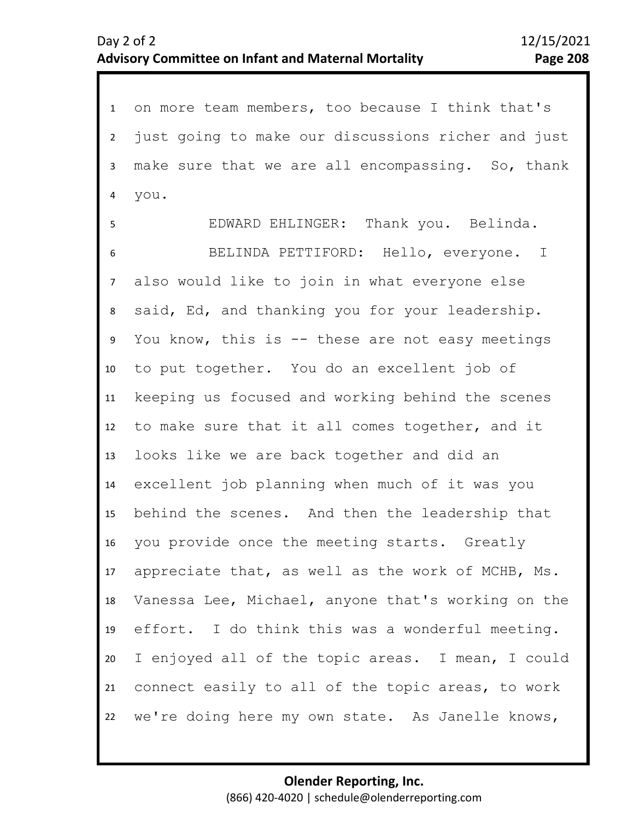1 on more team members, too because I think that's 2 3 4 8 9 10 11 12 13 14 15 16 17 18 19 20 21 22 5 7 6 just going to make our discussions richer and just make sure that we are all encompassing. So, thank you. EDWARD EHLINGER: Thank you. Belinda. BELINDA PETTIFORD: Hello, everyone. I also would like to join in what everyone else said, Ed, and thanking you for your leadership. You know, this is -- these are not easy meetings to put together. You do an excellent job of keeping us focused and working behind the scenes to make sure that it all comes together, and it looks like we are back together and did an excellent job planning when much of it was you behind the scenes. And then the leadership that you provide once the meeting starts. Greatly appreciate that, as well as the work of MCHB, Ms. Vanessa Lee, Michael, anyone that's working on the effort. I do think this was a wonderful meeting. I enjoyed all of the topic areas. I mean, I could connect easily to all of the topic areas, to work we're doing here my own state. As Janelle knows,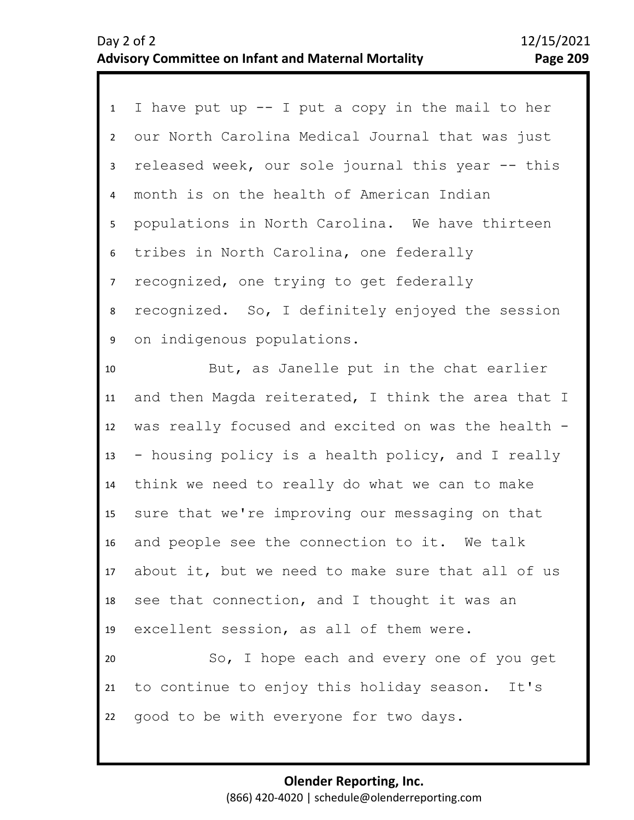1 I have put up -- I put a copy in the mail to her 2 3 4 8 9 10 11 12 13 14 15 16 17 18 19 5 7 6 our North Carolina Medical Journal that was just released week, our sole journal this year -- this month is on the health of American Indian populations in North Carolina. We have thirteen tribes in North Carolina, one federally recognized, one trying to get federally recognized. So, I definitely enjoyed the session on indigenous populations. But, as Janelle put in the chat earlier and then Magda reiterated, I think the area that I was really focused and excited on was the health -- housing policy is a health policy, and I really think we need to really do what we can to make sure that we're improving our messaging on that and people see the connection to it. We talk about it, but we need to make sure that all of us see that connection, and I thought it was an excellent session, as all of them were.

20 21 22 So, I hope each and every one of you get to continue to enjoy this holiday season. It's good to be with everyone for two days.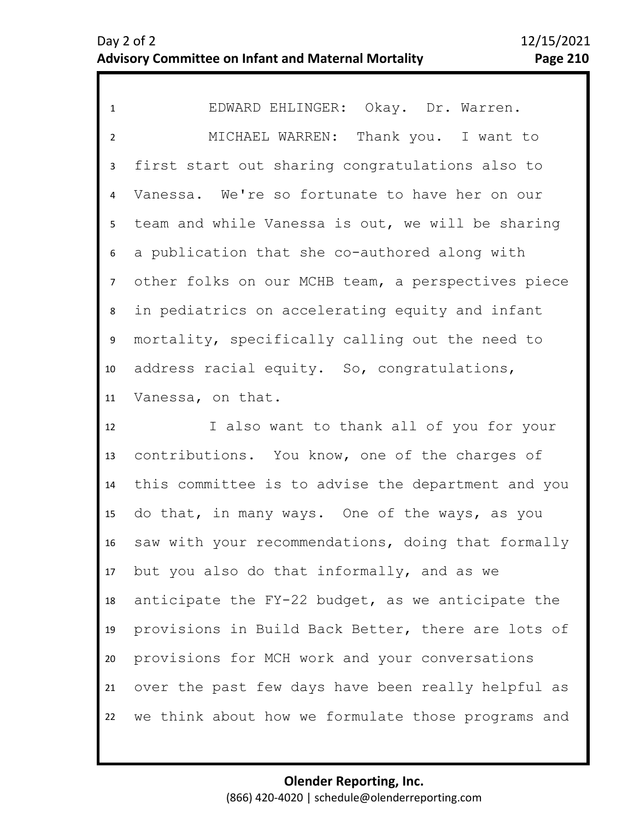1 EDWARD EHLINGER: Okay. Dr. Warren. 2 3 4 5 10 11 6 9 7 8 MICHAEL WARREN: Thank you. I want to first start out sharing congratulations also to Vanessa. We're so fortunate to have her on our team and while Vanessa is out, we will be sharing a publication that she co-authored along with other folks on our MCHB team, a perspectives piece in pediatrics on accelerating equity and infant mortality, specifically calling out the need to address racial equity. So, congratulations, Vanessa, on that.

12 13 14 15 16 17 18 19 20 21 22 I also want to thank all of you for your contributions. You know, one of the charges of this committee is to advise the department and you do that, in many ways. One of the ways, as you saw with your recommendations, doing that formally but you also do that informally, and as we anticipate the FY-22 budget, as we anticipate the provisions in Build Back Better, there are lots of provisions for MCH work and your conversations over the past few days have been really helpful as we think about how we formulate those programs and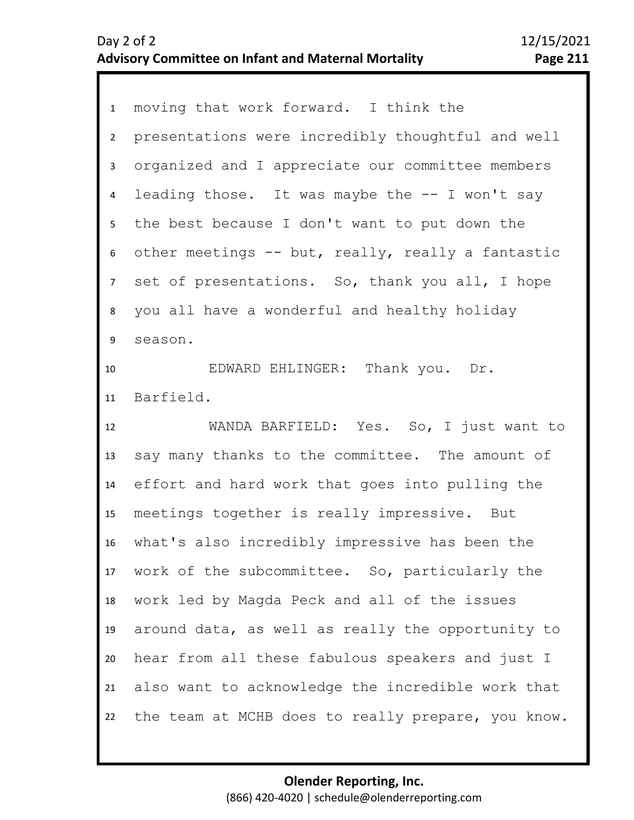1 moving that work forward. I think the 2 3 4 5 6 10 11 12 13 14 15 16 17 18 19 20 21 22 7 9 8 presentations were incredibly thoughtful and well organized and I appreciate our committee members leading those. It was maybe the  $-$ - I won't say the best because I don't want to put down the other meetings -- but, really, really a fantastic set of presentations. So, thank you all, I hope you all have a wonderful and healthy holiday season. EDWARD EHLINGER: Thank you. Dr. Barfield. WANDA BARFIELD: Yes. So, I just want to say many thanks to the committee. The amount of effort and hard work that goes into pulling the meetings together is really impressive. But what's also incredibly impressive has been the work of the subcommittee. So, particularly the work led by Magda Peck and all of the issues around data, as well as really the opportunity to hear from all these fabulous speakers and just I also want to acknowledge the incredible work that the team at MCHB does to really prepare, you know.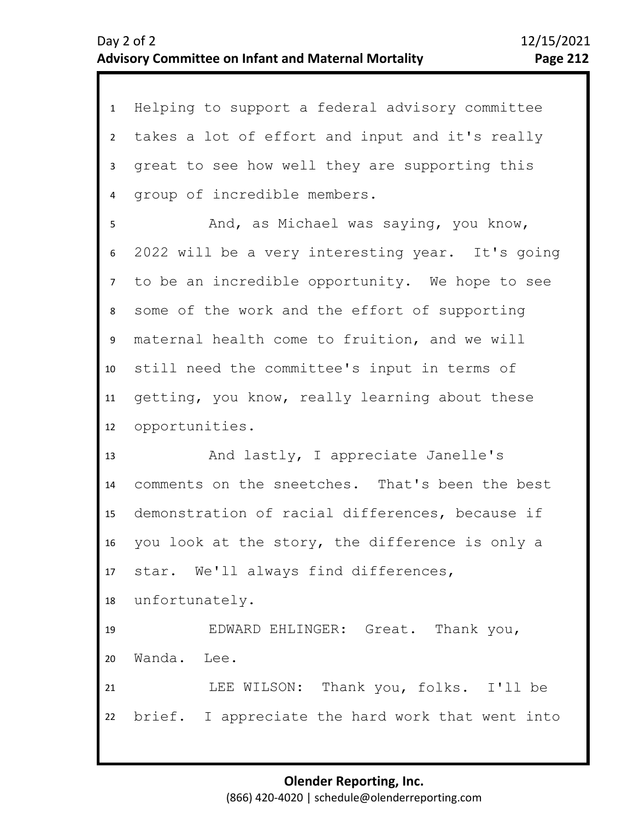| $\mathbf{1}$    | Helping to support a federal advisory committee  |
|-----------------|--------------------------------------------------|
| $2^{\circ}$     | takes a lot of effort and input and it's really  |
| $\mathbf{3}$    | great to see how well they are supporting this   |
| 4               | group of incredible members.                     |
| 5               | And, as Michael was saying, you know,            |
| 6               | 2022 will be a very interesting year. It's going |
| 7 <sup>7</sup>  | to be an incredible opportunity. We hope to see  |
| 8               | some of the work and the effort of supporting    |
| 9               | maternal health come to fruition, and we will    |
| 10 <sup>°</sup> | still need the committee's input in terms of     |
| 11              | getting, you know, really learning about these   |
| 12              | opportunities.                                   |
| 13              | And lastly, I appreciate Janelle's               |
| 14              | comments on the sneetches. That's been the best  |
| 15              | demonstration of racial differences, because if  |
| 16              | you look at the story, the difference is only a  |
| 17              | star. We'll always find differences,             |
| 18              | unfortunately.                                   |
| 19              | EDWARD EHLINGER: Great. Thank you,               |
| 20              | Wanda. Lee.                                      |
| 21              | LEE WILSON: Thank you, folks. I'll be            |
| 22              | brief. I appreciate the hard work that went into |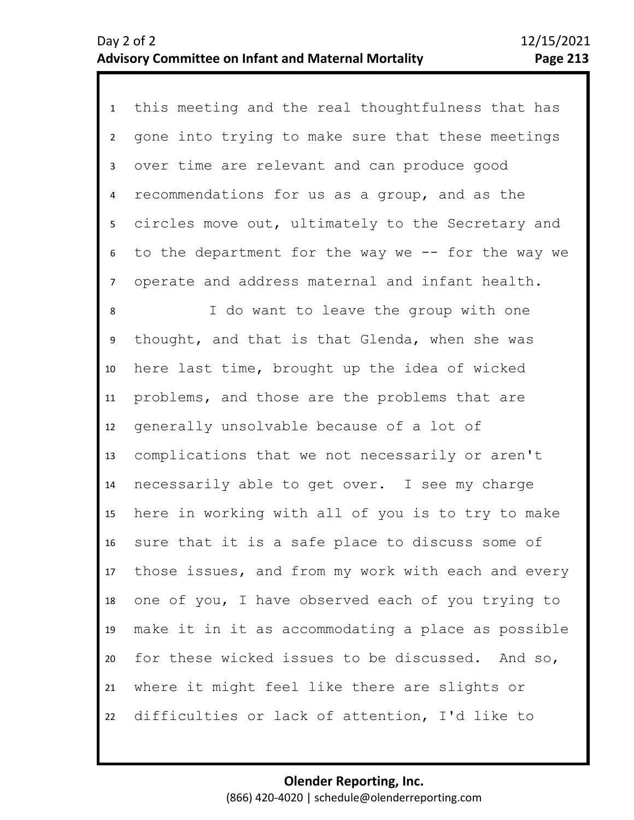1 this meeting and the real thoughtfulness that has 2 3 4 5 6 10 11 12 13 14 15 16 17 18 19 20 21 22 7 9 8 gone into trying to make sure that these meetings over time are relevant and can produce good recommendations for us as a group, and as the circles move out, ultimately to the Secretary and to the department for the way we -- for the way we operate and address maternal and infant health. I do want to leave the group with one thought, and that is that Glenda, when she was here last time, brought up the idea of wicked problems, and those are the problems that are generally unsolvable because of a lot of complications that we not necessarily or aren't necessarily able to get over. I see my charge here in working with all of you is to try to make sure that it is a safe place to discuss some of those issues, and from my work with each and every one of you, I have observed each of you trying to make it in it as accommodating a place as possible for these wicked issues to be discussed. And so, where it might feel like there are slights or difficulties or lack of attention, I'd like to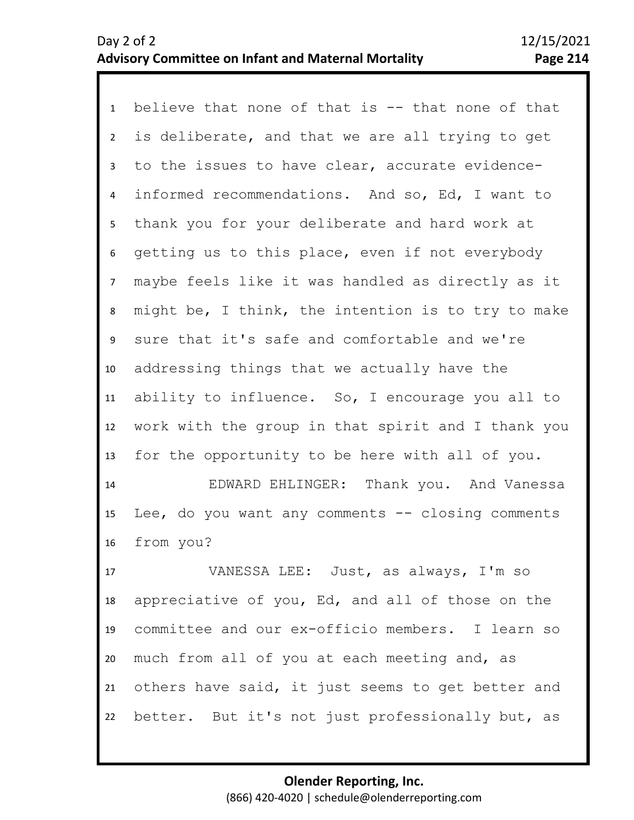1 believe that none of that is -- that none of that 2 3 4 5 9 10 11 12 13 6 8 7 is deliberate, and that we are all trying to get to the issues to have clear, accurate evidenceinformed recommendations. And so, Ed, I want to thank you for your deliberate and hard work at getting us to this place, even if not everybody maybe feels like it was handled as directly as it might be, I think, the intention is to try to make sure that it's safe and comfortable and we're addressing things that we actually have the ability to influence. So, I encourage you all to work with the group in that spirit and I thank you for the opportunity to be here with all of you.

14 15 16 EDWARD EHLINGER: Thank you. And Vanessa Lee, do you want any comments  $-$  closing comments from you?

17 18 19 20 21 22 VANESSA LEE: Just, as always, I'm so appreciative of you, Ed, and all of those on the committee and our ex-officio members. I learn so much from all of you at each meeting and, as others have said, it just seems to get better and better. But it's not just professionally but, as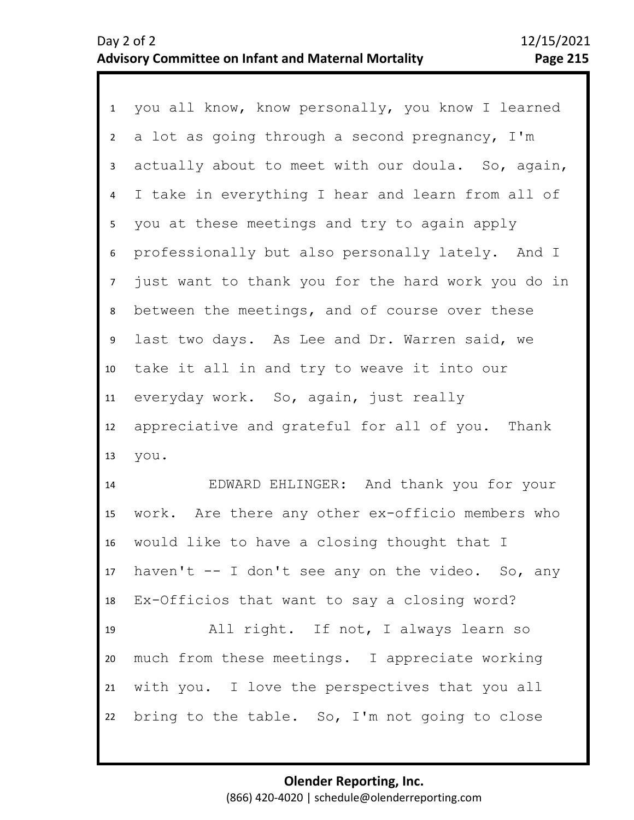1 you all know, know personally, you know I learned 2 3 4 8 9 10 11 12 13 5 7 6 a lot as going through a second pregnancy, I'm actually about to meet with our doula. So, again, I take in everything I hear and learn from all of you at these meetings and try to again apply professionally but also personally lately. And I just want to thank you for the hard work you do in between the meetings, and of course over these last two days. As Lee and Dr. Warren said, we take it all in and try to weave it into our everyday work. So, again, just really appreciative and grateful for all of you. Thank you.

14 15 16 17 18 19 20 21 22 EDWARD EHLINGER: And thank you for your work. Are there any other ex-officio members who would like to have a closing thought that I haven't -- I don't see any on the video. So, any Ex-Officios that want to say a closing word? All right. If not, I always learn so much from these meetings. I appreciate working with you. I love the perspectives that you all bring to the table. So, I'm not going to close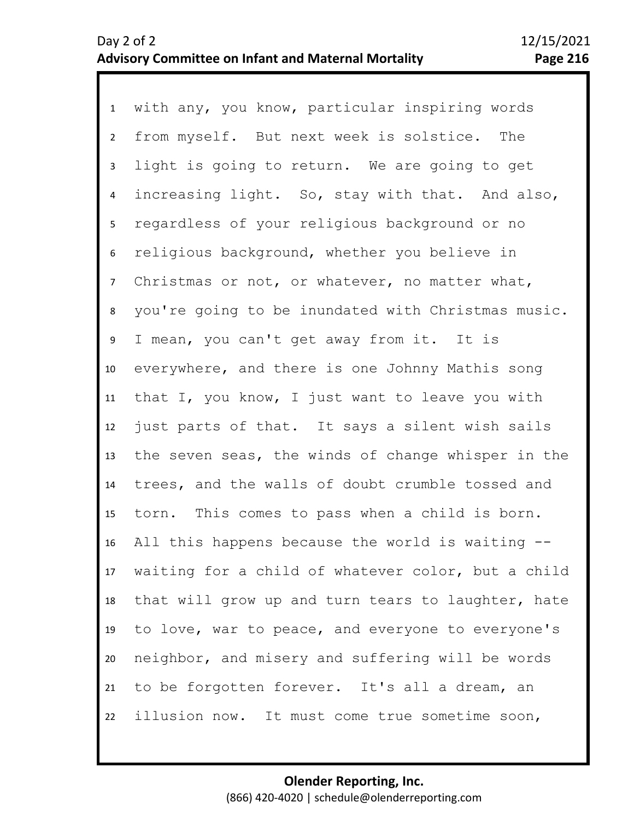1 with any, you know, particular inspiring words 2 3 7 8 9 10 11 12 13 14 15 16 17 18 19 20 21 22 4 6 5 from myself. But next week is solstice. The light is going to return. We are going to get increasing light. So, stay with that. And also, regardless of your religious background or no religious background, whether you believe in Christmas or not, or whatever, no matter what, you're going to be inundated with Christmas music. I mean, you can't get away from it. It is everywhere, and there is one Johnny Mathis song that I, you know, I just want to leave you with just parts of that. It says a silent wish sails the seven seas, the winds of change whisper in the trees, and the walls of doubt crumble tossed and torn. This comes to pass when a child is born. All this happens because the world is waiting - waiting for a child of whatever color, but a child that will grow up and turn tears to laughter, hate to love, war to peace, and everyone to everyone's neighbor, and misery and suffering will be words to be forgotten forever. It's all a dream, an illusion now. It must come true sometime soon,